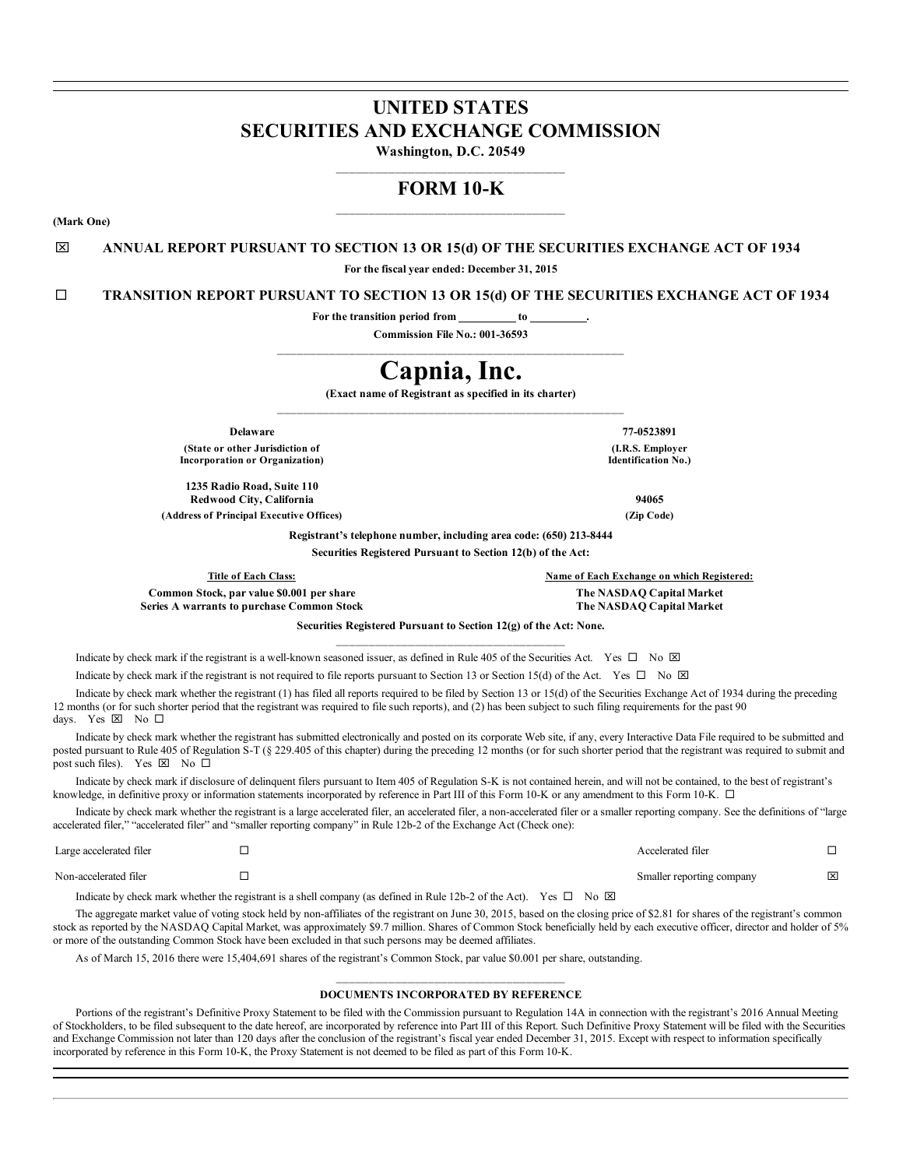# **UNITED STATES SECURITIES AND EXCHANGE COMMISSION**

**Washington, D.C. 20549**

# **FORM 10-K**

<span id="page-0-0"></span>**(Mark One)**

# x **ANNUAL REPORT PURSUANT TO SECTION 13 OR 15(d) OF THE SECURITIES EXCHANGE ACT OF 1934**

**For the fiscal year ended: December 31, 2015**

¨ **TRANSITION REPORT PURSUANT TO SECTION 13 OR 15(d) OF THE SECURITIES EXCHANGE ACT OF 1934**

**For the transition period from to .**

**Commission File No.: 001-36593**

# **Capnia, Inc.**

**(Exact name of Registrant as specified in its charter)**

**Delaware 77-0523891 (State or other Jurisdiction of Incorporation or Organization)**

**1235 Radio Road, Suite 110 Redwood City, California 94065 (Address of Principal Executive Offices) (Zip Code)**

**Registrant's telephone number, including area code: (650) 213-8444**

**Securities Registered Pursuant to Section 12(b) of the Act:**

| Title of Each Class:                                              | Name of Each Exchange on which Registered: |  |  |  |
|-------------------------------------------------------------------|--------------------------------------------|--|--|--|
| Common Stock, par value \$0.001 per share                         | The NASDAQ Capital Market                  |  |  |  |
| Series A warrants to purchase Common Stock                        | The NASDAQ Capital Market                  |  |  |  |
| Securities Registered Pursuant to Section 12(g) of the Act: None. |                                            |  |  |  |

Indicate by check mark if the registrant is a well-known seasoned issuer, as defined in Rule 405 of the Securities Act. Yes  $\Box$  No  $\boxtimes$ 

Indicate by check mark if the registrant is not required to file reports pursuant to Section 13 or Section 15(d) of the Act. Yes  $\Box$  No  $\boxtimes$ 

Indicate by check mark whether the registrant (1) has filed all reports required to be filed by Section 13 or 15(d) of the Securities Exchange Act of 1934 during the preceding 12 months (or for such shorter period that the registrant was required to file such reports), and (2) has been subject to such filing requirements for the past 90 days. Yes  $\boxtimes$  No  $\square$ 

Indicate by check mark whether the registrant has submitted electronically and posted on its corporate Web site, if any, every Interactive Data File required to be submitted and posted pursuant to Rule 405 of Regulation S-T (§ 229.405 of this chapter) during the preceding 12 months (or for such shorter period that the registrant was required to submit and post such files). Yes  $\boxtimes$  No  $\square$ 

Indicate by check mark if disclosure of delinquent filers pursuant to Item 405 of Regulation S-K is not contained herein, and will not be contained, to the best of registrant's knowledge, in definitive proxy or information statements incorporated by reference in Part III of this Form 10-K or any amendment to this Form 10-K.  $\Box$ 

Indicate by check mark whether the registrant is a large accelerated filer, an accelerated filer, a non-accelerated filer or a smaller reporting company. See the definitions of "large accelerated filer," "accelerated filer" and "smaller reporting company" in Rule 12b-2 of the Exchange Act (Check one):

| Large accelerated filer |                                                                                      | Accelerated filer         |   |
|-------------------------|--------------------------------------------------------------------------------------|---------------------------|---|
| Non-accelerated filer   |                                                                                      | Smaller reporting company | ⊠ |
|                         | $\mathbf{r}$ and $\mathbf{r}$ and $\mathbf{r}$<br>$\overline{\phantom{a}}$<br>$\sim$ |                           |   |

Indicate by check mark whether the registrant is a shell company (as defined in Rule 12b-2 of the Act). Yes  $\Box$  No  $\boxtimes$ 

The aggregate market value of voting stock held by non-affiliates of the registrant on June 30, 2015, based on the closing price of \$2.81 for shares of the registrant's common stock as reported by the NASDAQ Capital Market, was approximately \$9.7 million. Shares of Common Stock beneficially held by each executive officer, director and holder of 5% or more of the outstanding Common Stock have been excluded in that such persons may be deemed affiliates.

As of March 15, 2016 there were 15,404,691 shares of the registrant's Common Stock, par value \$0.001 per share, outstanding.

# **DOCUMENTS INCORPORATED BY REFERENCE**

Portions of the registrant's Definitive Proxy Statement to be filed with the Commission pursuant to Regulation 14A in connection with the registrant's 2016 Annual Meeting of Stockholders, to be filed subsequent to the date hereof, are incorporated by reference into Part III of this Report. Such Definitive Proxy Statement will be filed with the Securities and Exchange Commission not later than 120 days after the conclusion of the registrant's fiscal year ended December 31, 2015. Except with respect to information specifically incorporated by reference in this Form 10-K, the Proxy Statement is not deemed to be filed as part of this Form 10-K.

**(I.R.S. Employer Identification No.)**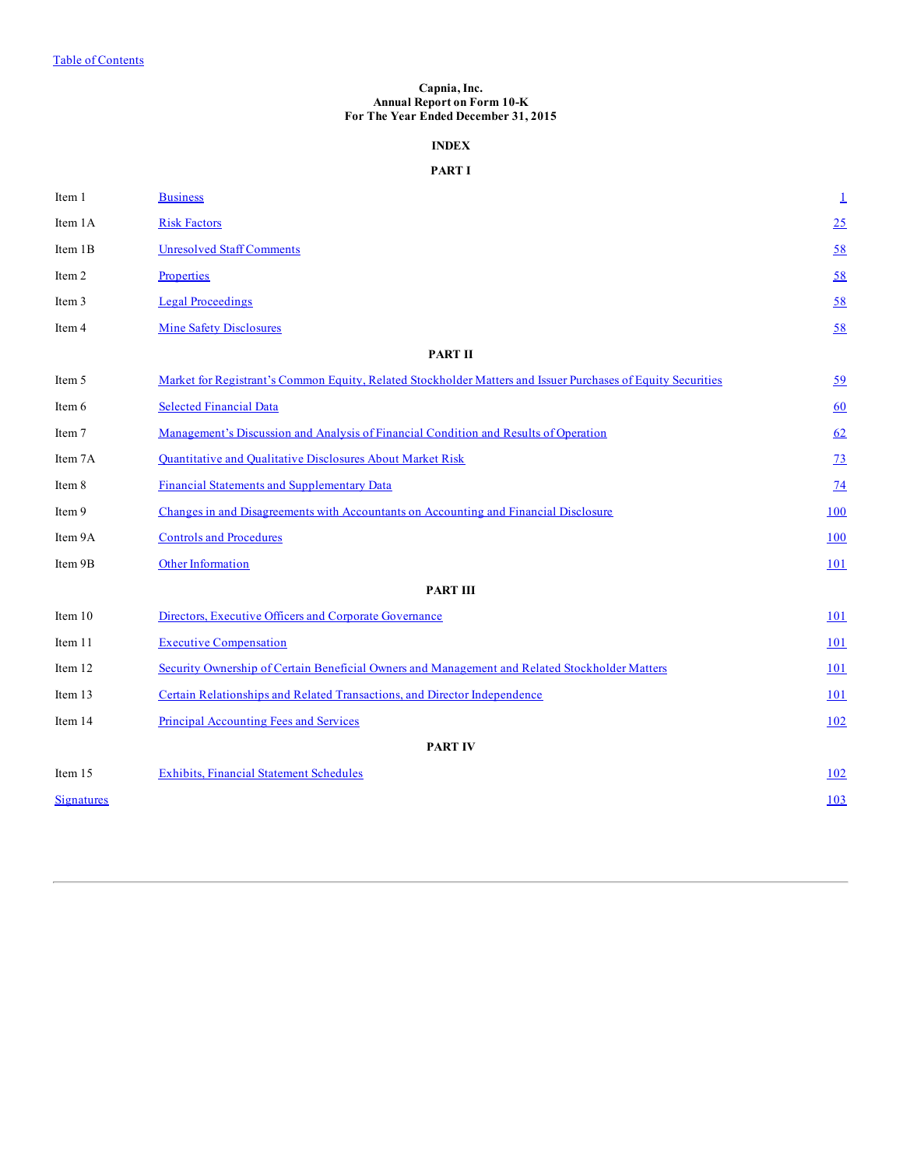# **Capnia, Inc. Annual Report on Form 10-K For The Year Ended December 31, 2015**

# **INDEX**

# **PART I**

| Item 1            | <b>Business</b>                                                                                              | $\overline{1}$ |  |  |  |
|-------------------|--------------------------------------------------------------------------------------------------------------|----------------|--|--|--|
| Item 1A           | <b>Risk Factors</b>                                                                                          | 25             |  |  |  |
| Item 1B           | <b>Unresolved Staff Comments</b>                                                                             | 58             |  |  |  |
| Item 2            | Properties                                                                                                   | 58             |  |  |  |
| Item 3            | <b>Legal Proceedings</b>                                                                                     | 58             |  |  |  |
| Item 4            | <b>Mine Safety Disclosures</b>                                                                               | 58             |  |  |  |
|                   | <b>PART II</b>                                                                                               |                |  |  |  |
| Item 5            | Market for Registrant's Common Equity, Related Stockholder Matters and Issuer Purchases of Equity Securities | 59             |  |  |  |
| Item 6            | <b>Selected Financial Data</b>                                                                               | 60             |  |  |  |
| Item 7            | Management's Discussion and Analysis of Financial Condition and Results of Operation                         | 62             |  |  |  |
| Item 7A           | <b>Quantitative and Qualitative Disclosures About Market Risk</b>                                            | 73             |  |  |  |
| Item 8            | Financial Statements and Supplementary Data                                                                  | $\frac{74}{5}$ |  |  |  |
| Item 9            | Changes in and Disagreements with Accountants on Accounting and Financial Disclosure                         | 100            |  |  |  |
| Item 9A           | <b>Controls and Procedures</b>                                                                               | 100            |  |  |  |
| Item 9B           | Other Information                                                                                            | 101            |  |  |  |
| <b>PART III</b>   |                                                                                                              |                |  |  |  |
| Item 10           | Directors, Executive Officers and Corporate Governance                                                       | 101            |  |  |  |
| Item 11           | <b>Executive Compensation</b>                                                                                | 101            |  |  |  |
| Item 12           | Security Ownership of Certain Beneficial Owners and Management and Related Stockholder Matters               | 101            |  |  |  |
| Item 13           | Certain Relationships and Related Transactions, and Director Independence                                    | 101            |  |  |  |
| Item 14           | <b>Principal Accounting Fees and Services</b>                                                                | 102            |  |  |  |
| <b>PART IV</b>    |                                                                                                              |                |  |  |  |
| Item 15           | <b>Exhibits, Financial Statement Schedules</b>                                                               | <u>102</u>     |  |  |  |
| <b>Signatures</b> |                                                                                                              | 103            |  |  |  |
|                   |                                                                                                              |                |  |  |  |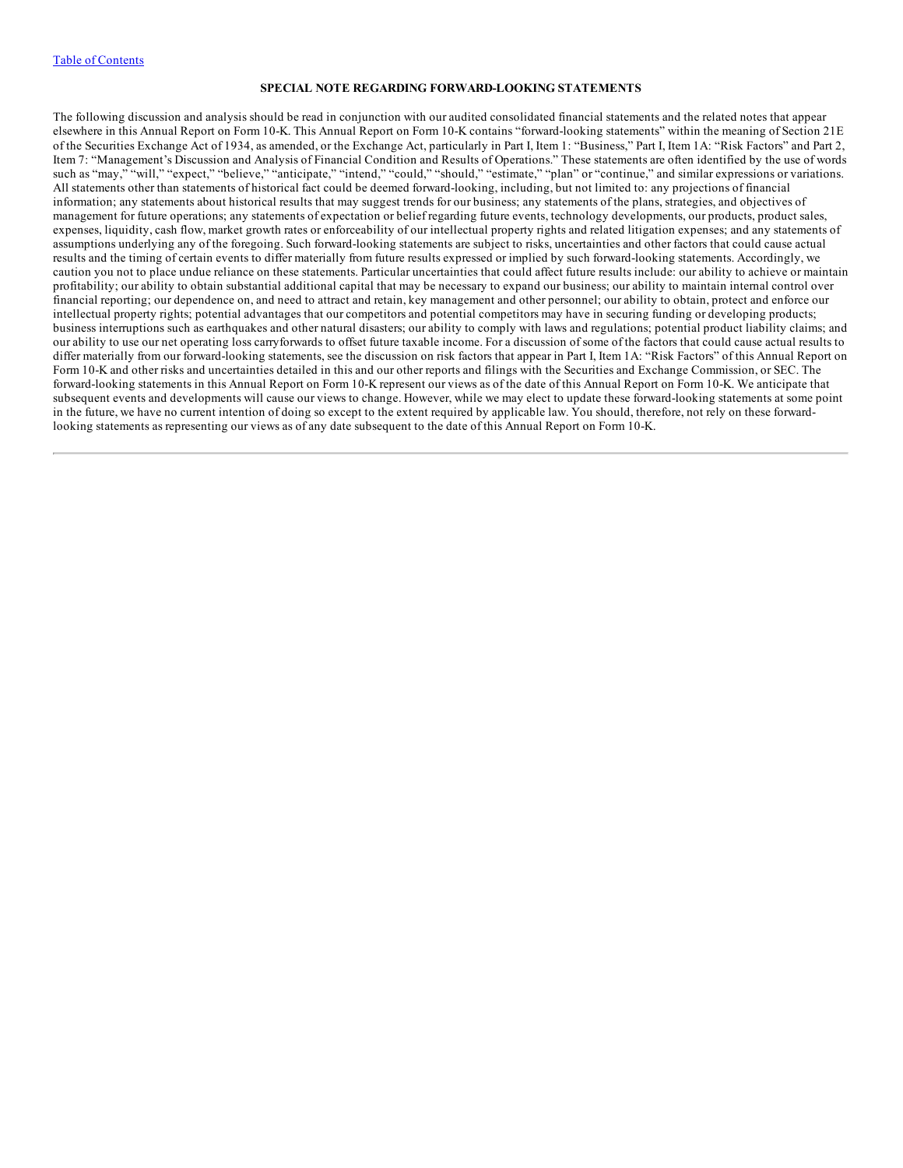# **SPECIAL NOTE REGARDING FORWARD-LOOKING STATEMENTS**

The following discussion and analysis should be read in conjunction with our audited consolidated financial statements and the related notes that appear elsewhere in this Annual Report on Form 10-K. This Annual Report on Form 10-K contains "forward-looking statements" within the meaning of Section 21E of the Securities Exchange Act of 1934, as amended, or the Exchange Act, particularly in Part I, Item 1: "Business," Part I, Item 1A: "Risk Factors" and Part 2, Item 7: "Management's Discussion and Analysis of Financial Condition and Results of Operations." These statements are often identified by the use of words such as "may," "will," "expect," "believe," "anticipate," "intend," "could," "should," "estimate," "plan" or "continue," and similar expressions or variations. All statements other than statements of historical fact could be deemed forward-looking, including, but not limited to: any projections of financial information; any statements about historical results that may suggest trends for our business; any statements of the plans, strategies, and objectives of management for future operations; any statements of expectation or belief regarding future events, technology developments, our products, product sales, expenses, liquidity, cash flow, market growth rates or enforceability of our intellectual property rights and related litigation expenses; and any statements of assumptions underlying any of the foregoing. Such forward-looking statements are subject to risks, uncertainties and other factors that could cause actual results and the timing of certain events to differ materially from future results expressed or implied by such forward-looking statements. Accordingly, we caution you not to place undue reliance on these statements. Particular uncertainties that could affect future results include: our ability to achieve or maintain profitability; our ability to obtain substantial additional capital that may be necessary to expand our business; our ability to maintain internal control over financial reporting; our dependence on, and need to attract and retain, key management and other personnel; our ability to obtain, protect and enforce our intellectual property rights; potential advantages that our competitors and potential competitors may have in securing funding or developing products; business interruptions such as earthquakes and other natural disasters; our ability to comply with laws and regulations; potential product liability claims; and our ability to use our net operating loss carryforwards to offset future taxable income. For a discussion of some of the factors that could cause actual results to differ materially from our forward-looking statements, see the discussion on risk factors that appear in Part I, Item 1A: "Risk Factors" of this Annual Report on Form 10-K and other risks and uncertainties detailed in this and our other reports and filings with the Securities and Exchange Commission, or SEC. The forward-looking statements in this Annual Report on Form 10-K represent our views as of the date of this Annual Report on Form 10-K. We anticipate that subsequent events and developments will cause our views to change. However, while we may elect to update these forward-looking statements at some point in the future, we have no current intention of doing so except to the extent required by applicable law. You should, therefore, not rely on these forwardlooking statements as representing our views as of any date subsequent to the date of this Annual Report on Form 10-K.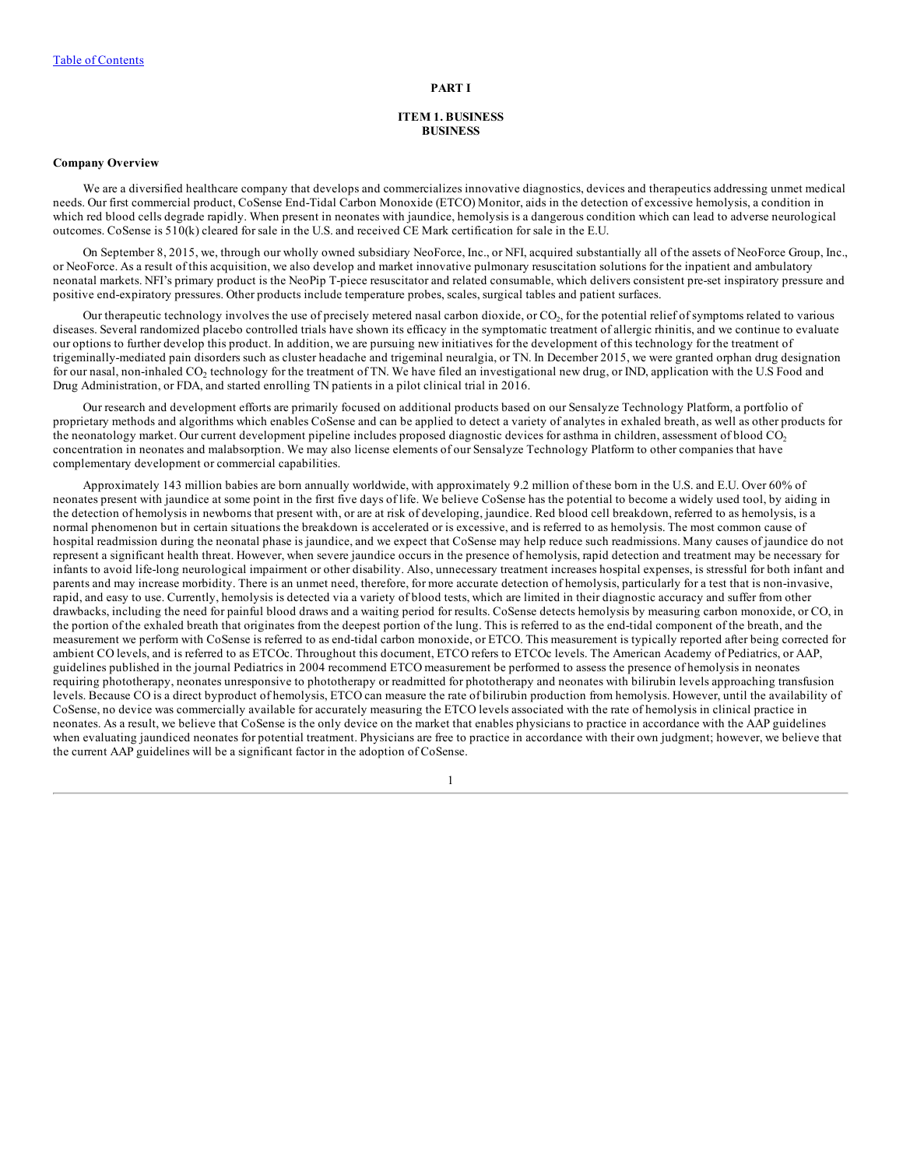# **PART I**

#### **ITEM 1. BUSINESS BUSINESS**

#### <span id="page-3-0"></span>**Company Overview**

We are a diversified healthcare company that develops and commercializes innovative diagnostics, devices and therapeutics addressing unmet medical needs. Our first commercial product, CoSense End-Tidal Carbon Monoxide (ETCO) Monitor, aids in the detection of excessive hemolysis, a condition in which red blood cells degrade rapidly. When present in neonates with jaundice, hemolysis is a dangerous condition which can lead to adverse neurological outcomes. CoSense is 510(k) cleared for sale in the U.S. and received CE Mark certification for sale in the E.U.

On September 8, 2015, we, through our wholly owned subsidiary NeoForce, Inc., or NFI, acquired substantially all of the assets of NeoForce Group, Inc., or NeoForce. As a result of this acquisition, we also develop and market innovative pulmonary resuscitation solutions for the inpatient and ambulatory neonatal markets. NFI's primary product is the NeoPip T-piece resuscitator and related consumable, which delivers consistent pre-set inspiratory pressure and positive end-expiratory pressures. Other products include temperature probes, scales, surgical tables and patient surfaces.

Our therapeutic technology involves the use of precisely metered nasal carbon dioxide, or  $CO<sub>2</sub>$ , for the potential relief of symptoms related to various diseases. Several randomized placebo controlled trials have shown its efficacy in the symptomatic treatment of allergic rhinitis, and we continue to evaluate our options to further develop this product. In addition, we are pursuing new initiatives for the development of this technology for the treatment of trigeminally-mediated pain disorders such as cluster headache and trigeminal neuralgia, or TN. In December 2015, we were granted orphan drug designation for our nasal, non-inhaled CO<sub>2</sub> technology for the treatment of TN. We have filed an investigational new drug, or IND, application with the U.S Food and Drug Administration, or FDA, and started enrolling TN patients in a pilot clinical trial in 2016.

Our research and development efforts are primarily focused on additional products based on our Sensalyze Technology Platform, a portfolio of proprietary methods and algorithms which enables CoSense and can be applied to detect a variety of analytes in exhaled breath, as well as other products for the neonatology market. Our current development pipeline includes proposed diagnostic devices for asthma in children, assessment of blood  $CO<sub>2</sub>$ concentration in neonates and malabsorption. We may also license elements of our Sensalyze Technology Platform to other companies that have complementary development or commercial capabilities.

Approximately 143 million babies are born annually worldwide, with approximately 9.2 million of these born in the U.S. and E.U. Over 60% of neonates present with jaundice at some point in the first five days of life. We believe CoSense has the potential to become a widely used tool, by aiding in the detection of hemolysis in newborns that present with, or are at risk of developing, jaundice. Red blood cell breakdown, referred to as hemolysis, is a normal phenomenon but in certain situations the breakdown is accelerated or is excessive, and is referred to as hemolysis. The most common cause of hospital readmission during the neonatal phase is jaundice, and we expect that CoSense may help reduce such readmissions. Many causes of jaundice do not represent a significant health threat. However, when severe jaundice occurs in the presence of hemolysis, rapid detection and treatment may be necessary for infants to avoid life-long neurological impairment or other disability. Also, unnecessary treatment increases hospital expenses, is stressful for both infant and parents and may increase morbidity. There is an unmet need, therefore, for more accurate detection of hemolysis, particularly for a test that is non-invasive, rapid, and easy to use. Currently, hemolysis is detected via a variety of blood tests, which are limited in their diagnostic accuracy and suffer from other drawbacks, including the need for painful blood draws and a waiting period for results. CoSense detects hemolysis by measuring carbon monoxide, or CO, in the portion of the exhaled breath that originates from the deepest portion of the lung. This is referred to as the end-tidal component of the breath, and the measurement we perform with CoSense is referred to as end-tidal carbon monoxide, or ETCO. This measurement is typically reported after being corrected for ambient CO levels, and is referred to as ETCOc. Throughout this document, ETCO refers to ETCOc levels. The American Academy of Pediatrics, or AAP, guidelines published in the journal Pediatrics in 2004 recommend ETCO measurement be performed to assess the presence of hemolysis in neonates requiring phototherapy, neonates unresponsive to phototherapy or readmitted for phototherapy and neonates with bilirubin levels approaching transfusion levels. Because CO is a direct byproduct of hemolysis, ETCO can measure the rate of bilirubin production from hemolysis. However, until the availability of CoSense, no device was commercially available for accurately measuring the ETCO levels associated with the rate of hemolysis in clinical practice in neonates. As a result, we believe that CoSense is the only device on the market that enables physicians to practice in accordance with the AAP guidelines when evaluating jaundiced neonates for potential treatment. Physicians are free to practice in accordance with their own judgment; however, we believe that the current AAP guidelines will be a significant factor in the adoption of CoSense.

1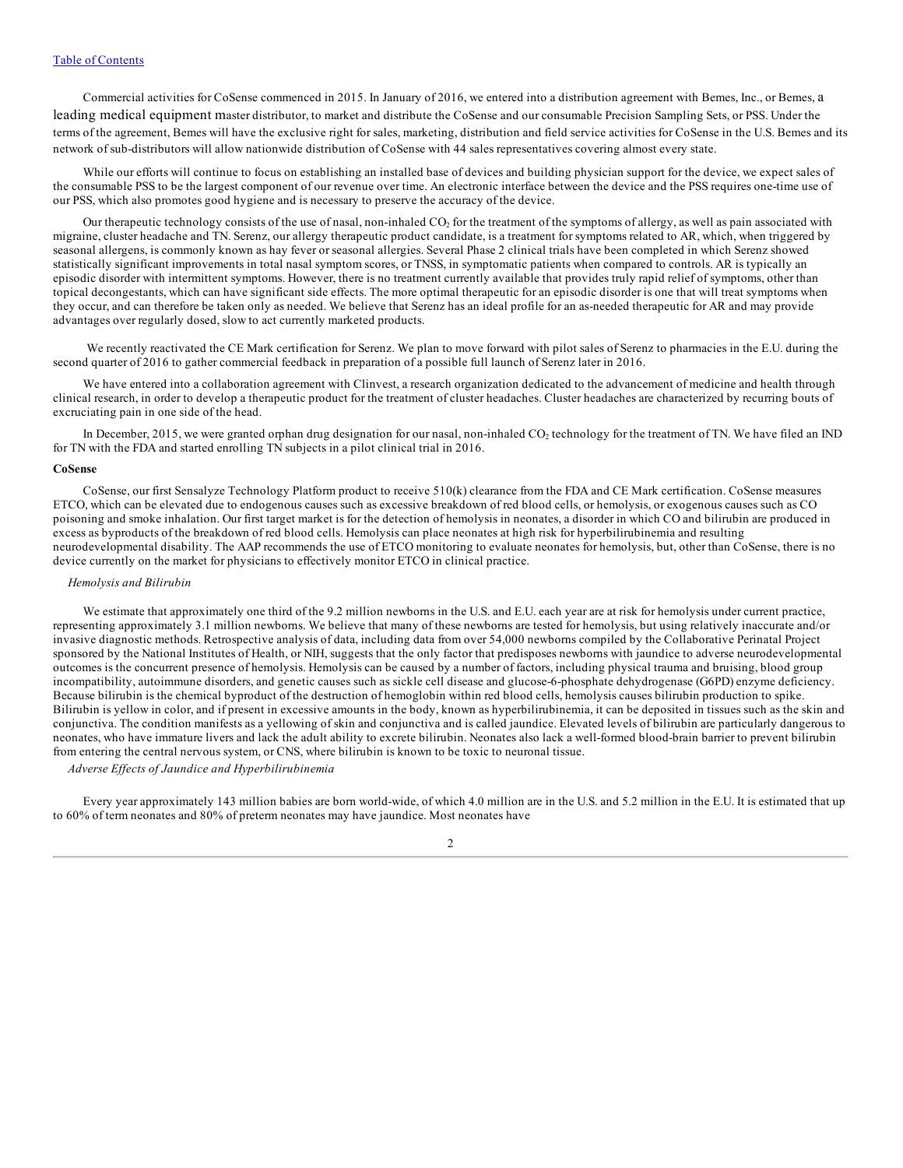Commercial activities for CoSense commenced in 2015. In January of 2016, we entered into a distribution agreement with Bemes, Inc., or Bemes, a leading medical equipment master distributor, to market and distribute the CoSense and our consumable Precision Sampling Sets, or PSS. Under the terms of the agreement, Bemes will have the exclusive right for sales, marketing, distribution and field service activities for CoSense in the U.S. Bemes and its network of sub-distributors will allow nationwide distribution of CoSense with 44 sales representatives covering almost every state.

While our efforts will continue to focus on establishing an installed base of devices and building physician support for the device, we expect sales of the consumable PSS to be the largest component of our revenue over time. An electronic interface between the device and the PSS requires one-time use of our PSS, which also promotes good hygiene and is necessary to preserve the accuracy of the device.

Our therapeutic technology consists of the use of nasal, non-inhaled CO<sub>2</sub> for the treatment of the symptoms of allergy, as well as pain associated with migraine, cluster headache and TN. Serenz, our allergy therapeutic product candidate, is a treatment for symptoms related to AR, which, when triggered by seasonal allergens, is commonly known as hay fever or seasonal allergies. Several Phase 2 clinical trials have been completed in which Serenz showed statistically significant improvements in total nasal symptom scores, or TNSS, in symptomatic patients when compared to controls. AR is typically an episodic disorder with intermittent symptoms. However, there is no treatment currently available that provides truly rapid relief of symptoms, other than topical decongestants, which can have significant side effects. The more optimal therapeutic for an episodic disorder is one that will treat symptoms when they occur, and can therefore be taken only as needed. We believe that Serenz has an ideal profile for an as-needed therapeutic for AR and may provide advantages over regularly dosed, slow to act currently marketed products.

We recently reactivated the CE Mark certification for Serenz. We plan to move forward with pilot sales of Serenz to pharmacies in the E.U. during the second quarter of 2016 to gather commercial feedback in preparation of a possible full launch of Serenz later in 2016.

We have entered into a collaboration agreement with Clinvest, a research organization dedicated to the advancement of medicine and health through clinical research, in order to develop a therapeutic product for the treatment of cluster headaches. Cluster headaches are characterized by recurring bouts of excruciating pain in one side of the head.

In December, 2015, we were granted orphan drug designation for our nasal, non-inhaled CO<sub>2</sub> technology for the treatment of TN. We have filed an IND for TN with the FDA and started enrolling TN subjects in a pilot clinical trial in 2016.

# **CoSense**

CoSense, our first Sensalyze Technology Platform product to receive 510(k) clearance from the FDA and CE Mark certification. CoSense measures ETCO, which can be elevated due to endogenous causes such as excessive breakdown of red blood cells, or hemolysis, or exogenous causes such as CO poisoning and smoke inhalation. Our first target market is for the detection of hemolysis in neonates, a disorder in which CO and bilirubin are produced in excess as byproducts of the breakdown of red blood cells. Hemolysis can place neonates at high risk for hyperbilirubinemia and resulting neurodevelopmental disability. The AAP recommends the use of ETCO monitoring to evaluate neonates for hemolysis, but, other than CoSense, there is no device currently on the market for physicians to effectively monitor ETCO in clinical practice.

#### *Hemolysis and Bilirubin*

We estimate that approximately one third of the 9.2 million newborns in the U.S. and E.U. each year are at risk for hemolysis under current practice, representing approximately 3.1 million newborns. We believe that many of these newborns are tested for hemolysis, but using relatively inaccurate and/or invasive diagnostic methods. Retrospective analysis of data, including data from over 54,000 newborns compiled by the Collaborative Perinatal Project sponsored by the National Institutes of Health, or NIH, suggests that the only factor that predisposes newborns with jaundice to adverse neurodevelopmental outcomes is the concurrent presence of hemolysis. Hemolysis can be caused by a number of factors, including physical trauma and bruising, blood group incompatibility, autoimmune disorders, and genetic causes such as sickle cell disease and glucose-6-phosphate dehydrogenase (G6PD) enzyme deficiency. Because bilirubin is the chemical byproduct of the destruction of hemoglobin within red blood cells, hemolysis causes bilirubin production to spike. Bilirubin is yellow in color, and if present in excessive amounts in the body, known as hyperbilirubinemia, it can be deposited in tissues such as the skin and conjunctiva. The condition manifests as a yellowing of skin and conjunctiva and is called jaundice. Elevated levels of bilirubin are particularly dangerous to neonates, who have immature livers and lack the adult ability to excrete bilirubin. Neonates also lack a well-formed blood-brain barrier to prevent bilirubin from entering the central nervous system, or CNS, where bilirubin is known to be toxic to neuronal tissue.

# *Adverse Ef ects of Jaundice and Hyperbilirubinemia*

Every year approximately 143 million babies are born world-wide, of which 4.0 million are in the U.S. and 5.2 million in the E.U. It is estimated that up to 60% of term neonates and 80% of preterm neonates may have jaundice. Most neonates have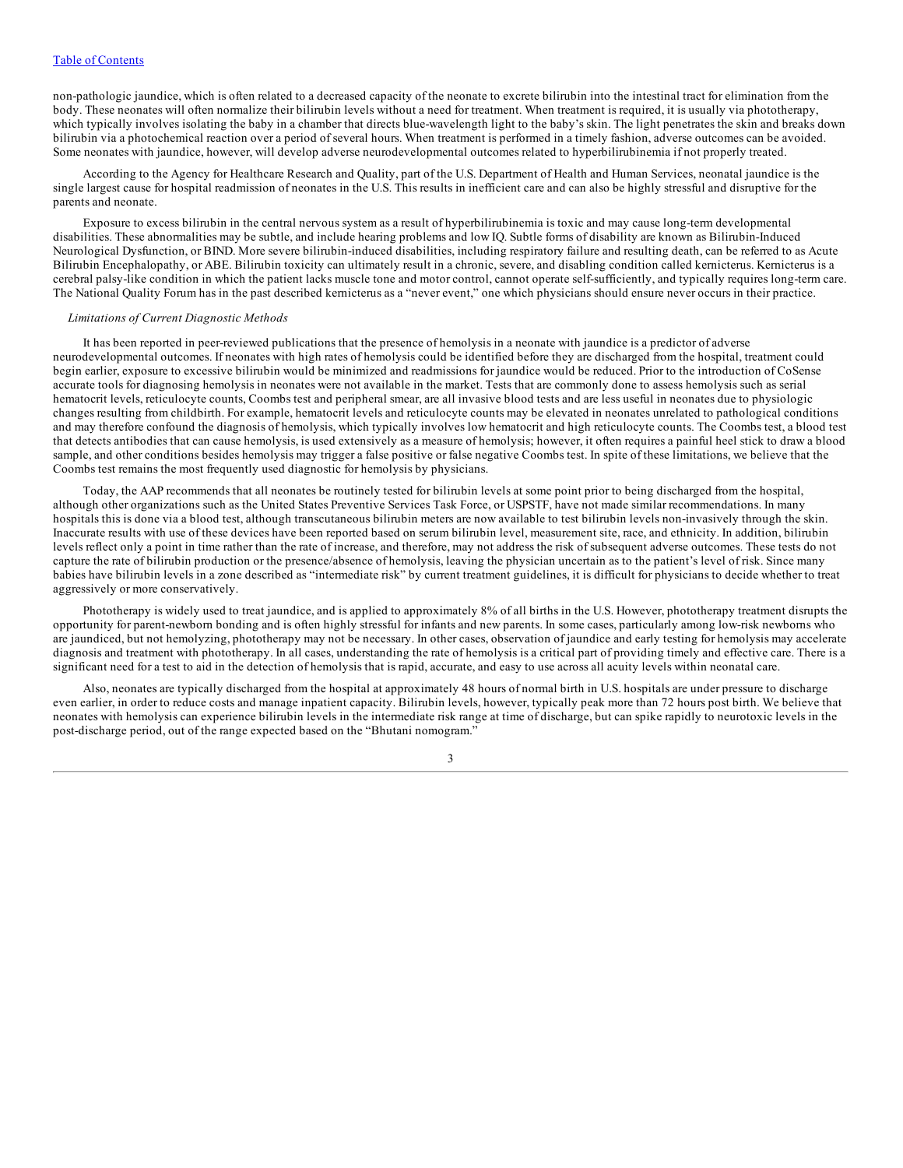non-pathologic jaundice, which is often related to a decreased capacity of the neonate to excrete bilirubin into the intestinal tract for elimination from the body. These neonates will often normalize their bilirubin levels without a need for treatment. When treatment is required, it is usually via phototherapy, which typically involves isolating the baby in a chamber that directs blue-wavelength light to the baby's skin. The light penetrates the skin and breaks down bilirubin via a photochemical reaction over a period of several hours. When treatment is performed in a timely fashion, adverse outcomes can be avoided. Some neonates with jaundice, however, will develop adverse neurodevelopmental outcomes related to hyperbilirubinemia if not properly treated.

According to the Agency for Healthcare Research and Quality, part of the U.S. Department of Health and Human Services, neonatal jaundice is the single largest cause for hospital readmission of neonates in the U.S. This results in inefficient care and can also be highly stressful and disruptive for the parents and neonate.

Exposure to excess bilirubin in the central nervous system as a result of hyperbilirubinemia is toxic and may cause long-term developmental disabilities. These abnormalities may be subtle, and include hearing problems and low IQ. Subtle forms of disability are known as Bilirubin-Induced Neurological Dysfunction, or BIND. More severe bilirubin-induced disabilities, including respiratory failure and resulting death, can be referred to as Acute Bilirubin Encephalopathy, or ABE. Bilirubin toxicity can ultimately result in a chronic, severe, and disabling condition called kernicterus. Kernicterus is a cerebral palsy-like condition in which the patient lacks muscle tone and motor control, cannot operate self-sufficiently, and typically requires long-term care. The National Quality Forum has in the past described kernicterus as a "never event," one which physicians should ensure never occurs in their practice.

# *Limitations of Current Diagnostic Methods*

It has been reported in peer-reviewed publications that the presence of hemolysis in a neonate with jaundice is a predictor of adverse neurodevelopmental outcomes. If neonates with high rates of hemolysis could be identified before they are discharged from the hospital, treatment could begin earlier, exposure to excessive bilirubin would be minimized and readmissions for jaundice would be reduced. Prior to the introduction of CoSense accurate tools for diagnosing hemolysis in neonates were not available in the market. Tests that are commonly done to assess hemolysis such as serial hematocrit levels, reticulocyte counts, Coombs test and peripheral smear, are all invasive blood tests and are less useful in neonates due to physiologic changes resulting from childbirth. For example, hematocrit levels and reticulocyte counts may be elevated in neonates unrelated to pathological conditions and may therefore confound the diagnosis of hemolysis, which typically involves low hematocrit and high reticulocyte counts. The Coombs test, a blood test that detects antibodies that can cause hemolysis, is used extensively as a measure of hemolysis; however, it often requires a painful heel stick to draw a blood sample, and other conditions besides hemolysis may trigger a false positive or false negative Coombs test. In spite of these limitations, we believe that the Coombs test remains the most frequently used diagnostic for hemolysis by physicians.

Today, the AAP recommends that all neonates be routinely tested for bilirubin levels at some point prior to being discharged from the hospital, although other organizations such as the United States Preventive Services Task Force, or USPSTF, have not made similar recommendations. In many hospitals this is done via a blood test, although transcutaneous bilirubin meters are now available to test bilirubin levels non-invasively through the skin. Inaccurate results with use of these devices have been reported based on serum bilirubin level, measurement site, race, and ethnicity. In addition, bilirubin levels reflect only a point in time rather than the rate of increase, and therefore, may not address the risk of subsequent adverse outcomes. These tests do not capture the rate of bilirubin production or the presence/absence of hemolysis, leaving the physician uncertain as to the patient's level of risk. Since many babies have bilirubin levels in a zone described as "intermediate risk" by current treatment guidelines, it is difficult for physicians to decide whether to treat aggressively or more conservatively

Phototherapy is widely used to treat jaundice, and is applied to approximately 8% of all births in the U.S. However, phototherapy treatment disrupts the opportunity for parent-newborn bonding and is often highly stressful for infants and new parents. In some cases, particularly among low-risk newborns who are jaundiced, but not hemolyzing, phototherapy may not be necessary. In other cases, observation of jaundice and early testing for hemolysis may accelerate diagnosis and treatment with phototherapy. In all cases, understanding the rate of hemolysis is a critical part of providing timely and effective care. There is a significant need for a test to aid in the detection of hemolysis that is rapid, accurate, and easy to use across all acuity levels within neonatal care.

Also, neonates are typically discharged from the hospital at approximately 48 hours of normal birth in U.S. hospitals are under pressure to discharge even earlier, in order to reduce costs and manage inpatient capacity. Bilirubin levels, however, typically peak more than 72 hours post birth. We believe that neonates with hemolysis can experience bilirubin levels in the intermediate risk range at time of discharge, but can spike rapidly to neurotoxic levels in the post-discharge period, out of the range expected based on the "Bhutani nomogram."

3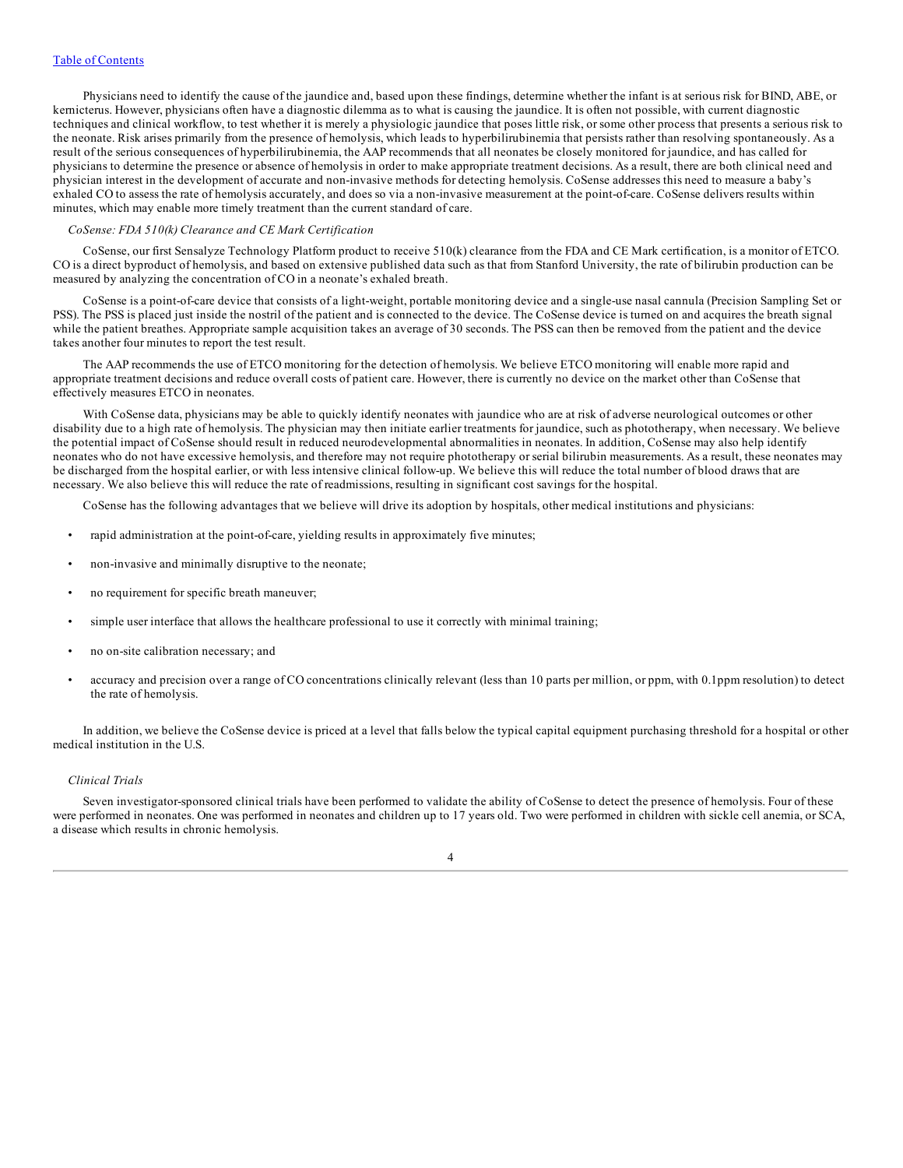Physicians need to identify the cause of the jaundice and, based upon these findings, determine whether the infant is at serious risk for BIND, ABE, or kernicterus. However, physicians often have a diagnostic dilemma as to what is causing the jaundice. It is often not possible, with current diagnostic techniques and clinical workflow, to test whether it is merely a physiologic jaundice that poses little risk, or some other process that presents a serious risk to the neonate. Risk arises primarily from the presence of hemolysis, which leads to hyperbilirubinemia that persists rather than resolving spontaneously. As a result of the serious consequences of hyperbilirubinemia, the AAP recommends that all neonates be closely monitored for jaundice, and has called for physicians to determine the presence or absence of hemolysis in order to make appropriate treatment decisions. As a result, there are both clinical need and physician interest in the development of accurate and non-invasive methods for detecting hemolysis. CoSense addresses this need to measure a baby's exhaled CO to assess the rate of hemolysis accurately, and does so via a non-invasive measurement at the point-of-care. CoSense delivers results within minutes, which may enable more timely treatment than the current standard of care.

# *CoSense: FDA 510(k) Clearance and CE Mark Certification*

CoSense, our first Sensalyze Technology Platform product to receive 510(k) clearance from the FDA and CE Mark certification, is a monitor of ETCO. CO is a direct byproduct of hemolysis, and based on extensive published data such as that from Stanford University, the rate of bilirubin production can be measured by analyzing the concentration of CO in a neonate's exhaled breath.

CoSense is a point-of-care device that consists of a light-weight, portable monitoring device and a single-use nasal cannula (Precision Sampling Set or PSS). The PSS is placed just inside the nostril of the patient and is connected to the device. The CoSense device is turned on and acquires the breath signal while the patient breathes. Appropriate sample acquisition takes an average of 30 seconds. The PSS can then be removed from the patient and the device takes another four minutes to report the test result.

The AAP recommends the use of ETCO monitoring for the detection of hemolysis. We believe ETCO monitoring will enable more rapid and appropriate treatment decisions and reduce overall costs of patient care. However, there is currently no device on the market other than CoSense that effectively measures ETCO in neonates.

With CoSense data, physicians may be able to quickly identify neonates with jaundice who are at risk of adverse neurological outcomes or other disability due to a high rate of hemolysis. The physician may then initiate earlier treatments for jaundice, such as phototherapy, when necessary. We believe the potential impact of CoSense should result in reduced neurodevelopmental abnormalities in neonates. In addition, CoSense may also help identify neonates who do not have excessive hemolysis, and therefore may not require phototherapy or serial bilirubin measurements. As a result, these neonates may be discharged from the hospital earlier, or with less intensive clinical follow-up. We believe this will reduce the total number of blood draws that are necessary. We also believe this will reduce the rate of readmissions, resulting in significant cost savings for the hospital.

CoSense has the following advantages that we believe will drive its adoption by hospitals, other medical institutions and physicians:

- rapid administration at the point-of-care, yielding results in approximately five minutes;
- non-invasive and minimally disruptive to the neonate;
- no requirement for specific breath maneuver;
- simple user interface that allows the healthcare professional to use it correctly with minimal training;
- no on-site calibration necessary; and
- accuracy and precision over a range of CO concentrations clinically relevant (less than 10 parts per million, or ppm, with 0.1ppm resolution) to detect the rate of hemolysis.

In addition, we believe the CoSense device is priced at a level that falls below the typical capital equipment purchasing threshold for a hospital or other medical institution in the U.S.

# *Clinical Trials*

Seven investigator-sponsored clinical trials have been performed to validate the ability of CoSense to detect the presence of hemolysis. Four of these were performed in neonates. One was performed in neonates and children up to 17 years old. Two were performed in children with sickle cell anemia, or SCA, a disease which results in chronic hemolysis.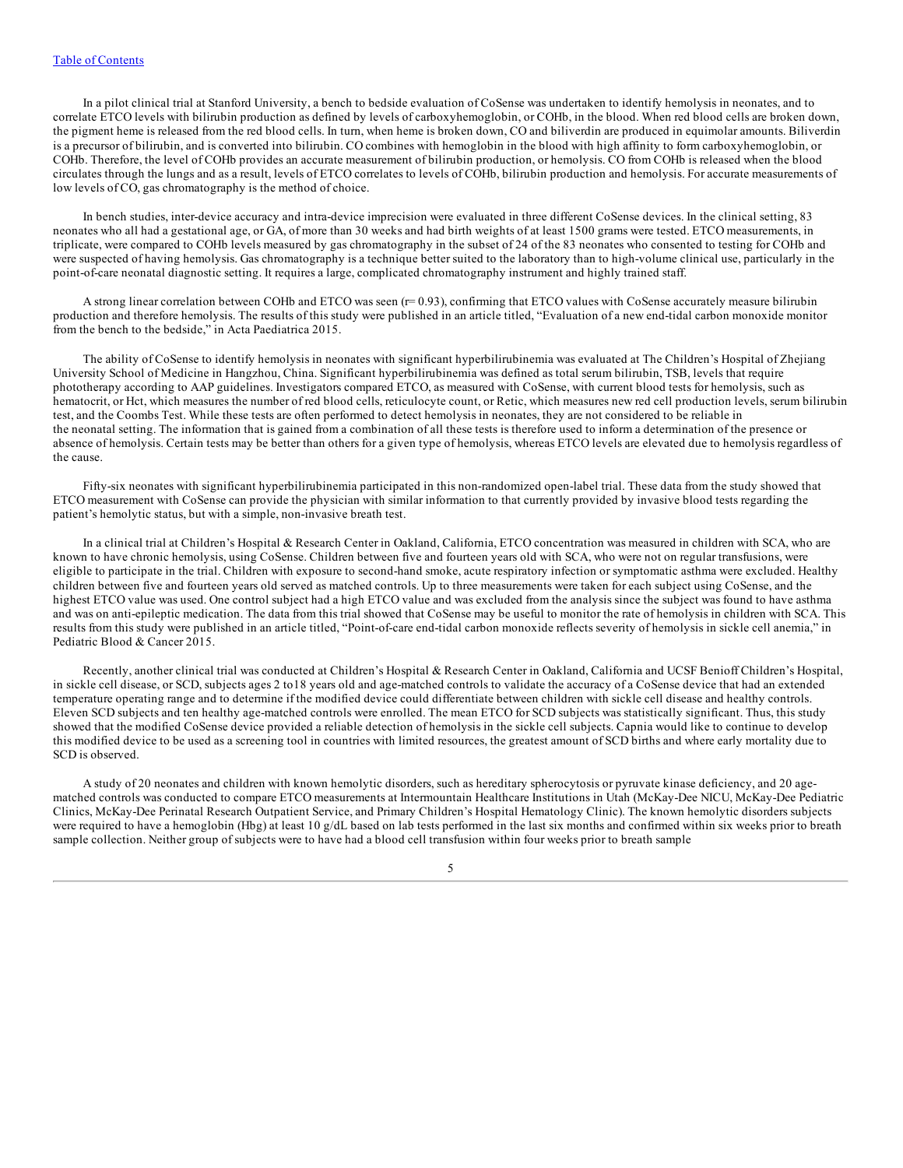In a pilot clinical trial at Stanford University, a bench to bedside evaluation of CoSense was undertaken to identify hemolysis in neonates, and to correlate ETCO levels with bilirubin production as defined by levels of carboxyhemoglobin, or COHb, in the blood. When red blood cells are broken down, the pigment heme is released from the red blood cells. In turn, when heme is broken down, CO and biliverdin are produced in equimolar amounts. Biliverdin is a precursor of bilirubin, and is converted into bilirubin. CO combines with hemoglobin in the blood with high affinity to form carboxyhemoglobin, or COHb. Therefore, the level of COHb provides an accurate measurement of bilirubin production, or hemolysis. CO from COHb is released when the blood circulates through the lungs and as a result, levels of ETCO correlates to levels of COHb, bilirubin production and hemolysis. For accurate measurements of low levels of CO, gas chromatography is the method of choice.

In bench studies, inter-device accuracy and intra-device imprecision were evaluated in three different CoSense devices. In the clinical setting, 83 neonates who all had a gestational age, or GA, of more than 30 weeks and had birth weights of at least 1500 grams were tested. ETCO measurements, in triplicate, were compared to COHb levels measured by gas chromatography in the subset of 24 of the 83 neonates who consented to testing for COHb and were suspected of having hemolysis. Gas chromatography is a technique better suited to the laboratory than to high-volume clinical use, particularly in the point-of-care neonatal diagnostic setting. It requires a large, complicated chromatography instrument and highly trained staff.

A strong linear correlation between COHb and ETCO was seen (r= 0.93), confirming that ETCO values with CoSense accurately measure bilirubin production and therefore hemolysis. The results of this study were published in an article titled, "Evaluation of a new end-tidal carbon monoxide monitor from the bench to the bedside," in Acta Paediatrica 2015.

The ability of CoSense to identify hemolysis in neonates with significant hyperbilirubinemia was evaluated at The Children's Hospital of Zhejiang University School of Medicine in Hangzhou, China. Significant hyperbilirubinemia was defined as total serum bilirubin, TSB, levels that require phototherapy according to AAP guidelines. Investigators compared ETCO, as measured with CoSense, with current blood tests for hemolysis, such as hematocrit, or Hct, which measures the number of red blood cells, reticulocyte count, or Retic, which measures new red cell production levels, serum bilirubin test, and the Coombs Test. While these tests are often performed to detect hemolysis in neonates, they are not considered to be reliable in the neonatal setting. The information that is gained from a combination of all these tests is therefore used to inform a determination of the presence or absence of hemolysis. Certain tests may be better than others for a given type of hemolysis, whereas ETCO levels are elevated due to hemolysis regardless of the cause.

Fifty-six neonates with significant hyperbilirubinemia participated in this non-randomized open-label trial. These data from the study showed that ETCO measurement with CoSense can provide the physician with similar information to that currently provided by invasive blood tests regarding the patient's hemolytic status, but with a simple, non-invasive breath test.

In a clinical trial at Children's Hospital & Research Center in Oakland, California, ETCO concentration was measured in children with SCA, who are known to have chronic hemolysis, using CoSense. Children between five and fourteen years old with SCA, who were not on regular transfusions, were eligible to participate in the trial. Children with exposure to second-hand smoke, acute respiratory infection or symptomatic asthma were excluded. Healthy children between five and fourteen years old served as matched controls. Up to three measurements were taken for each subject using CoSense, and the highest ETCO value was used. One control subject had a high ETCO value and was excluded from the analysis since the subject was found to have asthma and was on anti-epileptic medication. The data from this trial showed that CoSense may be useful to monitor the rate of hemolysis in children with SCA. This results from this study were published in an article titled, "Point-of-care end-tidal carbon monoxide reflects severity of hemolysis in sickle cell anemia," in Pediatric Blood & Cancer 2015.

Recently, another clinical trial was conducted at Children's Hospital & Research Center in Oakland, California and UCSF Benioff Children's Hospital, in sickle cell disease, or SCD, subjects ages 2 to18 years old and age-matched controls to validate the accuracy of a CoSense device that had an extended temperature operating range and to determine if the modified device could differentiate between children with sickle cell disease and healthy controls. Eleven SCD subjects and ten healthy age-matched controls were enrolled. The mean ETCO for SCD subjects was statistically significant. Thus, this study showed that the modified CoSense device provided a reliable detection of hemolysis in the sickle cell subjects. Capnia would like to continue to develop this modified device to be used as a screening tool in countries with limited resources, the greatest amount of SCD births and where early mortality due to SCD is observed.

A study of 20 neonates and children with known hemolytic disorders, such as hereditary spherocytosis or pyruvate kinase deficiency, and 20 agematched controls was conducted to compare ETCO measurements at Intermountain Healthcare Institutions in Utah (McKay-Dee NICU, McKay-Dee Pediatric Clinics, McKay-Dee Perinatal Research Outpatient Service, and Primary Children's Hospital Hematology Clinic). The known hemolytic disorders subjects were required to have a hemoglobin (Hbg) at least 10 g/dL based on lab tests performed in the last six months and confirmed within six weeks prior to breath sample collection. Neither group of subjects were to have had a blood cell transfusion within four weeks prior to breath sample

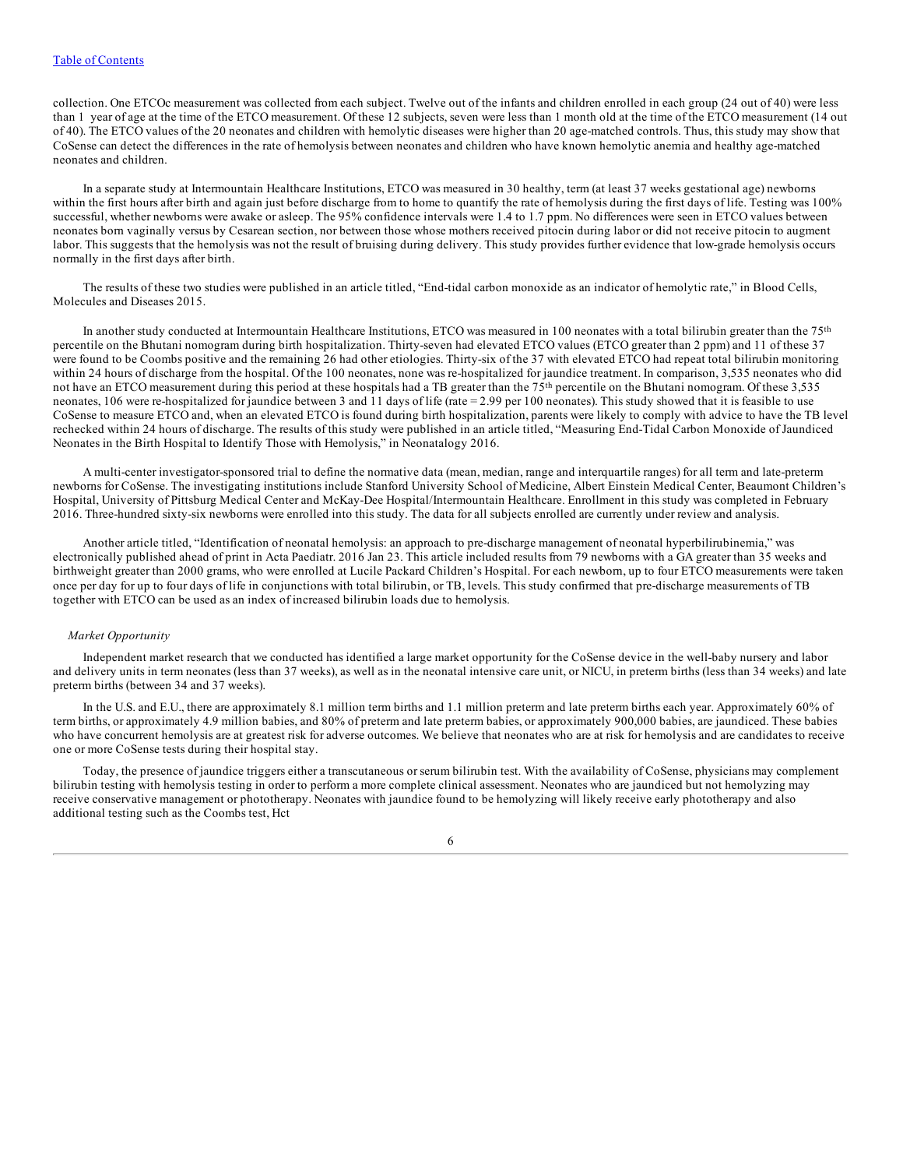collection. One ETCOc measurement was collected from each subject. Twelve out of the infants and children enrolled in each group (24 out of 40) were less than 1 year of age at the time of the ETCO measurement. Of these 12 subjects, seven were less than 1 month old at the time of the ETCO measurement (14 out of 40). The ETCO values of the 20 neonates and children with hemolytic diseases were higher than 20 age-matched controls. Thus, this study may show that CoSense can detect the differences in the rate of hemolysis between neonates and children who have known hemolytic anemia and healthy age-matched neonates and children.

In a separate study at Intermountain Healthcare Institutions, ETCO was measured in 30 healthy, term (at least 37 weeks gestational age) newborns within the first hours after birth and again just before discharge from to home to quantify the rate of hemolysis during the first days of life. Testing was 100% successful, whether newborns were awake or asleep. The 95% confidence intervals were 1.4 to 1.7 ppm. No differences were seen in ETCO values between neonates born vaginally versus by Cesarean section, nor between those whose mothers received pitocin during labor or did not receive pitocin to augment labor. This suggests that the hemolysis was not the result of bruising during delivery. This study provides further evidence that low-grade hemolysis occurs normally in the first days after birth.

The results of these two studies were published in an article titled, "End-tidal carbon monoxide as an indicator of hemolytic rate," in Blood Cells, Molecules and Diseases 2015.

In another study conducted at Intermountain Healthcare Institutions, ETCO was measured in 100 neonates with a total bilirubin greater than the 75<sup>th</sup> percentile on the Bhutani nomogram during birth hospitalization. Thirty-seven had elevated ETCO values (ETCO greater than 2 ppm) and 11 of these 37 were found to be Coombs positive and the remaining 26 had other etiologies. Thirty-six of the 37 with elevated ETCO had repeat total bilirubin monitoring within 24 hours of discharge from the hospital. Of the 100 neonates, none was re-hospitalized for jaundice treatment. In comparison, 3,535 neonates who did not have an ETCO measurement during this period at these hospitals had a TB greater than the 75th percentile on the Bhutani nomogram. Of these 3,535 neonates, 106 were re-hospitalized for jaundice between 3 and 11 days of life (rate = 2.99 per 100 neonates). This study showed that it is feasible to use CoSense to measure ETCO and, when an elevated ETCO is found during birth hospitalization, parents were likely to comply with advice to have the TB level rechecked within 24 hours of discharge. The results of this study were published in an article titled, "Measuring End-Tidal Carbon Monoxide of Jaundiced Neonates in the Birth Hospital to Identify Those with Hemolysis," in Neonatalogy 2016.

A multi-center investigator-sponsored trial to define the normative data (mean, median, range and interquartile ranges) for all term and late-preterm newborns for CoSense. The investigating institutions include Stanford University School of Medicine, Albert Einstein Medical Center, Beaumont Children's Hospital, University of Pittsburg Medical Center and McKay-Dee Hospital/Intermountain Healthcare. Enrollment in this study was completed in February 2016. Three-hundred sixty-six newborns were enrolled into this study. The data for all subjects enrolled are currently under review and analysis.

Another article titled, "Identification of neonatal hemolysis: an approach to pre-discharge management of neonatal hyperbilirubinemia," was electronically published ahead of print in Acta Paediatr. 2016 Jan 23. This article included results from 79 newborns with a GA greater than 35 weeks and birthweight greater than 2000 grams, who were enrolled at Lucile Packard Children's Hospital. For each newborn, up to four ETCO measurements were taken once per day for up to four days of life in conjunctions with total bilirubin, or TB, levels. This study confirmed that pre-discharge measurements of TB together with ETCO can be used as an index of increased bilirubin loads due to hemolysis.

# *Market Opportunity*

Independent market research that we conducted has identified a large market opportunity for the CoSense device in the well-baby nursery and labor and delivery units in term neonates (less than 37 weeks), as well as in the neonatal intensive care unit, or NICU, in preterm births (less than 34 weeks) and late preterm births (between 34 and 37 weeks).

In the U.S. and E.U., there are approximately 8.1 million term births and 1.1 million preterm and late preterm births each year. Approximately 60% of term births, or approximately 4.9 million babies, and 80% of preterm and late preterm babies, or approximately 900,000 babies, are jaundiced. These babies who have concurrent hemolysis are at greatest risk for adverse outcomes. We believe that neonates who are at risk for hemolysis and are candidates to receive one or more CoSense tests during their hospital stay.

Today, the presence of jaundice triggers either a transcutaneous or serum bilirubin test. With the availability of CoSense, physicians may complement bilirubin testing with hemolysis testing in order to perform a more complete clinical assessment. Neonates who are jaundiced but not hemolyzing may receive conservative management or phototherapy. Neonates with jaundice found to be hemolyzing will likely receive early phototherapy and also additional testing such as the Coombs test, Hct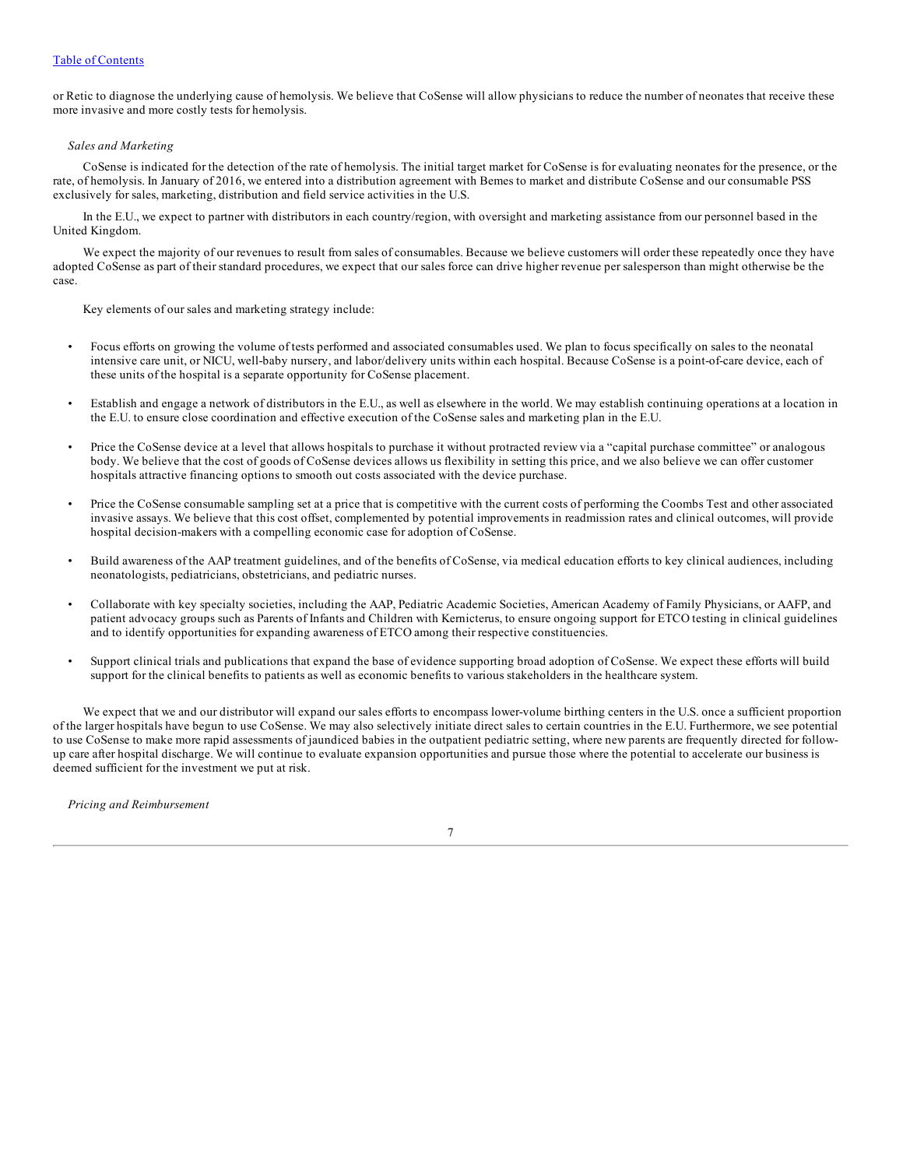or Retic to diagnose the underlying cause of hemolysis. We believe that CoSense will allow physicians to reduce the number of neonates that receive these more invasive and more costly tests for hemolysis.

# *Sales and Marketing*

CoSense is indicated for the detection of the rate of hemolysis. The initial target market for CoSense is for evaluating neonates for the presence, or the rate, of hemolysis. In January of 2016, we entered into a distribution agreement with Bemes to market and distribute CoSense and our consumable PSS exclusively for sales, marketing, distribution and field service activities in the U.S.

In the E.U., we expect to partner with distributors in each country/region, with oversight and marketing assistance from our personnel based in the United Kingdom.

We expect the majority of our revenues to result from sales of consumables. Because we believe customers will order these repeatedly once they have adopted CoSense as part of their standard procedures, we expect that our sales force can drive higher revenue per salesperson than might otherwise be the case.

Key elements of our sales and marketing strategy include:

- Focus efforts on growing the volume of tests performed and associated consumables used. We plan to focus specifically on sales to the neonatal intensive care unit, or NICU, well-baby nursery, and labor/delivery units within each hospital. Because CoSense is a point-of-care device, each of these units of the hospital is a separate opportunity for CoSense placement.
- Establish and engage a network of distributors in the E.U., as well as elsewhere in the world. We may establish continuing operations at a location in the E.U. to ensure close coordination and effective execution of the CoSense sales and marketing plan in the E.U.
- Price the CoSense device at a level that allows hospitals to purchase it without protracted review via a "capital purchase committee" or analogous body. We believe that the cost of goods of CoSense devices allows us flexibility in setting this price, and we also believe we can offer customer hospitals attractive financing options to smooth out costs associated with the device purchase.
- Price the CoSense consumable sampling set at a price that is competitive with the current costs of performing the Coombs Test and other associated invasive assays. We believe that this cost offset, complemented by potential improvements in readmission rates and clinical outcomes, will provide hospital decision-makers with a compelling economic case for adoption of CoSense.
- Build awareness of the AAP treatment guidelines, and of the benefits of CoSense, via medical education efforts to key clinical audiences, including neonatologists, pediatricians, obstetricians, and pediatric nurses.
- Collaborate with key specialty societies, including the AAP, Pediatric Academic Societies, American Academy of Family Physicians, or AAFP, and patient advocacy groups such as Parents of Infants and Children with Kernicterus, to ensure ongoing support for ETCO testing in clinical guidelines and to identify opportunities for expanding awareness of ETCO among their respective constituencies.
- Support clinical trials and publications that expand the base of evidence supporting broad adoption of CoSense. We expect these efforts will build support for the clinical benefits to patients as well as economic benefits to various stakeholders in the healthcare system.

We expect that we and our distributor will expand our sales efforts to encompass lower-volume birthing centers in the U.S. once a sufficient proportion of the larger hospitals have begun to use CoSense. We may also selectively initiate direct sales to certain countries in the E.U. Furthermore, we see potential to use CoSense to make more rapid assessments of jaundiced babies in the outpatient pediatric setting, where new parents are frequently directed for followup care after hospital discharge. We will continue to evaluate expansion opportunities and pursue those where the potential to accelerate our business is deemed sufficient for the investment we put at risk.

*Pricing and Reimbursement*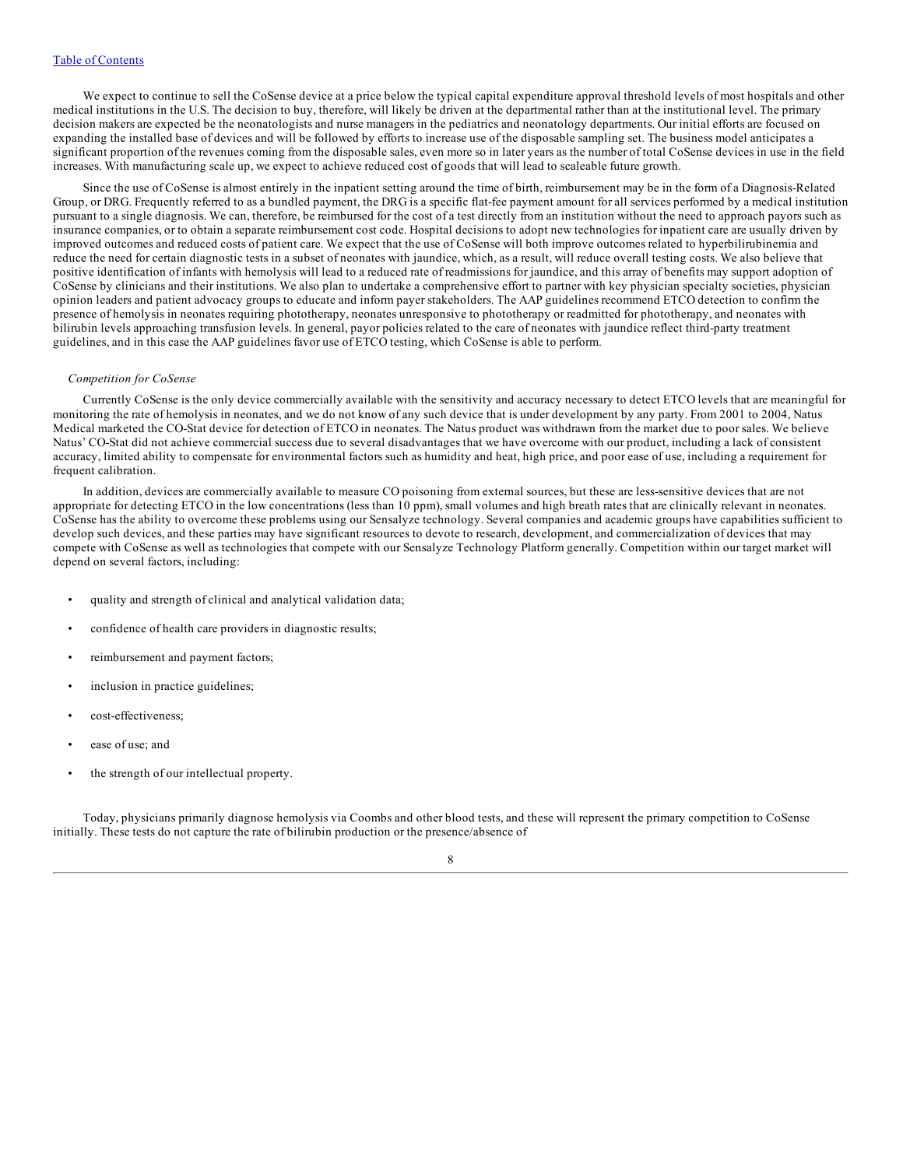We expect to continue to sell the CoSense device at a price below the typical capital expenditure approval threshold levels of most hospitals and other medical institutions in the U.S. The decision to buy, therefore, will likely be driven at the departmental rather than at the institutional level. The primary decision makers are expected be the neonatologists and nurse managers in the pediatrics and neonatology departments. Our initial efforts are focused on expanding the installed base of devices and will be followed by efforts to increase use of the disposable sampling set. The business model anticipates a significant proportion of the revenues coming from the disposable sales, even more so in later years as the number of total CoSense devices in use in the field increases. With manufacturing scale up, we expect to achieve reduced cost of goods that will lead to scaleable future growth.

Since the use of CoSense is almost entirely in the inpatient setting around the time of birth, reimbursement may be in the form of a Diagnosis-Related Group, or DRG. Frequently referred to as a bundled payment, the DRG is a specific flat-fee payment amount for all services performed by a medical institution pursuant to a single diagnosis. We can, therefore, be reimbursed for the cost of a test directly from an institution without the need to approach payors such as insurance companies, or to obtain a separate reimbursement cost code. Hospital decisions to adopt new technologies for inpatient care are usually driven by improved outcomes and reduced costs of patient care. We expect that the use of CoSense will both improve outcomes related to hyperbilirubinemia and reduce the need for certain diagnostic tests in a subset of neonates with jaundice, which, as a result, will reduce overall testing costs. We also believe that positive identification of infants with hemolysis will lead to a reduced rate of readmissions for jaundice, and this array of benefits may support adoption of CoSense by clinicians and their institutions. We also plan to undertake a comprehensive effort to partner with key physician specialty societies, physician opinion leaders and patient advocacy groups to educate and inform payer stakeholders. The AAP guidelines recommend ETCO detection to confirm the presence of hemolysis in neonates requiring phototherapy, neonates unresponsive to phototherapy or readmitted for phototherapy, and neonates with bilirubin levels approaching transfusion levels. In general, payor policies related to the care of neonates with jaundice reflect third-party treatment guidelines, and in this case the AAP guidelines favor use of ETCO testing, which CoSense is able to perform.

# *Competition for CoSense*

Currently CoSense is the only device commercially available with the sensitivity and accuracy necessary to detect ETCO levels that are meaningful for monitoring the rate of hemolysis in neonates, and we do not know of any such device that is under development by any party. From 2001 to 2004, Natus Medical marketed the CO-Stat device for detection of ETCO in neonates. The Natus product was withdrawn from the market due to poor sales. We believe Natus' CO-Stat did not achieve commercial success due to several disadvantages that we have overcome with our product, including a lack of consistent accuracy, limited ability to compensate for environmental factors such as humidity and heat, high price, and poor ease of use, including a requirement for frequent calibration.

In addition, devices are commercially available to measure CO poisoning from external sources, but these are less-sensitive devices that are not appropriate for detecting ETCO in the low concentrations (less than 10 ppm), small volumes and high breath rates that are clinically relevant in neonates. CoSense has the ability to overcome these problems using our Sensalyze technology. Several companies and academic groups have capabilities sufficient to develop such devices, and these parties may have significant resources to devote to research, development, and commercialization of devices that may compete with CoSense as well as technologies that compete with our Sensalyze Technology Platform generally. Competition within our target market will depend on several factors, including:

- quality and strength of clinical and analytical validation data;
- confidence of health care providers in diagnostic results;
- reimbursement and payment factors;
- inclusion in practice guidelines;
- cost-effectiveness;
- ease of use; and
- the strength of our intellectual property.

Today, physicians primarily diagnose hemolysis via Coombs and other blood tests, and these will represent the primary competition to CoSense initially. These tests do not capture the rate of bilirubin production or the presence/absence of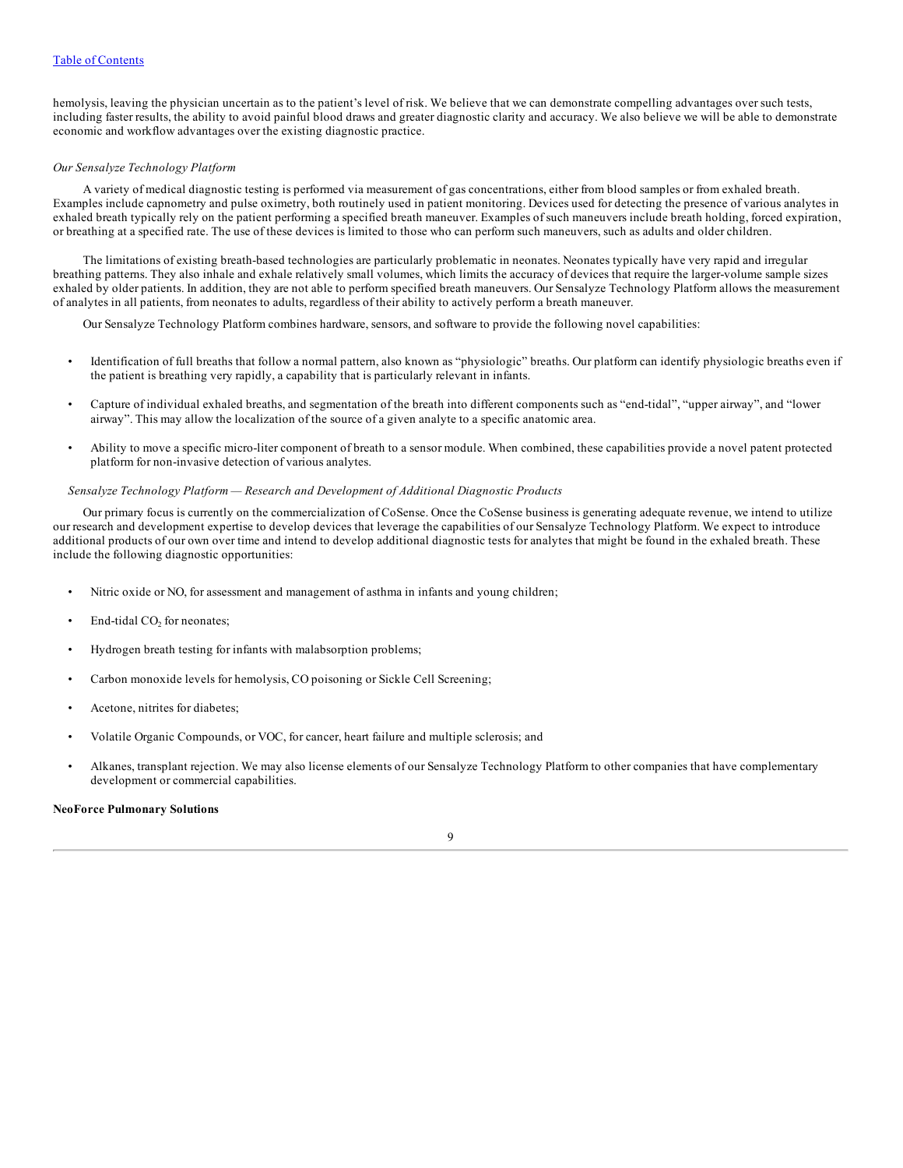hemolysis, leaving the physician uncertain as to the patient's level of risk. We believe that we can demonstrate compelling advantages over such tests, including faster results, the ability to avoid painful blood draws and greater diagnostic clarity and accuracy. We also believe we will be able to demonstrate economic and workflow advantages over the existing diagnostic practice.

# *Our Sensalyze Technology Platform*

A variety of medical diagnostic testing is performed via measurement of gas concentrations, either from blood samples or from exhaled breath. Examples include capnometry and pulse oximetry, both routinely used in patient monitoring. Devices used for detecting the presence of various analytes in exhaled breath typically rely on the patient performing a specified breath maneuver. Examples of such maneuvers include breath holding, forced expiration, or breathing at a specified rate. The use of these devices is limited to those who can perform such maneuvers, such as adults and older children.

The limitations of existing breath-based technologies are particularly problematic in neonates. Neonates typically have very rapid and irregular breathing patterns. They also inhale and exhale relatively small volumes, which limits the accuracy of devices that require the larger-volume sample sizes exhaled by older patients. In addition, they are not able to perform specified breath maneuvers. Our Sensalyze Technology Platform allows the measurement of analytes in all patients, from neonates to adults, regardless of their ability to actively perform a breath maneuver.

Our Sensalyze Technology Platform combines hardware, sensors, and software to provide the following novel capabilities:

- Identification of full breaths that follow a normal pattern, also known as "physiologic" breaths. Our platform can identify physiologic breaths even if the patient is breathing very rapidly, a capability that is particularly relevant in infants.
- Capture of individual exhaled breaths, and segmentation of the breath into different components such as "end-tidal", "upper airway", and "lower airway". This may allow the localization of the source of a given analyte to a specific anatomic area.
- Ability to move a specific micro-liter component of breath to a sensor module. When combined, these capabilities provide a novel patent protected platform for non-invasive detection of various analytes.

# *Sensalyze Technology Platform — Research and Development of Additional Diagnostic Products*

Our primary focus is currently on the commercialization of CoSense. Once the CoSense business is generating adequate revenue, we intend to utilize our research and development expertise to develop devices that leverage the capabilities of our Sensalyze Technology Platform. We expect to introduce additional products of our own over time and intend to develop additional diagnostic tests for analytes that might be found in the exhaled breath. These include the following diagnostic opportunities:

- Nitric oxide or NO, for assessment and management of asthma in infants and young children;
- End-tidal  $CO<sub>2</sub>$  for neonates;
- Hydrogen breath testing for infants with malabsorption problems;
- Carbon monoxide levels for hemolysis, CO poisoning or Sickle Cell Screening;
- Acetone, nitrites for diabetes;
- Volatile Organic Compounds, or VOC, for cancer, heart failure and multiple sclerosis; and
- Alkanes, transplant rejection. We may also license elements of our Sensalyze Technology Platform to other companies that have complementary development or commercial capabilities.

# **NeoForce Pulmonary Solutions**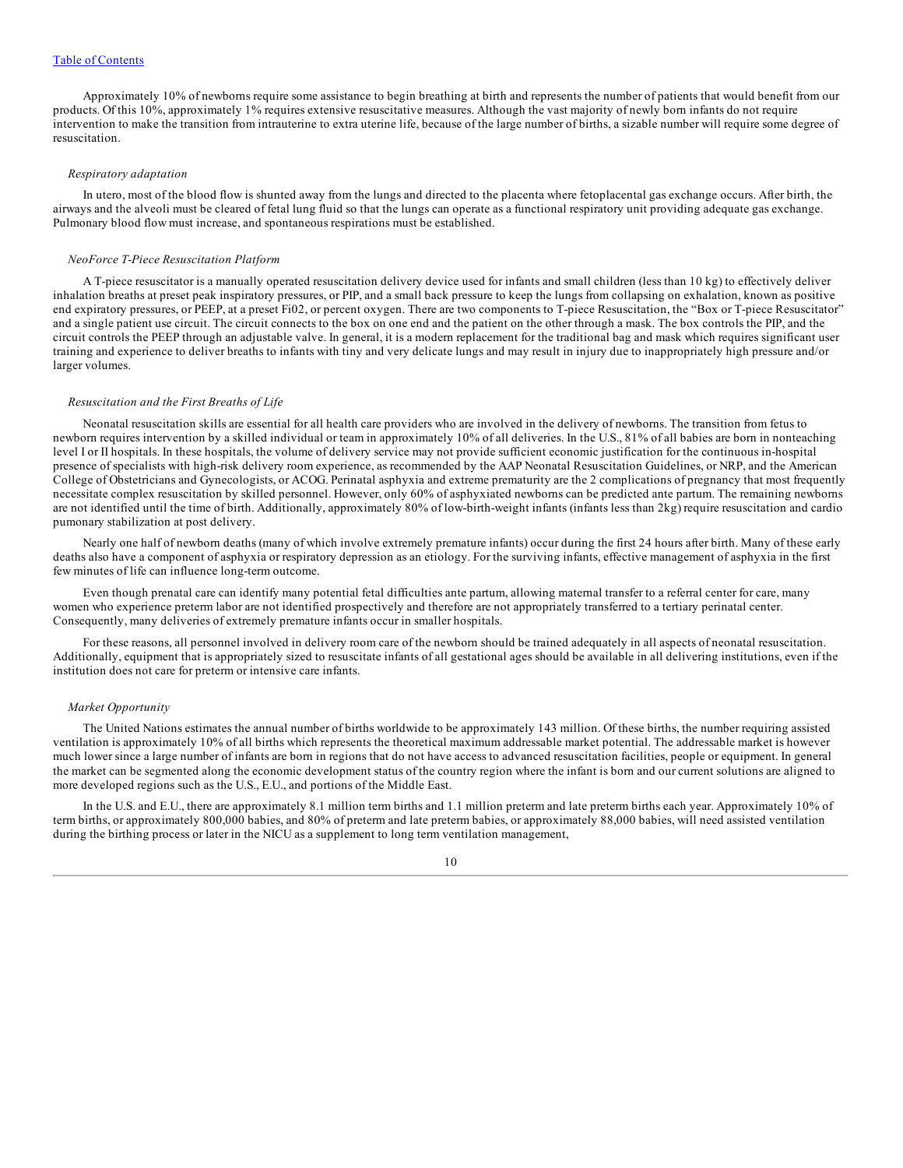Approximately 10% of newborns require some assistance to begin breathing at birth and represents the number of patients that would benefit from our products. Of this 10%, approximately 1% requires extensive resuscitative measures. Although the vast majority of newly born infants do not require intervention to make the transition from intrauterine to extra uterine life, because of the large number of births, a sizable number will require some degree of resuscitation.

#### *Respiratory adaptation*

In utero, most of the blood flow is shunted away from the lungs and directed to the placenta where fetoplacental gas exchange occurs. After birth, the airways and the alveoli must be cleared of fetal lung fluid so that the lungs can operate as a functional respiratory unit providing adequate gas exchange. Pulmonary blood flow must increase, and spontaneous respirations must be established.

#### *NeoForce T-Piece Resuscitation Platform*

A T-piece resuscitator is a manually operated resuscitation delivery device used for infants and small children (less than 10 kg) to effectively deliver inhalation breaths at preset peak inspiratory pressures, or PIP, and a small back pressure to keep the lungs from collapsing on exhalation, known as positive end expiratory pressures, or PEEP, at a preset Fi02, or percent oxygen. There are two components to T-piece Resuscitation, the "Box or T-piece Resuscitator" and a single patient use circuit. The circuit connects to the box on one end and the patient on the other through a mask. The box controls the PIP, and the circuit controls the PEEP through an adjustable valve. In general, it is a modern replacement for the traditional bag and mask which requires significant user training and experience to deliver breaths to infants with tiny and very delicate lungs and may result in injury due to inappropriately high pressure and/or larger volumes.

#### *Resuscitation and the First Breaths of Life*

Neonatal resuscitation skills are essential for all health care providers who are involved in the delivery of newborns. The transition from fetus to newborn requires intervention by a skilled individual or team in approximately 10% of all deliveries. In the U.S., 81% of all babies are born in nonteaching level I or II hospitals. In these hospitals, the volume of delivery service may not provide sufficient economic justification for the continuous in-hospital presence of specialists with high-risk delivery room experience, as recommended by the AAP Neonatal Resuscitation Guidelines, or NRP, and the American College of Obstetricians and Gynecologists, or ACOG. Perinatal asphyxia and extreme prematurity are the 2 complications of pregnancy that most frequently necessitate complex resuscitation by skilled personnel. However, only 60% of asphyxiated newborns can be predicted ante partum. The remaining newborns are not identified until the time of birth. Additionally, approximately 80% of low-birth-weight infants (infants less than 2kg) require resuscitation and cardio pumonary stabilization at post delivery.

Nearly one half of newborn deaths (many of which involve extremely premature infants) occur during the first 24 hours after birth. Many of these early deaths also have a component of asphyxia or respiratory depression as an etiology. For the surviving infants, effective management of asphyxia in the first few minutes of life can influence long-term outcome.

Even though prenatal care can identify many potential fetal difficulties ante partum, allowing maternal transfer to a referral center for care, many women who experience preterm labor are not identified prospectively and therefore are not appropriately transferred to a tertiary perinatal center. Consequently, many deliveries of extremely premature infants occur in smaller hospitals.

For these reasons, all personnel involved in delivery room care of the newborn should be trained adequately in all aspects of neonatal resuscitation. Additionally, equipment that is appropriately sized to resuscitate infants of all gestational ages should be available in all delivering institutions, even if the institution does not care for preterm or intensive care infants.

#### *Market Opportunity*

The United Nations estimates the annual number of births worldwide to be approximately 143 million. Of these births, the number requiring assisted ventilation is approximately 10% of all births which represents the theoretical maximum addressable market potential. The addressable market is however much lower since a large number of infants are born in regions that do not have access to advanced resuscitation facilities, people or equipment. In general the market can be segmented along the economic development status of the country region where the infant is born and our current solutions are aligned to more developed regions such as the U.S., E.U., and portions of the Middle East.

In the U.S. and E.U., there are approximately 8.1 million term births and 1.1 million preterm and late preterm births each year. Approximately 10% of term births, or approximately 800,000 babies, and 80% of preterm and late preterm babies, or approximately 88,000 babies, will need assisted ventilation during the birthing process or later in the NICU as a supplement to long term ventilation management,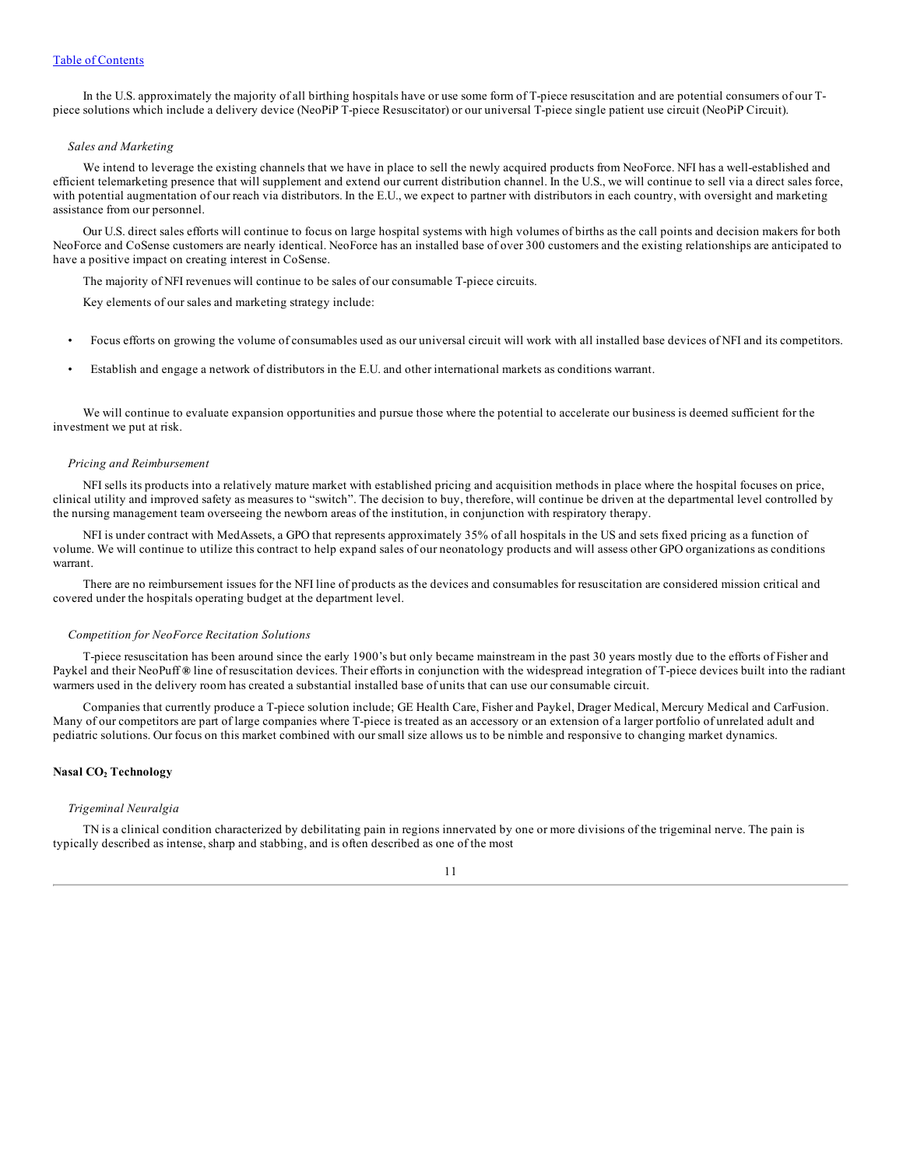In the U.S. approximately the majority of all birthing hospitals have or use some form of T-piece resuscitation and are potential consumers of our Tpiece solutions which include a delivery device (NeoPiP T-piece Resuscitator) or our universal T-piece single patient use circuit (NeoPiP Circuit).

#### *Sales and Marketing*

We intend to leverage the existing channels that we have in place to sell the newly acquired products from NeoForce. NFI has a well-established and efficient telemarketing presence that will supplement and extend our current distribution channel. In the U.S., we will continue to sell via a direct sales force, with potential augmentation of our reach via distributors. In the E.U., we expect to partner with distributors in each country, with oversight and marketing assistance from our personnel.

Our U.S. direct sales efforts will continue to focus on large hospital systems with high volumes of births as the call points and decision makers for both NeoForce and CoSense customers are nearly identical. NeoForce has an installed base of over 300 customers and the existing relationships are anticipated to have a positive impact on creating interest in CoSense.

The majority of NFI revenues will continue to be sales of our consumable T-piece circuits.

Key elements of our sales and marketing strategy include:

- Focus efforts on growing the volume of consumables used as our universal circuit will work with all installed base devices of NFI and its competitors.
- Establish and engage a network of distributors in the E.U. and other international markets as conditions warrant.

We will continue to evaluate expansion opportunities and pursue those where the potential to accelerate our business is deemed sufficient for the investment we put at risk.

# *Pricing and Reimbursement*

NFI sells its products into a relatively mature market with established pricing and acquisition methods in place where the hospital focuses on price, clinical utility and improved safety as measures to "switch". The decision to buy, therefore, will continue be driven at the departmental level controlled by the nursing management team overseeing the newborn areas of the institution, in conjunction with respiratory therapy.

NFI is under contract with MedAssets, a GPO that represents approximately 35% of all hospitals in the US and sets fixed pricing as a function of volume. We will continue to utilize this contract to help expand sales of our neonatology products and will assess other GPO organizations as conditions warrant.

There are no reimbursement issues for the NFI line of products as the devices and consumables for resuscitation are considered mission critical and covered under the hospitals operating budget at the department level.

#### *Competition for NeoForce Recitation Solutions*

T-piece resuscitation has been around since the early 1900's but only became mainstream in the past 30 years mostly due to the efforts of Fisher and Paykel and their NeoPuff **®** line of resuscitation devices. Their efforts in conjunction with the widespread integration of T-piece devices built into the radiant warmers used in the delivery room has created a substantial installed base of units that can use our consumable circuit.

Companies that currently produce a T-piece solution include; GE Health Care, Fisher and Paykel, Drager Medical, Mercury Medical and CarFusion. Many of our competitors are part of large companies where T-piece is treated as an accessory or an extension of a larger portfolio of unrelated adult and pediatric solutions. Our focus on this market combined with our small size allows us to be nimble and responsive to changing market dynamics.

# **Nasal CO<sup>2</sup> Technology**

#### *Trigeminal Neuralgia*

TN is a clinical condition characterized by debilitating pain in regions innervated by one or more divisions of the trigeminal nerve. The pain is typically described as intense, sharp and stabbing, and is often described as one of the most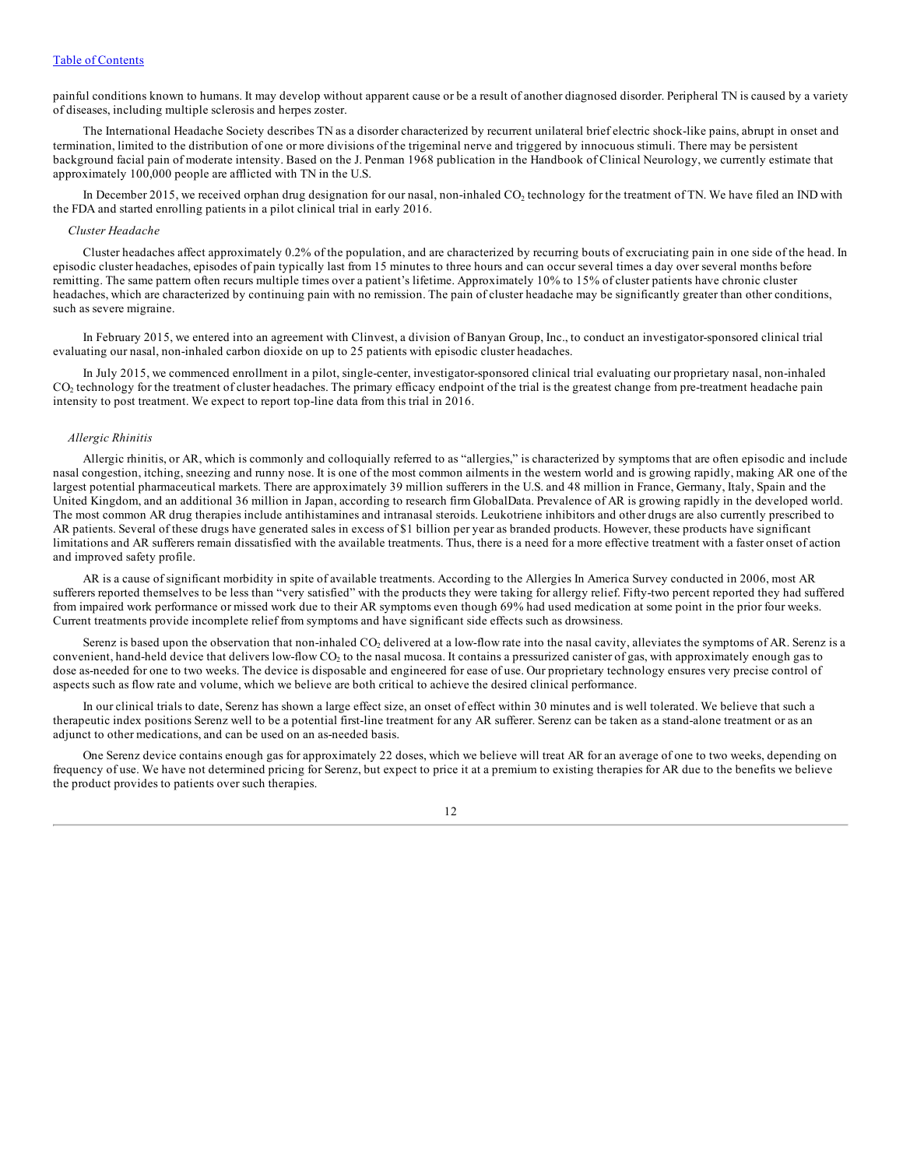painful conditions known to humans. It may develop without apparent cause or be a result of another diagnosed disorder. Peripheral TN is caused by a variety of diseases, including multiple sclerosis and herpes zoster.

The International Headache Society describes TN as a disorder characterized by recurrent unilateral brief electric shock-like pains, abrupt in onset and termination, limited to the distribution of one or more divisions of the trigeminal nerve and triggered by innocuous stimuli. There may be persistent background facial pain of moderate intensity. Based on the J. Penman 1968 publication in the Handbook of Clinical Neurology, we currently estimate that approximately 100,000 people are afflicted with TN in the U.S.

In December 2015, we received orphan drug designation for our nasal, non-inhaled CO<sub>2</sub> technology for the treatment of TN. We have filed an IND with the FDA and started enrolling patients in a pilot clinical trial in early 2016.

#### *Cluster Headache*

Cluster headaches affect approximately 0.2% of the population, and are characterized by recurring bouts of excruciating pain in one side of the head. In episodic cluster headaches, episodes of pain typically last from 15 minutes to three hours and can occur several times a day over several months before remitting. The same pattern often recurs multiple times over a patient's lifetime. Approximately 10% to 15% of cluster patients have chronic cluster headaches, which are characterized by continuing pain with no remission. The pain of cluster headache may be significantly greater than other conditions, such as severe migraine.

In February 2015, we entered into an agreement with Clinvest, a division of Banyan Group, Inc., to conduct an investigator-sponsored clinical trial evaluating our nasal, non-inhaled carbon dioxide on up to 25 patients with episodic cluster headaches.

In July 2015, we commenced enrollment in a pilot, single-center, investigator-sponsored clinical trial evaluating our proprietary nasal, non-inhaled CO<sup>2</sup> technology for the treatment of cluster headaches. The primary efficacy endpoint of the trial is the greatest change from pre-treatment headache pain intensity to post treatment. We expect to report top-line data from this trial in 2016.

# *Allergic Rhinitis*

Allergic rhinitis, or AR, which is commonly and colloquially referred to as "allergies," is characterized by symptoms that are often episodic and include nasal congestion, itching, sneezing and runny nose. It is one of the most common ailments in the western world and is growing rapidly, making AR one of the largest potential pharmaceutical markets. There are approximately 39 million sufferers in the U.S. and 48 million in France, Germany, Italy, Spain and the United Kingdom, and an additional 36 million in Japan, according to research firm GlobalData. Prevalence of AR is growing rapidly in the developed world. The most common AR drug therapies include antihistamines and intranasal steroids. Leukotriene inhibitors and other drugs are also currently prescribed to AR patients. Several of these drugs have generated sales in excess of \$1 billion per year as branded products. However, these products have significant limitations and AR sufferers remain dissatisfied with the available treatments. Thus, there is a need for a more effective treatment with a faster onset of action and improved safety profile.

AR is a cause of significant morbidity in spite of available treatments. According to the Allergies In America Survey conducted in 2006, most AR sufferers reported themselves to be less than "very satisfied" with the products they were taking for allergy relief. Fifty-two percent reported they had suffered from impaired work performance or missed work due to their AR symptoms even though 69% had used medication at some point in the prior four weeks. Current treatments provide incomplete relief from symptoms and have significant side effects such as drowsiness.

Serenz is based upon the observation that non-inhaled CO<sub>2</sub> delivered at a low-flow rate into the nasal cavity, alleviates the symptoms of AR. Serenz is a convenient, hand-held device that delivers low-flow  $CO<sub>2</sub>$  to the nasal mucosa. It contains a pressurized canister of gas, with approximately enough gas to dose as-needed for one to two weeks. The device is disposable and engineered for ease of use. Our proprietary technology ensures very precise control of aspects such as flow rate and volume, which we believe are both critical to achieve the desired clinical performance.

In our clinical trials to date, Serenz has shown a large effect size, an onset of effect within 30 minutes and is well tolerated. We believe that such a therapeutic index positions Serenz well to be a potential first-line treatment for any AR sufferer. Serenz can be taken as a stand-alone treatment or as an adjunct to other medications, and can be used on an as-needed basis.

One Serenz device contains enough gas for approximately 22 doses, which we believe will treat AR for an average of one to two weeks, depending on frequency of use. We have not determined pricing for Serenz, but expect to price it at a premium to existing therapies for AR due to the benefits we believe the product provides to patients over such therapies.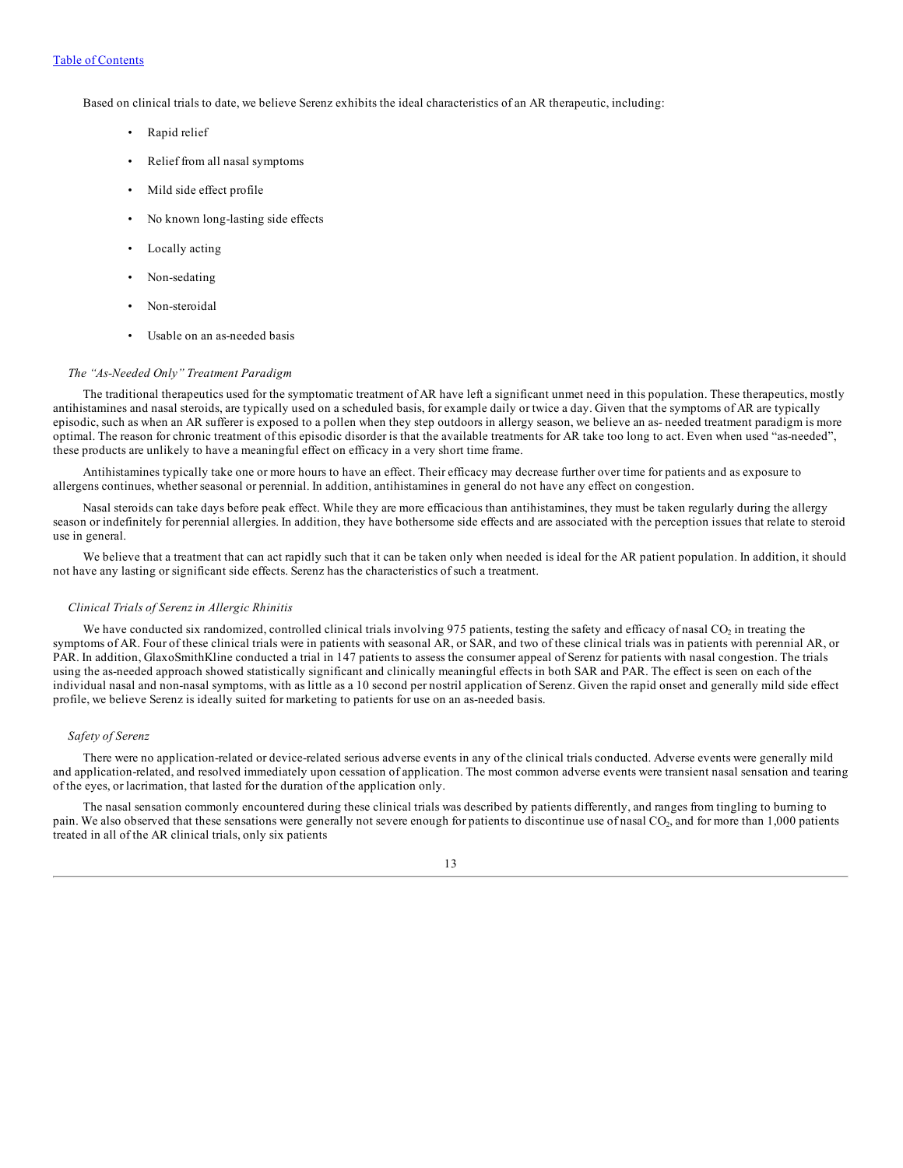Based on clinical trials to date, we believe Serenz exhibits the ideal characteristics of an AR therapeutic, including:

- Rapid relief
- Relief from all nasal symptoms
- Mild side effect profile
- No known long-lasting side effects
- Locally acting
- Non-sedating
- Non-steroidal
- Usable on an as-needed basis

# *The "As-Needed Only" Treatment Paradigm*

The traditional therapeutics used for the symptomatic treatment of AR have left a significant unmet need in this population. These therapeutics, mostly antihistamines and nasal steroids, are typically used on a scheduled basis, for example daily or twice a day. Given that the symptoms of AR are typically episodic, such as when an AR sufferer is exposed to a pollen when they step outdoors in allergy season, we believe an as- needed treatment paradigm is more optimal. The reason for chronic treatment of this episodic disorder is that the available treatments for AR take too long to act. Even when used "as-needed", these products are unlikely to have a meaningful effect on efficacy in a very short time frame.

Antihistamines typically take one or more hours to have an effect. Their efficacy may decrease further over time for patients and as exposure to allergens continues, whether seasonal or perennial. In addition, antihistamines in general do not have any effect on congestion.

Nasal steroids can take days before peak effect. While they are more efficacious than antihistamines, they must be taken regularly during the allergy season or indefinitely for perennial allergies. In addition, they have bothersome side effects and are associated with the perception issues that relate to steroid use in general.

We believe that a treatment that can act rapidly such that it can be taken only when needed is ideal for the AR patient population. In addition, it should not have any lasting or significant side effects. Serenz has the characteristics of such a treatment.

#### *Clinical Trials of Serenz in Allergic Rhinitis*

We have conducted six randomized, controlled clinical trials involving 975 patients, testing the safety and efficacy of nasal  $CO<sub>2</sub>$  in treating the symptoms of AR. Four of these clinical trials were in patients with seasonal AR, or SAR, and two of these clinical trials was in patients with perennial AR, or PAR. In addition, GlaxoSmithKline conducted a trial in 147 patients to assess the consumer appeal of Serenz for patients with nasal congestion. The trials using the as-needed approach showed statistically significant and clinically meaningful effects in both SAR and PAR. The effect is seen on each of the individual nasal and non-nasal symptoms, with as little as a 10 second per nostril application of Serenz. Given the rapid onset and generally mild side effect profile, we believe Serenz is ideally suited for marketing to patients for use on an as-needed basis.

# *Safety of Serenz*

There were no application-related or device-related serious adverse events in any of the clinical trials conducted. Adverse events were generally mild and application-related, and resolved immediately upon cessation of application. The most common adverse events were transient nasal sensation and tearing of the eyes, or lacrimation, that lasted for the duration of the application only.

The nasal sensation commonly encountered during these clinical trials was described by patients differently, and ranges from tingling to burning to pain. We also observed that these sensations were generally not severe enough for patients to discontinue use of nasal  $CO_2$ , and for more than 1,000 patients treated in all of the AR clinical trials, only six patients

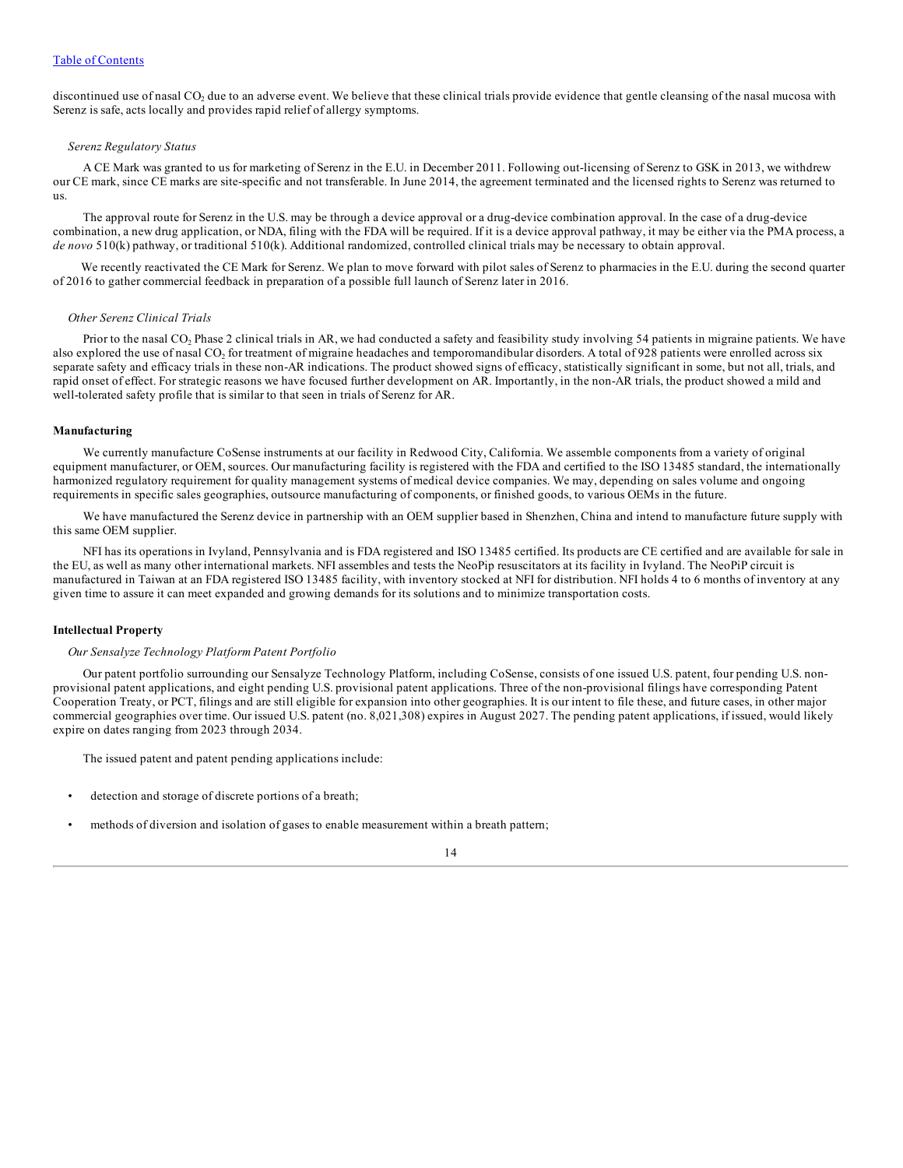discontinued use of nasal CO<sub>2</sub> due to an adverse event. We believe that these clinical trials provide evidence that gentle cleansing of the nasal mucosa with Serenz is safe, acts locally and provides rapid relief of allergy symptoms.

#### *Serenz Regulatory Status*

A CE Mark was granted to us for marketing of Serenz in the E.U. in December 2011. Following out-licensing of Serenz to GSK in 2013, we withdrew our CE mark, since CE marks are site-specific and not transferable. In June 2014, the agreement terminated and the licensed rights to Serenz was returned to us.

The approval route for Serenz in the U.S. may be through a device approval or a drug-device combination approval. In the case of a drug-device combination, a new drug application, or NDA, filing with the FDA will be required. If it is a device approval pathway, it may be either via the PMA process, a *de novo* 510(k) pathway, or traditional 510(k). Additional randomized, controlled clinical trials may be necessary to obtain approval.

We recently reactivated the CE Mark for Serenz. We plan to move forward with pilot sales of Serenz to pharmacies in the E.U. during the second quarter of 2016 to gather commercial feedback in preparation of a possible full launch of Serenz later in 2016.

#### *Other Serenz Clinical Trials*

Prior to the nasal CO<sub>2</sub> Phase 2 clinical trials in AR, we had conducted a safety and feasibility study involving 54 patients in migraine patients. We have also explored the use of nasal CO<sub>2</sub> for treatment of migraine headaches and temporomandibular disorders. A total of 928 patients were enrolled across six separate safety and efficacy trials in these non-AR indications. The product showed signs of efficacy, statistically significant in some, but not all, trials, and rapid onset of effect. For strategic reasons we have focused further development on AR. Importantly, in the non-AR trials, the product showed a mild and well-tolerated safety profile that is similar to that seen in trials of Serenz for AR.

#### **Manufacturing**

We currently manufacture CoSense instruments at our facility in Redwood City, California. We assemble components from a variety of original equipment manufacturer, or OEM, sources. Our manufacturing facility is registered with the FDA and certified to the ISO 13485 standard, the internationally harmonized regulatory requirement for quality management systems of medical device companies. We may, depending on sales volume and ongoing requirements in specific sales geographies, outsource manufacturing of components, or finished goods, to various OEMs in the future.

We have manufactured the Serenz device in partnership with an OEM supplier based in Shenzhen, China and intend to manufacture future supply with this same OEM supplier.

NFI has its operations in Ivyland, Pennsylvania and is FDA registered and ISO 13485 certified. Its products are CE certified and are available for sale in the EU, as well as many other international markets. NFI assembles and tests the NeoPip resuscitators at its facility in Ivyland. The NeoPiP circuit is manufactured in Taiwan at an FDA registered ISO 13485 facility, with inventory stocked at NFI for distribution. NFI holds 4 to 6 months of inventory at any given time to assure it can meet expanded and growing demands for its solutions and to minimize transportation costs.

# **Intellectual Property**

#### *Our Sensalyze Technology Platform Patent Portfolio*

Our patent portfolio surrounding our Sensalyze Technology Platform, including CoSense, consists of one issued U.S. patent, four pending U.S. nonprovisional patent applications, and eight pending U.S. provisional patent applications. Three of the non-provisional filings have corresponding Patent Cooperation Treaty, or PCT, filings and are still eligible for expansion into other geographies. It is our intent to file these, and future cases, in other major commercial geographies over time. Our issued U.S. patent (no. 8,021,308) expires in August 2027. The pending patent applications, if issued, would likely expire on dates ranging from 2023 through 2034.

The issued patent and patent pending applications include:

- detection and storage of discrete portions of a breath;
- methods of diversion and isolation of gases to enable measurement within a breath pattern;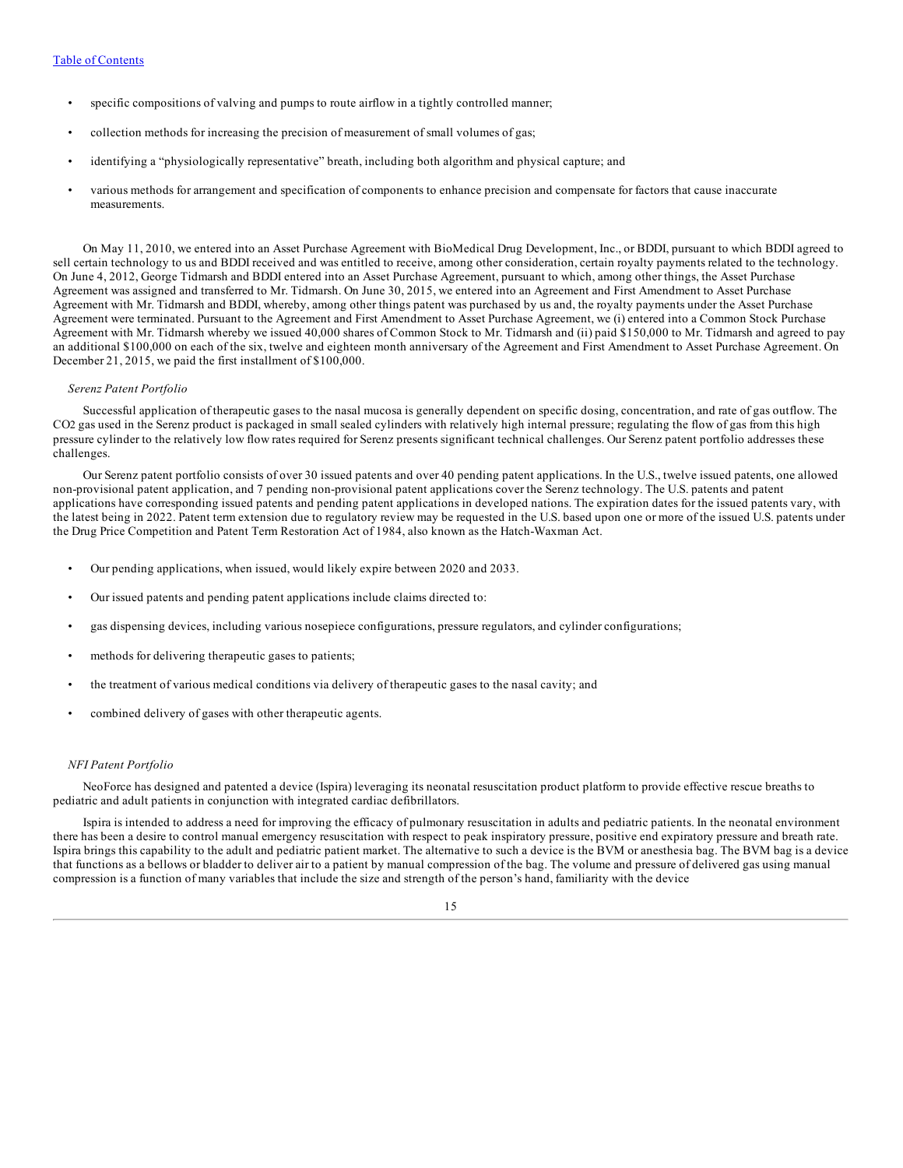- specific compositions of valving and pumps to route airflow in a tightly controlled manner;
- collection methods for increasing the precision of measurement of small volumes of gas;
- identifying a "physiologically representative" breath, including both algorithm and physical capture; and
- various methods for arrangement and specification of components to enhance precision and compensate for factors that cause inaccurate measurements.

On May 11, 2010, we entered into an Asset Purchase Agreement with BioMedical Drug Development, Inc., or BDDI, pursuant to which BDDI agreed to sell certain technology to us and BDDI received and was entitled to receive, among other consideration, certain royalty payments related to the technology. On June 4, 2012, George Tidmarsh and BDDI entered into an Asset Purchase Agreement, pursuant to which, among other things, the Asset Purchase Agreement was assigned and transferred to Mr. Tidmarsh. On June 30, 2015, we entered into an Agreement and First Amendment to Asset Purchase Agreement with Mr. Tidmarsh and BDDI, whereby, among other things patent was purchased by us and, the royalty payments under the Asset Purchase Agreement were terminated. Pursuant to the Agreement and First Amendment to Asset Purchase Agreement, we (i) entered into a Common Stock Purchase Agreement with Mr. Tidmarsh whereby we issued 40,000 shares of Common Stock to Mr. Tidmarsh and (ii) paid \$150,000 to Mr. Tidmarsh and agreed to pay an additional \$100,000 on each of the six, twelve and eighteen month anniversary of the Agreement and First Amendment to Asset Purchase Agreement. On December 21, 2015, we paid the first installment of \$100,000.

#### *Serenz Patent Portfolio*

Successful application of therapeutic gases to the nasal mucosa is generally dependent on specific dosing, concentration, and rate of gas outflow. The CO2 gas used in the Serenz product is packaged in small sealed cylinders with relatively high internal pressure; regulating the flow of gas from this high pressure cylinder to the relatively low flow rates required for Serenz presents significant technical challenges. Our Serenz patent portfolio addresses these challenges.

Our Serenz patent portfolio consists of over 30 issued patents and over 40 pending patent applications. In the U.S., twelve issued patents, one allowed non-provisional patent application, and 7 pending non-provisional patent applications cover the Serenz technology. The U.S. patents and patent applications have corresponding issued patents and pending patent applications in developed nations. The expiration dates for the issued patents vary, with the latest being in 2022. Patent term extension due to regulatory review may be requested in the U.S. based upon one or more of the issued U.S. patents under the Drug Price Competition and Patent Term Restoration Act of 1984, also known as the Hatch-Waxman Act.

- Our pending applications, when issued, would likely expire between 2020 and 2033.
- Our issued patents and pending patent applications include claims directed to:
- gas dispensing devices, including various nosepiece configurations, pressure regulators, and cylinder configurations;
- methods for delivering therapeutic gases to patients;
- the treatment of various medical conditions via delivery of therapeutic gases to the nasal cavity; and
- combined delivery of gases with other therapeutic agents.

#### *NFI Patent Portfolio*

NeoForce has designed and patented a device (Ispira) leveraging its neonatal resuscitation product platform to provide effective rescue breaths to pediatric and adult patients in conjunction with integrated cardiac defibrillators.

Ispira is intended to address a need for improving the efficacy of pulmonary resuscitation in adults and pediatric patients. In the neonatal environment there has been a desire to control manual emergency resuscitation with respect to peak inspiratory pressure, positive end expiratory pressure and breath rate. Ispira brings this capability to the adult and pediatric patient market. The alternative to such a device is the BVM or anesthesia bag. The BVM bag is a device that functions as a bellows or bladder to deliver air to a patient by manual compression of the bag. The volume and pressure of delivered gas using manual compression is a function of many variables that include the size and strength of the person's hand, familiarity with the device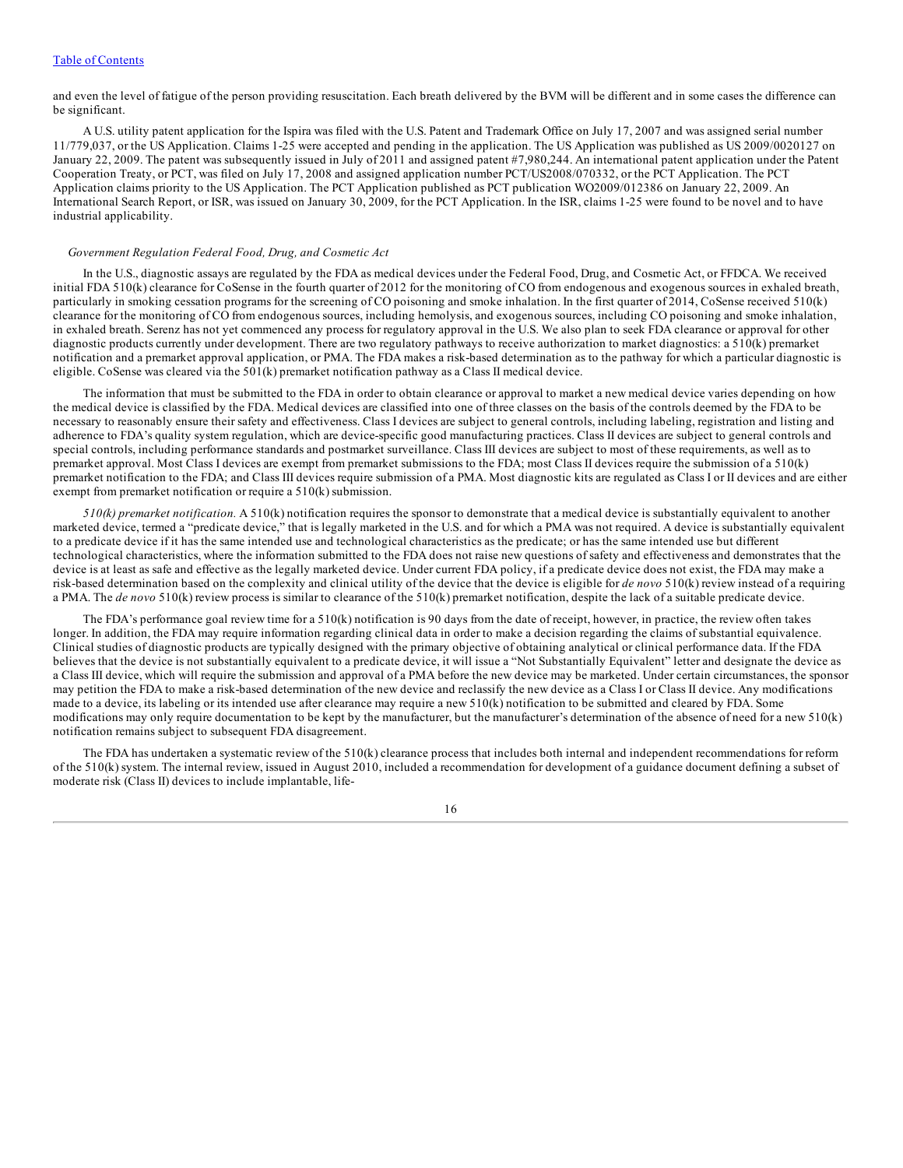and even the level of fatigue of the person providing resuscitation. Each breath delivered by the BVM will be different and in some cases the difference can be significant.

A U.S. utility patent application for the Ispira was filed with the U.S. Patent and Trademark Office on July 17, 2007 and was assigned serial number 11/779,037, or the US Application. Claims 1-25 were accepted and pending in the application. The US Application was published as US 2009/0020127 on January 22, 2009. The patent was subsequently issued in July of 2011 and assigned patent #7,980,244. An international patent application under the Patent Cooperation Treaty, or PCT, was filed on July 17, 2008 and assigned application number PCT/US2008/070332, or the PCT Application. The PCT Application claims priority to the US Application. The PCT Application published as PCT publication WO2009/012386 on January 22, 2009. An International Search Report, or ISR, was issued on January 30, 2009, for the PCT Application. In the ISR, claims 1-25 were found to be novel and to have industrial applicability.

# *Government Regulation Federal Food, Drug, and Cosmetic Act*

In the U.S., diagnostic assays are regulated by the FDA as medical devices under the Federal Food, Drug, and Cosmetic Act, or FFDCA. We received initial FDA 510(k) clearance for CoSense in the fourth quarter of 2012 for the monitoring of CO from endogenous and exogenous sources in exhaled breath, particularly in smoking cessation programs for the screening of CO poisoning and smoke inhalation. In the first quarter of 2014, CoSense received 510(k) clearance for the monitoring of CO from endogenous sources, including hemolysis, and exogenous sources, including CO poisoning and smoke inhalation, in exhaled breath. Serenz has not yet commenced any process for regulatory approval in the U.S. We also plan to seek FDA clearance or approval for other diagnostic products currently under development. There are two regulatory pathways to receive authorization to market diagnostics: a 510(k) premarket notification and a premarket approval application, or PMA. The FDA makes a risk-based determination as to the pathway for which a particular diagnostic is eligible. CoSense was cleared via the 501(k) premarket notification pathway as a Class II medical device.

The information that must be submitted to the FDA in order to obtain clearance or approval to market a new medical device varies depending on how the medical device is classified by the FDA. Medical devices are classified into one of three classes on the basis of the controls deemed by the FDA to be necessary to reasonably ensure their safety and effectiveness. Class I devices are subject to general controls, including labeling, registration and listing and adherence to FDA's quality system regulation, which are device-specific good manufacturing practices. Class II devices are subject to general controls and special controls, including performance standards and postmarket surveillance. Class III devices are subject to most of these requirements, as well as to premarket approval. Most Class I devices are exempt from premarket submissions to the FDA; most Class II devices require the submission of a 510(k) premarket notification to the FDA; and Class III devices require submission of a PMA. Most diagnostic kits are regulated as Class I or II devices and are either exempt from premarket notification or require a 510(k) submission.

*510(k) premarket notification.* A 510(k) notification requires the sponsor to demonstrate that a medical device is substantially equivalent to another marketed device, termed a "predicate device," that is legally marketed in the U.S. and for which a PMA was not required. A device is substantially equivalent to a predicate device if it has the same intended use and technological characteristics as the predicate; or has the same intended use but different technological characteristics, where the information submitted to the FDA does not raise new questions of safety and effectiveness and demonstrates that the device is at least as safe and effective as the legally marketed device. Under current FDA policy, if a predicate device does not exist, the FDA may make a risk-based determination based on the complexity and clinical utility of the device that the device is eligible for *de novo* 510(k) review instead of a requiring a PMA. The *de novo* 510(k) review process is similar to clearance of the 510(k) premarket notification, despite the lack of a suitable predicate device.

The FDA's performance goal review time for a 510(k) notification is 90 days from the date of receipt, however, in practice, the review often takes longer. In addition, the FDA may require information regarding clinical data in order to make a decision regarding the claims of substantial equivalence. Clinical studies of diagnostic products are typically designed with the primary objective of obtaining analytical or clinical performance data. If the FDA believes that the device is not substantially equivalent to a predicate device, it will issue a "Not Substantially Equivalent" letter and designate the device as a Class III device, which will require the submission and approval of a PMA before the new device may be marketed. Under certain circumstances, the sponsor may petition the FDA to make a risk-based determination of the new device and reclassify the new device as a Class I or Class II device. Any modifications made to a device, its labeling or its intended use after clearance may require a new 510(k) notification to be submitted and cleared by FDA. Some modifications may only require documentation to be kept by the manufacturer, but the manufacturer's determination of the absence of need for a new 510(k) notification remains subject to subsequent FDA disagreement.

The FDA has undertaken a systematic review of the 510(k) clearance process that includes both internal and independent recommendations for reform of the 510(k) system. The internal review, issued in August 2010, included a recommendation for development of a guidance document defining a subset of moderate risk (Class II) devices to include implantable, life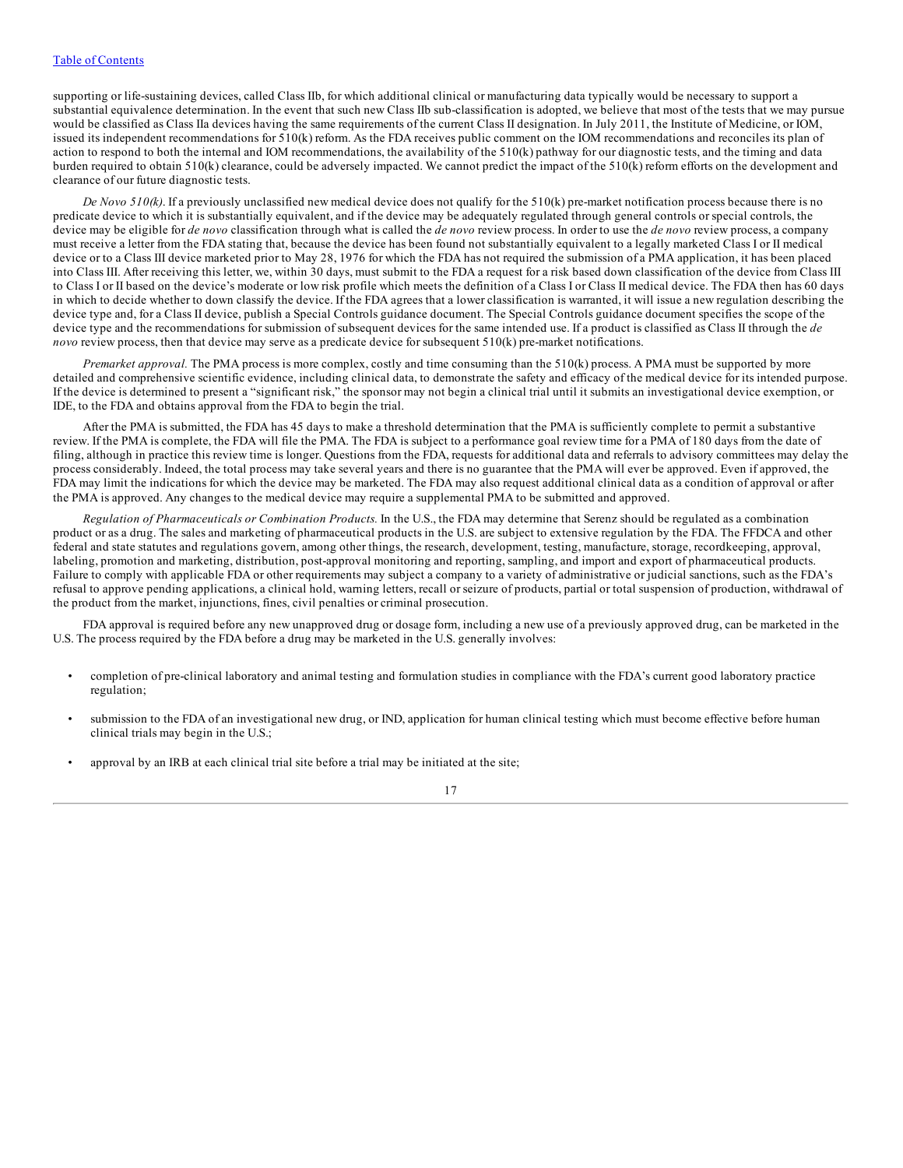supporting or life-sustaining devices, called Class IIb, for which additional clinical or manufacturing data typically would be necessary to support a substantial equivalence determination. In the event that such new Class IIb sub-classification is adopted, we believe that most of the tests that we may pursue would be classified as Class IIa devices having the same requirements of the current Class II designation. In July 2011, the Institute of Medicine, or IOM, issued its independent recommendations for 510(k) reform. As the FDA receives public comment on the IOM recommendations and reconciles its plan of action to respond to both the internal and IOM recommendations, the availability of the 510(k) pathway for our diagnostic tests, and the timing and data burden required to obtain 510(k) clearance, could be adversely impacted. We cannot predict the impact of the 510(k) reform efforts on the development and clearance of our future diagnostic tests.

*De Novo 510(k)*. If a previously unclassified new medical device does not qualify for the 510(k) pre-market notification process because there is no predicate device to which it is substantially equivalent, and if the device may be adequately regulated through general controls or special controls, the device may be eligible for *de novo* classification through what is called the *de novo* review process. In order to use the *de novo* review process, a company must receive a letter from the FDA stating that, because the device has been found not substantially equivalent to a legally marketed Class I or II medical device or to a Class III device marketed prior to May 28, 1976 for which the FDA has not required the submission of a PMA application, it has been placed into Class III. After receiving this letter, we, within 30 days, must submit to the FDA a request for a risk based down classification of the device from Class III to Class I or II based on the device's moderate or low risk profile which meets the definition of a Class I or Class II medical device. The FDA then has 60 days in which to decide whether to down classify the device. If the FDA agrees that a lower classification is warranted, it will issue a new regulation describing the device type and, for a Class II device, publish a Special Controls guidance document. The Special Controls guidance document specifies the scope of the device type and the recommendations for submission of subsequent devices for the same intended use. If a product is classified as Class II through the *de novo* review process, then that device may serve as a predicate device for subsequent 510(k) pre-market notifications.

*Premarket approval.* The PMA process is more complex, costly and time consuming than the 510(k) process. A PMA must be supported by more detailed and comprehensive scientific evidence, including clinical data, to demonstrate the safety and efficacy of the medical device for its intended purpose. If the device is determined to present a "significant risk," the sponsor may not begin a clinical trial until it submits an investigational device exemption, or IDE, to the FDA and obtains approval from the FDA to begin the trial.

After the PMA is submitted, the FDA has 45 days to make a threshold determination that the PMA is sufficiently complete to permit a substantive review. If the PMA is complete, the FDA will file the PMA. The FDA is subject to a performance goal review time for a PMA of 180 days from the date of filing, although in practice this review time is longer. Questions from the FDA, requests for additional data and referrals to advisory committees may delay the process considerably. Indeed, the total process may take several years and there is no guarantee that the PMA will ever be approved. Even if approved, the FDA may limit the indications for which the device may be marketed. The FDA may also request additional clinical data as a condition of approval or after the PMA is approved. Any changes to the medical device may require a supplemental PMA to be submitted and approved.

*Regulation of Pharmaceuticals or Combination Products.* In the U.S., the FDA may determine that Serenz should be regulated as a combination product or as a drug. The sales and marketing of pharmaceutical products in the U.S. are subject to extensive regulation by the FDA. The FFDCA and other federal and state statutes and regulations govern, among other things, the research, development, testing, manufacture, storage, recordkeeping, approval, labeling, promotion and marketing, distribution, post-approval monitoring and reporting, sampling, and import and export of pharmaceutical products. Failure to comply with applicable FDA or other requirements may subject a company to a variety of administrative or judicial sanctions, such as the FDA's refusal to approve pending applications, a clinical hold, warning letters, recall or seizure of products, partial or total suspension of production, withdrawal of the product from the market, injunctions, fines, civil penalties or criminal prosecution.

FDA approval is required before any new unapproved drug or dosage form, including a new use of a previously approved drug, can be marketed in the U.S. The process required by the FDA before a drug may be marketed in the U.S. generally involves:

- completion of pre-clinical laboratory and animal testing and formulation studies in compliance with the FDA's current good laboratory practice regulation;
- submission to the FDA of an investigational new drug, or IND, application for human clinical testing which must become effective before human clinical trials may begin in the U.S.;
- approval by an IRB at each clinical trial site before a trial may be initiated at the site;

17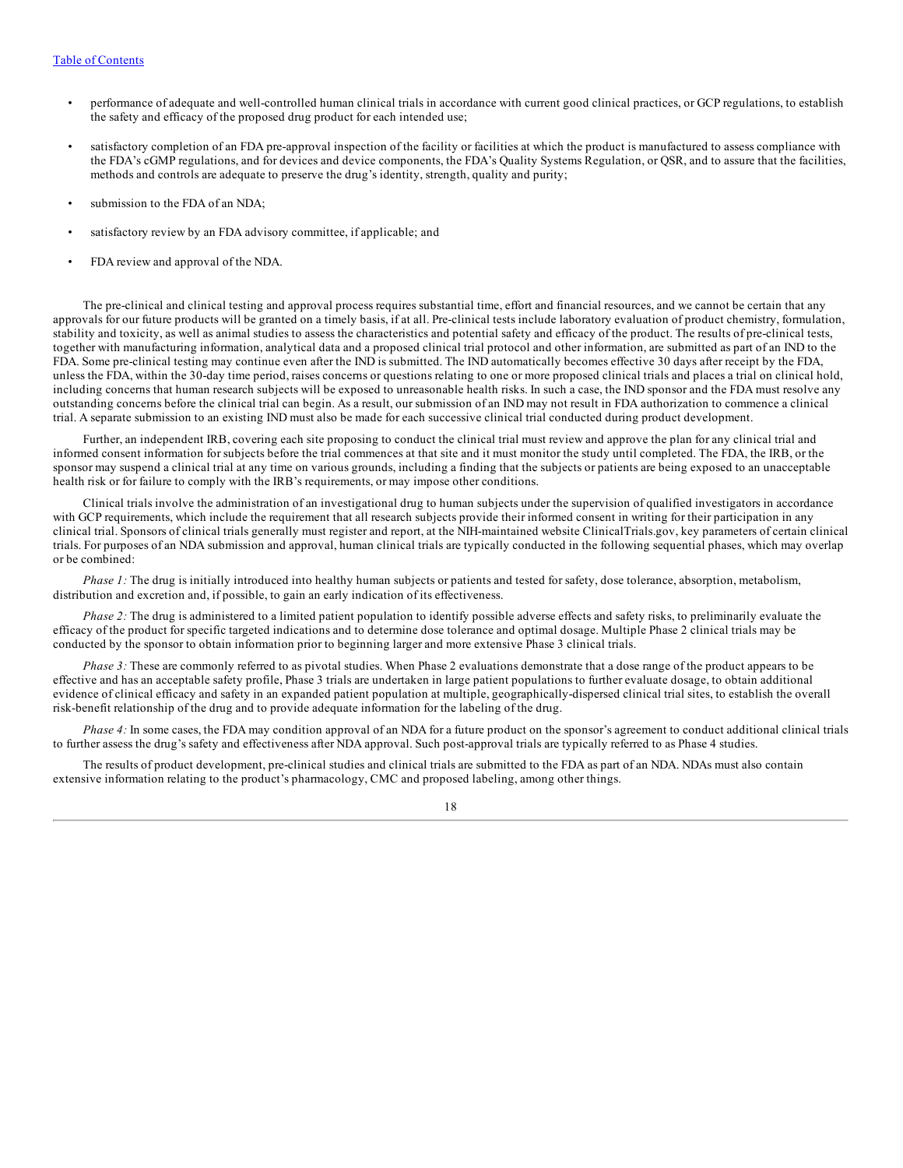# Table of [Contents](#page-0-0)

- performance of adequate and well-controlled human clinical trials in accordance with current good clinical practices, or GCP regulations, to establish the safety and efficacy of the proposed drug product for each intended use;
- satisfactory completion of an FDA pre-approval inspection of the facility or facilities at which the product is manufactured to assess compliance with the FDA's cGMP regulations, and for devices and device components, the FDA's Quality Systems Regulation, or QSR, and to assure that the facilities, methods and controls are adequate to preserve the drug's identity, strength, quality and purity;
- submission to the FDA of an NDA;
- satisfactory review by an FDA advisory committee, if applicable; and
- FDA review and approval of the NDA.

The pre-clinical and clinical testing and approval process requires substantial time, effort and financial resources, and we cannot be certain that any approvals for our future products will be granted on a timely basis, if at all. Pre-clinical tests include laboratory evaluation of product chemistry, formulation, stability and toxicity, as well as animal studies to assess the characteristics and potential safety and efficacy of the product. The results of pre-clinical tests, together with manufacturing information, analytical data and a proposed clinical trial protocol and other information, are submitted as part of an IND to the FDA. Some pre-clinical testing may continue even after the IND is submitted. The IND automatically becomes effective 30 days after receipt by the FDA, unless the FDA, within the 30-day time period, raises concerns or questions relating to one or more proposed clinical trials and places a trial on clinical hold, including concerns that human research subjects will be exposed to unreasonable health risks. In such a case, the IND sponsor and the FDA must resolve any outstanding concerns before the clinical trial can begin. As a result, our submission of an IND may not result in FDA authorization to commence a clinical trial. A separate submission to an existing IND must also be made for each successive clinical trial conducted during product development.

Further, an independent IRB, covering each site proposing to conduct the clinical trial must review and approve the plan for any clinical trial and informed consent information for subjects before the trial commences at that site and it must monitor the study until completed. The FDA, the IRB, or the sponsor may suspend a clinical trial at any time on various grounds, including a finding that the subjects or patients are being exposed to an unacceptable health risk or for failure to comply with the IRB's requirements, or may impose other conditions.

Clinical trials involve the administration of an investigational drug to human subjects under the supervision of qualified investigators in accordance with GCP requirements, which include the requirement that all research subjects provide their informed consent in writing for their participation in any clinical trial. Sponsors of clinical trials generally must register and report, at the NIH-maintained website ClinicalTrials.gov, key parameters of certain clinical trials. For purposes of an NDA submission and approval, human clinical trials are typically conducted in the following sequential phases, which may overlap or be combined:

*Phase 1*: The drug is initially introduced into healthy human subjects or patients and tested for safety, dose tolerance, absorption, metabolism, distribution and excretion and, if possible, to gain an early indication of its effectiveness.

*Phase 2:* The drug is administered to a limited patient population to identify possible adverse effects and safety risks, to preliminarily evaluate the efficacy of the product for specific targeted indications and to determine dose tolerance and optimal dosage. Multiple Phase 2 clinical trials may be conducted by the sponsor to obtain information prior to beginning larger and more extensive Phase 3 clinical trials.

*Phase* 3: These are commonly referred to as pivotal studies. When Phase 2 evaluations demonstrate that a dose range of the product appears to be effective and has an acceptable safety profile, Phase 3 trials are undertaken in large patient populations to further evaluate dosage, to obtain additional evidence of clinical efficacy and safety in an expanded patient population at multiple, geographically-dispersed clinical trial sites, to establish the overall risk-benefit relationship of the drug and to provide adequate information for the labeling of the drug.

*Phase 4:* In some cases, the FDA may condition approval of an NDA for a future product on the sponsor's agreement to conduct additional clinical trials to further assess the drug's safety and effectiveness after NDA approval. Such post-approval trials are typically referred to as Phase 4 studies.

The results of product development, pre-clinical studies and clinical trials are submitted to the FDA as part of an NDA. NDAs must also contain extensive information relating to the product's pharmacology, CMC and proposed labeling, among other things.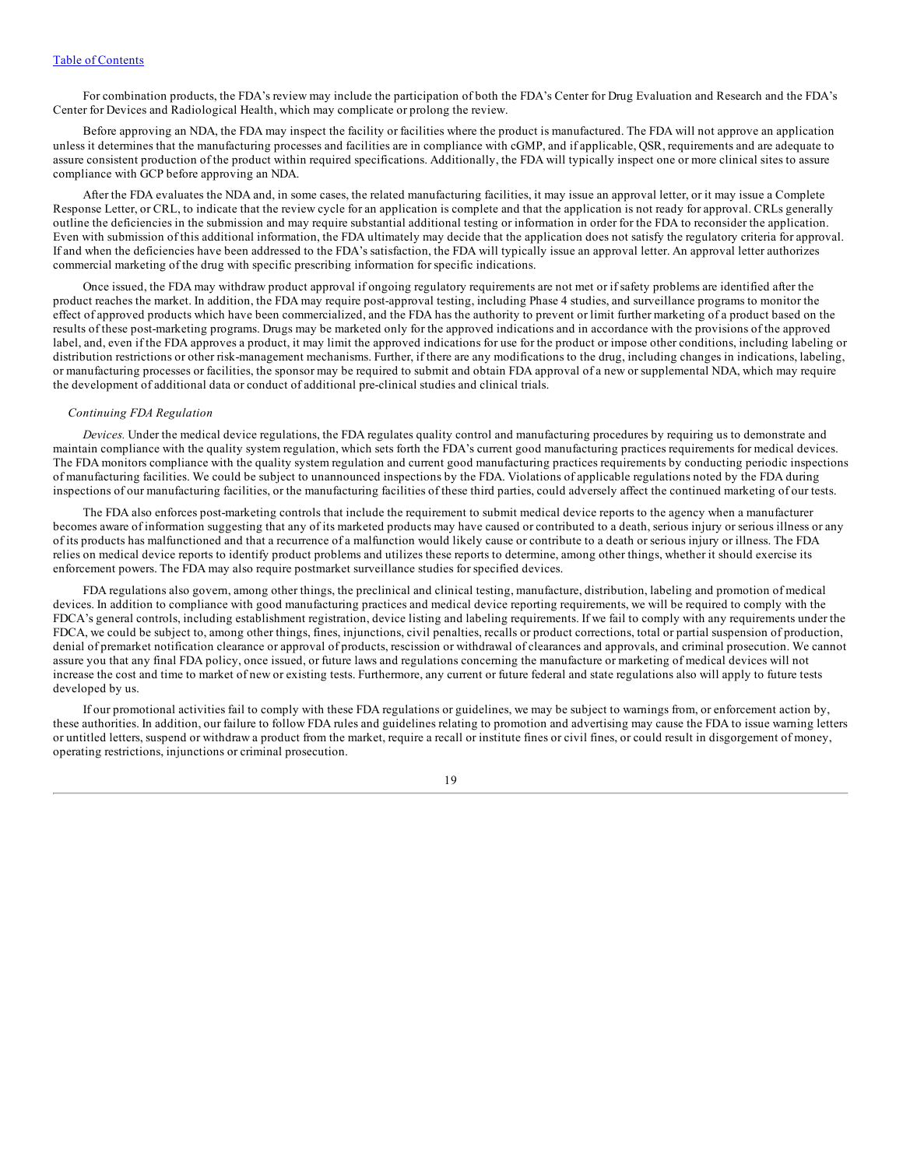For combination products, the FDA's review may include the participation of both the FDA's Center for Drug Evaluation and Research and the FDA's Center for Devices and Radiological Health, which may complicate or prolong the review.

Before approving an NDA, the FDA may inspect the facility or facilities where the product is manufactured. The FDA will not approve an application unless it determines that the manufacturing processes and facilities are in compliance with cGMP, and if applicable, QSR, requirements and are adequate to assure consistent production of the product within required specifications. Additionally, the FDA will typically inspect one or more clinical sites to assure compliance with GCP before approving an NDA.

After the FDA evaluates the NDA and, in some cases, the related manufacturing facilities, it may issue an approval letter, or it may issue a Complete Response Letter, or CRL, to indicate that the review cycle for an application is complete and that the application is not ready for approval. CRLs generally outline the deficiencies in the submission and may require substantial additional testing or information in order for the FDA to reconsider the application. Even with submission of this additional information, the FDA ultimately may decide that the application does not satisfy the regulatory criteria for approval. If and when the deficiencies have been addressed to the FDA's satisfaction, the FDA will typically issue an approval letter. An approval letter authorizes commercial marketing of the drug with specific prescribing information for specific indications.

Once issued, the FDA may withdraw product approval if ongoing regulatory requirements are not met or if safety problems are identified after the product reaches the market. In addition, the FDA may require post-approval testing, including Phase 4 studies, and surveillance programs to monitor the effect of approved products which have been commercialized, and the FDA has the authority to prevent or limit further marketing of a product based on the results of these post-marketing programs. Drugs may be marketed only for the approved indications and in accordance with the provisions of the approved label, and, even if the FDA approves a product, it may limit the approved indications for use for the product or impose other conditions, including labeling or distribution restrictions or other risk-management mechanisms. Further, if there are any modifications to the drug, including changes in indications, labeling, or manufacturing processes or facilities, the sponsor may be required to submit and obtain FDA approval of a new or supplemental NDA, which may require the development of additional data or conduct of additional pre-clinical studies and clinical trials.

## *Continuing FDA Regulation*

*Devices.* Under the medical device regulations, the FDA regulates quality control and manufacturing procedures by requiring us to demonstrate and maintain compliance with the quality system regulation, which sets forth the FDA's current good manufacturing practices requirements for medical devices. The FDA monitors compliance with the quality system regulation and current good manufacturing practices requirements by conducting periodic inspections of manufacturing facilities. We could be subject to unannounced inspections by the FDA. Violations of applicable regulations noted by the FDA during inspections of our manufacturing facilities, or the manufacturing facilities of these third parties, could adversely affect the continued marketing of our tests.

The FDA also enforces post-marketing controls that include the requirement to submit medical device reports to the agency when a manufacturer becomes aware of information suggesting that any of its marketed products may have caused or contributed to a death, serious injury or serious illness or any of its products has malfunctioned and that a recurrence of a malfunction would likely cause or contribute to a death or serious injury or illness. The FDA relies on medical device reports to identify product problems and utilizes these reports to determine, among other things, whether it should exercise its enforcement powers. The FDA may also require postmarket surveillance studies for specified devices.

FDA regulations also govern, among other things, the preclinical and clinical testing, manufacture, distribution, labeling and promotion of medical devices. In addition to compliance with good manufacturing practices and medical device reporting requirements, we will be required to comply with the FDCA's general controls, including establishment registration, device listing and labeling requirements. If we fail to comply with any requirements under the FDCA, we could be subject to, among other things, fines, injunctions, civil penalties, recalls or product corrections, total or partial suspension of production, denial of premarket notification clearance or approval of products, rescission or withdrawal of clearances and approvals, and criminal prosecution. We cannot assure you that any final FDA policy, once issued, or future laws and regulations concerning the manufacture or marketing of medical devices will not increase the cost and time to market of new or existing tests. Furthermore, any current or future federal and state regulations also will apply to future tests developed by us.

If our promotional activities fail to comply with these FDA regulations or guidelines, we may be subject to warnings from, or enforcement action by, these authorities. In addition, our failure to follow FDA rules and guidelines relating to promotion and advertising may cause the FDA to issue warning letters or untitled letters, suspend or withdraw a product from the market, require a recall or institute fines or civil fines, or could result in disgorgement of money, operating restrictions, injunctions or criminal prosecution.

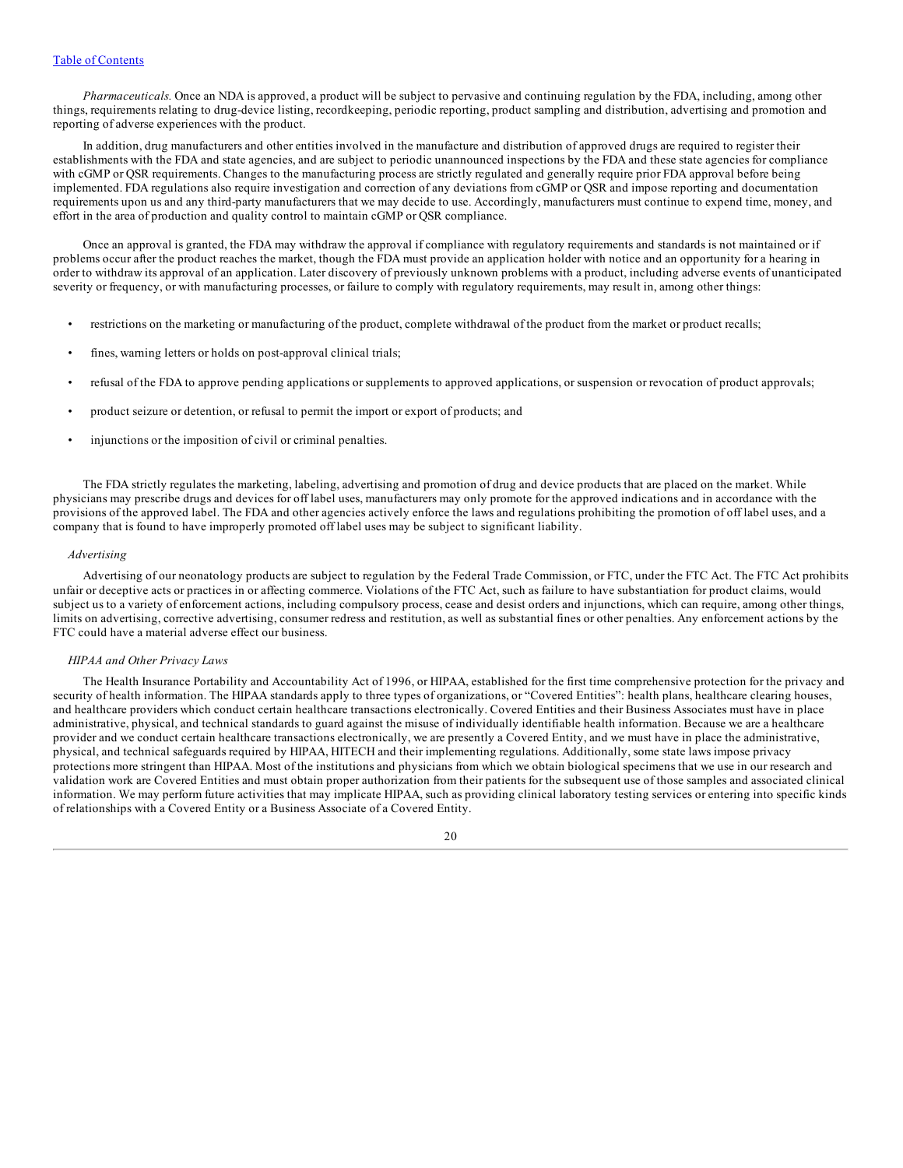*Pharmaceuticals.* Once an NDA is approved, a product will be subject to pervasive and continuing regulation by the FDA, including, among other things, requirements relating to drug-device listing, recordkeeping, periodic reporting, product sampling and distribution, advertising and promotion and reporting of adverse experiences with the product.

In addition, drug manufacturers and other entities involved in the manufacture and distribution of approved drugs are required to register their establishments with the FDA and state agencies, and are subject to periodic unannounced inspections by the FDA and these state agencies for compliance with cGMP or QSR requirements. Changes to the manufacturing process are strictly regulated and generally require prior FDA approval before being implemented. FDA regulations also require investigation and correction of any deviations from cGMP or QSR and impose reporting and documentation requirements upon us and any third-party manufacturers that we may decide to use. Accordingly, manufacturers must continue to expend time, money, and effort in the area of production and quality control to maintain cGMP or QSR compliance.

Once an approval is granted, the FDA may withdraw the approval if compliance with regulatory requirements and standards is not maintained or if problems occur after the product reaches the market, though the FDA must provide an application holder with notice and an opportunity for a hearing in order to withdraw its approval of an application. Later discovery of previously unknown problems with a product, including adverse events of unanticipated severity or frequency, or with manufacturing processes, or failure to comply with regulatory requirements, may result in, among other things:

- restrictions on the marketing or manufacturing of the product, complete withdrawal of the product from the market or product recalls;
- fines, warning letters or holds on post-approval clinical trials;
- refusal of the FDA to approve pending applications or supplements to approved applications, or suspension or revocation of product approvals;
- product seizure or detention, or refusal to permit the import or export of products; and
- injunctions or the imposition of civil or criminal penalties.

The FDA strictly regulates the marketing, labeling, advertising and promotion of drug and device products that are placed on the market. While physicians may prescribe drugs and devices for off label uses, manufacturers may only promote for the approved indications and in accordance with the provisions of the approved label. The FDA and other agencies actively enforce the laws and regulations prohibiting the promotion of off label uses, and a company that is found to have improperly promoted off label uses may be subject to significant liability.

# *Advertising*

Advertising of our neonatology products are subject to regulation by the Federal Trade Commission, or FTC, under the FTC Act. The FTC Act prohibits unfair or deceptive acts or practices in or affecting commerce. Violations of the FTC Act, such as failure to have substantiation for product claims, would subject us to a variety of enforcement actions, including compulsory process, cease and desist orders and injunctions, which can require, among other things, limits on advertising, corrective advertising, consumer redress and restitution, as well as substantial fines or other penalties. Any enforcement actions by the FTC could have a material adverse effect our business.

#### *HIPAA and Other Privacy Laws*

The Health Insurance Portability and Accountability Act of 1996, or HIPAA, established for the first time comprehensive protection for the privacy and security of health information. The HIPAA standards apply to three types of organizations, or "Covered Entities": health plans, healthcare clearing houses, and healthcare providers which conduct certain healthcare transactions electronically. Covered Entities and their Business Associates must have in place administrative, physical, and technical standards to guard against the misuse of individually identifiable health information. Because we are a healthcare provider and we conduct certain healthcare transactions electronically, we are presently a Covered Entity, and we must have in place the administrative, physical, and technical safeguards required by HIPAA, HITECH and their implementing regulations. Additionally, some state laws impose privacy protections more stringent than HIPAA. Most of the institutions and physicians from which we obtain biological specimens that we use in our research and validation work are Covered Entities and must obtain proper authorization from their patients for the subsequent use of those samples and associated clinical information. We may perform future activities that may implicate HIPAA, such as providing clinical laboratory testing services or entering into specific kinds of relationships with a Covered Entity or a Business Associate of a Covered Entity.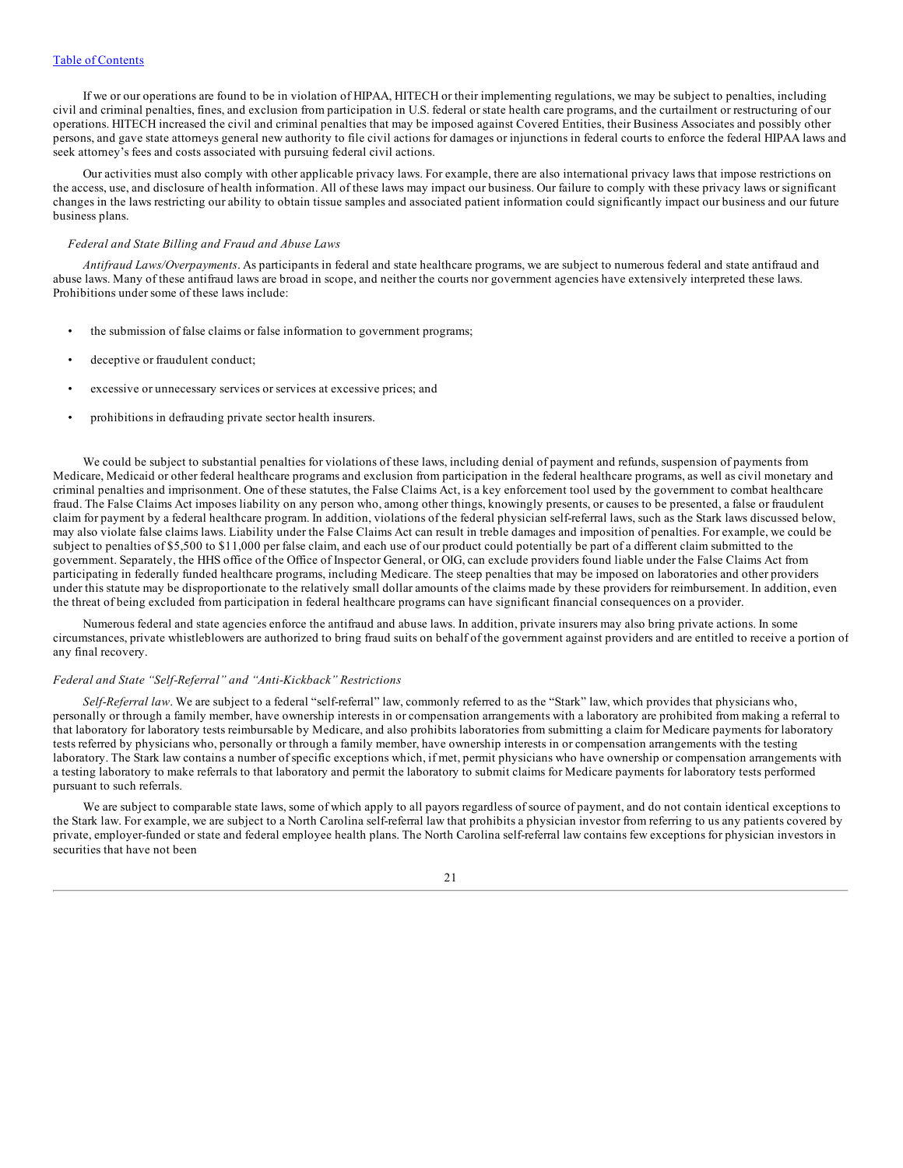If we or our operations are found to be in violation of HIPAA, HITECH or their implementing regulations, we may be subject to penalties, including civil and criminal penalties, fines, and exclusion from participation in U.S. federal or state health care programs, and the curtailment or restructuring of our operations. HITECH increased the civil and criminal penalties that may be imposed against Covered Entities, their Business Associates and possibly other persons, and gave state attorneys general new authority to file civil actions for damages or injunctions in federal courts to enforce the federal HIPAA laws and seek attorney's fees and costs associated with pursuing federal civil actions.

Our activities must also comply with other applicable privacy laws. For example, there are also international privacy laws that impose restrictions on the access, use, and disclosure of health information. All of these laws may impact our business. Our failure to comply with these privacy laws or significant changes in the laws restricting our ability to obtain tissue samples and associated patient information could significantly impact our business and our future business plans.

#### *Federal and State Billing and Fraud and Abuse Laws*

*Antifraud Laws/Overpayments*. As participants in federal and state healthcare programs, we are subject to numerous federal and state antifraud and abuse laws. Many of these antifraud laws are broad in scope, and neither the courts nor government agencies have extensively interpreted these laws. Prohibitions under some of these laws include:

- the submission of false claims or false information to government programs;
- deceptive or fraudulent conduct;
- excessive or unnecessary services or services at excessive prices; and
- prohibitions in defrauding private sector health insurers.

We could be subject to substantial penalties for violations of these laws, including denial of payment and refunds, suspension of payments from Medicare, Medicaid or other federal healthcare programs and exclusion from participation in the federal healthcare programs, as well as civil monetary and criminal penalties and imprisonment. One of these statutes, the False Claims Act, is a key enforcement tool used by the government to combat healthcare fraud. The False Claims Act imposes liability on any person who, among other things, knowingly presents, or causes to be presented, a false or fraudulent claim for payment by a federal healthcare program. In addition, violations of the federal physician self-referral laws, such as the Stark laws discussed below, may also violate false claims laws. Liability under the False Claims Act can result in treble damages and imposition of penalties. For example, we could be subject to penalties of \$5,500 to \$11,000 per false claim, and each use of our product could potentially be part of a different claim submitted to the government. Separately, the HHS office of the Office of Inspector General, or OIG, can exclude providers found liable under the False Claims Act from participating in federally funded healthcare programs, including Medicare. The steep penalties that may be imposed on laboratories and other providers under this statute may be disproportionate to the relatively small dollar amounts of the claims made by these providers for reimbursement. In addition, even the threat of being excluded from participation in federal healthcare programs can have significant financial consequences on a provider.

Numerous federal and state agencies enforce the antifraud and abuse laws. In addition, private insurers may also bring private actions. In some circumstances, private whistleblowers are authorized to bring fraud suits on behalf of the government against providers and are entitled to receive a portion of any final recovery.

# *Federal and State "Self-Referral" and "Anti-Kickback" Restrictions*

*Self-Referral law*. We are subject to a federal "self-referral" law, commonly referred to as the "Stark" law, which provides that physicians who, personally or through a family member, have ownership interests in or compensation arrangements with a laboratory are prohibited from making a referral to that laboratory for laboratory tests reimbursable by Medicare, and also prohibits laboratories from submitting a claim for Medicare payments for laboratory tests referred by physicians who, personally or through a family member, have ownership interests in or compensation arrangements with the testing laboratory. The Stark law contains a number of specific exceptions which, if met, permit physicians who have ownership or compensation arrangements with a testing laboratory to make referrals to that laboratory and permit the laboratory to submit claims for Medicare payments for laboratory tests performed pursuant to such referrals.

We are subject to comparable state laws, some of which apply to all payors regardless of source of payment, and do not contain identical exceptions to the Stark law. For example, we are subject to a North Carolina self-referral law that prohibits a physician investor from referring to us any patients covered by private, employer-funded or state and federal employee health plans. The North Carolina self-referral law contains few exceptions for physician investors in securities that have not been

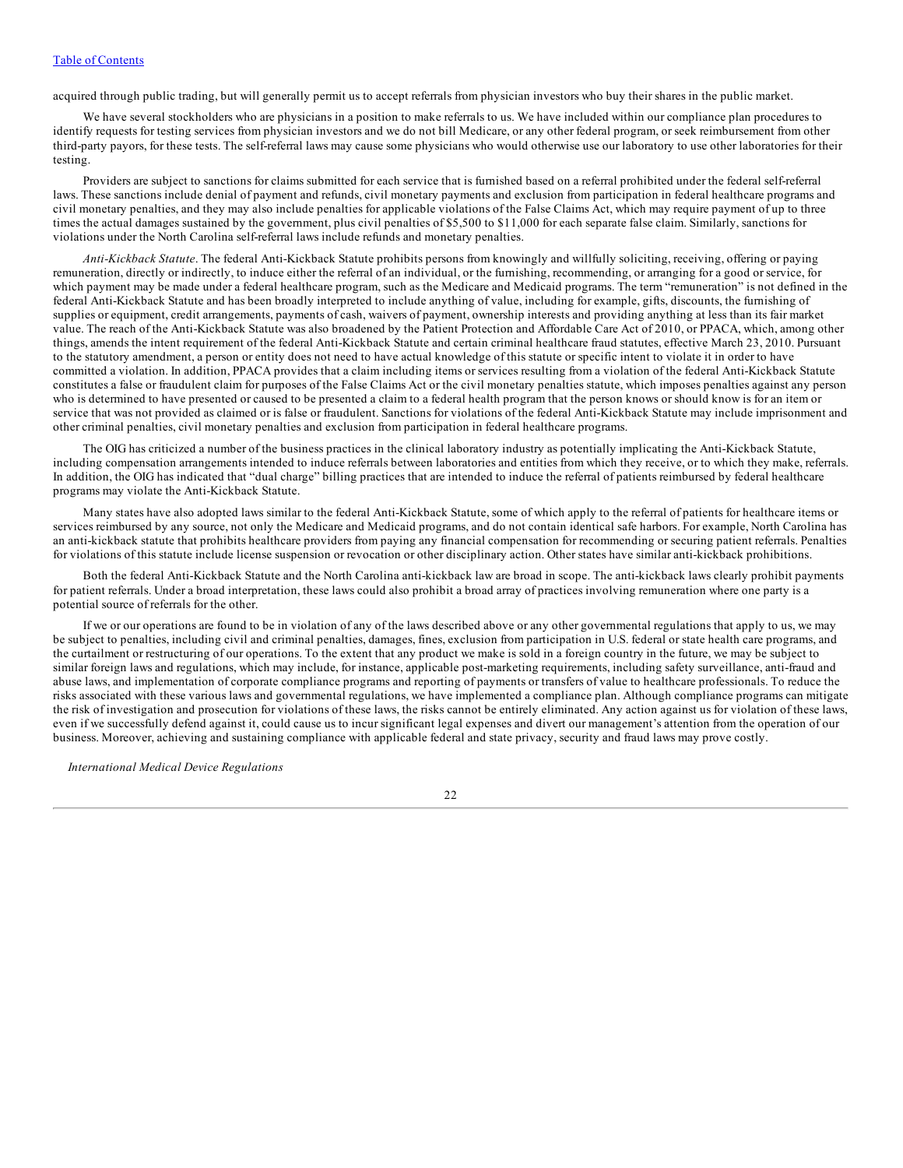acquired through public trading, but will generally permit us to accept referrals from physician investors who buy their shares in the public market.

We have several stockholders who are physicians in a position to make referrals to us. We have included within our compliance plan procedures to identify requests for testing services from physician investors and we do not bill Medicare, or any other federal program, or seek reimbursement from other third-party payors, for these tests. The self-referral laws may cause some physicians who would otherwise use our laboratory to use other laboratories for their testing.

Providers are subject to sanctions for claims submitted for each service that is furnished based on a referral prohibited under the federal self-referral laws. These sanctions include denial of payment and refunds, civil monetary payments and exclusion from participation in federal healthcare programs and civil monetary penalties, and they may also include penalties for applicable violations of the False Claims Act, which may require payment of up to three times the actual damages sustained by the government, plus civil penalties of \$5,500 to \$11,000 for each separate false claim. Similarly, sanctions for violations under the North Carolina self-referral laws include refunds and monetary penalties.

*Anti-Kickback Statute*. The federal Anti-Kickback Statute prohibits persons from knowingly and willfully soliciting, receiving, offering or paying remuneration, directly or indirectly, to induce either the referral of an individual, or the furnishing, recommending, or arranging for a good or service, for which payment may be made under a federal healthcare program, such as the Medicare and Medicaid programs. The term "remuneration" is not defined in the federal Anti-Kickback Statute and has been broadly interpreted to include anything of value, including for example, gifts, discounts, the furnishing of supplies or equipment, credit arrangements, payments of cash, waivers of payment, ownership interests and providing anything at less than its fair market value. The reach of the Anti-Kickback Statute was also broadened by the Patient Protection and Affordable Care Act of 2010, or PPACA, which, among other things, amends the intent requirement of the federal Anti-Kickback Statute and certain criminal healthcare fraud statutes, effective March 23, 2010. Pursuant to the statutory amendment, a person or entity does not need to have actual knowledge of this statute or specific intent to violate it in order to have committed a violation. In addition, PPACA provides that a claim including items or services resulting from a violation of the federal Anti-Kickback Statute constitutes a false or fraudulent claim for purposes of the False Claims Act or the civil monetary penalties statute, which imposes penalties against any person who is determined to have presented or caused to be presented a claim to a federal health program that the person knows or should know is for an item or service that was not provided as claimed or is false or fraudulent. Sanctions for violations of the federal Anti-Kickback Statute may include imprisonment and other criminal penalties, civil monetary penalties and exclusion from participation in federal healthcare programs.

The OIG has criticized a number of the business practices in the clinical laboratory industry as potentially implicating the Anti-Kickback Statute, including compensation arrangements intended to induce referrals between laboratories and entities from which they receive, or to which they make, referrals. In addition, the OIG has indicated that "dual charge" billing practices that are intended to induce the referral of patients reimbursed by federal healthcare programs may violate the Anti-Kickback Statute.

Many states have also adopted laws similar to the federal Anti-Kickback Statute, some of which apply to the referral of patients for healthcare items or services reimbursed by any source, not only the Medicare and Medicaid programs, and do not contain identical safe harbors. For example, North Carolina has an anti-kickback statute that prohibits healthcare providers from paying any financial compensation for recommending or securing patient referrals. Penalties for violations of this statute include license suspension or revocation or other disciplinary action. Other states have similar anti-kickback prohibitions.

Both the federal Anti-Kickback Statute and the North Carolina anti-kickback law are broad in scope. The anti-kickback laws clearly prohibit payments for patient referrals. Under a broad interpretation, these laws could also prohibit a broad array of practices involving remuneration where one party is a potential source of referrals for the other.

If we or our operations are found to be in violation of any of the laws described above or any other governmental regulations that apply to us, we may be subject to penalties, including civil and criminal penalties, damages, fines, exclusion from participation in U.S. federal or state health care programs, and the curtailment or restructuring of our operations. To the extent that any product we make is sold in a foreign country in the future, we may be subject to similar foreign laws and regulations, which may include, for instance, applicable post-marketing requirements, including safety surveillance, anti-fraud and abuse laws, and implementation of corporate compliance programs and reporting of payments or transfers of value to healthcare professionals. To reduce the risks associated with these various laws and governmental regulations, we have implemented a compliance plan. Although compliance programs can mitigate the risk of investigation and prosecution for violations of these laws, the risks cannot be entirely eliminated. Any action against us for violation of these laws, even if we successfully defend against it, could cause us to incur significant legal expenses and divert our management's attention from the operation of our business. Moreover, achieving and sustaining compliance with applicable federal and state privacy, security and fraud laws may prove costly.

*International Medical Device Regulations*

22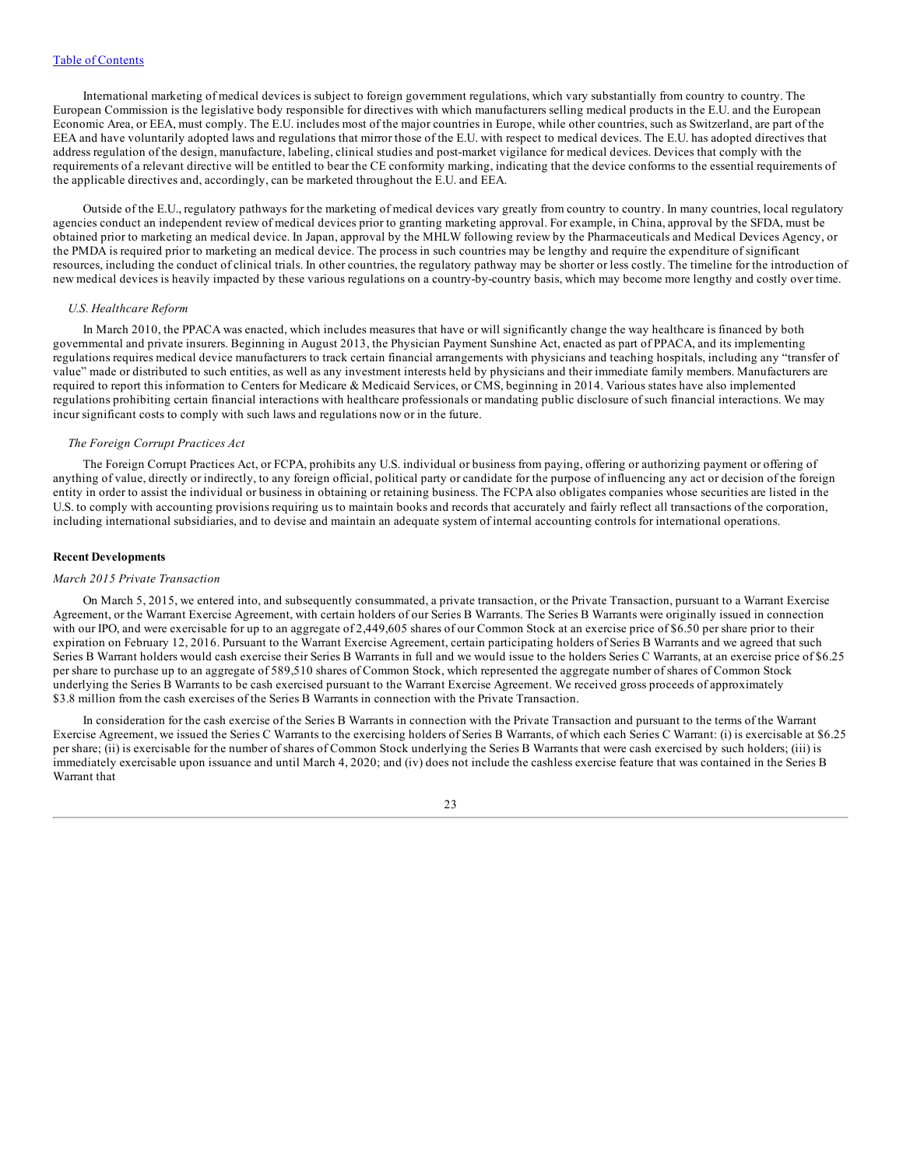International marketing of medical devices is subject to foreign government regulations, which vary substantially from country to country. The European Commission is the legislative body responsible for directives with which manufacturers selling medical products in the E.U. and the European Economic Area, or EEA, must comply. The E.U. includes most of the major countries in Europe, while other countries, such as Switzerland, are part of the EEA and have voluntarily adopted laws and regulations that mirror those of the E.U. with respect to medical devices. The E.U. has adopted directives that address regulation of the design, manufacture, labeling, clinical studies and post-market vigilance for medical devices. Devices that comply with the requirements of a relevant directive will be entitled to bear the CE conformity marking, indicating that the device conforms to the essential requirements of the applicable directives and, accordingly, can be marketed throughout the E.U. and EEA.

Outside of the E.U., regulatory pathways for the marketing of medical devices vary greatly from country to country. In many countries, local regulatory agencies conduct an independent review of medical devices prior to granting marketing approval. For example, in China, approval by the SFDA, must be obtained prior to marketing an medical device. In Japan, approval by the MHLW following review by the Pharmaceuticals and Medical Devices Agency, or the PMDA is required prior to marketing an medical device. The process in such countries may be lengthy and require the expenditure of significant resources, including the conduct of clinical trials. In other countries, the regulatory pathway may be shorter or less costly. The timeline for the introduction of new medical devices is heavily impacted by these various regulations on a country-by-country basis, which may become more lengthy and costly over time.

#### *U.S. Healthcare Reform*

In March 2010, the PPACA was enacted, which includes measures that have or will significantly change the way healthcare is financed by both governmental and private insurers. Beginning in August 2013, the Physician Payment Sunshine Act, enacted as part of PPACA, and its implementing regulations requires medical device manufacturers to track certain financial arrangements with physicians and teaching hospitals, including any "transfer of value" made or distributed to such entities, as well as any investment interests held by physicians and their immediate family members. Manufacturers are required to report this information to Centers for Medicare & Medicaid Services, or CMS, beginning in 2014. Various states have also implemented regulations prohibiting certain financial interactions with healthcare professionals or mandating public disclosure of such financial interactions. We may incur significant costs to comply with such laws and regulations now or in the future.

#### *The Foreign Corrupt Practices Act*

The Foreign Corrupt Practices Act, or FCPA, prohibits any U.S. individual or business from paying, offering or authorizing payment or offering of anything of value, directly or indirectly, to any foreign official, political party or candidate for the purpose of influencing any act or decision of the foreign entity in order to assist the individual or business in obtaining or retaining business. The FCPA also obligates companies whose securities are listed in the U.S. to comply with accounting provisions requiring us to maintain books and records that accurately and fairly reflect all transactions of the corporation, including international subsidiaries, and to devise and maintain an adequate system of internal accounting controls for international operations.

# **Recent Developments**

#### *March 2015 Private Transaction*

On March 5, 2015, we entered into, and subsequently consummated, a private transaction, or the Private Transaction, pursuant to a Warrant Exercise Agreement, or the Warrant Exercise Agreement, with certain holders of our Series B Warrants. The Series B Warrants were originally issued in connection with our IPO, and were exercisable for up to an aggregate of 2,449,605 shares of our Common Stock at an exercise price of \$6.50 per share prior to their expiration on February 12, 2016. Pursuant to the Warrant Exercise Agreement, certain participating holders of Series B Warrants and we agreed that such Series B Warrant holders would cash exercise their Series B Warrants in full and we would issue to the holders Series C Warrants, at an exercise price of \$6.25 per share to purchase up to an aggregate of 589,510 shares of Common Stock, which represented the aggregate number of shares of Common Stock underlying the Series B Warrants to be cash exercised pursuant to the Warrant Exercise Agreement. We received gross proceeds of approximately \$3.8 million from the cash exercises of the Series B Warrants in connection with the Private Transaction.

In consideration for the cash exercise of the Series B Warrants in connection with the Private Transaction and pursuant to the terms of the Warrant Exercise Agreement, we issued the Series C Warrants to the exercising holders of Series B Warrants, of which each Series C Warrant: (i) is exercisable at \$6.25 per share; (ii) is exercisable for the number of shares of Common Stock underlying the Series B Warrants that were cash exercised by such holders; (iii) is immediately exercisable upon issuance and until March 4, 2020; and (iv) does not include the cashless exercise feature that was contained in the Series B Warrant that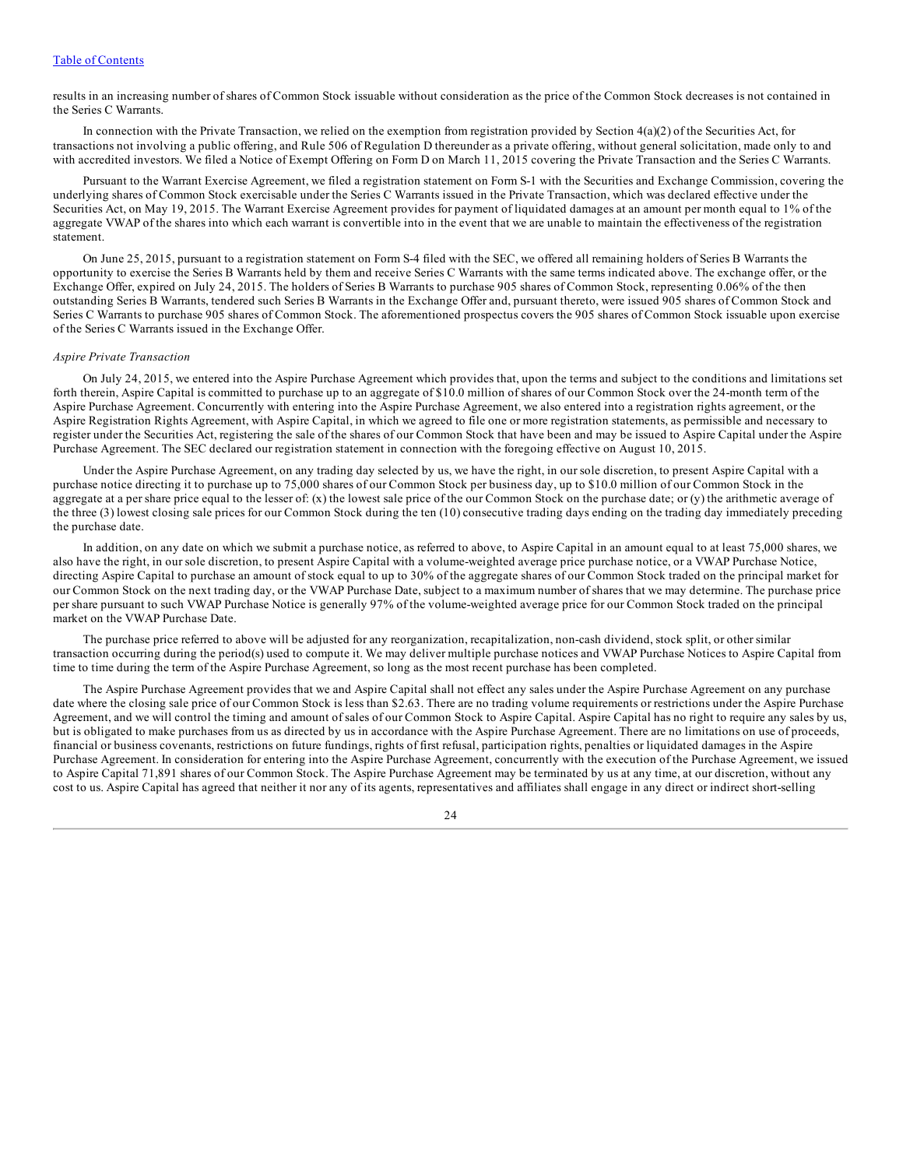results in an increasing number of shares of Common Stock issuable without consideration as the price of the Common Stock decreases is not contained in the Series C Warrants.

In connection with the Private Transaction, we relied on the exemption from registration provided by Section 4(a)(2) of the Securities Act, for transactions not involving a public offering, and Rule 506 of Regulation D thereunder as a private offering, without general solicitation, made only to and with accredited investors. We filed a Notice of Exempt Offering on Form D on March 11, 2015 covering the Private Transaction and the Series C Warrants.

Pursuant to the Warrant Exercise Agreement, we filed a registration statement on Form S-1 with the Securities and Exchange Commission, covering the underlying shares of Common Stock exercisable under the Series C Warrants issued in the Private Transaction, which was declared effective under the Securities Act, on May 19, 2015. The Warrant Exercise Agreement provides for payment of liquidated damages at an amount per month equal to 1% of the aggregate VWAP of the shares into which each warrant is convertible into in the event that we are unable to maintain the effectiveness of the registration statement.

On June 25, 2015, pursuant to a registration statement on Form S-4 filed with the SEC, we offered all remaining holders of Series B Warrants the opportunity to exercise the Series B Warrants held by them and receive Series C Warrants with the same terms indicated above. The exchange offer, or the Exchange Offer, expired on July 24, 2015. The holders of Series B Warrants to purchase 905 shares of Common Stock, representing 0.06% of the then outstanding Series B Warrants, tendered such Series B Warrants in the Exchange Offer and, pursuant thereto, were issued 905 shares of Common Stock and Series C Warrants to purchase 905 shares of Common Stock. The aforementioned prospectus covers the 905 shares of Common Stock issuable upon exercise of the Series C Warrants issued in the Exchange Offer.

#### *Aspire Private Transaction*

On July 24, 2015, we entered into the Aspire Purchase Agreement which provides that, upon the terms and subject to the conditions and limitations set forth therein, Aspire Capital is committed to purchase up to an aggregate of \$10.0 million of shares of our Common Stock over the 24-month term of the Aspire Purchase Agreement. Concurrently with entering into the Aspire Purchase Agreement, we also entered into a registration rights agreement, or the Aspire Registration Rights Agreement, with Aspire Capital, in which we agreed to file one or more registration statements, as permissible and necessary to register under the Securities Act, registering the sale of the shares of our Common Stock that have been and may be issued to Aspire Capital under the Aspire Purchase Agreement. The SEC declared our registration statement in connection with the foregoing effective on August 10, 2015.

Under the Aspire Purchase Agreement, on any trading day selected by us, we have the right, in our sole discretion, to present Aspire Capital with a purchase notice directing it to purchase up to 75,000 shares of our Common Stock per business day, up to \$10.0 million of our Common Stock in the aggregate at a per share price equal to the lesser of: (x) the lowest sale price of the our Common Stock on the purchase date; or (y) the arithmetic average of the three (3) lowest closing sale prices for our Common Stock during the ten (10) consecutive trading days ending on the trading day immediately preceding the purchase date.

In addition, on any date on which we submit a purchase notice, as referred to above, to Aspire Capital in an amount equal to at least 75,000 shares, we also have the right, in our sole discretion, to present Aspire Capital with a volume-weighted average price purchase notice, or a VWAP Purchase Notice, directing Aspire Capital to purchase an amount of stock equal to up to 30% of the aggregate shares of our Common Stock traded on the principal market for our Common Stock on the next trading day, or the VWAP Purchase Date, subject to a maximum number of shares that we may determine. The purchase price per share pursuant to such VWAP Purchase Notice is generally 97% of the volume-weighted average price for our Common Stock traded on the principal market on the VWAP Purchase Date.

The purchase price referred to above will be adjusted for any reorganization, recapitalization, non-cash dividend, stock split, or other similar transaction occurring during the period(s) used to compute it. We may deliver multiple purchase notices and VWAP Purchase Notices to Aspire Capital from time to time during the term of the Aspire Purchase Agreement, so long as the most recent purchase has been completed.

The Aspire Purchase Agreement provides that we and Aspire Capital shall not effect any sales under the Aspire Purchase Agreement on any purchase date where the closing sale price of our Common Stock is less than \$2.63. There are no trading volume requirements or restrictions under the Aspire Purchase Agreement, and we will control the timing and amount of sales of our Common Stock to Aspire Capital. Aspire Capital has no right to require any sales by us, but is obligated to make purchases from us as directed by us in accordance with the Aspire Purchase Agreement. There are no limitations on use of proceeds, financial or business covenants, restrictions on future fundings, rights of first refusal, participation rights, penalties or liquidated damages in the Aspire Purchase Agreement. In consideration for entering into the Aspire Purchase Agreement, concurrently with the execution of the Purchase Agreement, we issued to Aspire Capital 71,891 shares of our Common Stock. The Aspire Purchase Agreement may be terminated by us at any time, at our discretion, without any cost to us. Aspire Capital has agreed that neither it nor any of its agents, representatives and affiliates shall engage in any direct or indirect short-selling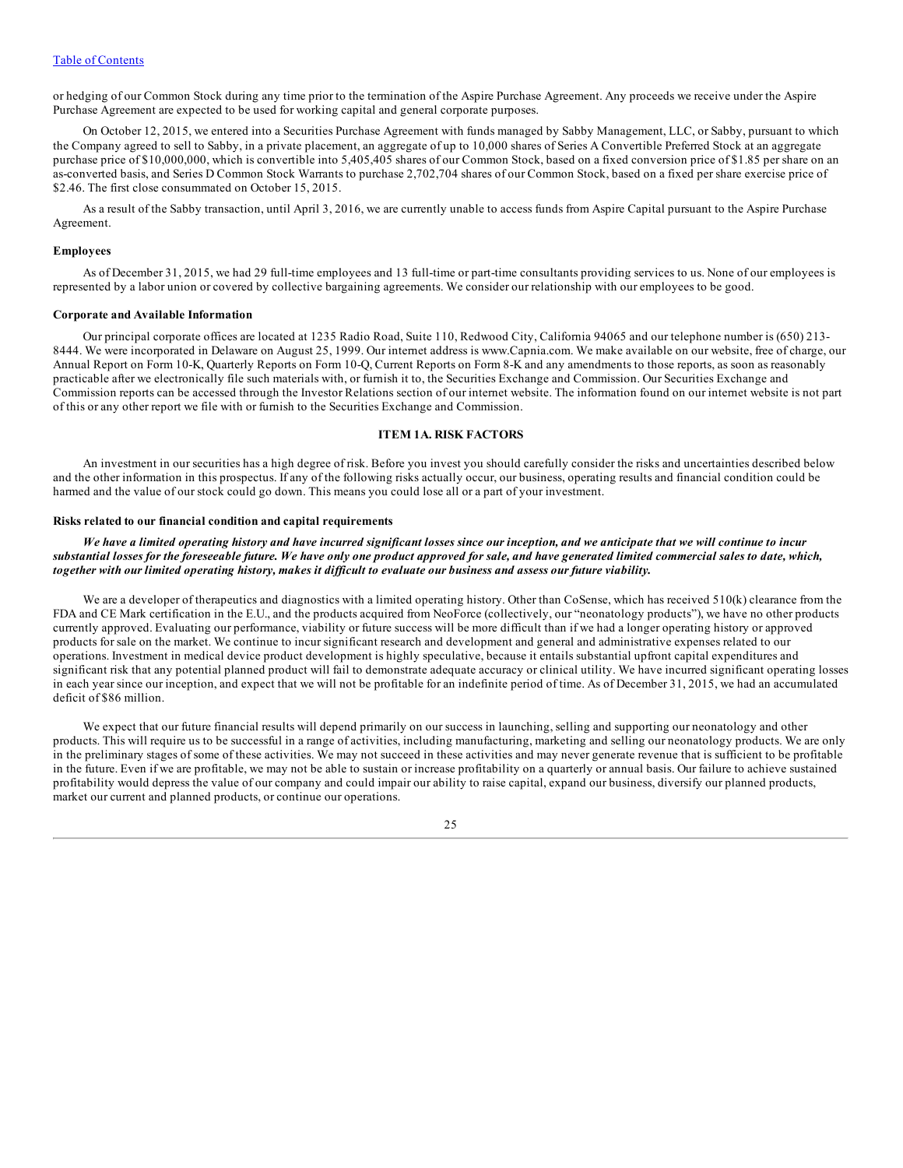<span id="page-27-0"></span>or hedging of our Common Stock during any time prior to the termination of the Aspire Purchase Agreement. Any proceeds we receive under the Aspire Purchase Agreement are expected to be used for working capital and general corporate purposes.

On October 12, 2015, we entered into a Securities Purchase Agreement with funds managed by Sabby Management, LLC, or Sabby, pursuant to which the Company agreed to sell to Sabby, in a private placement, an aggregate of up to 10,000 shares of Series A Convertible Preferred Stock at an aggregate purchase price of \$10,000,000, which is convertible into 5,405,405 shares of our Common Stock, based on a fixed conversion price of \$1.85 per share on an as-converted basis, and Series D Common Stock Warrants to purchase 2,702,704 shares of our Common Stock, based on a fixed per share exercise price of \$2.46. The first close consummated on October 15, 2015.

As a result of the Sabby transaction, until April 3, 2016, we are currently unable to access funds from Aspire Capital pursuant to the Aspire Purchase Agreement.

#### **Employees**

As of December 31, 2015, we had 29 full-time employees and 13 full-time or part-time consultants providing services to us. None of our employees is represented by a labor union or covered by collective bargaining agreements. We consider our relationship with our employees to be good.

# **Corporate and Available Information**

Our principal corporate offices are located at 1235 Radio Road, Suite 110, Redwood City, California 94065 and our telephone number is (650) 213- 8444. We were incorporated in Delaware on August 25, 1999. Our internet address is www.Capnia.com. We make available on our website, free of charge, our Annual Report on Form 10-K, Quarterly Reports on Form 10-Q, Current Reports on Form 8-K and any amendments to those reports, as soon as reasonably practicable after we electronically file such materials with, or furnish it to, the Securities Exchange and Commission. Our Securities Exchange and Commission reports can be accessed through the Investor Relations section of our internet website. The information found on our internet website is not part of this or any other report we file with or furnish to the Securities Exchange and Commission.

# **ITEM 1A. RISK FACTORS**

An investment in our securities has a high degree of risk. Before you invest you should carefully consider the risks and uncertainties described below and the other information in this prospectus. If any of the following risks actually occur, our business, operating results and financial condition could be harmed and the value of our stock could go down. This means you could lose all or a part of your investment.

#### **Risks related to our financial condition and capital requirements**

# We have a limited operating history and have incurred significant losses since our inception, and we anticipate that we will continue to incur substantial losses for the foreseeable future. We have only one product approved for sale, and have generated limited commercial sales to date, which, together with our limited operating history, makes it difficult to evaluate our business and assess our future viability.

We are a developer of therapeutics and diagnostics with a limited operating history. Other than CoSense, which has received 510(k) clearance from the FDA and CE Mark certification in the E.U., and the products acquired from NeoForce (collectively, our "neonatology products"), we have no other products currently approved. Evaluating our performance, viability or future success will be more difficult than if we had a longer operating history or approved products for sale on the market. We continue to incur significant research and development and general and administrative expenses related to our operations. Investment in medical device product development is highly speculative, because it entails substantial upfront capital expenditures and significant risk that any potential planned product will fail to demonstrate adequate accuracy or clinical utility. We have incurred significant operating losses in each year since our inception, and expect that we will not be profitable for an indefinite period of time. As of December 31, 2015, we had an accumulated deficit of \$86 million.

We expect that our future financial results will depend primarily on our success in launching, selling and supporting our neonatology and other products. This will require us to be successful in a range of activities, including manufacturing, marketing and selling our neonatology products. We are only in the preliminary stages of some of these activities. We may not succeed in these activities and may never generate revenue that is sufficient to be profitable in the future. Even if we are profitable, we may not be able to sustain or increase profitability on a quarterly or annual basis. Our failure to achieve sustained profitability would depress the value of our company and could impair our ability to raise capital, expand our business, diversify our planned products, market our current and planned products, or continue our operations.

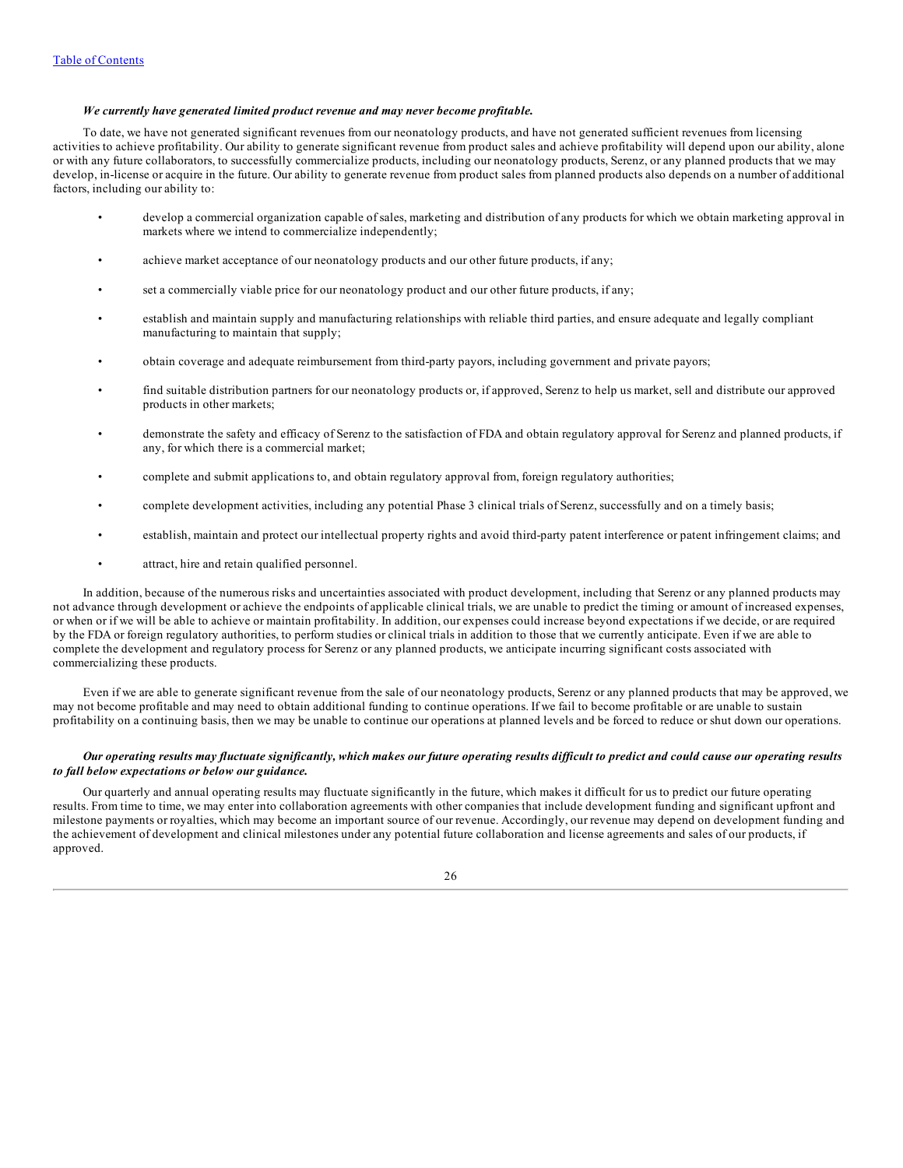# *We currently have generated limited product revenue and may never become profitable.*

To date, we have not generated significant revenues from our neonatology products, and have not generated sufficient revenues from licensing activities to achieve profitability. Our ability to generate significant revenue from product sales and achieve profitability will depend upon our ability, alone or with any future collaborators, to successfully commercialize products, including our neonatology products, Serenz, or any planned products that we may develop, in-license or acquire in the future. Our ability to generate revenue from product sales from planned products also depends on a number of additional factors, including our ability to:

- develop a commercial organization capable of sales, marketing and distribution of any products for which we obtain marketing approval in markets where we intend to commercialize independently;
- achieve market acceptance of our neonatology products and our other future products, if any;
- set a commercially viable price for our neonatology product and our other future products, if any;
- establish and maintain supply and manufacturing relationships with reliable third parties, and ensure adequate and legally compliant manufacturing to maintain that supply;
- obtain coverage and adequate reimbursement from third-party payors, including government and private payors;
- find suitable distribution partners for our neonatology products or, if approved, Serenz to help us market, sell and distribute our approved products in other markets;
- demonstrate the safety and efficacy of Serenz to the satisfaction of FDA and obtain regulatory approval for Serenz and planned products, if any, for which there is a commercial market;
- complete and submit applications to, and obtain regulatory approval from, foreign regulatory authorities;
- complete development activities, including any potential Phase 3 clinical trials of Serenz, successfully and on a timely basis;
- establish, maintain and protect our intellectual property rights and avoid third-party patent interference or patent infringement claims; and
- attract, hire and retain qualified personnel.

In addition, because of the numerous risks and uncertainties associated with product development, including that Serenz or any planned products may not advance through development or achieve the endpoints of applicable clinical trials, we are unable to predict the timing or amount of increased expenses, or when or if we will be able to achieve or maintain profitability. In addition, our expenses could increase beyond expectations if we decide, or are required by the FDA or foreign regulatory authorities, to perform studies or clinical trials in addition to those that we currently anticipate. Even if we are able to complete the development and regulatory process for Serenz or any planned products, we anticipate incurring significant costs associated with commercializing these products.

Even if we are able to generate significant revenue from the sale of our neonatology products, Serenz or any planned products that may be approved, we may not become profitable and may need to obtain additional funding to continue operations. If we fail to become profitable or are unable to sustain profitability on a continuing basis, then we may be unable to continue our operations at planned levels and be forced to reduce or shut down our operations.

# Our operating results may fluctuate significantly, which makes our future operating results difficult to predict and could cause our operating results *to fall below expectations or below our guidance.*

Our quarterly and annual operating results may fluctuate significantly in the future, which makes it difficult for us to predict our future operating results. From time to time, we may enter into collaboration agreements with other companies that include development funding and significant upfront and milestone payments or royalties, which may become an important source of our revenue. Accordingly, our revenue may depend on development funding and the achievement of development and clinical milestones under any potential future collaboration and license agreements and sales of our products, if approved.

26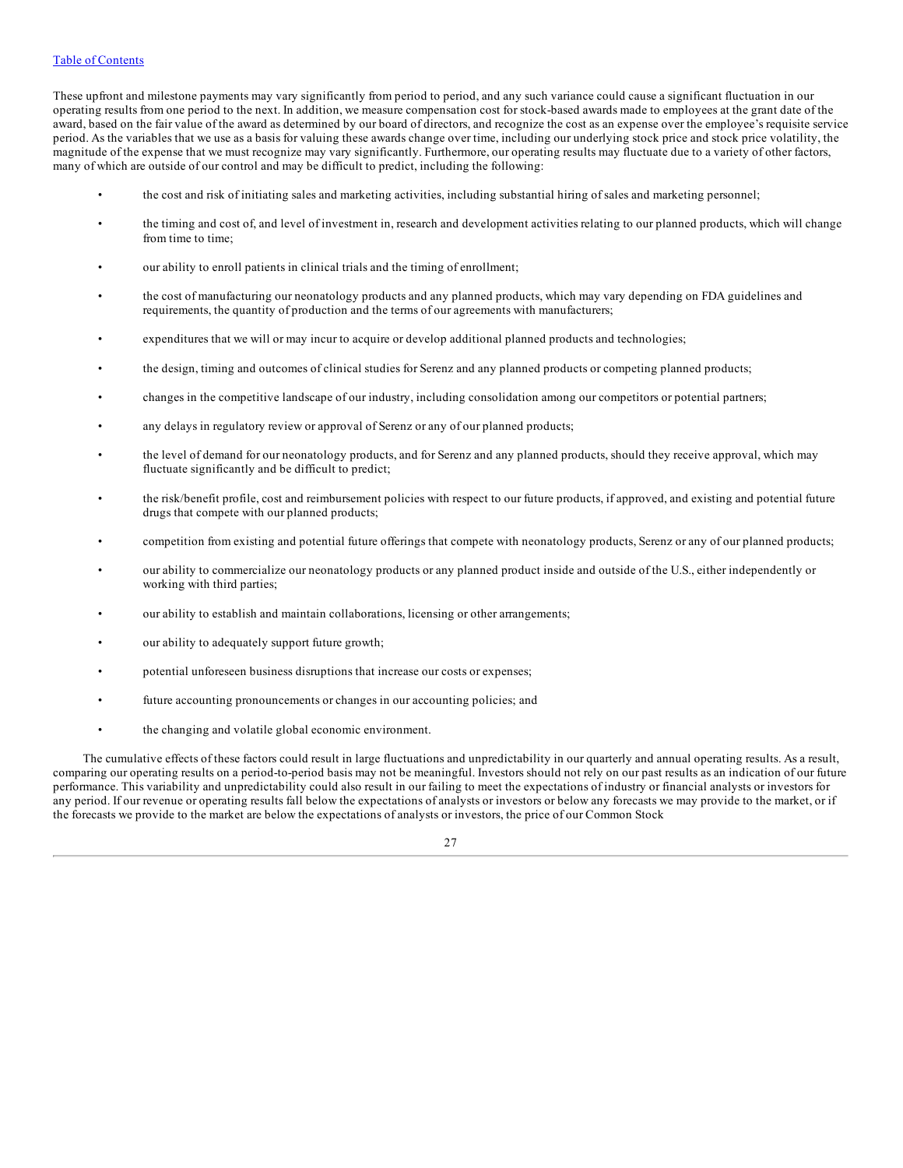These upfront and milestone payments may vary significantly from period to period, and any such variance could cause a significant fluctuation in our operating results from one period to the next. In addition, we measure compensation cost for stock-based awards made to employees at the grant date of the award, based on the fair value of the award as determined by our board of directors, and recognize the cost as an expense over the employee's requisite service period. As the variables that we use as a basis for valuing these awards change over time, including our underlying stock price and stock price volatility, the magnitude of the expense that we must recognize may vary significantly. Furthermore, our operating results may fluctuate due to a variety of other factors, many of which are outside of our control and may be difficult to predict, including the following:

- the cost and risk of initiating sales and marketing activities, including substantial hiring of sales and marketing personnel;
- the timing and cost of, and level of investment in, research and development activities relating to our planned products, which will change from time to time;
- our ability to enroll patients in clinical trials and the timing of enrollment;
- the cost of manufacturing our neonatology products and any planned products, which may vary depending on FDA guidelines and requirements, the quantity of production and the terms of our agreements with manufacturers;
- expenditures that we will or may incur to acquire or develop additional planned products and technologies;
- the design, timing and outcomes of clinical studies for Serenz and any planned products or competing planned products;
- changes in the competitive landscape of our industry, including consolidation among our competitors or potential partners;
- any delays in regulatory review or approval of Serenz or any of our planned products;
- the level of demand for our neonatology products, and for Serenz and any planned products, should they receive approval, which may fluctuate significantly and be difficult to predict;
- the risk/benefit profile, cost and reimbursement policies with respect to our future products, if approved, and existing and potential future drugs that compete with our planned products;
- competition from existing and potential future offerings that compete with neonatology products, Serenz or any of our planned products;
- our ability to commercialize our neonatology products or any planned product inside and outside of the U.S., either independently or working with third parties;
- our ability to establish and maintain collaborations, licensing or other arrangements;
- our ability to adequately support future growth;
- potential unforeseen business disruptions that increase our costs or expenses;
- future accounting pronouncements or changes in our accounting policies; and
- the changing and volatile global economic environment.

The cumulative effects of these factors could result in large fluctuations and unpredictability in our quarterly and annual operating results. As a result, comparing our operating results on a period-to-period basis may not be meaningful. Investors should not rely on our past results as an indication of our future performance. This variability and unpredictability could also result in our failing to meet the expectations of industry or financial analysts or investors for any period. If our revenue or operating results fall below the expectations of analysts or investors or below any forecasts we may provide to the market, or if the forecasts we provide to the market are below the expectations of analysts or investors, the price of our Common Stock

27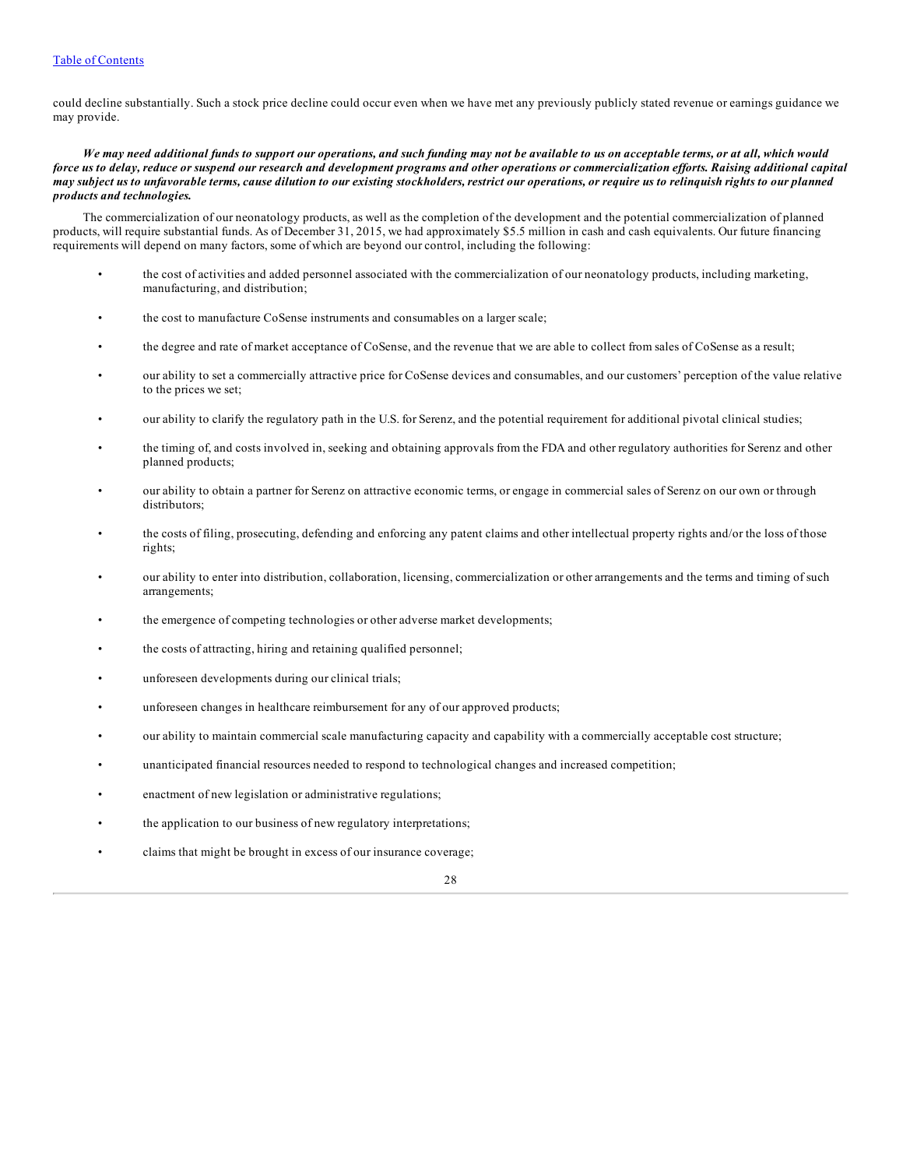could decline substantially. Such a stock price decline could occur even when we have met any previously publicly stated revenue or earnings guidance we may provide.

# We may need additional funds to support our operations, and such funding may not be available to us on acceptable terms, or at all, which would force us to delay, reduce or suspend our research and development programs and other operations or commercialization efforts. Raising additional capital may subject us to unfavorable terms, cause dilution to our existing stockholders, restrict our operations, or require us to relinquish rights to our planned *products and technologies.*

The commercialization of our neonatology products, as well as the completion of the development and the potential commercialization of planned products, will require substantial funds. As of December 31, 2015, we had approximately \$5.5 million in cash and cash equivalents. Our future financing requirements will depend on many factors, some of which are beyond our control, including the following:

- the cost of activities and added personnel associated with the commercialization of our neonatology products, including marketing, manufacturing, and distribution;
- the cost to manufacture CoSense instruments and consumables on a larger scale;
- the degree and rate of market acceptance of CoSense, and the revenue that we are able to collect from sales of CoSense as a result;
- our ability to set a commercially attractive price for CoSense devices and consumables, and our customers' perception of the value relative to the prices we set;
- our ability to clarify the regulatory path in the U.S. for Serenz, and the potential requirement for additional pivotal clinical studies;
- the timing of, and costs involved in, seeking and obtaining approvals from the FDA and other regulatory authorities for Serenz and other planned products;
- our ability to obtain a partner for Serenz on attractive economic terms, or engage in commercial sales of Serenz on our own or through distributors;
- the costs of filing, prosecuting, defending and enforcing any patent claims and other intellectual property rights and/or the loss of those rights;
- our ability to enter into distribution, collaboration, licensing, commercialization or other arrangements and the terms and timing of such arrangements;
- the emergence of competing technologies or other adverse market developments;
- the costs of attracting, hiring and retaining qualified personnel;
- unforeseen developments during our clinical trials;
- unforeseen changes in healthcare reimbursement for any of our approved products;
- our ability to maintain commercial scale manufacturing capacity and capability with a commercially acceptable cost structure;
- unanticipated financial resources needed to respond to technological changes and increased competition;
- enactment of new legislation or administrative regulations;
- the application to our business of new regulatory interpretations;
- claims that might be brought in excess of our insurance coverage;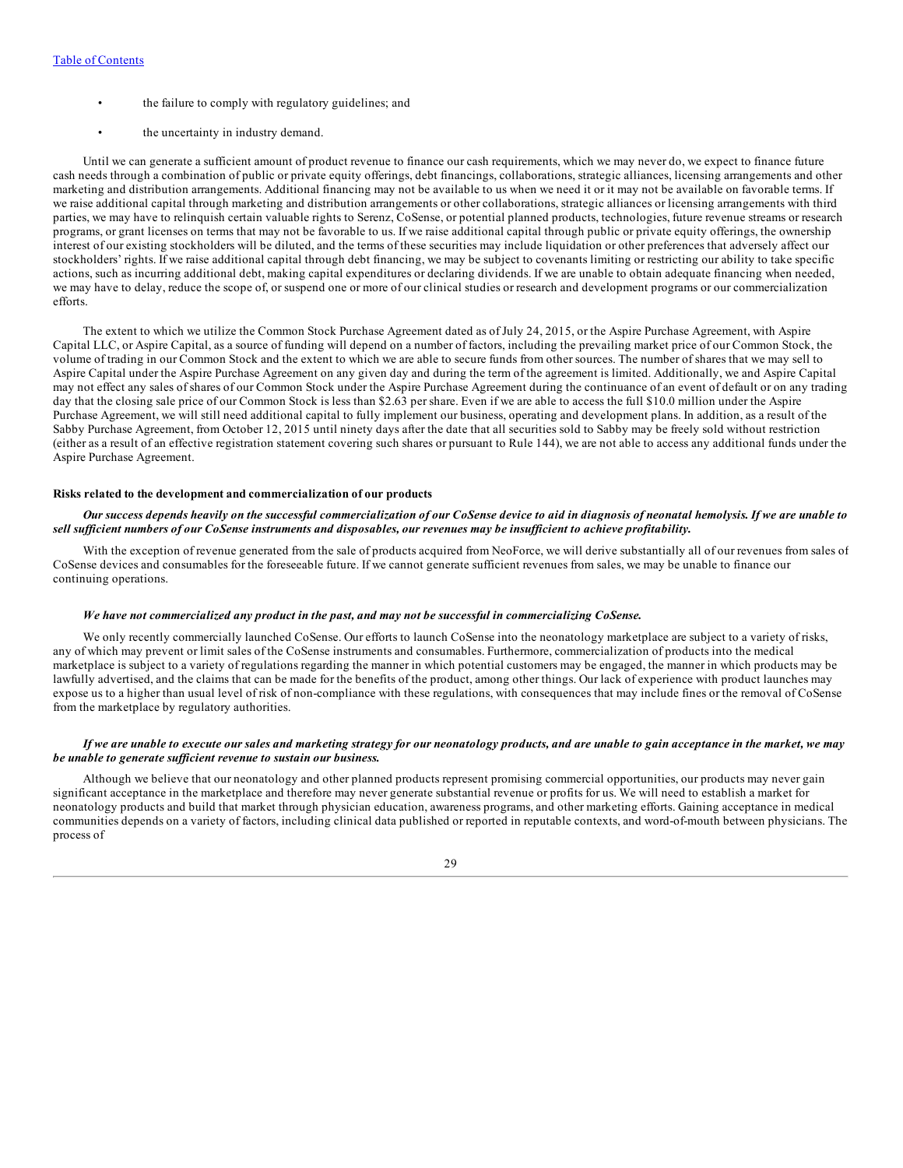- the failure to comply with regulatory guidelines; and
- the uncertainty in industry demand.

Until we can generate a sufficient amount of product revenue to finance our cash requirements, which we may never do, we expect to finance future cash needs through a combination of public or private equity offerings, debt financings, collaborations, strategic alliances, licensing arrangements and other marketing and distribution arrangements. Additional financing may not be available to us when we need it or it may not be available on favorable terms. If we raise additional capital through marketing and distribution arrangements or other collaborations, strategic alliances or licensing arrangements with third parties, we may have to relinquish certain valuable rights to Serenz, CoSense, or potential planned products, technologies, future revenue streams or research programs, or grant licenses on terms that may not be favorable to us. If we raise additional capital through public or private equity offerings, the ownership interest of our existing stockholders will be diluted, and the terms of these securities may include liquidation or other preferences that adversely affect our stockholders' rights. If we raise additional capital through debt financing, we may be subject to covenants limiting or restricting our ability to take specific actions, such as incurring additional debt, making capital expenditures or declaring dividends. If we are unable to obtain adequate financing when needed, we may have to delay, reduce the scope of, or suspend one or more of our clinical studies or research and development programs or our commercialization efforts.

The extent to which we utilize the Common Stock Purchase Agreement dated as of July 24, 2015, or the Aspire Purchase Agreement, with Aspire Capital LLC, or Aspire Capital, as a source of funding will depend on a number of factors, including the prevailing market price of our Common Stock, the volume of trading in our Common Stock and the extent to which we are able to secure funds from other sources. The number of shares that we may sell to Aspire Capital under the Aspire Purchase Agreement on any given day and during the term of the agreement is limited. Additionally, we and Aspire Capital may not effect any sales of shares of our Common Stock under the Aspire Purchase Agreement during the continuance of an event of default or on any trading day that the closing sale price of our Common Stock is less than \$2.63 per share. Even if we are able to access the full \$10.0 million under the Aspire Purchase Agreement, we will still need additional capital to fully implement our business, operating and development plans. In addition, as a result of the Sabby Purchase Agreement, from October 12, 2015 until ninety days after the date that all securities sold to Sabby may be freely sold without restriction (either as a result of an effective registration statement covering such shares or pursuant to Rule 144), we are not able to access any additional funds under the Aspire Purchase Agreement.

#### **Risks related to the development and commercialization of our products**

# Our success depends heavily on the successful commercialization of our CoSense device to aid in diagnosis of neonatal hemolysis. If we are unable to sell sufficient numbers of our CoSense instruments and disposables, our revenues may be insufficient to achieve profitability.

With the exception of revenue generated from the sale of products acquired from NeoForce, we will derive substantially all of our revenues from sales of CoSense devices and consumables for the foreseeable future. If we cannot generate sufficient revenues from sales, we may be unable to finance our continuing operations.

#### *We have not commercialized any product in the past, and may not be successful in commercializing CoSense.*

We only recently commercially launched CoSense. Our efforts to launch CoSense into the neonatology marketplace are subject to a variety of risks, any of which may prevent or limit sales of the CoSense instruments and consumables. Furthermore, commercialization of products into the medical marketplace is subject to a variety of regulations regarding the manner in which potential customers may be engaged, the manner in which products may be lawfully advertised, and the claims that can be made for the benefits of the product, among other things. Our lack of experience with product launches may expose us to a higher than usual level of risk of non-compliance with these regulations, with consequences that may include fines or the removal of CoSense from the marketplace by regulatory authorities.

# If we are unable to execute our sales and marketing strategy for our neonatology products, and are unable to gain acceptance in the market, we may *be unable to generate suf icient revenue to sustain our business.*

Although we believe that our neonatology and other planned products represent promising commercial opportunities, our products may never gain significant acceptance in the marketplace and therefore may never generate substantial revenue or profits for us. We will need to establish a market for neonatology products and build that market through physician education, awareness programs, and other marketing efforts. Gaining acceptance in medical communities depends on a variety of factors, including clinical data published or reported in reputable contexts, and word-of-mouth between physicians. The process of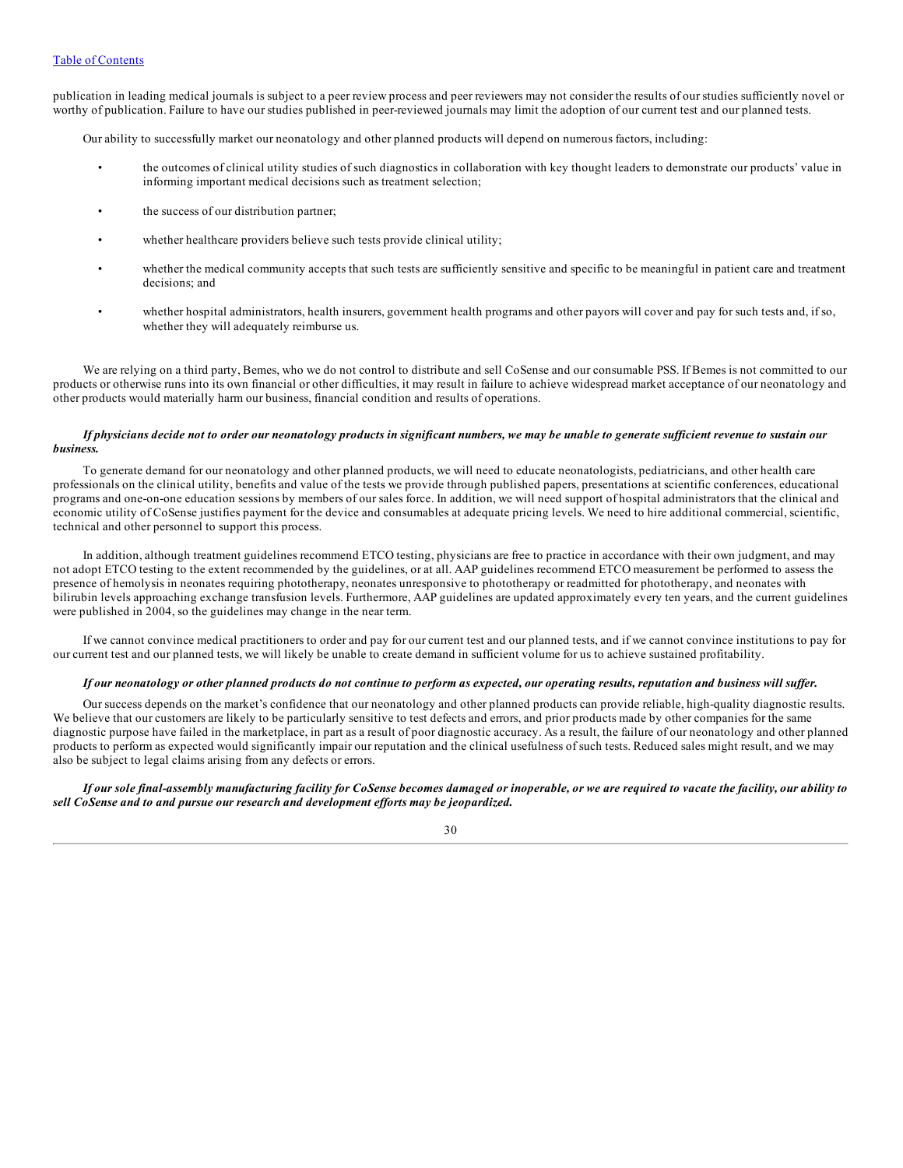# Table of [Contents](#page-0-0)

publication in leading medical journals is subject to a peer review process and peer reviewers may not consider the results of our studies sufficiently novel or worthy of publication. Failure to have our studies published in peer-reviewed journals may limit the adoption of our current test and our planned tests.

Our ability to successfully market our neonatology and other planned products will depend on numerous factors, including:

- the outcomes of clinical utility studies of such diagnostics in collaboration with key thought leaders to demonstrate our products' value in informing important medical decisions such as treatment selection;
- the success of our distribution partner;
- whether healthcare providers believe such tests provide clinical utility;
- whether the medical community accepts that such tests are sufficiently sensitive and specific to be meaningful in patient care and treatment decisions; and
- whether hospital administrators, health insurers, government health programs and other payors will cover and pay for such tests and, if so, whether they will adequately reimburse us.

We are relying on a third party, Bemes, who we do not control to distribute and sell CoSense and our consumable PSS. If Bemes is not committed to our products or otherwise runs into its own financial or other difficulties, it may result in failure to achieve widespread market acceptance of our neonatology and other products would materially harm our business, financial condition and results of operations.

# If physicians decide not to order our neonatology products in significant numbers, we may be unable to generate sufficient revenue to sustain our *business.*

To generate demand for our neonatology and other planned products, we will need to educate neonatologists, pediatricians, and other health care professionals on the clinical utility, benefits and value of the tests we provide through published papers, presentations at scientific conferences, educational programs and one-on-one education sessions by members of our sales force. In addition, we will need support of hospital administrators that the clinical and economic utility of CoSense justifies payment for the device and consumables at adequate pricing levels. We need to hire additional commercial, scientific, technical and other personnel to support this process.

In addition, although treatment guidelines recommend ETCO testing, physicians are free to practice in accordance with their own judgment, and may not adopt ETCO testing to the extent recommended by the guidelines, or at all. AAP guidelines recommend ETCO measurement be performed to assess the presence of hemolysis in neonates requiring phototherapy, neonates unresponsive to phototherapy or readmitted for phototherapy, and neonates with bilirubin levels approaching exchange transfusion levels. Furthermore, AAP guidelines are updated approximately every ten years, and the current guidelines were published in 2004, so the guidelines may change in the near term.

If we cannot convince medical practitioners to order and pay for our current test and our planned tests, and if we cannot convince institutions to pay for our current test and our planned tests, we will likely be unable to create demand in sufficient volume for us to achieve sustained profitability.

# If our neonatology or other planned products do not continue to perform as expected, our operating results, reputation and business will suffer.

Our success depends on the market's confidence that our neonatology and other planned products can provide reliable, high-quality diagnostic results. We believe that our customers are likely to be particularly sensitive to test defects and errors, and prior products made by other companies for the same diagnostic purpose have failed in the marketplace, in part as a result of poor diagnostic accuracy. As a result, the failure of our neonatology and other planned products to perform as expected would significantly impair our reputation and the clinical usefulness of such tests. Reduced sales might result, and we may also be subject to legal claims arising from any defects or errors.

#### If our sole final-assembly manufacturing facility for CoSense becomes damaged or inoperable, or we are required to vacate the facility, our ability to *sell CoSense and to and pursue our research and development ef orts may be jeopardized.*

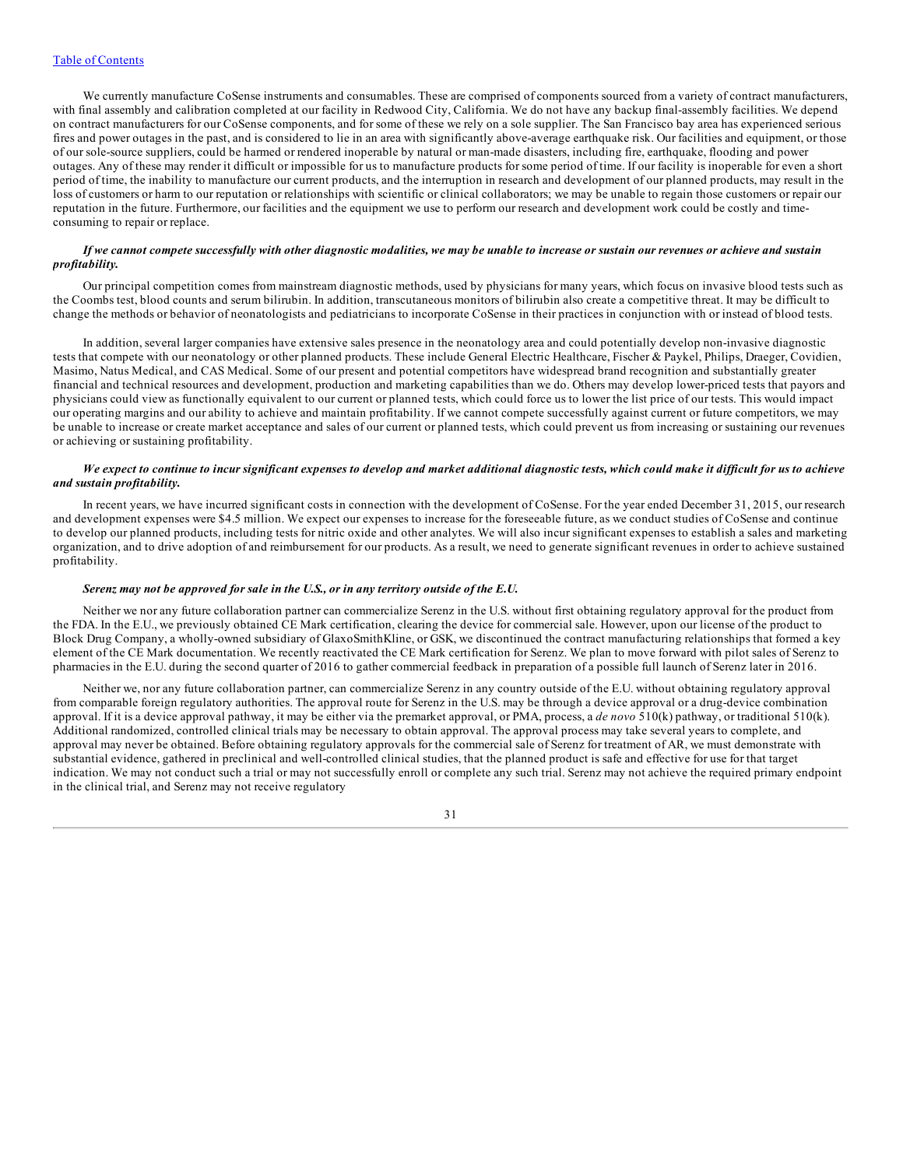We currently manufacture CoSense instruments and consumables. These are comprised of components sourced from a variety of contract manufacturers, with final assembly and calibration completed at our facility in Redwood City, California. We do not have any backup final-assembly facilities. We depend on contract manufacturers for our CoSense components, and for some of these we rely on a sole supplier. The San Francisco bay area has experienced serious fires and power outages in the past, and is considered to lie in an area with significantly above-average earthquake risk. Our facilities and equipment, or those of our sole-source suppliers, could be harmed or rendered inoperable by natural or man-made disasters, including fire, earthquake, flooding and power outages. Any of these may render it difficult or impossible for us to manufacture products for some period of time. If our facility is inoperable for even a short period of time, the inability to manufacture our current products, and the interruption in research and development of our planned products, may result in the loss of customers or harm to our reputation or relationships with scientific or clinical collaborators; we may be unable to regain those customers or repair our reputation in the future. Furthermore, our facilities and the equipment we use to perform our research and development work could be costly and timeconsuming to repair or replace.

# If we cannot compete successfully with other diagnostic modalities, we may be unable to increase or sustain our revenues or achieve and sustain *profitability.*

Our principal competition comes from mainstream diagnostic methods, used by physicians for many years, which focus on invasive blood tests such as the Coombs test, blood counts and serum bilirubin. In addition, transcutaneous monitors of bilirubin also create a competitive threat. It may be difficult to change the methods or behavior of neonatologists and pediatricians to incorporate CoSense in their practices in conjunction with or instead of blood tests.

In addition, several larger companies have extensive sales presence in the neonatology area and could potentially develop non-invasive diagnostic tests that compete with our neonatology or other planned products. These include General Electric Healthcare, Fischer & Paykel, Philips, Draeger, Covidien, Masimo, Natus Medical, and CAS Medical. Some of our present and potential competitors have widespread brand recognition and substantially greater financial and technical resources and development, production and marketing capabilities than we do. Others may develop lower-priced tests that payors and physicians could view as functionally equivalent to our current or planned tests, which could force us to lower the list price of our tests. This would impact our operating margins and our ability to achieve and maintain profitability. If we cannot compete successfully against current or future competitors, we may be unable to increase or create market acceptance and sales of our current or planned tests, which could prevent us from increasing or sustaining our revenues or achieving or sustaining profitability.

# We expect to continue to incur significant expenses to develop and market additional diagnostic tests, which could make it difficult for us to achieve *and sustain profitability.*

In recent years, we have incurred significant costs in connection with the development of CoSense. For the year ended December 31, 2015, our research and development expenses were \$4.5 million. We expect our expenses to increase for the foreseeable future, as we conduct studies of CoSense and continue to develop our planned products, including tests for nitric oxide and other analytes. We will also incur significant expenses to establish a sales and marketing organization, and to drive adoption of and reimbursement for our products. As a result, we need to generate significant revenues in order to achieve sustained profitability.

#### *Serenz may not be approved for sale in the U.S., or in any territory outside of the E.U.*

Neither we nor any future collaboration partner can commercialize Serenz in the U.S. without first obtaining regulatory approval for the product from the FDA. In the E.U., we previously obtained CE Mark certification, clearing the device for commercial sale. However, upon our license of the product to Block Drug Company, a wholly-owned subsidiary of GlaxoSmithKline, or GSK, we discontinued the contract manufacturing relationships that formed a key element of the CE Mark documentation. We recently reactivated the CE Mark certification for Serenz. We plan to move forward with pilot sales of Serenz to pharmacies in the E.U. during the second quarter of 2016 to gather commercial feedback in preparation of a possible full launch of Serenz later in 2016.

Neither we, nor any future collaboration partner, can commercialize Serenz in any country outside of the E.U. without obtaining regulatory approval from comparable foreign regulatory authorities. The approval route for Serenz in the U.S. may be through a device approval or a drug-device combination approval. If it is a device approval pathway, it may be either via the premarket approval, or PMA, process, a *de novo* 510(k) pathway, or traditional 510(k). Additional randomized, controlled clinical trials may be necessary to obtain approval. The approval process may take several years to complete, and approval may never be obtained. Before obtaining regulatory approvals for the commercial sale of Serenz for treatment of AR, we must demonstrate with substantial evidence, gathered in preclinical and well-controlled clinical studies, that the planned product is safe and effective for use for that target indication. We may not conduct such a trial or may not successfully enroll or complete any such trial. Serenz may not achieve the required primary endpoint in the clinical trial, and Serenz may not receive regulatory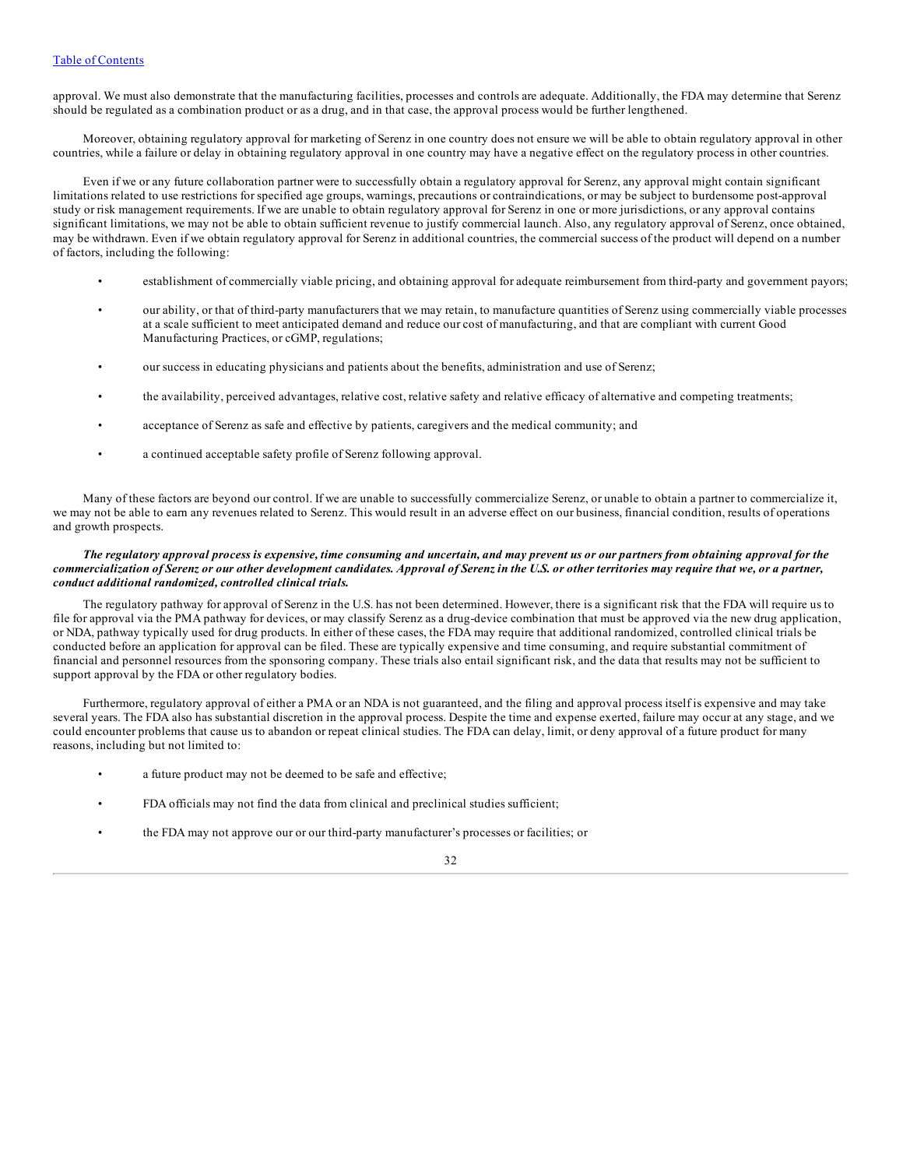approval. We must also demonstrate that the manufacturing facilities, processes and controls are adequate. Additionally, the FDA may determine that Serenz should be regulated as a combination product or as a drug, and in that case, the approval process would be further lengthened.

Moreover, obtaining regulatory approval for marketing of Serenz in one country does not ensure we will be able to obtain regulatory approval in other countries, while a failure or delay in obtaining regulatory approval in one country may have a negative effect on the regulatory process in other countries.

Even if we or any future collaboration partner were to successfully obtain a regulatory approval for Serenz, any approval might contain significant limitations related to use restrictions for specified age groups, warnings, precautions or contraindications, or may be subject to burdensome post-approval study or risk management requirements. If we are unable to obtain regulatory approval for Serenz in one or more jurisdictions, or any approval contains significant limitations, we may not be able to obtain sufficient revenue to justify commercial launch. Also, any regulatory approval of Serenz, once obtained, may be withdrawn. Even if we obtain regulatory approval for Serenz in additional countries, the commercial success of the product will depend on a number of factors, including the following:

- establishment of commercially viable pricing, and obtaining approval for adequate reimbursement from third-party and government payors;
- our ability, or that of third-party manufacturers that we may retain, to manufacture quantities of Serenz using commercially viable processes at a scale sufficient to meet anticipated demand and reduce our cost of manufacturing, and that are compliant with current Good Manufacturing Practices, or cGMP, regulations;
- our success in educating physicians and patients about the benefits, administration and use of Serenz;
- the availability, perceived advantages, relative cost, relative safety and relative efficacy of alternative and competing treatments;
- acceptance of Serenz as safe and effective by patients, caregivers and the medical community; and
- a continued acceptable safety profile of Serenz following approval.

Many of these factors are beyond our control. If we are unable to successfully commercialize Serenz, or unable to obtain a partner to commercialize it, we may not be able to earn any revenues related to Serenz. This would result in an adverse effect on our business, financial condition, results of operations and growth prospects.

# The regulatory approval process is expensive, time consuming and uncertain, and may prevent us or our partners from obtaining approval for the commercialization of Serenz or our other development candidates. Approval of Serenz in the U.S. or other territories may require that we, or a partner, *conduct additional randomized, controlled clinical trials.*

The regulatory pathway for approval of Serenz in the U.S. has not been determined. However, there is a significant risk that the FDA will require us to file for approval via the PMA pathway for devices, or may classify Serenz as a drug-device combination that must be approved via the new drug application, or NDA, pathway typically used for drug products. In either of these cases, the FDA may require that additional randomized, controlled clinical trials be conducted before an application for approval can be filed. These are typically expensive and time consuming, and require substantial commitment of financial and personnel resources from the sponsoring company. These trials also entail significant risk, and the data that results may not be sufficient to support approval by the FDA or other regulatory bodies.

Furthermore, regulatory approval of either a PMA or an NDA is not guaranteed, and the filing and approval process itself is expensive and may take several years. The FDA also has substantial discretion in the approval process. Despite the time and expense exerted, failure may occur at any stage, and we could encounter problems that cause us to abandon or repeat clinical studies. The FDA can delay, limit, or deny approval of a future product for many reasons, including but not limited to:

- a future product may not be deemed to be safe and effective;
- FDA officials may not find the data from clinical and preclinical studies sufficient;
- the FDA may not approve our or our third-party manufacturer's processes or facilities; or

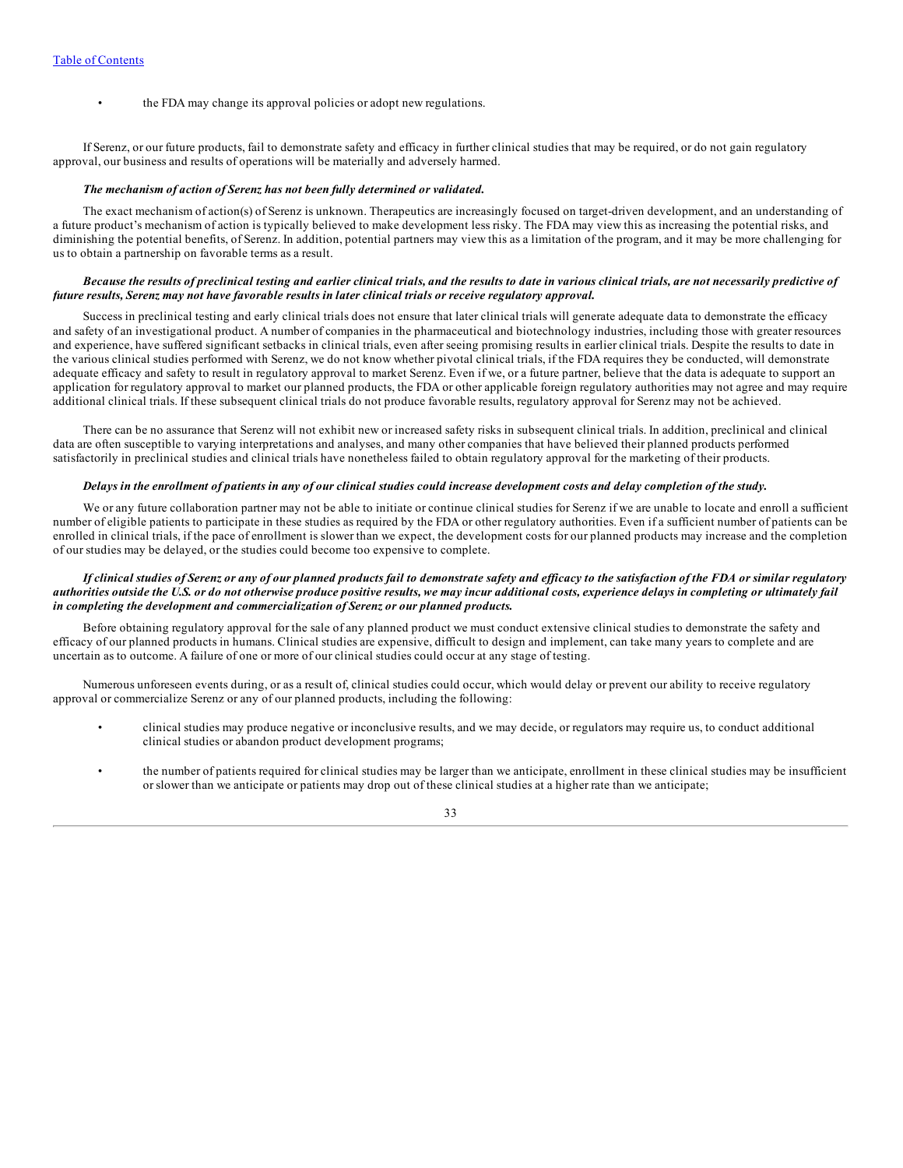• the FDA may change its approval policies or adopt new regulations.

If Serenz, or our future products, fail to demonstrate safety and efficacy in further clinical studies that may be required, or do not gain regulatory approval, our business and results of operations will be materially and adversely harmed.

#### *The mechanism of action of Serenz has not been fully determined or validated.*

The exact mechanism of action(s) of Serenz is unknown. Therapeutics are increasingly focused on target-driven development, and an understanding of a future product's mechanism of action is typically believed to make development less risky. The FDA may view this as increasing the potential risks, and diminishing the potential benefits, of Serenz. In addition, potential partners may view this as a limitation of the program, and it may be more challenging for us to obtain a partnership on favorable terms as a result.

# Because the results of preclinical testing and earlier clinical trials, and the results to date in various clinical trials, are not necessarily predictive of *future results, Serenz may not have favorable results in later clinical trials or receive regulatory approval.*

Success in preclinical testing and early clinical trials does not ensure that later clinical trials will generate adequate data to demonstrate the efficacy and safety of an investigational product. A number of companies in the pharmaceutical and biotechnology industries, including those with greater resources and experience, have suffered significant setbacks in clinical trials, even after seeing promising results in earlier clinical trials. Despite the results to date in the various clinical studies performed with Serenz, we do not know whether pivotal clinical trials, if the FDA requires they be conducted, will demonstrate adequate efficacy and safety to result in regulatory approval to market Serenz. Even if we, or a future partner, believe that the data is adequate to support an application for regulatory approval to market our planned products, the FDA or other applicable foreign regulatory authorities may not agree and may require additional clinical trials. If these subsequent clinical trials do not produce favorable results, regulatory approval for Serenz may not be achieved.

There can be no assurance that Serenz will not exhibit new or increased safety risks in subsequent clinical trials. In addition, preclinical and clinical data are often susceptible to varying interpretations and analyses, and many other companies that have believed their planned products performed satisfactorily in preclinical studies and clinical trials have nonetheless failed to obtain regulatory approval for the marketing of their products.

# Delays in the enrollment of patients in any of our clinical studies could increase development costs and delay completion of the study.

We or any future collaboration partner may not be able to initiate or continue clinical studies for Serenz if we are unable to locate and enroll a sufficient number of eligible patients to participate in these studies as required by the FDA or other regulatory authorities. Even if a sufficient number of patients can be enrolled in clinical trials, if the pace of enrollment is slower than we expect, the development costs for our planned products may increase and the completion of our studies may be delayed, or the studies could become too expensive to complete.

# If clinical studies of Serenz or any of our planned products fail to demonstrate safety and efficacy to the satisfaction of the FDA or similar regulatory authorities outside the U.S. or do not otherwise produce positive results, we may incur additional costs, experience delays in completing or ultimately fail *in completing the development and commercialization of Serenz or our planned products.*

Before obtaining regulatory approval for the sale of any planned product we must conduct extensive clinical studies to demonstrate the safety and efficacy of our planned products in humans. Clinical studies are expensive, difficult to design and implement, can take many years to complete and are uncertain as to outcome. A failure of one or more of our clinical studies could occur at any stage of testing.

Numerous unforeseen events during, or as a result of, clinical studies could occur, which would delay or prevent our ability to receive regulatory approval or commercialize Serenz or any of our planned products, including the following:

- clinical studies may produce negative or inconclusive results, and we may decide, or regulators may require us, to conduct additional clinical studies or abandon product development programs;
- the number of patients required for clinical studies may be larger than we anticipate, enrollment in these clinical studies may be insufficient or slower than we anticipate or patients may drop out of these clinical studies at a higher rate than we anticipate;

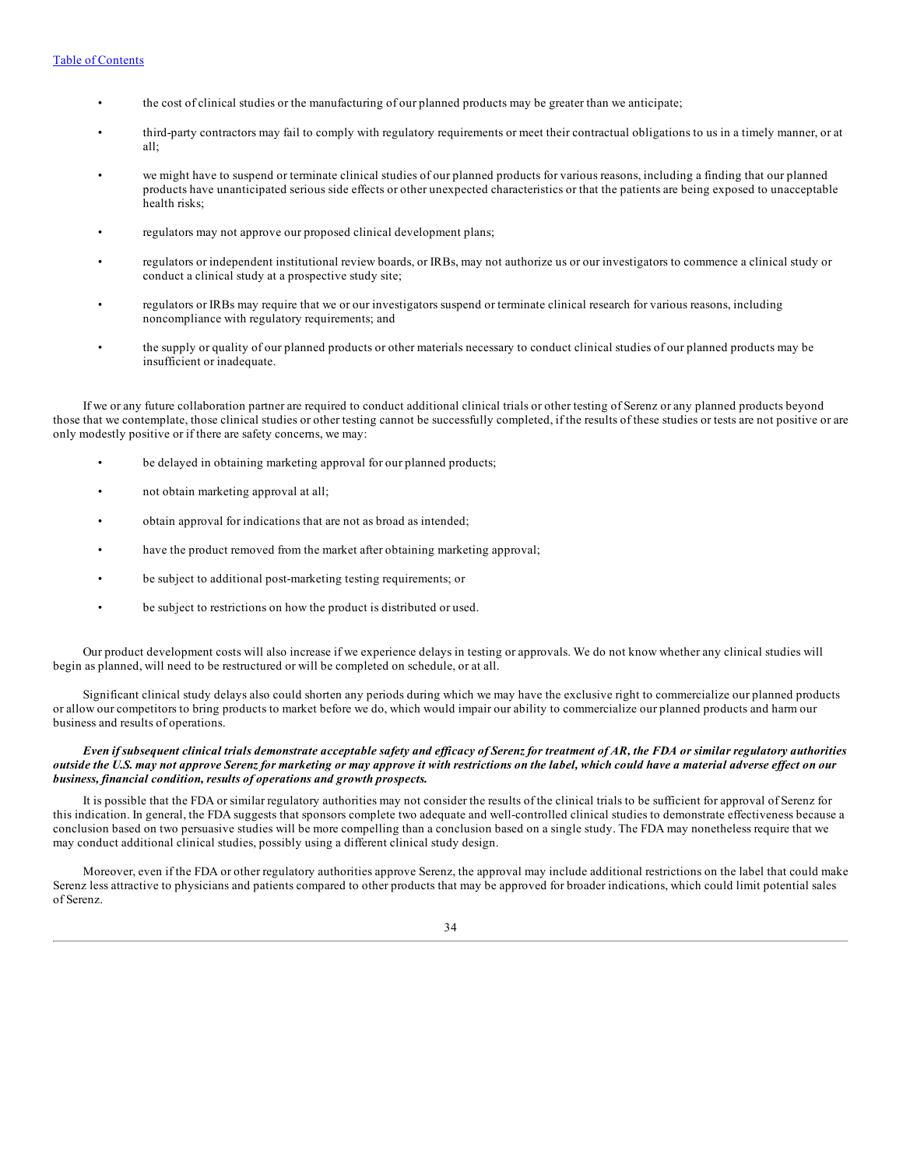- the cost of clinical studies or the manufacturing of our planned products may be greater than we anticipate;
- third-party contractors may fail to comply with regulatory requirements or meet their contractual obligations to us in a timely manner, or at all;
- we might have to suspend or terminate clinical studies of our planned products for various reasons, including a finding that our planned products have unanticipated serious side effects or other unexpected characteristics or that the patients are being exposed to unacceptable health risks;
- regulators may not approve our proposed clinical development plans;
- regulators or independent institutional review boards, or IRBs, may not authorize us or our investigators to commence a clinical study or conduct a clinical study at a prospective study site;
- regulators or IRBs may require that we or our investigators suspend or terminate clinical research for various reasons, including noncompliance with regulatory requirements; and
- the supply or quality of our planned products or other materials necessary to conduct clinical studies of our planned products may be insufficient or inadequate.

If we or any future collaboration partner are required to conduct additional clinical trials or other testing of Serenz or any planned products beyond those that we contemplate, those clinical studies or other testing cannot be successfully completed, if the results of these studies or tests are not positive or are only modestly positive or if there are safety concerns, we may:

- be delayed in obtaining marketing approval for our planned products;
- not obtain marketing approval at all;
- obtain approval for indications that are not as broad as intended;
- have the product removed from the market after obtaining marketing approval;
- be subject to additional post-marketing testing requirements; or
- be subject to restrictions on how the product is distributed or used.

Our product development costs will also increase if we experience delays in testing or approvals. We do not know whether any clinical studies will begin as planned, will need to be restructured or will be completed on schedule, or at all.

Significant clinical study delays also could shorten any periods during which we may have the exclusive right to commercialize our planned products or allow our competitors to bring products to market before we do, which would impair our ability to commercialize our planned products and harm our business and results of operations.

### Even if subsequent clinical trials demonstrate acceptable safety and efficacy of Serenz for treatment of AR, the FDA or similar regulatory authorities outside the U.S. may not approve Serenz for marketing or may approve it with restrictions on the label, which could have a material adverse effect on our *business, financial condition, results of operations and growth prospects.*

It is possible that the FDA or similar regulatory authorities may not consider the results of the clinical trials to be sufficient for approval of Serenz for this indication. In general, the FDA suggests that sponsors complete two adequate and well-controlled clinical studies to demonstrate effectiveness because a conclusion based on two persuasive studies will be more compelling than a conclusion based on a single study. The FDA may nonetheless require that we may conduct additional clinical studies, possibly using a different clinical study design.

Moreover, even if the FDA or other regulatory authorities approve Serenz, the approval may include additional restrictions on the label that could make Serenz less attractive to physicians and patients compared to other products that may be approved for broader indications, which could limit potential sales of Serenz.

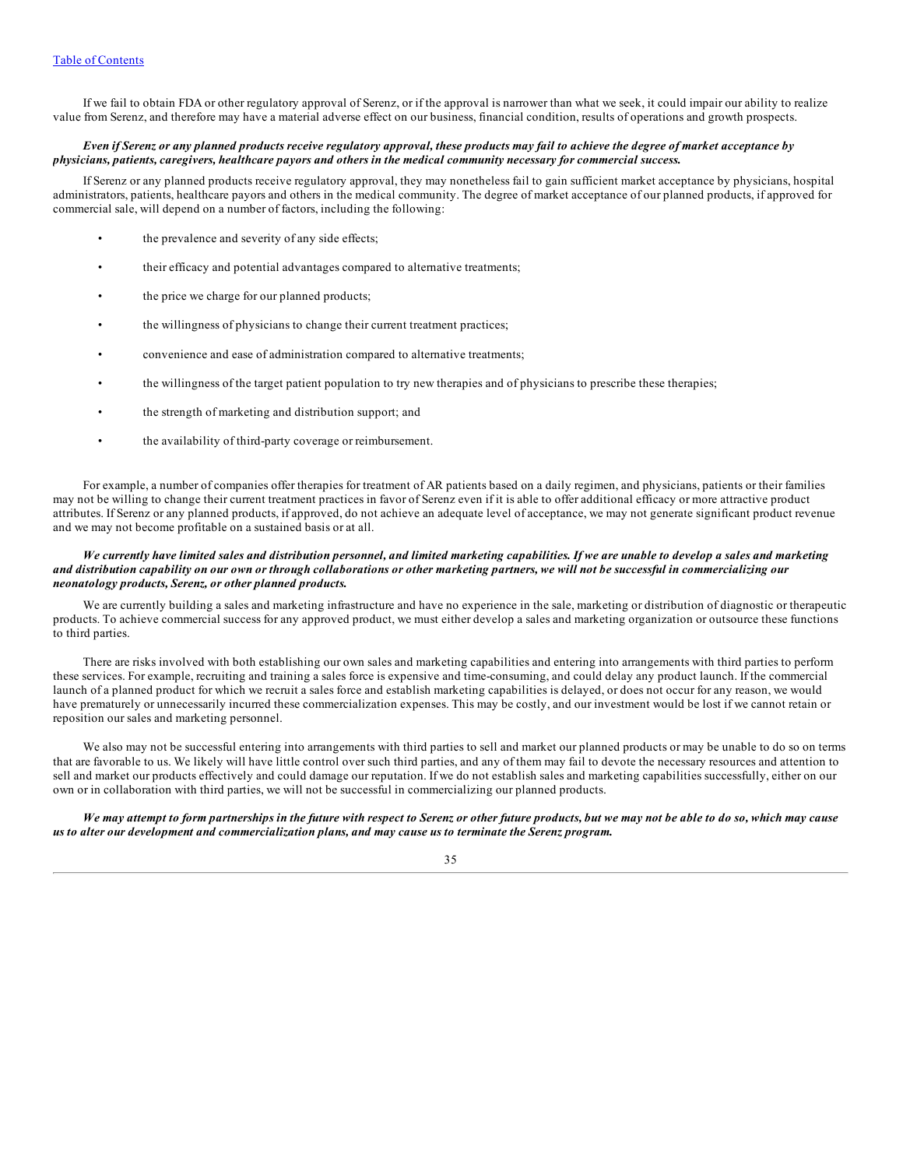If we fail to obtain FDA or other regulatory approval of Serenz, or if the approval is narrower than what we seek, it could impair our ability to realize value from Serenz, and therefore may have a material adverse effect on our business, financial condition, results of operations and growth prospects.

## Even if Serenz or any planned products receive regulatory approval, these products may fail to achieve the degree of market acceptance by physicians, patients, caregivers, healthcare payors and others in the medical community necessary for commercial success.

If Serenz or any planned products receive regulatory approval, they may nonetheless fail to gain sufficient market acceptance by physicians, hospital administrators, patients, healthcare payors and others in the medical community. The degree of market acceptance of our planned products, if approved for commercial sale, will depend on a number of factors, including the following:

- the prevalence and severity of any side effects;
- their efficacy and potential advantages compared to alternative treatments;
- the price we charge for our planned products;
- the willingness of physicians to change their current treatment practices;
- convenience and ease of administration compared to alternative treatments;
- the willingness of the target patient population to try new therapies and of physicians to prescribe these therapies;
- the strength of marketing and distribution support; and
- the availability of third-party coverage or reimbursement.

For example, a number of companies offer therapies for treatment of AR patients based on a daily regimen, and physicians, patients or their families may not be willing to change their current treatment practices in favor of Serenz even if it is able to offer additional efficacy or more attractive product attributes. If Serenz or any planned products, if approved, do not achieve an adequate level of acceptance, we may not generate significant product revenue and we may not become profitable on a sustained basis or at all.

#### We currently have limited sales and distribution personnel, and limited marketing capabilities. If we are unable to develop a sales and marketing and distribution capability on our own or through collaborations or other marketing partners, we will not be successful in commercializing our *neonatology products, Serenz, or other planned products.*

We are currently building a sales and marketing infrastructure and have no experience in the sale, marketing or distribution of diagnostic or therapeutic products. To achieve commercial success for any approved product, we must either develop a sales and marketing organization or outsource these functions to third parties.

There are risks involved with both establishing our own sales and marketing capabilities and entering into arrangements with third parties to perform these services. For example, recruiting and training a sales force is expensive and time-consuming, and could delay any product launch. If the commercial launch of a planned product for which we recruit a sales force and establish marketing capabilities is delayed, or does not occur for any reason, we would have prematurely or unnecessarily incurred these commercialization expenses. This may be costly, and our investment would be lost if we cannot retain or reposition our sales and marketing personnel.

We also may not be successful entering into arrangements with third parties to sell and market our planned products or may be unable to do so on terms that are favorable to us. We likely will have little control over such third parties, and any of them may fail to devote the necessary resources and attention to sell and market our products effectively and could damage our reputation. If we do not establish sales and marketing capabilities successfully, either on our own or in collaboration with third parties, we will not be successful in commercializing our planned products.

#### We may attempt to form partnerships in the future with respect to Serenz or other future products, but we may not be able to do so, which may cause us to alter our development and commercialization plans, and may cause us to terminate the Serenz program.

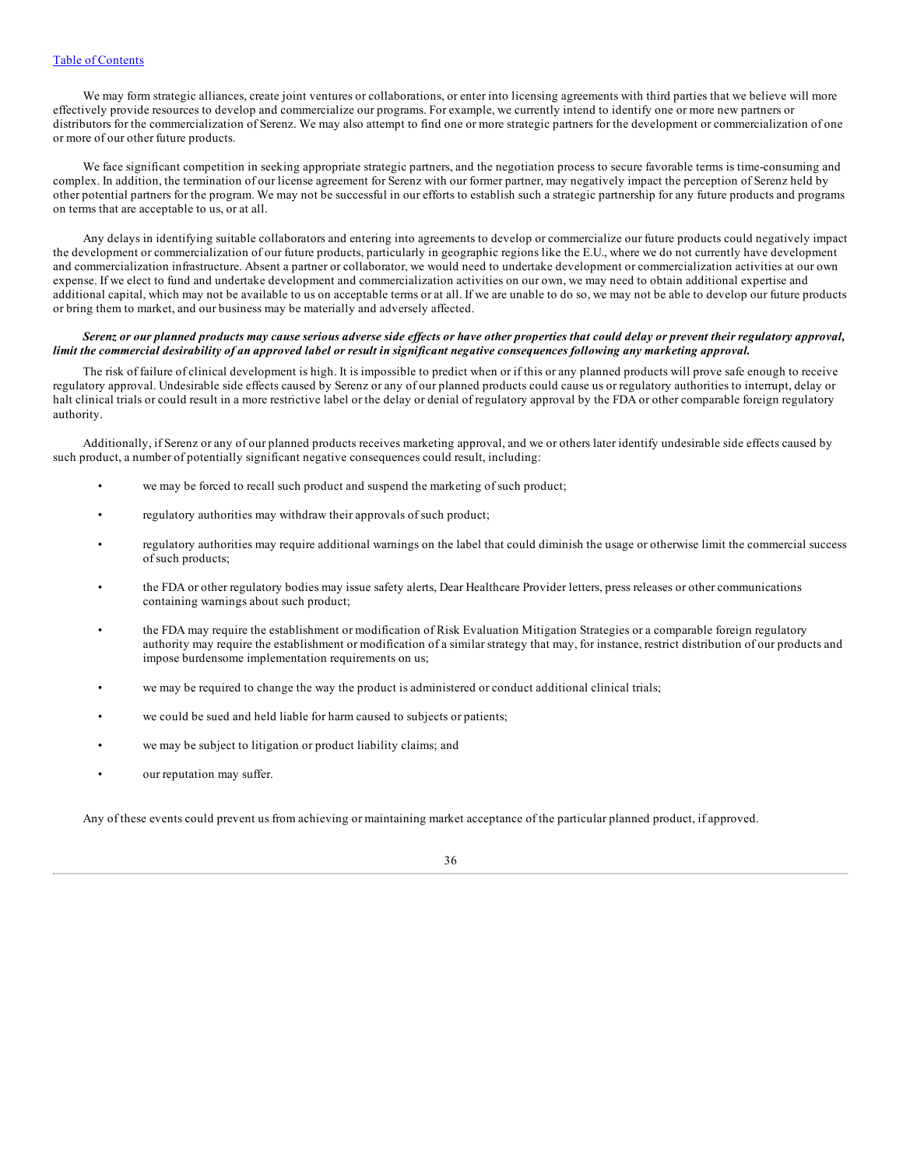We may form strategic alliances, create joint ventures or collaborations, or enter into licensing agreements with third parties that we believe will more effectively provide resources to develop and commercialize our programs. For example, we currently intend to identify one or more new partners or distributors for the commercialization of Serenz. We may also attempt to find one or more strategic partners for the development or commercialization of one or more of our other future products.

We face significant competition in seeking appropriate strategic partners, and the negotiation process to secure favorable terms is time-consuming and complex. In addition, the termination of our license agreement for Serenz with our former partner, may negatively impact the perception of Serenz held by other potential partners for the program. We may not be successful in our efforts to establish such a strategic partnership for any future products and programs on terms that are acceptable to us, or at all.

Any delays in identifying suitable collaborators and entering into agreements to develop or commercialize our future products could negatively impact the development or commercialization of our future products, particularly in geographic regions like the E.U., where we do not currently have development and commercialization infrastructure. Absent a partner or collaborator, we would need to undertake development or commercialization activities at our own expense. If we elect to fund and undertake development and commercialization activities on our own, we may need to obtain additional expertise and additional capital, which may not be available to us on acceptable terms or at all. If we are unable to do so, we may not be able to develop our future products or bring them to market, and our business may be materially and adversely affected.

#### Serenz or our planned products may cause serious adverse side effects or have other properties that could delay or prevent their regulatory approval, limit the commercial desirability of an approved label or result in significant negative consequences following any marketing approval.

The risk of failure of clinical development is high. It is impossible to predict when or if this or any planned products will prove safe enough to receive regulatory approval. Undesirable side effects caused by Serenz or any of our planned products could cause us or regulatory authorities to interrupt, delay or halt clinical trials or could result in a more restrictive label or the delay or denial of regulatory approval by the FDA or other comparable foreign regulatory authority.

Additionally, if Serenz or any of our planned products receives marketing approval, and we or others later identify undesirable side effects caused by such product, a number of potentially significant negative consequences could result, including:

- we may be forced to recall such product and suspend the marketing of such product;
- regulatory authorities may withdraw their approvals of such product;
- regulatory authorities may require additional warnings on the label that could diminish the usage or otherwise limit the commercial success of such products;
- the FDA or other regulatory bodies may issue safety alerts, Dear Healthcare Provider letters, press releases or other communications containing warnings about such product;
- the FDA may require the establishment or modification of Risk Evaluation Mitigation Strategies or a comparable foreign regulatory authority may require the establishment or modification of a similar strategy that may, for instance, restrict distribution of our products and impose burdensome implementation requirements on us;
- we may be required to change the way the product is administered or conduct additional clinical trials;
- we could be sued and held liable for harm caused to subjects or patients;
- we may be subject to litigation or product liability claims; and
- our reputation may suffer.

Any of these events could prevent us from achieving or maintaining market acceptance of the particular planned product, if approved.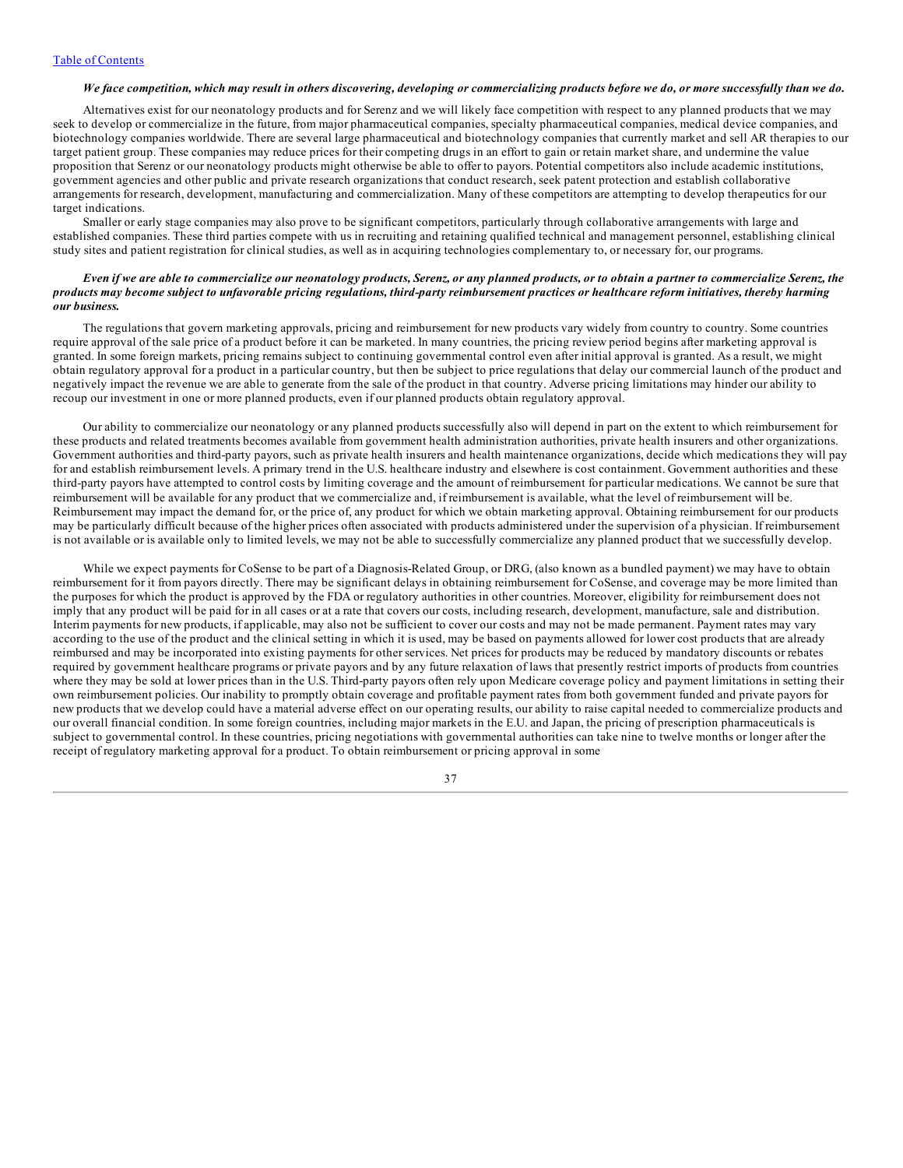#### We face competition, which may result in others discovering, developing or commercializing products before we do, or more successfully than we do.

Alternatives exist for our neonatology products and for Serenz and we will likely face competition with respect to any planned products that we may seek to develop or commercialize in the future, from major pharmaceutical companies, specialty pharmaceutical companies, medical device companies, and biotechnology companies worldwide. There are several large pharmaceutical and biotechnology companies that currently market and sell AR therapies to our target patient group. These companies may reduce prices for their competing drugs in an effort to gain or retain market share, and undermine the value proposition that Serenz or our neonatology products might otherwise be able to offer to payors. Potential competitors also include academic institutions, government agencies and other public and private research organizations that conduct research, seek patent protection and establish collaborative arrangements for research, development, manufacturing and commercialization. Many of these competitors are attempting to develop therapeutics for our target indications.

Smaller or early stage companies may also prove to be significant competitors, particularly through collaborative arrangements with large and established companies. These third parties compete with us in recruiting and retaining qualified technical and management personnel, establishing clinical study sites and patient registration for clinical studies, as well as in acquiring technologies complementary to, or necessary for, our programs.

### Even if we are able to commercialize our neonatology products, Serenz, or any planned products, or to obtain a partner to commercialize Serenz, the products may become subject to unfavorable pricing regulations, third-party reimbursement practices or healthcare reform initiatives, thereby harming *our business.*

The regulations that govern marketing approvals, pricing and reimbursement for new products vary widely from country to country. Some countries require approval of the sale price of a product before it can be marketed. In many countries, the pricing review period begins after marketing approval is granted. In some foreign markets, pricing remains subject to continuing governmental control even after initial approval is granted. As a result, we might obtain regulatory approval for a product in a particular country, but then be subject to price regulations that delay our commercial launch of the product and negatively impact the revenue we are able to generate from the sale of the product in that country. Adverse pricing limitations may hinder our ability to recoup our investment in one or more planned products, even if our planned products obtain regulatory approval.

Our ability to commercialize our neonatology or any planned products successfully also will depend in part on the extent to which reimbursement for these products and related treatments becomes available from government health administration authorities, private health insurers and other organizations. Government authorities and third-party payors, such as private health insurers and health maintenance organizations, decide which medications they will pay for and establish reimbursement levels. A primary trend in the U.S. healthcare industry and elsewhere is cost containment. Government authorities and these third-party payors have attempted to control costs by limiting coverage and the amount of reimbursement for particular medications. We cannot be sure that reimbursement will be available for any product that we commercialize and, if reimbursement is available, what the level of reimbursement will be. Reimbursement may impact the demand for, or the price of, any product for which we obtain marketing approval. Obtaining reimbursement for our products may be particularly difficult because of the higher prices often associated with products administered under the supervision of a physician. If reimbursement is not available or is available only to limited levels, we may not be able to successfully commercialize any planned product that we successfully develop.

While we expect payments for CoSense to be part of a Diagnosis-Related Group, or DRG, (also known as a bundled payment) we may have to obtain reimbursement for it from payors directly. There may be significant delays in obtaining reimbursement for CoSense, and coverage may be more limited than the purposes for which the product is approved by the FDA or regulatory authorities in other countries. Moreover, eligibility for reimbursement does not imply that any product will be paid for in all cases or at a rate that covers our costs, including research, development, manufacture, sale and distribution. Interim payments for new products, if applicable, may also not be sufficient to cover our costs and may not be made permanent. Payment rates may vary according to the use of the product and the clinical setting in which it is used, may be based on payments allowed for lower cost products that are already reimbursed and may be incorporated into existing payments for other services. Net prices for products may be reduced by mandatory discounts or rebates required by government healthcare programs or private payors and by any future relaxation of laws that presently restrict imports of products from countries where they may be sold at lower prices than in the U.S. Third-party payors often rely upon Medicare coverage policy and payment limitations in setting their own reimbursement policies. Our inability to promptly obtain coverage and profitable payment rates from both government funded and private payors for new products that we develop could have a material adverse effect on our operating results, our ability to raise capital needed to commercialize products and our overall financial condition. In some foreign countries, including major markets in the E.U. and Japan, the pricing of prescription pharmaceuticals is subject to governmental control. In these countries, pricing negotiations with governmental authorities can take nine to twelve months or longer after the receipt of regulatory marketing approval for a product. To obtain reimbursement or pricing approval in some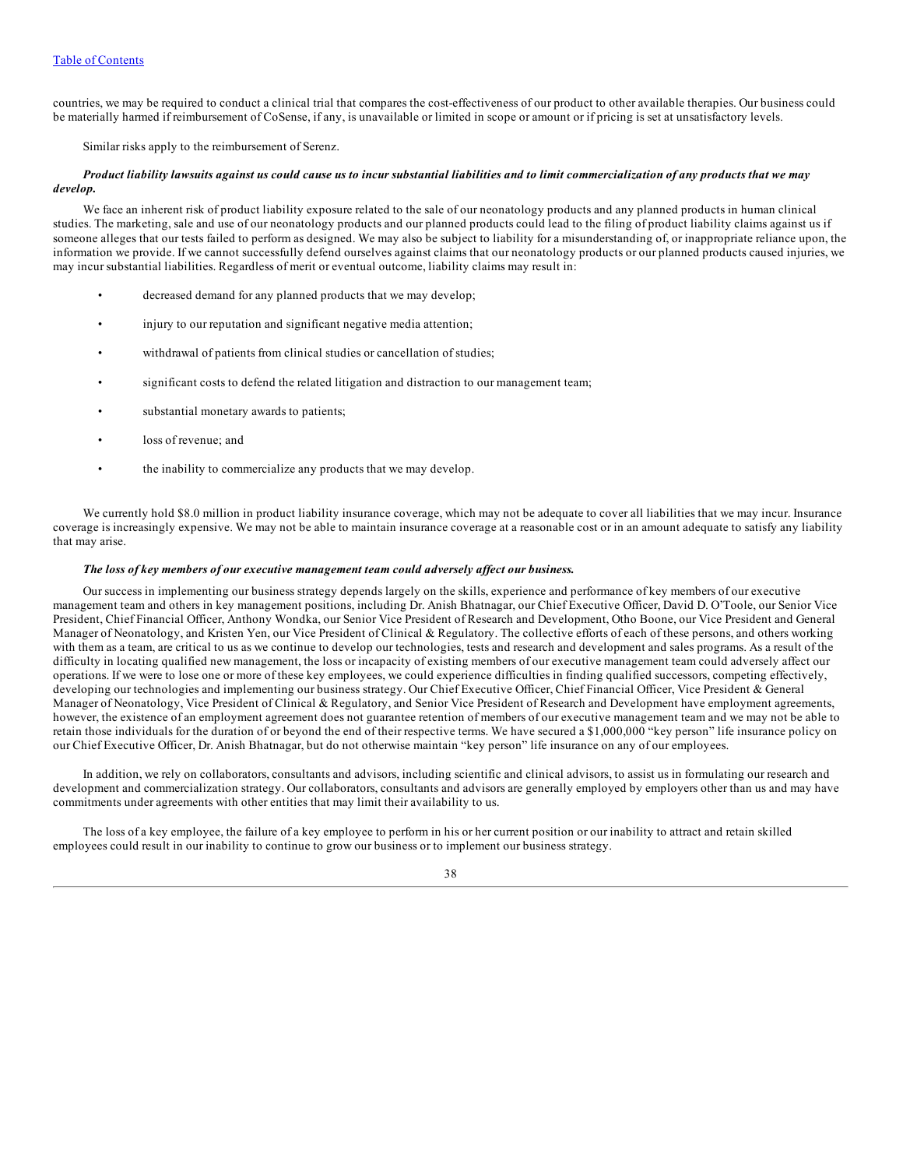countries, we may be required to conduct a clinical trial that compares the cost-effectiveness of our product to other available therapies. Our business could be materially harmed if reimbursement of CoSense, if any, is unavailable or limited in scope or amount or if pricing is set at unsatisfactory levels.

Similar risks apply to the reimbursement of Serenz.

## Product liability lawsuits against us could cause us to incur substantial liabilities and to limit commercialization of any products that we may *develop.*

We face an inherent risk of product liability exposure related to the sale of our neonatology products and any planned products in human clinical studies. The marketing, sale and use of our neonatology products and our planned products could lead to the filing of product liability claims against us if someone alleges that our tests failed to perform as designed. We may also be subject to liability for a misunderstanding of, or inappropriate reliance upon, the information we provide. If we cannot successfully defend ourselves against claims that our neonatology products or our planned products caused injuries, we may incur substantial liabilities. Regardless of merit or eventual outcome, liability claims may result in:

- decreased demand for any planned products that we may develop;
- injury to our reputation and significant negative media attention;
- withdrawal of patients from clinical studies or cancellation of studies;
- significant costs to defend the related litigation and distraction to our management team;
- substantial monetary awards to patients;
- loss of revenue; and
- the inability to commercialize any products that we may develop.

We currently hold \$8.0 million in product liability insurance coverage, which may not be adequate to cover all liabilities that we may incur. Insurance coverage is increasingly expensive. We may not be able to maintain insurance coverage at a reasonable cost or in an amount adequate to satisfy any liability that may arise.

#### *The loss of key members of our executive management team could adversely af ect our business.*

Our success in implementing our business strategy depends largely on the skills, experience and performance of key members of our executive management team and others in key management positions, including Dr. Anish Bhatnagar, our Chief Executive Officer, David D. O'Toole, our Senior Vice President, Chief Financial Officer, Anthony Wondka, our Senior Vice President of Research and Development, Otho Boone, our Vice President and General Manager of Neonatology, and Kristen Yen, our Vice President of Clinical & Regulatory. The collective efforts of each of these persons, and others working with them as a team, are critical to us as we continue to develop our technologies, tests and research and development and sales programs. As a result of the difficulty in locating qualified new management, the loss or incapacity of existing members of our executive management team could adversely affect our operations. If we were to lose one or more of these key employees, we could experience difficulties in finding qualified successors, competing effectively, developing our technologies and implementing our business strategy. Our Chief Executive Officer, Chief Financial Officer, Vice President & General Manager of Neonatology, Vice President of Clinical & Regulatory, and Senior Vice President of Research and Development have employment agreements, however, the existence of an employment agreement does not guarantee retention of members of our executive management team and we may not be able to retain those individuals for the duration of or beyond the end of their respective terms. We have secured a \$1,000,000 "key person" life insurance policy on our Chief Executive Officer, Dr. Anish Bhatnagar, but do not otherwise maintain "key person" life insurance on any of our employees.

In addition, we rely on collaborators, consultants and advisors, including scientific and clinical advisors, to assist us in formulating our research and development and commercialization strategy. Our collaborators, consultants and advisors are generally employed by employers other than us and may have commitments under agreements with other entities that may limit their availability to us.

The loss of a key employee, the failure of a key employee to perform in his or her current position or our inability to attract and retain skilled employees could result in our inability to continue to grow our business or to implement our business strategy.

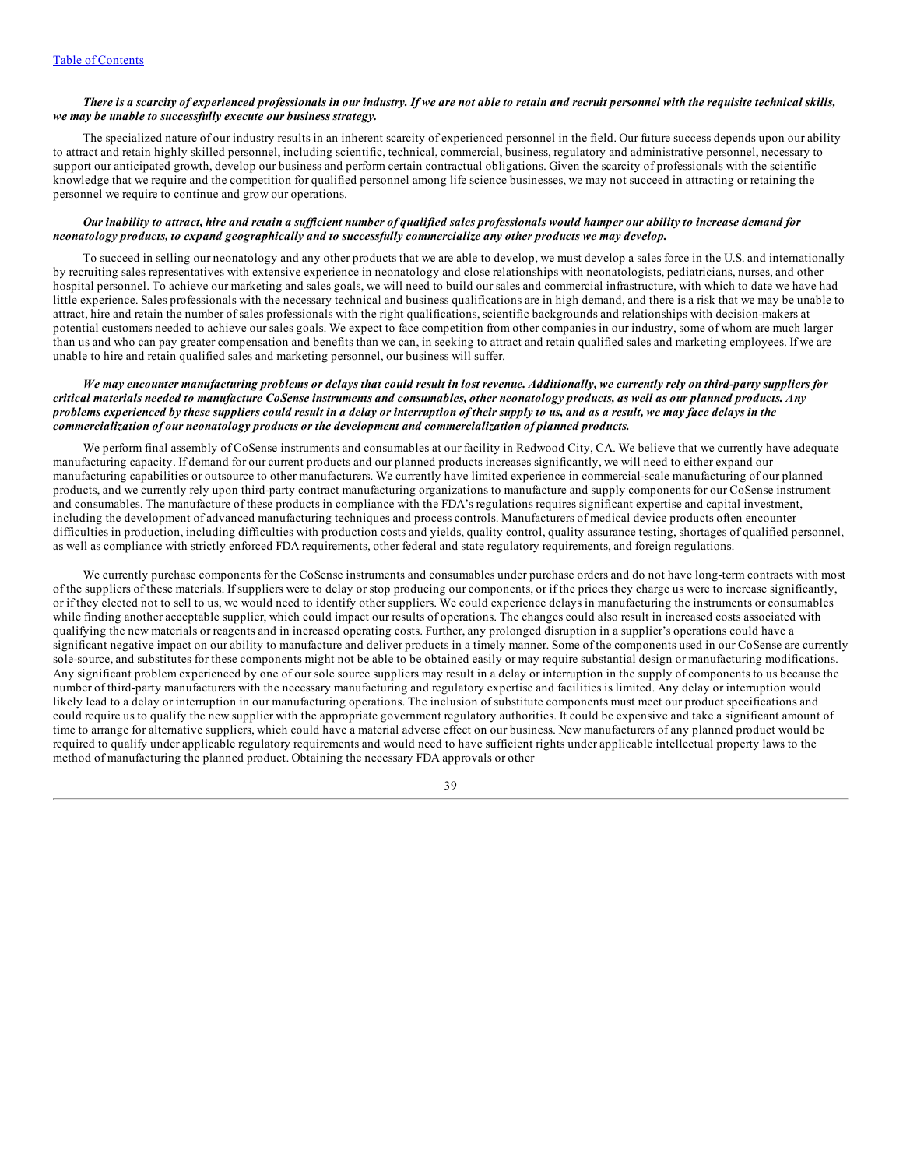## There is a scarcity of experienced professionals in our industry. If we are not able to retain and recruit personnel with the requisite technical skills, *we may be unable to successfully execute our business strategy.*

The specialized nature of our industry results in an inherent scarcity of experienced personnel in the field. Our future success depends upon our ability to attract and retain highly skilled personnel, including scientific, technical, commercial, business, regulatory and administrative personnel, necessary to support our anticipated growth, develop our business and perform certain contractual obligations. Given the scarcity of professionals with the scientific knowledge that we require and the competition for qualified personnel among life science businesses, we may not succeed in attracting or retaining the personnel we require to continue and grow our operations.

#### Our inability to attract, hire and retain a sufficient number of qualified sales professionals would hamper our ability to increase demand for *neonatology products, to expand geographically and to successfully commercialize any other products we may develop.*

To succeed in selling our neonatology and any other products that we are able to develop, we must develop a sales force in the U.S. and internationally by recruiting sales representatives with extensive experience in neonatology and close relationships with neonatologists, pediatricians, nurses, and other hospital personnel. To achieve our marketing and sales goals, we will need to build our sales and commercial infrastructure, with which to date we have had little experience. Sales professionals with the necessary technical and business qualifications are in high demand, and there is a risk that we may be unable to attract, hire and retain the number of sales professionals with the right qualifications, scientific backgrounds and relationships with decision-makers at potential customers needed to achieve our sales goals. We expect to face competition from other companies in our industry, some of whom are much larger than us and who can pay greater compensation and benefits than we can, in seeking to attract and retain qualified sales and marketing employees. If we are unable to hire and retain qualified sales and marketing personnel, our business will suffer.

## We may encounter manufacturing problems or delays that could result in lost revenue. Additionally, we currently rely on third-party suppliers for critical materials needed to manufacture CoSense instruments and consumables, other neonatology products, as well as our planned products. Any problems experienced by these suppliers could result in a delay or interruption of their supply to us, and as a result, we may face delays in the *commercialization of our neonatology products or the development and commercialization of planned products.*

We perform final assembly of CoSense instruments and consumables at our facility in Redwood City, CA. We believe that we currently have adequate manufacturing capacity. If demand for our current products and our planned products increases significantly, we will need to either expand our manufacturing capabilities or outsource to other manufacturers. We currently have limited experience in commercial-scale manufacturing of our planned products, and we currently rely upon third-party contract manufacturing organizations to manufacture and supply components for our CoSense instrument and consumables. The manufacture of these products in compliance with the FDA's regulations requires significant expertise and capital investment, including the development of advanced manufacturing techniques and process controls. Manufacturers of medical device products often encounter difficulties in production, including difficulties with production costs and yields, quality control, quality assurance testing, shortages of qualified personnel, as well as compliance with strictly enforced FDA requirements, other federal and state regulatory requirements, and foreign regulations.

We currently purchase components for the CoSense instruments and consumables under purchase orders and do not have long-term contracts with most of the suppliers of these materials. If suppliers were to delay or stop producing our components, or if the prices they charge us were to increase significantly, or if they elected not to sell to us, we would need to identify other suppliers. We could experience delays in manufacturing the instruments or consumables while finding another acceptable supplier, which could impact our results of operations. The changes could also result in increased costs associated with qualifying the new materials or reagents and in increased operating costs. Further, any prolonged disruption in a supplier's operations could have a significant negative impact on our ability to manufacture and deliver products in a timely manner. Some of the components used in our CoSense are currently sole-source, and substitutes for these components might not be able to be obtained easily or may require substantial design or manufacturing modifications. Any significant problem experienced by one of our sole source suppliers may result in a delay or interruption in the supply of components to us because the number of third-party manufacturers with the necessary manufacturing and regulatory expertise and facilities is limited. Any delay or interruption would likely lead to a delay or interruption in our manufacturing operations. The inclusion of substitute components must meet our product specifications and could require us to qualify the new supplier with the appropriate government regulatory authorities. It could be expensive and take a significant amount of time to arrange for alternative suppliers, which could have a material adverse effect on our business. New manufacturers of any planned product would be required to qualify under applicable regulatory requirements and would need to have sufficient rights under applicable intellectual property laws to the method of manufacturing the planned product. Obtaining the necessary FDA approvals or other

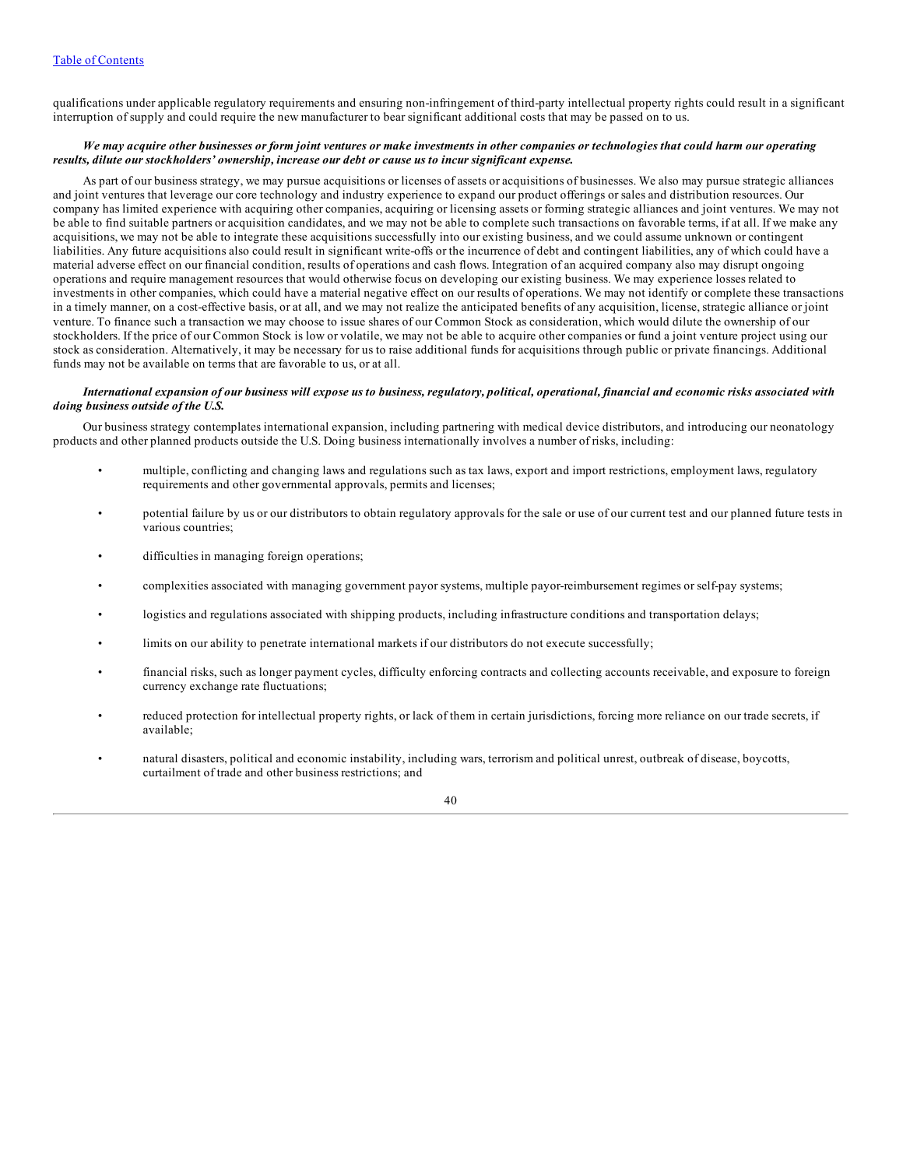qualifications under applicable regulatory requirements and ensuring non-infringement of third-party intellectual property rights could result in a significant interruption of supply and could require the new manufacturer to bear significant additional costs that may be passed on to us.

## We may acquire other businesses or form joint ventures or make investments in other companies or technologies that could harm our operating *results, dilute our stockholders' ownership, increase our debt or cause us to incur significant expense.*

As part of our business strategy, we may pursue acquisitions or licenses of assets or acquisitions of businesses. We also may pursue strategic alliances and joint ventures that leverage our core technology and industry experience to expand our product offerings or sales and distribution resources. Our company has limited experience with acquiring other companies, acquiring or licensing assets or forming strategic alliances and joint ventures. We may not be able to find suitable partners or acquisition candidates, and we may not be able to complete such transactions on favorable terms, if at all. If we make any acquisitions, we may not be able to integrate these acquisitions successfully into our existing business, and we could assume unknown or contingent liabilities. Any future acquisitions also could result in significant write-offs or the incurrence of debt and contingent liabilities, any of which could have a material adverse effect on our financial condition, results of operations and cash flows. Integration of an acquired company also may disrupt ongoing operations and require management resources that would otherwise focus on developing our existing business. We may experience losses related to investments in other companies, which could have a material negative effect on our results of operations. We may not identify or complete these transactions in a timely manner, on a cost-effective basis, or at all, and we may not realize the anticipated benefits of any acquisition, license, strategic alliance or joint venture. To finance such a transaction we may choose to issue shares of our Common Stock as consideration, which would dilute the ownership of our stockholders. If the price of our Common Stock is low or volatile, we may not be able to acquire other companies or fund a joint venture project using our stock as consideration. Alternatively, it may be necessary for us to raise additional funds for acquisitions through public or private financings. Additional funds may not be available on terms that are favorable to us, or at all.

#### International expansion of our business will expose us to business, regulatory, political, operational, financial and economic risks associated with *doing business outside of the U.S.*

Our business strategy contemplates international expansion, including partnering with medical device distributors, and introducing our neonatology products and other planned products outside the U.S. Doing business internationally involves a number of risks, including:

- multiple, conflicting and changing laws and regulations such as tax laws, export and import restrictions, employment laws, regulatory requirements and other governmental approvals, permits and licenses;
- potential failure by us or our distributors to obtain regulatory approvals for the sale or use of our current test and our planned future tests in various countries;
- difficulties in managing foreign operations;
- complexities associated with managing government payor systems, multiple payor-reimbursement regimes or self-pay systems;
- logistics and regulations associated with shipping products, including infrastructure conditions and transportation delays;
- limits on our ability to penetrate international markets if our distributors do not execute successfully;
- financial risks, such as longer payment cycles, difficulty enforcing contracts and collecting accounts receivable, and exposure to foreign currency exchange rate fluctuations;
- reduced protection for intellectual property rights, or lack of them in certain jurisdictions, forcing more reliance on our trade secrets, if available;
- natural disasters, political and economic instability, including wars, terrorism and political unrest, outbreak of disease, boycotts, curtailment of trade and other business restrictions; and

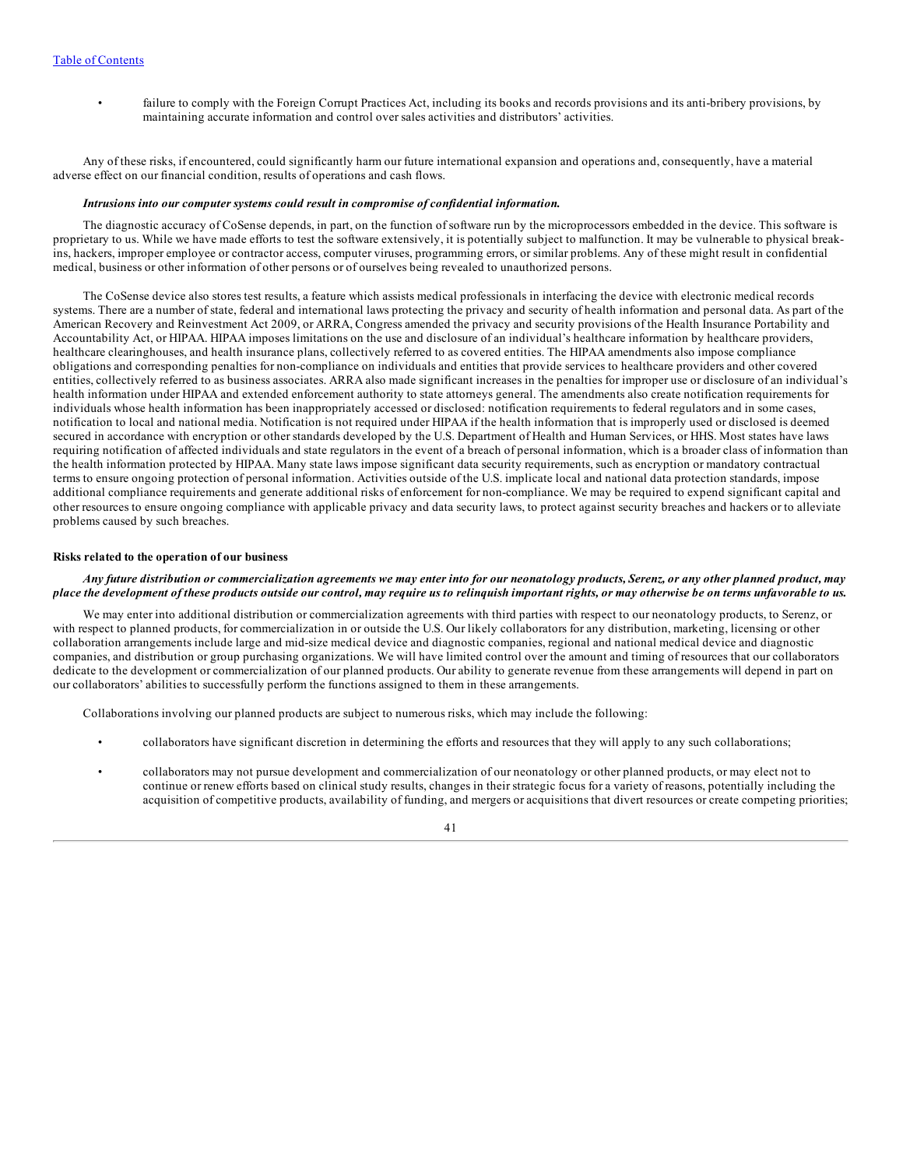failure to comply with the Foreign Corrupt Practices Act, including its books and records provisions and its anti-bribery provisions, by maintaining accurate information and control over sales activities and distributors' activities.

Any of these risks, if encountered, could significantly harm our future international expansion and operations and, consequently, have a material adverse effect on our financial condition, results of operations and cash flows.

#### *Intrusions into our computer systems could result in compromise of confidential information.*

The diagnostic accuracy of CoSense depends, in part, on the function of software run by the microprocessors embedded in the device. This software is proprietary to us. While we have made efforts to test the software extensively, it is potentially subject to malfunction. It may be vulnerable to physical breakins, hackers, improper employee or contractor access, computer viruses, programming errors, or similar problems. Any of these might result in confidential medical, business or other information of other persons or of ourselves being revealed to unauthorized persons.

The CoSense device also stores test results, a feature which assists medical professionals in interfacing the device with electronic medical records systems. There are a number of state, federal and international laws protecting the privacy and security of health information and personal data. As part of the American Recovery and Reinvestment Act 2009, or ARRA, Congress amended the privacy and security provisions of the Health Insurance Portability and Accountability Act, or HIPAA. HIPAA imposes limitations on the use and disclosure of an individual's healthcare information by healthcare providers, healthcare clearinghouses, and health insurance plans, collectively referred to as covered entities. The HIPAA amendments also impose compliance obligations and corresponding penalties for non-compliance on individuals and entities that provide services to healthcare providers and other covered entities, collectively referred to as business associates. ARRA also made significant increases in the penalties for improper use or disclosure of an individual's health information under HIPAA and extended enforcement authority to state attorneys general. The amendments also create notification requirements for individuals whose health information has been inappropriately accessed or disclosed: notification requirements to federal regulators and in some cases, notification to local and national media. Notification is not required under HIPAA if the health information that is improperly used or disclosed is deemed secured in accordance with encryption or other standards developed by the U.S. Department of Health and Human Services, or HHS. Most states have laws requiring notification of affected individuals and state regulators in the event of a breach of personal information, which is a broader class of information than the health information protected by HIPAA. Many state laws impose significant data security requirements, such as encryption or mandatory contractual terms to ensure ongoing protection of personal information. Activities outside of the U.S. implicate local and national data protection standards, impose additional compliance requirements and generate additional risks of enforcement for non-compliance. We may be required to expend significant capital and other resources to ensure ongoing compliance with applicable privacy and data security laws, to protect against security breaches and hackers or to alleviate problems caused by such breaches.

## **Risks related to the operation of our business**

#### Any future distribution or commercialization agreements we may enter into for our neonatology products, Serenz, or any other planned product, may place the development of these products outside our control, may require us to relinquish important rights, or may otherwise be on terms unfavorable to us.

We may enter into additional distribution or commercialization agreements with third parties with respect to our neonatology products, to Serenz, or with respect to planned products, for commercialization in or outside the U.S. Our likely collaborators for any distribution, marketing, licensing or other collaboration arrangements include large and mid-size medical device and diagnostic companies, regional and national medical device and diagnostic companies, and distribution or group purchasing organizations. We will have limited control over the amount and timing of resources that our collaborators dedicate to the development or commercialization of our planned products. Our ability to generate revenue from these arrangements will depend in part on our collaborators' abilities to successfully perform the functions assigned to them in these arrangements.

Collaborations involving our planned products are subject to numerous risks, which may include the following:

- collaborators have significant discretion in determining the efforts and resources that they will apply to any such collaborations;
- collaborators may not pursue development and commercialization of our neonatology or other planned products, or may elect not to continue or renew efforts based on clinical study results, changes in their strategic focus for a variety of reasons, potentially including the acquisition of competitive products, availability of funding, and mergers or acquisitions that divert resources or create competing priorities;

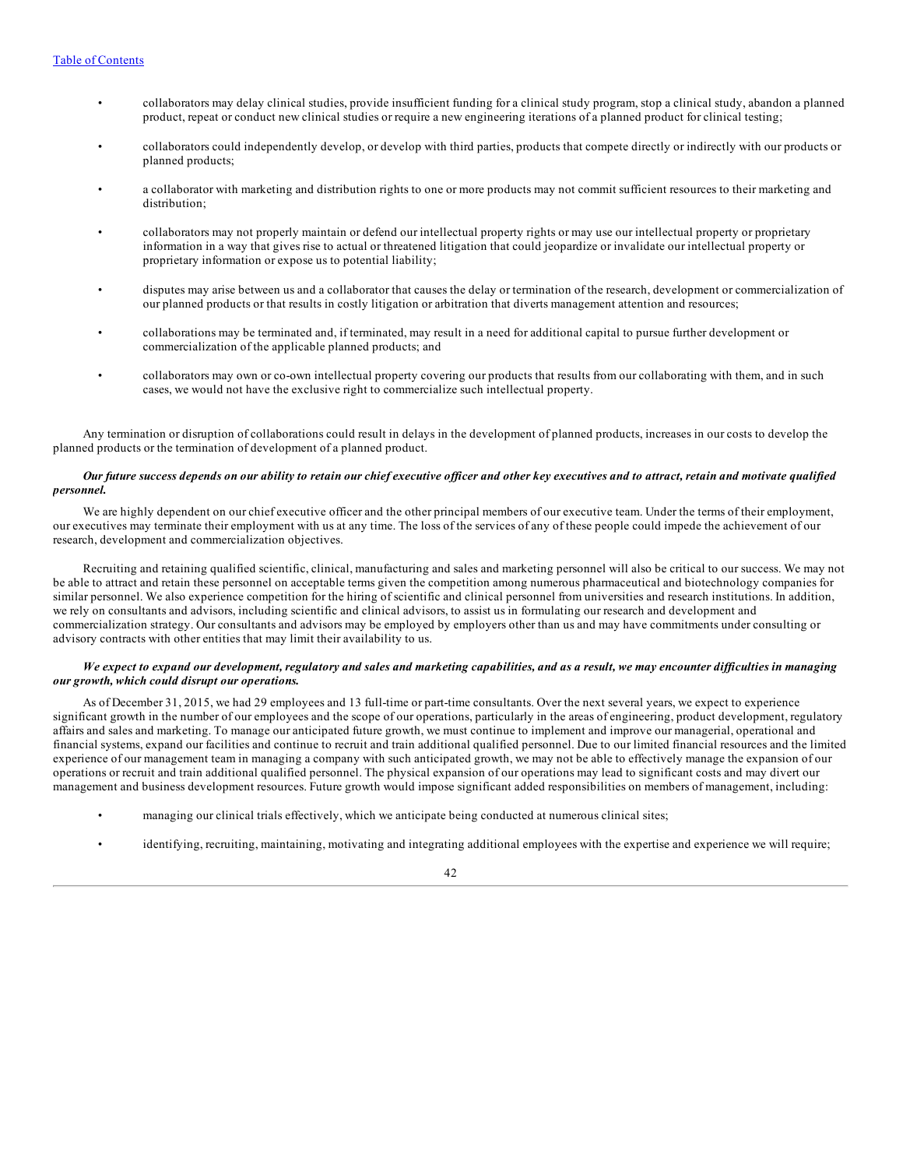- collaborators may delay clinical studies, provide insufficient funding for a clinical study program, stop a clinical study, abandon a planned product, repeat or conduct new clinical studies or require a new engineering iterations of a planned product for clinical testing;
- collaborators could independently develop, or develop with third parties, products that compete directly or indirectly with our products or planned products;
- a collaborator with marketing and distribution rights to one or more products may not commit sufficient resources to their marketing and distribution;
- collaborators may not properly maintain or defend our intellectual property rights or may use our intellectual property or proprietary information in a way that gives rise to actual or threatened litigation that could jeopardize or invalidate our intellectual property or proprietary information or expose us to potential liability;
- disputes may arise between us and a collaborator that causes the delay or termination of the research, development or commercialization of our planned products or that results in costly litigation or arbitration that diverts management attention and resources;
- collaborations may be terminated and, if terminated, may result in a need for additional capital to pursue further development or commercialization of the applicable planned products; and
- collaborators may own or co-own intellectual property covering our products that results from our collaborating with them, and in such cases, we would not have the exclusive right to commercialize such intellectual property.

Any termination or disruption of collaborations could result in delays in the development of planned products, increases in our costs to develop the planned products or the termination of development of a planned product.

## Our future success depends on our ability to retain our chief executive officer and other key executives and to attract, retain and motivate qualified *personnel.*

We are highly dependent on our chief executive officer and the other principal members of our executive team. Under the terms of their employment, our executives may terminate their employment with us at any time. The loss of the services of any of these people could impede the achievement of our research, development and commercialization objectives.

Recruiting and retaining qualified scientific, clinical, manufacturing and sales and marketing personnel will also be critical to our success. We may not be able to attract and retain these personnel on acceptable terms given the competition among numerous pharmaceutical and biotechnology companies for similar personnel. We also experience competition for the hiring of scientific and clinical personnel from universities and research institutions. In addition, we rely on consultants and advisors, including scientific and clinical advisors, to assist us in formulating our research and development and commercialization strategy. Our consultants and advisors may be employed by employers other than us and may have commitments under consulting or advisory contracts with other entities that may limit their availability to us.

#### We expect to expand our development, regulatory and sales and marketing capabilities, and as a result, we may encounter difficulties in managing *our growth, which could disrupt our operations.*

As of December 31, 2015, we had 29 employees and 13 full-time or part-time consultants. Over the next several years, we expect to experience significant growth in the number of our employees and the scope of our operations, particularly in the areas of engineering, product development, regulatory affairs and sales and marketing. To manage our anticipated future growth, we must continue to implement and improve our managerial, operational and financial systems, expand our facilities and continue to recruit and train additional qualified personnel. Due to our limited financial resources and the limited experience of our management team in managing a company with such anticipated growth, we may not be able to effectively manage the expansion of our operations or recruit and train additional qualified personnel. The physical expansion of our operations may lead to significant costs and may divert our management and business development resources. Future growth would impose significant added responsibilities on members of management, including:

- managing our clinical trials effectively, which we anticipate being conducted at numerous clinical sites;
- identifying, recruiting, maintaining, motivating and integrating additional employees with the expertise and experience we will require;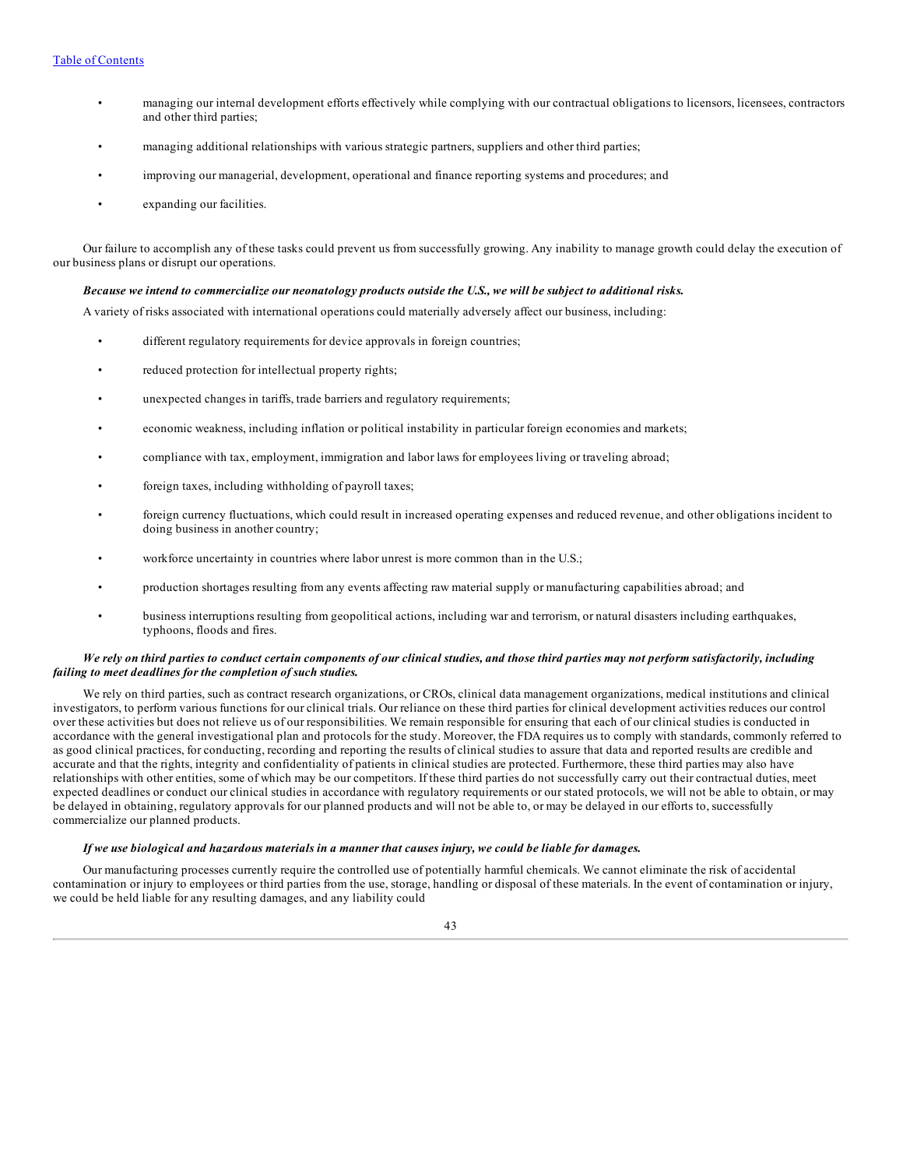- managing our internal development efforts effectively while complying with our contractual obligations to licensors, licensees, contractors and other third parties;
- managing additional relationships with various strategic partners, suppliers and other third parties;
- improving our managerial, development, operational and finance reporting systems and procedures; and
- expanding our facilities.

Our failure to accomplish any of these tasks could prevent us from successfully growing. Any inability to manage growth could delay the execution of our business plans or disrupt our operations.

## Because we intend to commercialize our neonatology products outside the U.S., we will be subject to additional risks.

A variety of risks associated with international operations could materially adversely affect our business, including:

- different regulatory requirements for device approvals in foreign countries;
- reduced protection for intellectual property rights;
- unexpected changes in tariffs, trade barriers and regulatory requirements;
- economic weakness, including inflation or political instability in particular foreign economies and markets;
- compliance with tax, employment, immigration and labor laws for employees living or traveling abroad;
- foreign taxes, including withholding of payroll taxes;
- foreign currency fluctuations, which could result in increased operating expenses and reduced revenue, and other obligations incident to doing business in another country;
- workforce uncertainty in countries where labor unrest is more common than in the U.S.;
- production shortages resulting from any events affecting raw material supply or manufacturing capabilities abroad; and
- business interruptions resulting from geopolitical actions, including war and terrorism, or natural disasters including earthquakes, typhoons, floods and fires.

## We rely on third parties to conduct certain components of our clinical studies, and those third parties may not perform satisfactorily, including *failing to meet deadlines for the completion of such studies.*

We rely on third parties, such as contract research organizations, or CROs, clinical data management organizations, medical institutions and clinical investigators, to perform various functions for our clinical trials. Our reliance on these third parties for clinical development activities reduces our control over these activities but does not relieve us of our responsibilities. We remain responsible for ensuring that each of our clinical studies is conducted in accordance with the general investigational plan and protocols for the study. Moreover, the FDA requires us to comply with standards, commonly referred to as good clinical practices, for conducting, recording and reporting the results of clinical studies to assure that data and reported results are credible and accurate and that the rights, integrity and confidentiality of patients in clinical studies are protected. Furthermore, these third parties may also have relationships with other entities, some of which may be our competitors. If these third parties do not successfully carry out their contractual duties, meet expected deadlines or conduct our clinical studies in accordance with regulatory requirements or our stated protocols, we will not be able to obtain, or may be delayed in obtaining, regulatory approvals for our planned products and will not be able to, or may be delayed in our efforts to, successfully commercialize our planned products.

## If we use biological and hazardous materials in a manner that causes injury, we could be liable for damages.

Our manufacturing processes currently require the controlled use of potentially harmful chemicals. We cannot eliminate the risk of accidental contamination or injury to employees or third parties from the use, storage, handling or disposal of these materials. In the event of contamination or injury, we could be held liable for any resulting damages, and any liability could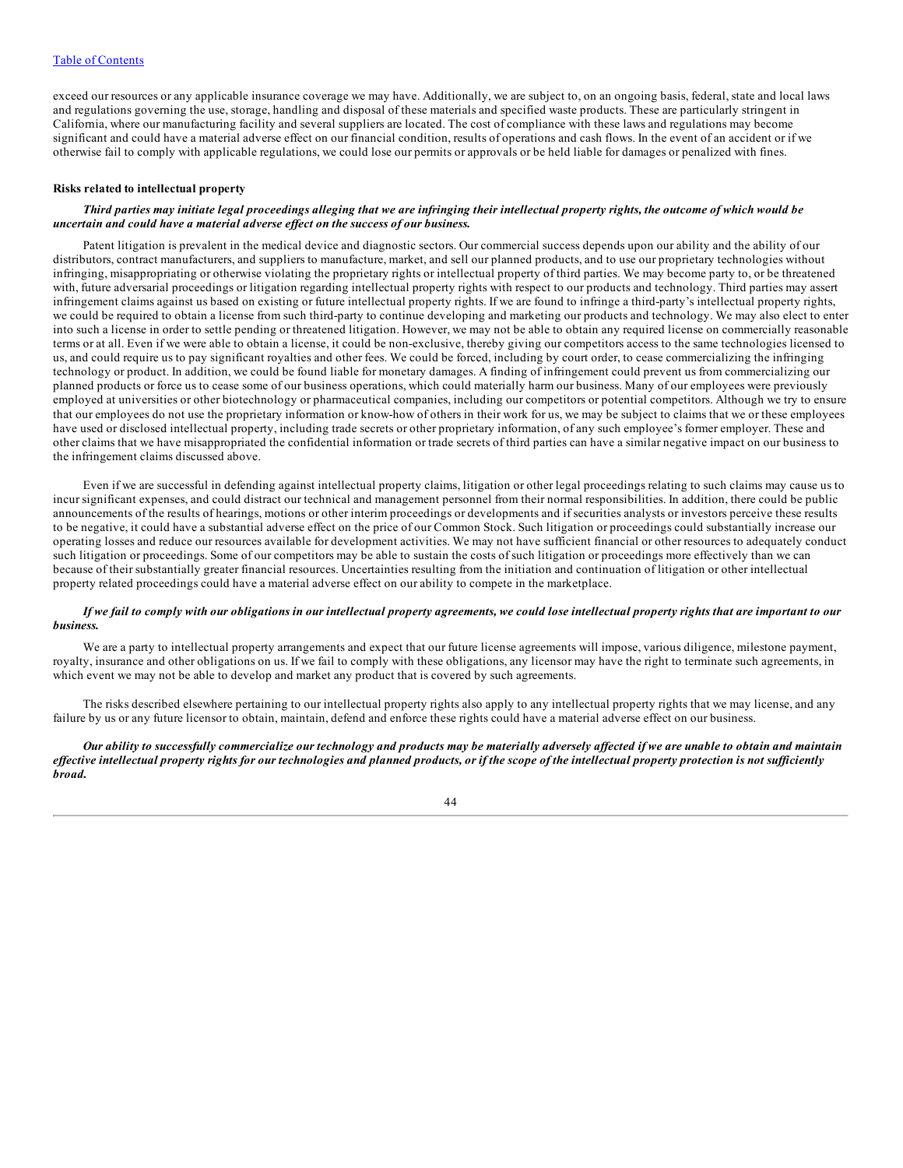exceed our resources or any applicable insurance coverage we may have. Additionally, we are subject to, on an ongoing basis, federal, state and local laws and regulations governing the use, storage, handling and disposal of these materials and specified waste products. These are particularly stringent in California, where our manufacturing facility and several suppliers are located. The cost of compliance with these laws and regulations may become significant and could have a material adverse effect on our financial condition, results of operations and cash flows. In the event of an accident or if we otherwise fail to comply with applicable regulations, we could lose our permits or approvals or be held liable for damages or penalized with fines.

#### **Risks related to intellectual property**

## Third parties may initiate legal proceedings alleging that we are infringing their intellectual property rights, the outcome of which would be *uncertain and could have a material adverse ef ect on the success of our business.*

Patent litigation is prevalent in the medical device and diagnostic sectors. Our commercial success depends upon our ability and the ability of our distributors, contract manufacturers, and suppliers to manufacture, market, and sell our planned products, and to use our proprietary technologies without infringing, misappropriating or otherwise violating the proprietary rights or intellectual property of third parties. We may become party to, or be threatened with, future adversarial proceedings or litigation regarding intellectual property rights with respect to our products and technology. Third parties may assert infringement claims against us based on existing or future intellectual property rights. If we are found to infringe a third-party's intellectual property rights, we could be required to obtain a license from such third-party to continue developing and marketing our products and technology. We may also elect to enter into such a license in order to settle pending or threatened litigation. However, we may not be able to obtain any required license on commercially reasonable terms or at all. Even if we were able to obtain a license, it could be non-exclusive, thereby giving our competitors access to the same technologies licensed to us, and could require us to pay significant royalties and other fees. We could be forced, including by court order, to cease commercializing the infringing technology or product. In addition, we could be found liable for monetary damages. A finding of infringement could prevent us from commercializing our planned products or force us to cease some of our business operations, which could materially harm our business. Many of our employees were previously employed at universities or other biotechnology or pharmaceutical companies, including our competitors or potential competitors. Although we try to ensure that our employees do not use the proprietary information or know-how of others in their work for us, we may be subject to claims that we or these employees have used or disclosed intellectual property, including trade secrets or other proprietary information, of any such employee's former employer. These and other claims that we have misappropriated the confidential information or trade secrets of third parties can have a similar negative impact on our business to the infringement claims discussed above.

Even if we are successful in defending against intellectual property claims, litigation or other legal proceedings relating to such claims may cause us to incur significant expenses, and could distract our technical and management personnel from their normal responsibilities. In addition, there could be public announcements of the results of hearings, motions or other interim proceedings or developments and if securities analysts or investors perceive these results to be negative, it could have a substantial adverse effect on the price of our Common Stock. Such litigation or proceedings could substantially increase our operating losses and reduce our resources available for development activities. We may not have sufficient financial or other resources to adequately conduct such litigation or proceedings. Some of our competitors may be able to sustain the costs of such litigation or proceedings more effectively than we can because of their substantially greater financial resources. Uncertainties resulting from the initiation and continuation of litigation or other intellectual property related proceedings could have a material adverse effect on our ability to compete in the marketplace.

## If we fail to comply with our obligations in our intellectual property agreements, we could lose intellectual property rights that are important to our *business.*

We are a party to intellectual property arrangements and expect that our future license agreements will impose, various diligence, milestone payment, royalty, insurance and other obligations on us. If we fail to comply with these obligations, any licensor may have the right to terminate such agreements, in which event we may not be able to develop and market any product that is covered by such agreements.

The risks described elsewhere pertaining to our intellectual property rights also apply to any intellectual property rights that we may license, and any failure by us or any future licensor to obtain, maintain, defend and enforce these rights could have a material adverse effect on our business.

Our ability to successfully commercialize our technology and products may be materially adversely affected if we are unable to obtain and maintain effective intellectual property rights for our technologies and planned products, or if the scope of the intellectual property protection is not sufficiently *broad.*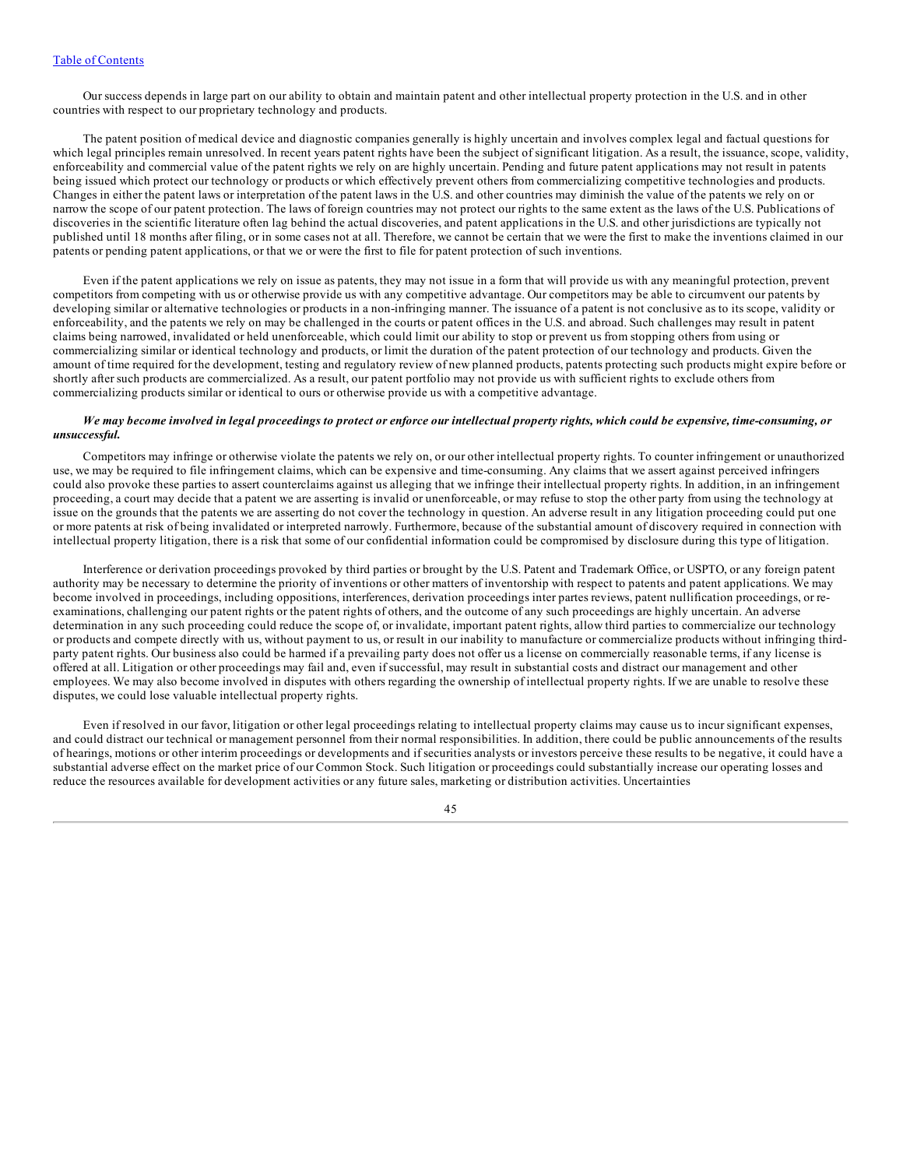Our success depends in large part on our ability to obtain and maintain patent and other intellectual property protection in the U.S. and in other countries with respect to our proprietary technology and products.

The patent position of medical device and diagnostic companies generally is highly uncertain and involves complex legal and factual questions for which legal principles remain unresolved. In recent years patent rights have been the subject of significant litigation. As a result, the issuance, scope, validity, enforceability and commercial value of the patent rights we rely on are highly uncertain. Pending and future patent applications may not result in patents being issued which protect our technology or products or which effectively prevent others from commercializing competitive technologies and products. Changes in either the patent laws or interpretation of the patent laws in the U.S. and other countries may diminish the value of the patents we rely on or narrow the scope of our patent protection. The laws of foreign countries may not protect our rights to the same extent as the laws of the U.S. Publications of discoveries in the scientific literature often lag behind the actual discoveries, and patent applications in the U.S. and other jurisdictions are typically not published until 18 months after filing, or in some cases not at all. Therefore, we cannot be certain that we were the first to make the inventions claimed in our patents or pending patent applications, or that we or were the first to file for patent protection of such inventions.

Even if the patent applications we rely on issue as patents, they may not issue in a form that will provide us with any meaningful protection, prevent competitors from competing with us or otherwise provide us with any competitive advantage. Our competitors may be able to circumvent our patents by developing similar or alternative technologies or products in a non-infringing manner. The issuance of a patent is not conclusive as to its scope, validity or enforceability, and the patents we rely on may be challenged in the courts or patent offices in the U.S. and abroad. Such challenges may result in patent claims being narrowed, invalidated or held unenforceable, which could limit our ability to stop or prevent us from stopping others from using or commercializing similar or identical technology and products, or limit the duration of the patent protection of our technology and products. Given the amount of time required for the development, testing and regulatory review of new planned products, patents protecting such products might expire before or shortly after such products are commercialized. As a result, our patent portfolio may not provide us with sufficient rights to exclude others from commercializing products similar or identical to ours or otherwise provide us with a competitive advantage.

## We may become involved in legal proceedings to protect or enforce our intellectual property rights, which could be expensive, time-consuming, or *unsuccessful.*

Competitors may infringe or otherwise violate the patents we rely on, or our other intellectual property rights. To counter infringement or unauthorized use, we may be required to file infringement claims, which can be expensive and time-consuming. Any claims that we assert against perceived infringers could also provoke these parties to assert counterclaims against us alleging that we infringe their intellectual property rights. In addition, in an infringement proceeding, a court may decide that a patent we are asserting is invalid or unenforceable, or may refuse to stop the other party from using the technology at issue on the grounds that the patents we are asserting do not cover the technology in question. An adverse result in any litigation proceeding could put one or more patents at risk of being invalidated or interpreted narrowly. Furthermore, because of the substantial amount of discovery required in connection with intellectual property litigation, there is a risk that some of our confidential information could be compromised by disclosure during this type of litigation.

Interference or derivation proceedings provoked by third parties or brought by the U.S. Patent and Trademark Office, or USPTO, or any foreign patent authority may be necessary to determine the priority of inventions or other matters of inventorship with respect to patents and patent applications. We may become involved in proceedings, including oppositions, interferences, derivation proceedings inter partes reviews, patent nullification proceedings, or reexaminations, challenging our patent rights or the patent rights of others, and the outcome of any such proceedings are highly uncertain. An adverse determination in any such proceeding could reduce the scope of, or invalidate, important patent rights, allow third parties to commercialize our technology or products and compete directly with us, without payment to us, or result in our inability to manufacture or commercialize products without infringing thirdparty patent rights. Our business also could be harmed if a prevailing party does not offer us a license on commercially reasonable terms, if any license is offered at all. Litigation or other proceedings may fail and, even if successful, may result in substantial costs and distract our management and other employees. We may also become involved in disputes with others regarding the ownership of intellectual property rights. If we are unable to resolve these disputes, we could lose valuable intellectual property rights.

Even if resolved in our favor, litigation or other legal proceedings relating to intellectual property claims may cause us to incur significant expenses, and could distract our technical or management personnel from their normal responsibilities. In addition, there could be public announcements of the results of hearings, motions or other interim proceedings or developments and if securities analysts or investors perceive these results to be negative, it could have a substantial adverse effect on the market price of our Common Stock. Such litigation or proceedings could substantially increase our operating losses and reduce the resources available for development activities or any future sales, marketing or distribution activities. Uncertainties

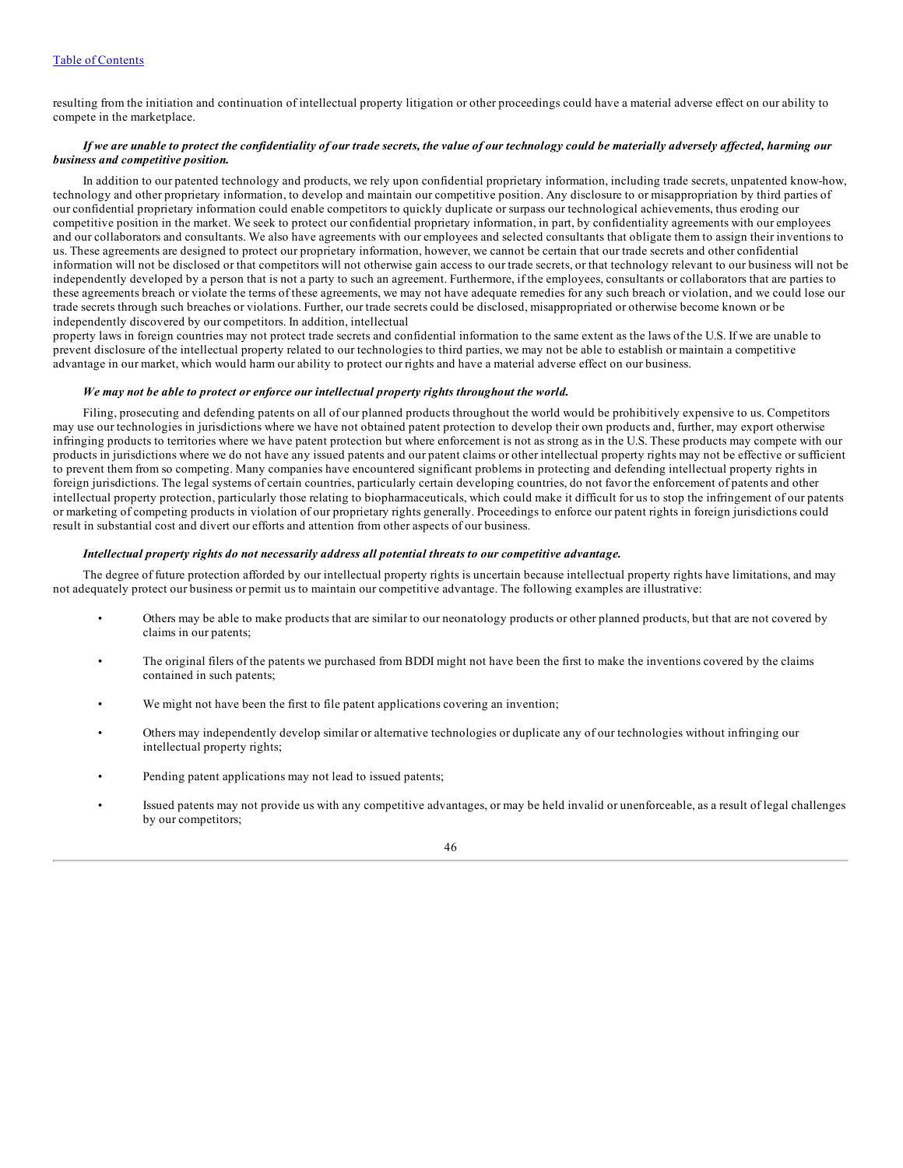resulting from the initiation and continuation of intellectual property litigation or other proceedings could have a material adverse effect on our ability to compete in the marketplace.

## If we are unable to protect the confidentiality of our trade secrets, the value of our technology could be materially adversely affected, harming our *business and competitive position.*

In addition to our patented technology and products, we rely upon confidential proprietary information, including trade secrets, unpatented know-how, technology and other proprietary information, to develop and maintain our competitive position. Any disclosure to or misappropriation by third parties of our confidential proprietary information could enable competitors to quickly duplicate or surpass our technological achievements, thus eroding our competitive position in the market. We seek to protect our confidential proprietary information, in part, by confidentiality agreements with our employees and our collaborators and consultants. We also have agreements with our employees and selected consultants that obligate them to assign their inventions to us. These agreements are designed to protect our proprietary information, however, we cannot be certain that our trade secrets and other confidential information will not be disclosed or that competitors will not otherwise gain access to our trade secrets, or that technology relevant to our business will not be independently developed by a person that is not a party to such an agreement. Furthermore, if the employees, consultants or collaborators that are parties to these agreements breach or violate the terms of these agreements, we may not have adequate remedies for any such breach or violation, and we could lose our trade secrets through such breaches or violations. Further, our trade secrets could be disclosed, misappropriated or otherwise become known or be independently discovered by our competitors. In addition, intellectual

property laws in foreign countries may not protect trade secrets and confidential information to the same extent as the laws of the U.S. If we are unable to prevent disclosure of the intellectual property related to our technologies to third parties, we may not be able to establish or maintain a competitive advantage in our market, which would harm our ability to protect our rights and have a material adverse effect on our business.

#### *We may not be able to protect or enforce our intellectual property rights throughout the world.*

Filing, prosecuting and defending patents on all of our planned products throughout the world would be prohibitively expensive to us. Competitors may use our technologies in jurisdictions where we have not obtained patent protection to develop their own products and, further, may export otherwise infringing products to territories where we have patent protection but where enforcement is not as strong as in the U.S. These products may compete with our products in jurisdictions where we do not have any issued patents and our patent claims or other intellectual property rights may not be effective or sufficient to prevent them from so competing. Many companies have encountered significant problems in protecting and defending intellectual property rights in foreign jurisdictions. The legal systems of certain countries, particularly certain developing countries, do not favor the enforcement of patents and other intellectual property protection, particularly those relating to biopharmaceuticals, which could make it difficult for us to stop the infringement of our patents or marketing of competing products in violation of our proprietary rights generally. Proceedings to enforce our patent rights in foreign jurisdictions could result in substantial cost and divert our efforts and attention from other aspects of our business.

#### *Intellectual property rights do not necessarily address all potential threats to our competitive advantage.*

The degree of future protection afforded by our intellectual property rights is uncertain because intellectual property rights have limitations, and may not adequately protect our business or permit us to maintain our competitive advantage. The following examples are illustrative:

- Others may be able to make products that are similar to our neonatology products or other planned products, but that are not covered by claims in our patents;
- The original filers of the patents we purchased from BDDI might not have been the first to make the inventions covered by the claims contained in such patents;
- We might not have been the first to file patent applications covering an invention;
- Others may independently develop similar or alternative technologies or duplicate any of our technologies without infringing our intellectual property rights;
- Pending patent applications may not lead to issued patents;
- Issued patents may not provide us with any competitive advantages, or may be held invalid or unenforceable, as a result of legal challenges by our competitors;

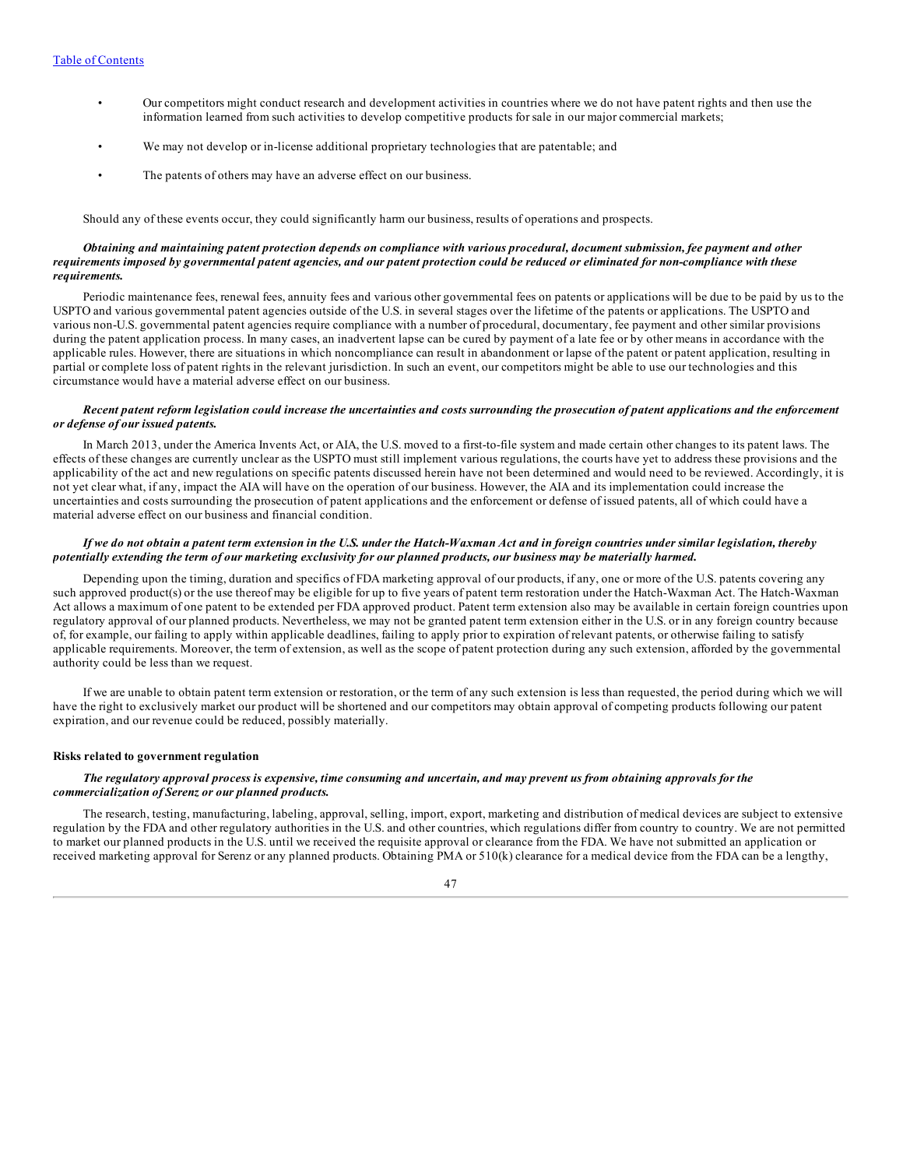- Our competitors might conduct research and development activities in countries where we do not have patent rights and then use the information learned from such activities to develop competitive products for sale in our major commercial markets;
- We may not develop or in-license additional proprietary technologies that are patentable; and
- The patents of others may have an adverse effect on our business.

Should any of these events occur, they could significantly harm our business, results of operations and prospects.

#### Obtaining and maintaining patent protection depends on compliance with various procedural, document submission, fee payment and other requirements imposed by governmental patent agencies, and our patent protection could be reduced or eliminated for non-compliance with these *requirements.*

Periodic maintenance fees, renewal fees, annuity fees and various other governmental fees on patents or applications will be due to be paid by us to the USPTO and various governmental patent agencies outside of the U.S. in several stages over the lifetime of the patents or applications. The USPTO and various non-U.S. governmental patent agencies require compliance with a number of procedural, documentary, fee payment and other similar provisions during the patent application process. In many cases, an inadvertent lapse can be cured by payment of a late fee or by other means in accordance with the applicable rules. However, there are situations in which noncompliance can result in abandonment or lapse of the patent or patent application, resulting in partial or complete loss of patent rights in the relevant jurisdiction. In such an event, our competitors might be able to use our technologies and this circumstance would have a material adverse effect on our business.

#### Recent patent reform legislation could increase the uncertainties and costs surrounding the prosecution of patent applications and the enforcement *or defense of our issued patents.*

In March 2013, under the America Invents Act, or AIA, the U.S. moved to a first-to-file system and made certain other changes to its patent laws. The effects of these changes are currently unclear as the USPTO must still implement various regulations, the courts have yet to address these provisions and the applicability of the act and new regulations on specific patents discussed herein have not been determined and would need to be reviewed. Accordingly, it is not yet clear what, if any, impact the AIA will have on the operation of our business. However, the AIA and its implementation could increase the uncertainties and costs surrounding the prosecution of patent applications and the enforcement or defense of issued patents, all of which could have a material adverse effect on our business and financial condition.

## If we do not obtain a patent term extension in the U.S. under the Hatch-Waxman Act and in foreign countries under similar legislation, thereby potentially extending the term of our marketing exclusivity for our planned products, our business may be materially harmed.

Depending upon the timing, duration and specifics of FDA marketing approval of our products, if any, one or more of the U.S. patents covering any such approved product(s) or the use thereof may be eligible for up to five years of patent term restoration under the Hatch-Waxman Act. The Hatch-Waxman Act allows a maximum of one patent to be extended per FDA approved product. Patent term extension also may be available in certain foreign countries upon regulatory approval of our planned products. Nevertheless, we may not be granted patent term extension either in the U.S. or in any foreign country because of, for example, our failing to apply within applicable deadlines, failing to apply prior to expiration of relevant patents, or otherwise failing to satisfy applicable requirements. Moreover, the term of extension, as well as the scope of patent protection during any such extension, afforded by the governmental authority could be less than we request.

If we are unable to obtain patent term extension or restoration, or the term of any such extension is less than requested, the period during which we will have the right to exclusively market our product will be shortened and our competitors may obtain approval of competing products following our patent expiration, and our revenue could be reduced, possibly materially.

#### **Risks related to government regulation**

## The regulatory approval process is expensive, time consuming and uncertain, and may prevent us from obtaining approvals for the *commercialization of Serenz or our planned products.*

The research, testing, manufacturing, labeling, approval, selling, import, export, marketing and distribution of medical devices are subject to extensive regulation by the FDA and other regulatory authorities in the U.S. and other countries, which regulations differ from country to country. We are not permitted to market our planned products in the U.S. until we received the requisite approval or clearance from the FDA. We have not submitted an application or received marketing approval for Serenz or any planned products. Obtaining PMA or 510(k) clearance for a medical device from the FDA can be a lengthy,

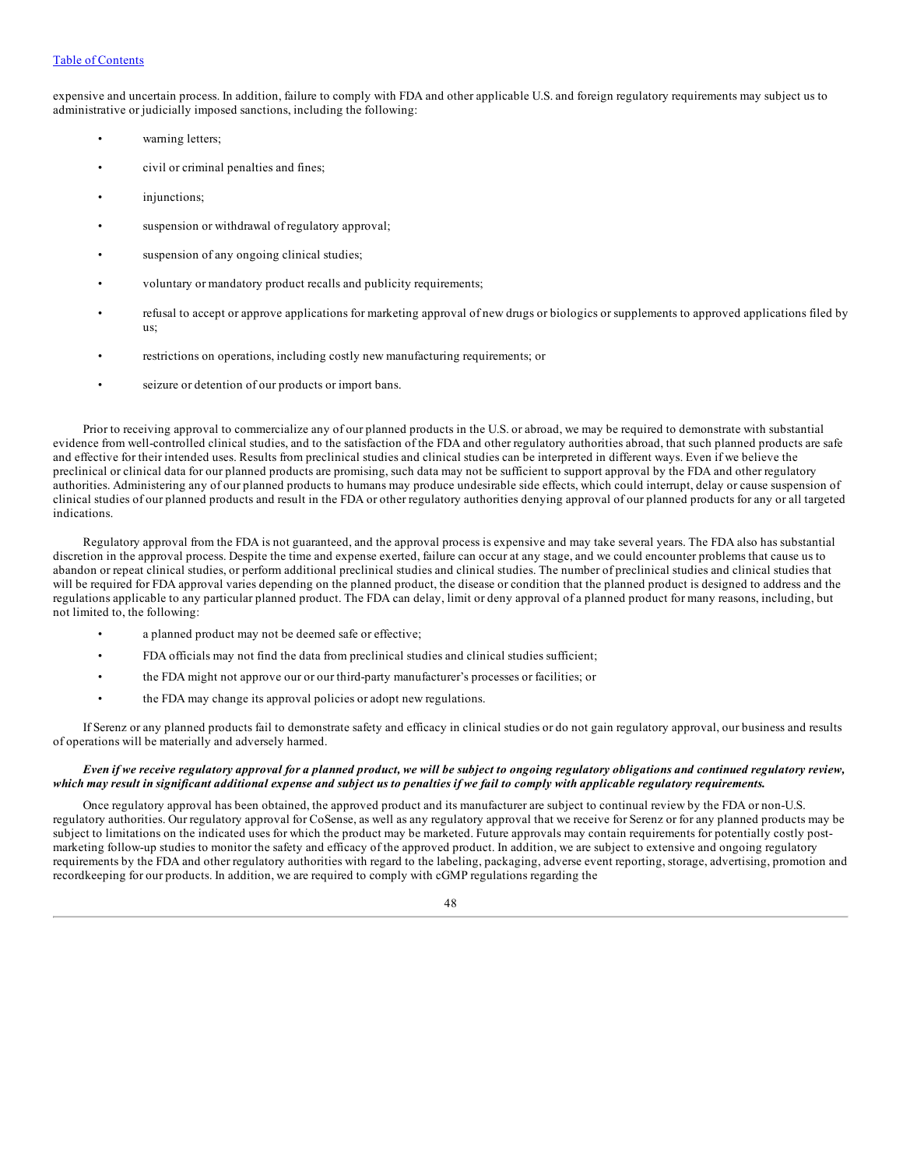expensive and uncertain process. In addition, failure to comply with FDA and other applicable U.S. and foreign regulatory requirements may subject us to administrative or judicially imposed sanctions, including the following:

- warning letters;
- civil or criminal penalties and fines;
- injunctions;
- suspension or withdrawal of regulatory approval;
- suspension of any ongoing clinical studies;
- voluntary or mandatory product recalls and publicity requirements;
- refusal to accept or approve applications for marketing approval of new drugs or biologics or supplements to approved applications filed by us;
- restrictions on operations, including costly new manufacturing requirements; or
- seizure or detention of our products or import bans.

Prior to receiving approval to commercialize any of our planned products in the U.S. or abroad, we may be required to demonstrate with substantial evidence from well-controlled clinical studies, and to the satisfaction of the FDA and other regulatory authorities abroad, that such planned products are safe and effective for their intended uses. Results from preclinical studies and clinical studies can be interpreted in different ways. Even if we believe the preclinical or clinical data for our planned products are promising, such data may not be sufficient to support approval by the FDA and other regulatory authorities. Administering any of our planned products to humans may produce undesirable side effects, which could interrupt, delay or cause suspension of clinical studies of our planned products and result in the FDA or other regulatory authorities denying approval of our planned products for any or all targeted indications.

Regulatory approval from the FDA is not guaranteed, and the approval process is expensive and may take several years. The FDA also has substantial discretion in the approval process. Despite the time and expense exerted, failure can occur at any stage, and we could encounter problems that cause us to abandon or repeat clinical studies, or perform additional preclinical studies and clinical studies. The number of preclinical studies and clinical studies that will be required for FDA approval varies depending on the planned product, the disease or condition that the planned product is designed to address and the regulations applicable to any particular planned product. The FDA can delay, limit or deny approval of a planned product for many reasons, including, but not limited to, the following:

- a planned product may not be deemed safe or effective;
- FDA officials may not find the data from preclinical studies and clinical studies sufficient;
- the FDA might not approve our or our third-party manufacturer's processes or facilities; or
- the FDA may change its approval policies or adopt new regulations.

If Serenz or any planned products fail to demonstrate safety and efficacy in clinical studies or do not gain regulatory approval, our business and results of operations will be materially and adversely harmed.

#### Even if we receive regulatory approval for a planned product, we will be subject to ongoing regulatory obligations and continued regulatory review, which may result in significant additional expense and subject us to penalties if we fail to comply with applicable regulatory requirements.

Once regulatory approval has been obtained, the approved product and its manufacturer are subject to continual review by the FDA or non-U.S. regulatory authorities. Our regulatory approval for CoSense, as well as any regulatory approval that we receive for Serenz or for any planned products may be subject to limitations on the indicated uses for which the product may be marketed. Future approvals may contain requirements for potentially costly postmarketing follow-up studies to monitor the safety and efficacy of the approved product. In addition, we are subject to extensive and ongoing regulatory requirements by the FDA and other regulatory authorities with regard to the labeling, packaging, adverse event reporting, storage, advertising, promotion and recordkeeping for our products. In addition, we are required to comply with cGMP regulations regarding the

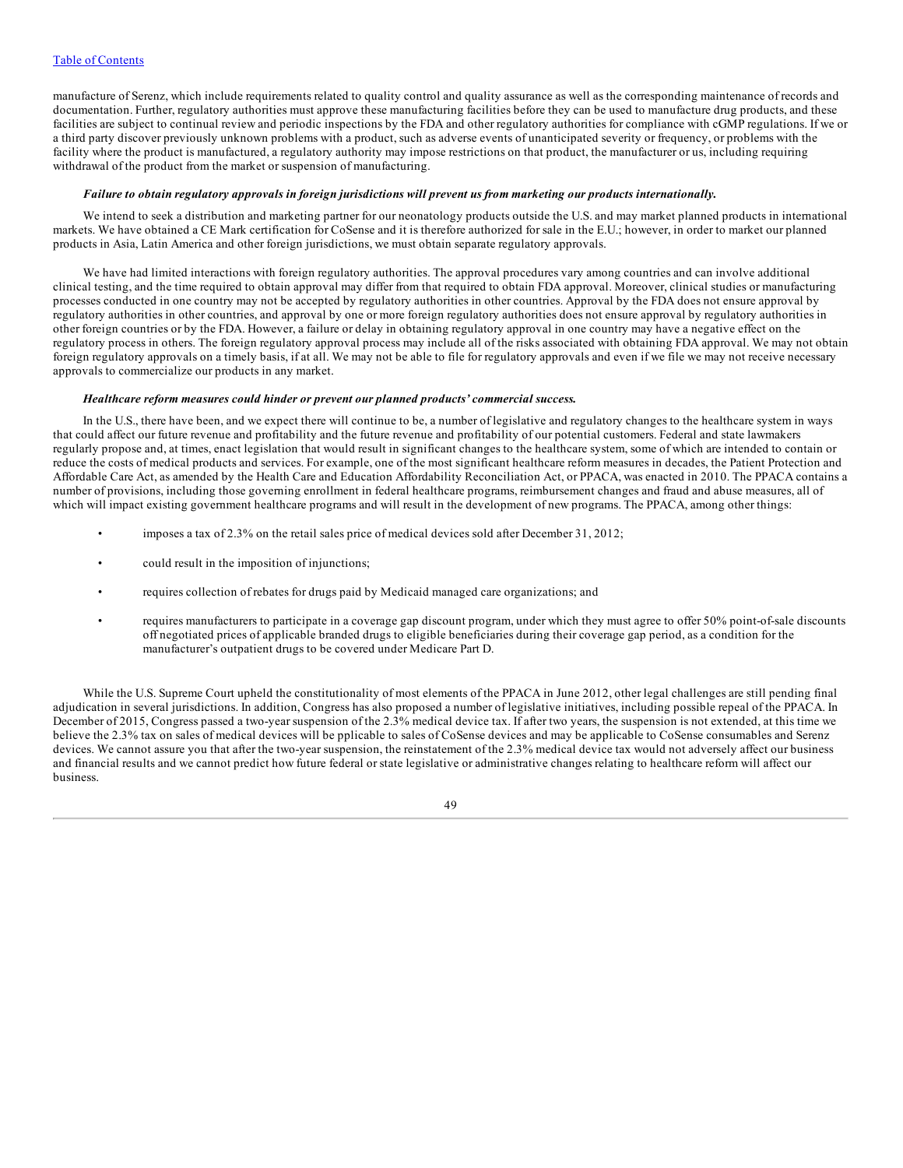manufacture of Serenz, which include requirements related to quality control and quality assurance as well as the corresponding maintenance of records and documentation. Further, regulatory authorities must approve these manufacturing facilities before they can be used to manufacture drug products, and these facilities are subject to continual review and periodic inspections by the FDA and other regulatory authorities for compliance with cGMP regulations. If we or a third party discover previously unknown problems with a product, such as adverse events of unanticipated severity or frequency, or problems with the facility where the product is manufactured, a regulatory authority may impose restrictions on that product, the manufacturer or us, including requiring withdrawal of the product from the market or suspension of manufacturing.

#### Failure to obtain regulatory approvals in foreign jurisdictions will prevent us from marketing our products internationally.

We intend to seek a distribution and marketing partner for our neonatology products outside the U.S. and may market planned products in international markets. We have obtained a CE Mark certification for CoSense and it is therefore authorized for sale in the E.U.; however, in order to market our planned products in Asia, Latin America and other foreign jurisdictions, we must obtain separate regulatory approvals.

We have had limited interactions with foreign regulatory authorities. The approval procedures vary among countries and can involve additional clinical testing, and the time required to obtain approval may differ from that required to obtain FDA approval. Moreover, clinical studies or manufacturing processes conducted in one country may not be accepted by regulatory authorities in other countries. Approval by the FDA does not ensure approval by regulatory authorities in other countries, and approval by one or more foreign regulatory authorities does not ensure approval by regulatory authorities in other foreign countries or by the FDA. However, a failure or delay in obtaining regulatory approval in one country may have a negative effect on the regulatory process in others. The foreign regulatory approval process may include all of the risks associated with obtaining FDA approval. We may not obtain foreign regulatory approvals on a timely basis, if at all. We may not be able to file for regulatory approvals and even if we file we may not receive necessary approvals to commercialize our products in any market.

#### *Healthcare reform measures could hinder or prevent our planned products' commercial success.*

In the U.S., there have been, and we expect there will continue to be, a number of legislative and regulatory changes to the healthcare system in ways that could affect our future revenue and profitability and the future revenue and profitability of our potential customers. Federal and state lawmakers regularly propose and, at times, enact legislation that would result in significant changes to the healthcare system, some of which are intended to contain or reduce the costs of medical products and services. For example, one of the most significant healthcare reform measures in decades, the Patient Protection and Affordable Care Act, as amended by the Health Care and Education Affordability Reconciliation Act, or PPACA, was enacted in 2010. The PPACA contains a number of provisions, including those governing enrollment in federal healthcare programs, reimbursement changes and fraud and abuse measures, all of which will impact existing government healthcare programs and will result in the development of new programs. The PPACA, among other things:

- imposes a tax of 2.3% on the retail sales price of medical devices sold after December 31, 2012;
- could result in the imposition of injunctions;
- requires collection of rebates for drugs paid by Medicaid managed care organizations; and
- requires manufacturers to participate in a coverage gap discount program, under which they must agree to offer 50% point-of-sale discounts off negotiated prices of applicable branded drugs to eligible beneficiaries during their coverage gap period, as a condition for the manufacturer's outpatient drugs to be covered under Medicare Part D.

While the U.S. Supreme Court upheld the constitutionality of most elements of the PPACA in June 2012, other legal challenges are still pending final adjudication in several jurisdictions. In addition, Congress has also proposed a number of legislative initiatives, including possible repeal of the PPACA. In December of 2015, Congress passed a two-year suspension of the 2.3% medical device tax. If after two years, the suspension is not extended, at this time we believe the 2.3% tax on sales of medical devices will be pplicable to sales of CoSense devices and may be applicable to CoSense consumables and Serenz devices. We cannot assure you that after the two-year suspension, the reinstatement of the 2.3% medical device tax would not adversely affect our business and financial results and we cannot predict how future federal or state legislative or administrative changes relating to healthcare reform will affect our business.

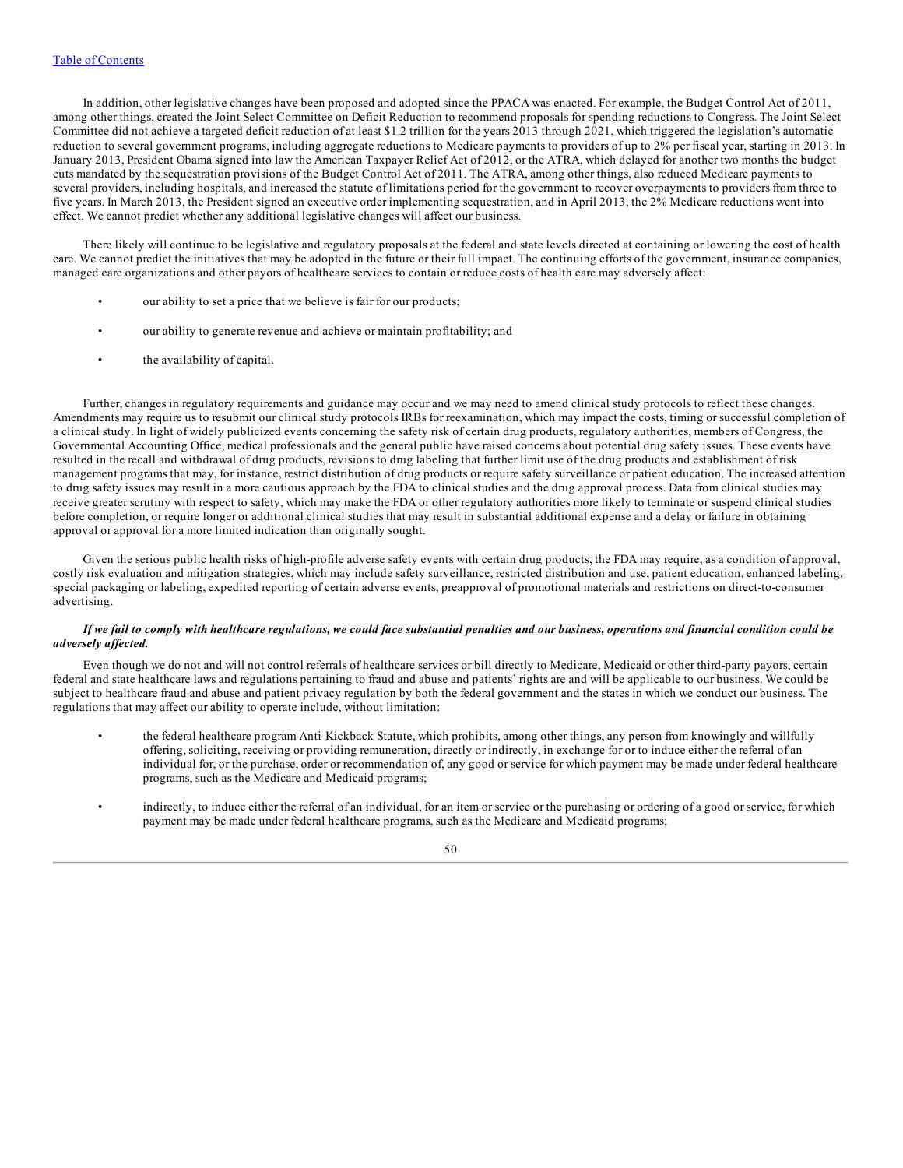In addition, other legislative changes have been proposed and adopted since the PPACA was enacted. For example, the Budget Control Act of 2011, among other things, created the Joint Select Committee on Deficit Reduction to recommend proposals for spending reductions to Congress. The Joint Select Committee did not achieve a targeted deficit reduction of at least \$1.2 trillion for the years 2013 through 2021, which triggered the legislation's automatic reduction to several government programs, including aggregate reductions to Medicare payments to providers of up to 2% per fiscal year, starting in 2013. In January 2013, President Obama signed into law the American Taxpayer Relief Act of 2012, or the ATRA, which delayed for another two months the budget cuts mandated by the sequestration provisions of the Budget Control Act of 2011. The ATRA, among other things, also reduced Medicare payments to several providers, including hospitals, and increased the statute of limitations period for the government to recover overpayments to providers from three to five years. In March 2013, the President signed an executive order implementing sequestration, and in April 2013, the 2% Medicare reductions went into effect. We cannot predict whether any additional legislative changes will affect our business.

There likely will continue to be legislative and regulatory proposals at the federal and state levels directed at containing or lowering the cost of health care. We cannot predict the initiatives that may be adopted in the future or their full impact. The continuing efforts of the government, insurance companies, managed care organizations and other payors of healthcare services to contain or reduce costs of health care may adversely affect:

- our ability to set a price that we believe is fair for our products;
- our ability to generate revenue and achieve or maintain profitability; and
- the availability of capital.

Further, changes in regulatory requirements and guidance may occur and we may need to amend clinical study protocols to reflect these changes. Amendments may require us to resubmit our clinical study protocols IRBs for reexamination, which may impact the costs, timing or successful completion of a clinical study. In light of widely publicized events concerning the safety risk of certain drug products, regulatory authorities, members of Congress, the Governmental Accounting Office, medical professionals and the general public have raised concerns about potential drug safety issues. These events have resulted in the recall and withdrawal of drug products, revisions to drug labeling that further limit use of the drug products and establishment of risk management programs that may, for instance, restrict distribution of drug products or require safety surveillance or patient education. The increased attention to drug safety issues may result in a more cautious approach by the FDA to clinical studies and the drug approval process. Data from clinical studies may receive greater scrutiny with respect to safety, which may make the FDA or other regulatory authorities more likely to terminate or suspend clinical studies before completion, or require longer or additional clinical studies that may result in substantial additional expense and a delay or failure in obtaining approval or approval for a more limited indication than originally sought.

Given the serious public health risks of high-profile adverse safety events with certain drug products, the FDA may require, as a condition of approval, costly risk evaluation and mitigation strategies, which may include safety surveillance, restricted distribution and use, patient education, enhanced labeling, special packaging or labeling, expedited reporting of certain adverse events, preapproval of promotional materials and restrictions on direct-to-consumer advertising.

## If we fail to comply with healthcare regulations, we could face substantial penalties and our business, operations and financial condition could be *adversely af ected.*

Even though we do not and will not control referrals of healthcare services or bill directly to Medicare, Medicaid or other third-party payors, certain federal and state healthcare laws and regulations pertaining to fraud and abuse and patients' rights are and will be applicable to our business. We could be subject to healthcare fraud and abuse and patient privacy regulation by both the federal government and the states in which we conduct our business. The regulations that may affect our ability to operate include, without limitation:

- the federal healthcare program Anti-Kickback Statute, which prohibits, among other things, any person from knowingly and willfully offering, soliciting, receiving or providing remuneration, directly or indirectly, in exchange for or to induce either the referral of an individual for, or the purchase, order or recommendation of, any good or service for which payment may be made under federal healthcare programs, such as the Medicare and Medicaid programs;
- indirectly, to induce either the referral of an individual, for an item or service or the purchasing or ordering of a good or service, for which payment may be made under federal healthcare programs, such as the Medicare and Medicaid programs;

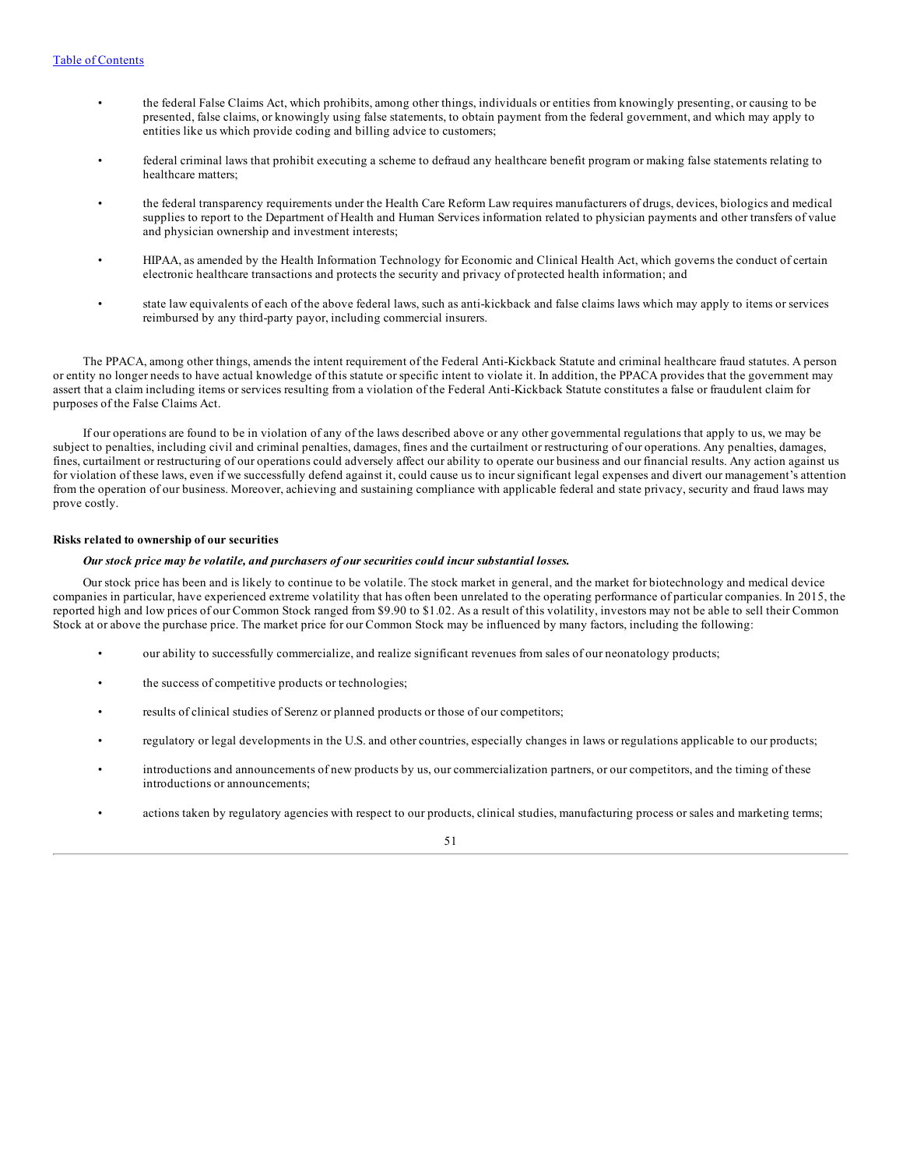- the federal False Claims Act, which prohibits, among other things, individuals or entities from knowingly presenting, or causing to be presented, false claims, or knowingly using false statements, to obtain payment from the federal government, and which may apply to entities like us which provide coding and billing advice to customers;
- federal criminal laws that prohibit executing a scheme to defraud any healthcare benefit program or making false statements relating to healthcare matters;
- the federal transparency requirements under the Health Care Reform Law requires manufacturers of drugs, devices, biologics and medical supplies to report to the Department of Health and Human Services information related to physician payments and other transfers of value and physician ownership and investment interests;
- HIPAA, as amended by the Health Information Technology for Economic and Clinical Health Act, which governs the conduct of certain electronic healthcare transactions and protects the security and privacy of protected health information; and
- state law equivalents of each of the above federal laws, such as anti-kickback and false claims laws which may apply to items or services reimbursed by any third-party payor, including commercial insurers.

The PPACA, among other things, amends the intent requirement of the Federal Anti-Kickback Statute and criminal healthcare fraud statutes. A person or entity no longer needs to have actual knowledge of this statute or specific intent to violate it. In addition, the PPACA provides that the government may assert that a claim including items or services resulting from a violation of the Federal Anti-Kickback Statute constitutes a false or fraudulent claim for purposes of the False Claims Act.

If our operations are found to be in violation of any of the laws described above or any other governmental regulations that apply to us, we may be subject to penalties, including civil and criminal penalties, damages, fines and the curtailment or restructuring of our operations. Any penalties, damages, fines, curtailment or restructuring of our operations could adversely affect our ability to operate our business and our financial results. Any action against us for violation of these laws, even if we successfully defend against it, could cause us to incur significant legal expenses and divert our management's attention from the operation of our business. Moreover, achieving and sustaining compliance with applicable federal and state privacy, security and fraud laws may prove costly.

## **Risks related to ownership of our securities**

### *Our stock price may be volatile, and purchasers of our securities could incur substantial losses.*

Our stock price has been and is likely to continue to be volatile. The stock market in general, and the market for biotechnology and medical device companies in particular, have experienced extreme volatility that has often been unrelated to the operating performance of particular companies. In 2015, the reported high and low prices of our Common Stock ranged from \$9.90 to \$1.02. As a result of this volatility, investors may not be able to sell their Common Stock at or above the purchase price. The market price for our Common Stock may be influenced by many factors, including the following:

- our ability to successfully commercialize, and realize significant revenues from sales of our neonatology products;
- the success of competitive products or technologies;
- results of clinical studies of Serenz or planned products or those of our competitors;
- regulatory or legal developments in the U.S. and other countries, especially changes in laws or regulations applicable to our products;
- introductions and announcements of new products by us, our commercialization partners, or our competitors, and the timing of these introductions or announcements;
- actions taken by regulatory agencies with respect to our products, clinical studies, manufacturing process or sales and marketing terms;

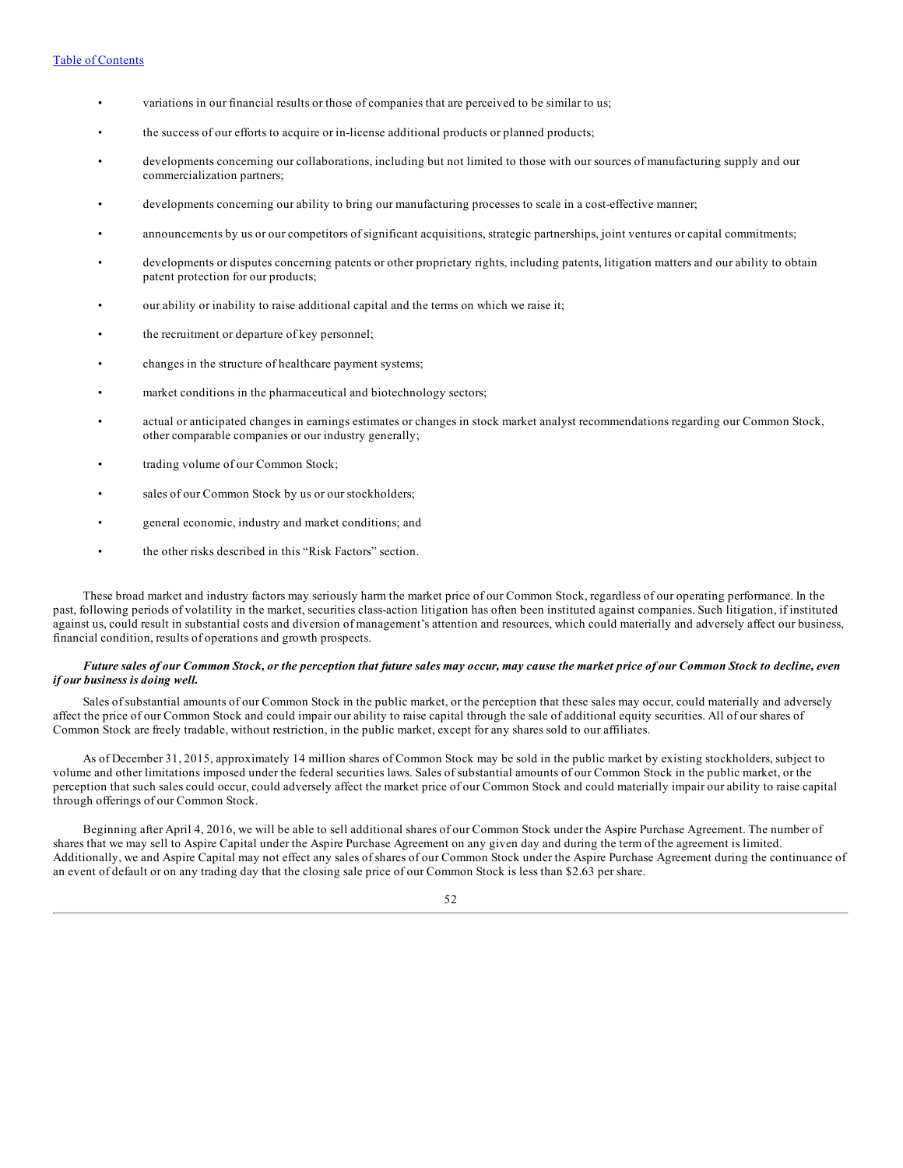- variations in our financial results or those of companies that are perceived to be similar to us;
- the success of our efforts to acquire or in-license additional products or planned products;
- developments concerning our collaborations, including but not limited to those with our sources of manufacturing supply and our commercialization partners;
- developments concerning our ability to bring our manufacturing processes to scale in a cost-effective manner;
- announcements by us or our competitors of significant acquisitions, strategic partnerships, joint ventures or capital commitments;
- developments or disputes concerning patents or other proprietary rights, including patents, litigation matters and our ability to obtain patent protection for our products;
- our ability or inability to raise additional capital and the terms on which we raise it;
- the recruitment or departure of key personnel;
- changes in the structure of healthcare payment systems;
- market conditions in the pharmaceutical and biotechnology sectors;
- actual or anticipated changes in earnings estimates or changes in stock market analyst recommendations regarding our Common Stock, other comparable companies or our industry generally;
- trading volume of our Common Stock;
- sales of our Common Stock by us or our stockholders;
- general economic, industry and market conditions; and
- the other risks described in this "Risk Factors" section.

These broad market and industry factors may seriously harm the market price of our Common Stock, regardless of our operating performance. In the past, following periods of volatility in the market, securities class-action litigation has often been instituted against companies. Such litigation, if instituted against us, could result in substantial costs and diversion of management's attention and resources, which could materially and adversely affect our business, financial condition, results of operations and growth prospects.

## Future sales of our Common Stock, or the perception that future sales may occur, may cause the market price of our Common Stock to decline, even *if our business is doing well.*

Sales of substantial amounts of our Common Stock in the public market, or the perception that these sales may occur, could materially and adversely affect the price of our Common Stock and could impair our ability to raise capital through the sale of additional equity securities. All of our shares of Common Stock are freely tradable, without restriction, in the public market, except for any shares sold to our affiliates.

As of December 31, 2015, approximately 14 million shares of Common Stock may be sold in the public market by existing stockholders, subject to volume and other limitations imposed under the federal securities laws. Sales of substantial amounts of our Common Stock in the public market, or the perception that such sales could occur, could adversely affect the market price of our Common Stock and could materially impair our ability to raise capital through offerings of our Common Stock.

Beginning after April 4, 2016, we will be able to sell additional shares of our Common Stock under the Aspire Purchase Agreement. The number of shares that we may sell to Aspire Capital under the Aspire Purchase Agreement on any given day and during the term of the agreement is limited. Additionally, we and Aspire Capital may not effect any sales of shares of our Common Stock under the Aspire Purchase Agreement during the continuance of an event of default or on any trading day that the closing sale price of our Common Stock is less than \$2.63 per share.

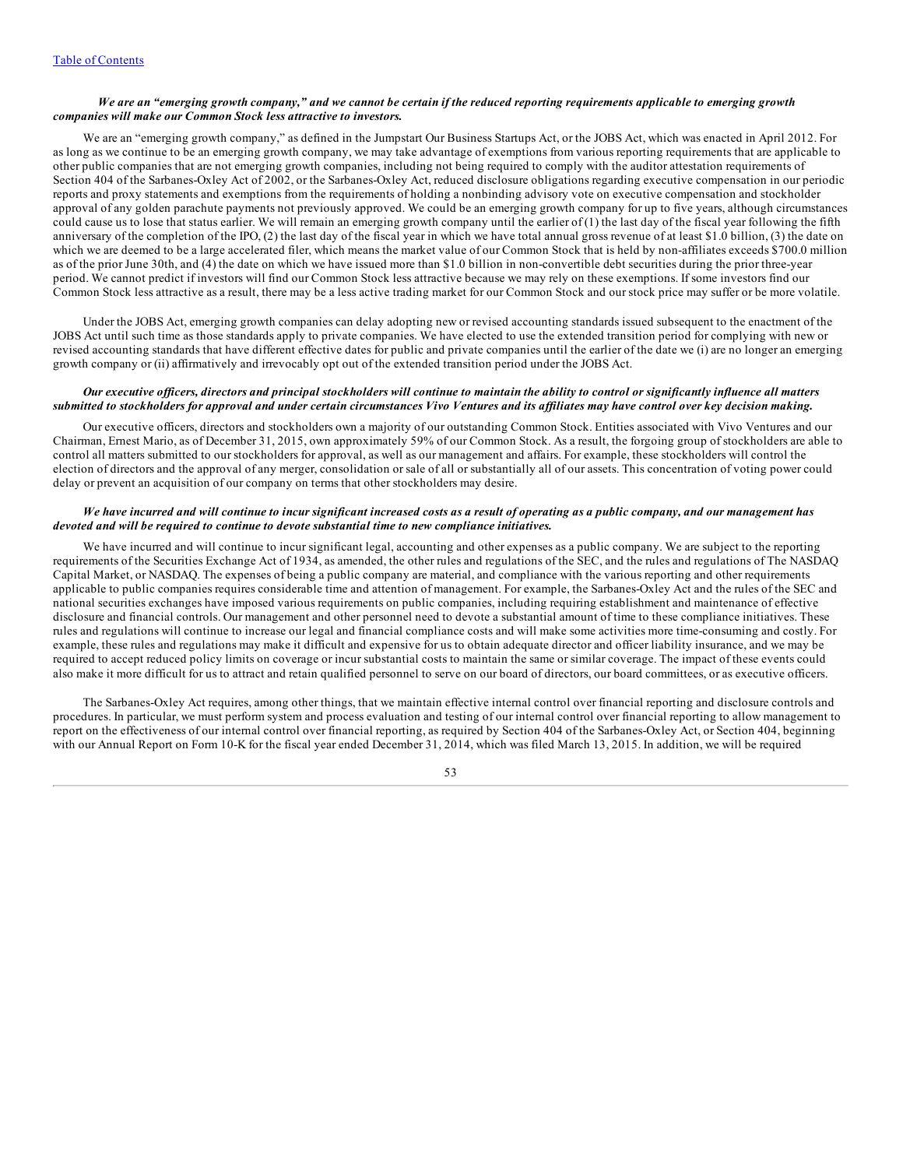## We are an "emerging growth company," and we cannot be certain if the reduced reporting requirements applicable to emerging growth *companies will make our Common Stock less attractive to investors.*

We are an "emerging growth company," as defined in the Jumpstart Our Business Startups Act, or the JOBS Act, which was enacted in April 2012. For as long as we continue to be an emerging growth company, we may take advantage of exemptions from various reporting requirements that are applicable to other public companies that are not emerging growth companies, including not being required to comply with the auditor attestation requirements of Section 404 of the Sarbanes-Oxley Act of 2002, or the Sarbanes-Oxley Act, reduced disclosure obligations regarding executive compensation in our periodic reports and proxy statements and exemptions from the requirements of holding a nonbinding advisory vote on executive compensation and stockholder approval of any golden parachute payments not previously approved. We could be an emerging growth company for up to five years, although circumstances could cause us to lose that status earlier. We will remain an emerging growth company until the earlier of (1) the last day of the fiscal year following the fifth anniversary of the completion of the IPO, (2) the last day of the fiscal year in which we have total annual gross revenue of at least \$1.0 billion, (3) the date on which we are deemed to be a large accelerated filer, which means the market value of our Common Stock that is held by non-affiliates exceeds \$700.0 million as of the prior June 30th, and (4) the date on which we have issued more than \$1.0 billion in non-convertible debt securities during the prior three-year period. We cannot predict if investors will find our Common Stock less attractive because we may rely on these exemptions. If some investors find our Common Stock less attractive as a result, there may be a less active trading market for our Common Stock and our stock price may suffer or be more volatile.

Under the JOBS Act, emerging growth companies can delay adopting new or revised accounting standards issued subsequent to the enactment of the JOBS Act until such time as those standards apply to private companies. We have elected to use the extended transition period for complying with new or revised accounting standards that have different effective dates for public and private companies until the earlier of the date we (i) are no longer an emerging growth company or (ii) affirmatively and irrevocably opt out of the extended transition period under the JOBS Act.

#### Our executive officers, directors and principal stockholders will continue to maintain the ability to control or significantly influence all matters submitted to stockholders for approval and under certain circumstances Vivo Ventures and its affiliates may have control over key decision making.

Our executive officers, directors and stockholders own a majority of our outstanding Common Stock. Entities associated with Vivo Ventures and our Chairman, Ernest Mario, as of December 31, 2015, own approximately 59% of our Common Stock. As a result, the forgoing group of stockholders are able to control all matters submitted to our stockholders for approval, as well as our management and affairs. For example, these stockholders will control the election of directors and the approval of any merger, consolidation or sale of all or substantially all of our assets. This concentration of voting power could delay or prevent an acquisition of our company on terms that other stockholders may desire.

### We have incurred and will continue to incur significant increased costs as a result of operating as a public company, and our management has *devoted and will be required to continue to devote substantial time to new compliance initiatives.*

We have incurred and will continue to incur significant legal, accounting and other expenses as a public company. We are subject to the reporting requirements of the Securities Exchange Act of 1934, as amended, the other rules and regulations of the SEC, and the rules and regulations of The NASDAQ Capital Market, or NASDAQ. The expenses of being a public company are material, and compliance with the various reporting and other requirements applicable to public companies requires considerable time and attention of management. For example, the Sarbanes-Oxley Act and the rules of the SEC and national securities exchanges have imposed various requirements on public companies, including requiring establishment and maintenance of effective disclosure and financial controls. Our management and other personnel need to devote a substantial amount of time to these compliance initiatives. These rules and regulations will continue to increase our legal and financial compliance costs and will make some activities more time-consuming and costly. For example, these rules and regulations may make it difficult and expensive for us to obtain adequate director and officer liability insurance, and we may be required to accept reduced policy limits on coverage or incur substantial costs to maintain the same or similar coverage. The impact of these events could also make it more difficult for us to attract and retain qualified personnel to serve on our board of directors, our board committees, or as executive officers.

The Sarbanes-Oxley Act requires, among other things, that we maintain effective internal control over financial reporting and disclosure controls and procedures. In particular, we must perform system and process evaluation and testing of our internal control over financial reporting to allow management to report on the effectiveness of our internal control over financial reporting, as required by Section 404 of the Sarbanes-Oxley Act, or Section 404, beginning with our Annual Report on Form 10-K for the fiscal year ended December 31, 2014, which was filed March 13, 2015. In addition, we will be required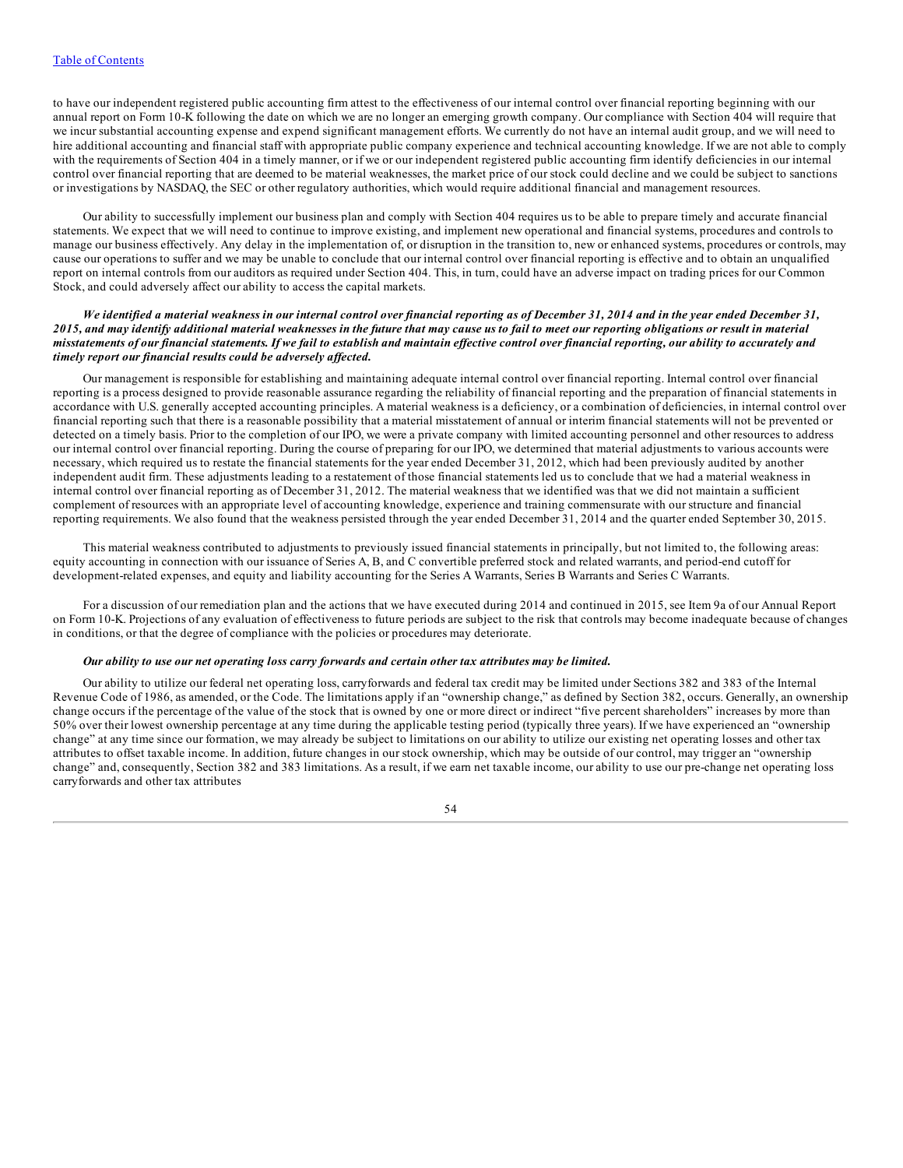to have our independent registered public accounting firm attest to the effectiveness of our internal control over financial reporting beginning with our annual report on Form 10-K following the date on which we are no longer an emerging growth company. Our compliance with Section 404 will require that we incur substantial accounting expense and expend significant management efforts. We currently do not have an internal audit group, and we will need to hire additional accounting and financial staff with appropriate public company experience and technical accounting knowledge. If we are not able to comply with the requirements of Section 404 in a timely manner, or if we or our independent registered public accounting firm identify deficiencies in our internal control over financial reporting that are deemed to be material weaknesses, the market price of our stock could decline and we could be subject to sanctions or investigations by NASDAQ, the SEC or other regulatory authorities, which would require additional financial and management resources.

Our ability to successfully implement our business plan and comply with Section 404 requires us to be able to prepare timely and accurate financial statements. We expect that we will need to continue to improve existing, and implement new operational and financial systems, procedures and controls to manage our business effectively. Any delay in the implementation of, or disruption in the transition to, new or enhanced systems, procedures or controls, may cause our operations to suffer and we may be unable to conclude that our internal control over financial reporting is effective and to obtain an unqualified report on internal controls from our auditors as required under Section 404. This, in turn, could have an adverse impact on trading prices for our Common Stock, and could adversely affect our ability to access the capital markets.

## We identified a material weakness in our internal control over financial reporting as of December 31, 2014 and in the year ended December 31, 2015, and may identify additional material weaknesses in the future that may cause us to fail to meet our reporting obligations or result in material misstatements of our financial statements. If we fail to establish and maintain effective control over financial reporting, our ability to accurately and *timely report our financial results could be adversely af ected.*

Our management is responsible for establishing and maintaining adequate internal control over financial reporting. Internal control over financial reporting is a process designed to provide reasonable assurance regarding the reliability of financial reporting and the preparation of financial statements in accordance with U.S. generally accepted accounting principles. A material weakness is a deficiency, or a combination of deficiencies, in internal control over financial reporting such that there is a reasonable possibility that a material misstatement of annual or interim financial statements will not be prevented or detected on a timely basis. Prior to the completion of our IPO, we were a private company with limited accounting personnel and other resources to address our internal control over financial reporting. During the course of preparing for our IPO, we determined that material adjustments to various accounts were necessary, which required us to restate the financial statements for the year ended December 31, 2012, which had been previously audited by another independent audit firm. These adjustments leading to a restatement of those financial statements led us to conclude that we had a material weakness in internal control over financial reporting as of December 31, 2012. The material weakness that we identified was that we did not maintain a sufficient complement of resources with an appropriate level of accounting knowledge, experience and training commensurate with our structure and financial reporting requirements. We also found that the weakness persisted through the year ended December 31, 2014 and the quarter ended September 30, 2015.

This material weakness contributed to adjustments to previously issued financial statements in principally, but not limited to, the following areas: equity accounting in connection with our issuance of Series A, B, and C convertible preferred stock and related warrants, and period-end cutoff for development-related expenses, and equity and liability accounting for the Series A Warrants, Series B Warrants and Series C Warrants.

For a discussion of our remediation plan and the actions that we have executed during 2014 and continued in 2015, see Item 9a of our Annual Report on Form 10-K. Projections of any evaluation of effectiveness to future periods are subject to the risk that controls may become inadequate because of changes in conditions, or that the degree of compliance with the policies or procedures may deteriorate.

#### Our ability to use our net operating loss carry forwards and certain other tax attributes may be limited.

Our ability to utilize our federal net operating loss, carryforwards and federal tax credit may be limited under Sections 382 and 383 of the Internal Revenue Code of 1986, as amended, or the Code. The limitations apply if an "ownership change," as defined by Section 382, occurs. Generally, an ownership change occurs if the percentage of the value of the stock that is owned by one or more direct or indirect "five percent shareholders" increases by more than 50% over their lowest ownership percentage at any time during the applicable testing period (typically three years). If we have experienced an "ownership change" at any time since our formation, we may already be subject to limitations on our ability to utilize our existing net operating losses and other tax attributes to offset taxable income. In addition, future changes in our stock ownership, which may be outside of our control, may trigger an "ownership change" and, consequently, Section 382 and 383 limitations. As a result, if we earn net taxable income, our ability to use our pre-change net operating loss carryforwards and other tax attributes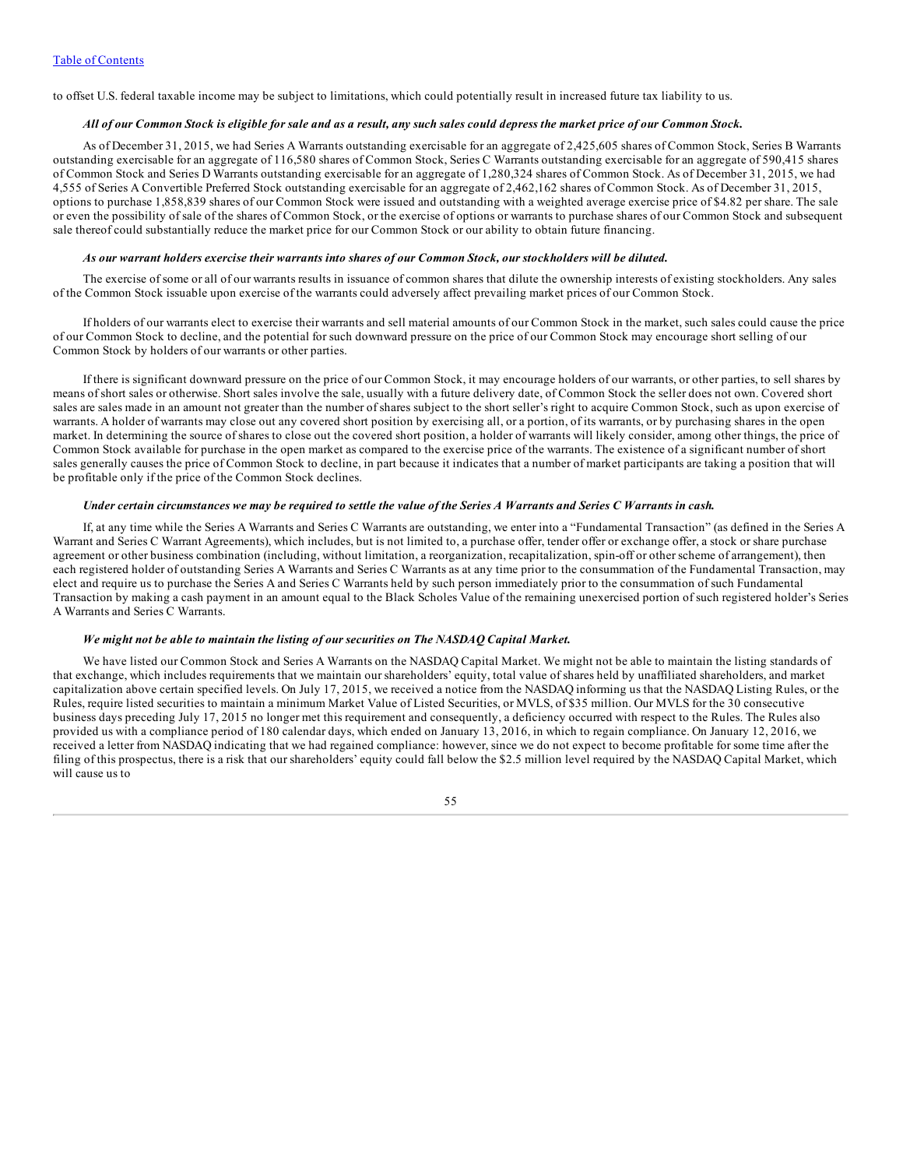to offset U.S. federal taxable income may be subject to limitations, which could potentially result in increased future tax liability to us.

#### All of our Common Stock is eligible for sale and as a result, any such sales could depress the market price of our Common Stock.

As of December 31, 2015, we had Series A Warrants outstanding exercisable for an aggregate of 2,425,605 shares of Common Stock, Series B Warrants outstanding exercisable for an aggregate of 116,580 shares of Common Stock, Series C Warrants outstanding exercisable for an aggregate of 590,415 shares of Common Stock and Series D Warrants outstanding exercisable for an aggregate of 1,280,324 shares of Common Stock. As of December 31, 2015, we had 4,555 of Series A Convertible Preferred Stock outstanding exercisable for an aggregate of 2,462,162 shares of Common Stock. As of December 31, 2015, options to purchase 1,858,839 shares of our Common Stock were issued and outstanding with a weighted average exercise price of \$4.82 per share. The sale or even the possibility of sale of the shares of Common Stock, or the exercise of options or warrants to purchase shares of our Common Stock and subsequent sale thereof could substantially reduce the market price for our Common Stock or our ability to obtain future financing.

#### As our warrant holders exercise their warrants into shares of our Common Stock, our stockholders will be diluted.

The exercise of some or all of our warrants results in issuance of common shares that dilute the ownership interests of existing stockholders. Any sales of the Common Stock issuable upon exercise of the warrants could adversely affect prevailing market prices of our Common Stock.

If holders of our warrants elect to exercise their warrants and sell material amounts of our Common Stock in the market, such sales could cause the price of our Common Stock to decline, and the potential for such downward pressure on the price of our Common Stock may encourage short selling of our Common Stock by holders of our warrants or other parties.

If there is significant downward pressure on the price of our Common Stock, it may encourage holders of our warrants, or other parties, to sell shares by means of short sales or otherwise. Short sales involve the sale, usually with a future delivery date, of Common Stock the seller does not own. Covered short sales are sales made in an amount not greater than the number of shares subject to the short seller's right to acquire Common Stock, such as upon exercise of warrants. A holder of warrants may close out any covered short position by exercising all, or a portion, of its warrants, or by purchasing shares in the open market. In determining the source of shares to close out the covered short position, a holder of warrants will likely consider, among other things, the price of Common Stock available for purchase in the open market as compared to the exercise price of the warrants. The existence of a significant number of short sales generally causes the price of Common Stock to decline, in part because it indicates that a number of market participants are taking a position that will be profitable only if the price of the Common Stock declines.

#### Under certain circumstances we may be required to settle the value of the Series A Warrants and Series C Warrants in cash.

If, at any time while the Series A Warrants and Series C Warrants are outstanding, we enter into a "Fundamental Transaction" (as defined in the Series A Warrant and Series C Warrant Agreements), which includes, but is not limited to, a purchase offer, tender offer or exchange offer, a stock or share purchase agreement or other business combination (including, without limitation, a reorganization, recapitalization, spin-off or other scheme of arrangement), then each registered holder of outstanding Series A Warrants and Series C Warrants as at any time prior to the consummation of the Fundamental Transaction, may elect and require us to purchase the Series A and Series C Warrants held by such person immediately prior to the consummation of such Fundamental Transaction by making a cash payment in an amount equal to the Black Scholes Value of the remaining unexercised portion of such registered holder's Series A Warrants and Series C Warrants.

#### *We might not be able to maintain the listing of our securities on The NASDAQ Capital Market.*

We have listed our Common Stock and Series A Warrants on the NASDAQ Capital Market. We might not be able to maintain the listing standards of that exchange, which includes requirements that we maintain our shareholders' equity, total value of shares held by unaffiliated shareholders, and market capitalization above certain specified levels. On July 17, 2015, we received a notice from the NASDAQ informing us that the NASDAQ Listing Rules, or the Rules, require listed securities to maintain a minimum Market Value of Listed Securities, or MVLS, of \$35 million. Our MVLS for the 30 consecutive business days preceding July 17, 2015 no longer met this requirement and consequently, a deficiency occurred with respect to the Rules. The Rules also provided us with a compliance period of 180 calendar days, which ended on January 13, 2016, in which to regain compliance. On January 12, 2016, we received a letter from NASDAQ indicating that we had regained compliance: however, since we do not expect to become profitable for some time after the filing of this prospectus, there is a risk that our shareholders' equity could fall below the \$2.5 million level required by the NASDAQ Capital Market, which will cause us to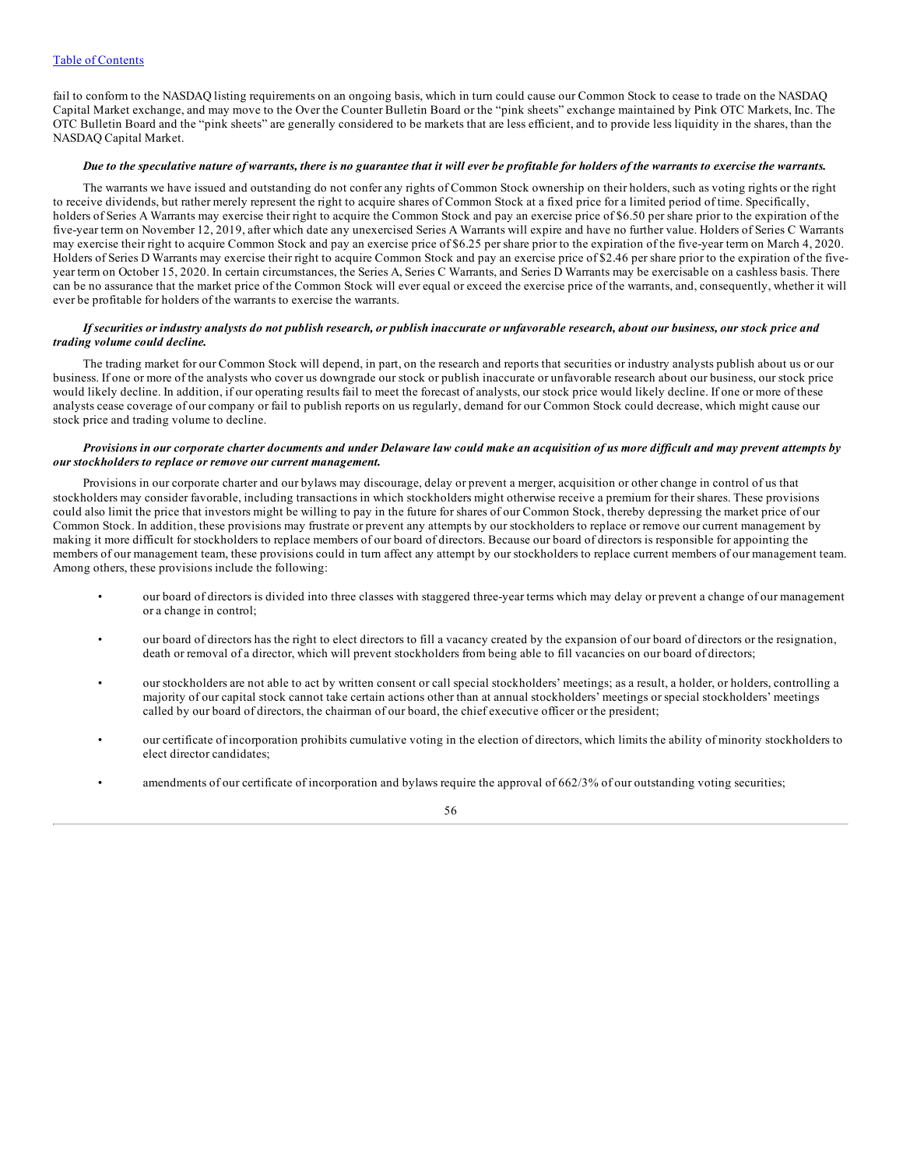fail to conform to the NASDAQ listing requirements on an ongoing basis, which in turn could cause our Common Stock to cease to trade on the NASDAQ Capital Market exchange, and may move to the Over the Counter Bulletin Board or the "pink sheets" exchange maintained by Pink OTC Markets, Inc. The OTC Bulletin Board and the "pink sheets" are generally considered to be markets that are less efficient, and to provide less liquidity in the shares, than the NASDAQ Capital Market.

#### Due to the speculative nature of warrants, there is no guarantee that it will ever be profitable for holders of the warrants to exercise the warrants.

The warrants we have issued and outstanding do not confer any rights of Common Stock ownership on their holders, such as voting rights or the right to receive dividends, but rather merely represent the right to acquire shares of Common Stock at a fixed price for a limited period of time. Specifically, holders of Series A Warrants may exercise their right to acquire the Common Stock and pay an exercise price of \$6.50 per share prior to the expiration of the five-year term on November 12, 2019, after which date any unexercised Series A Warrants will expire and have no further value. Holders of Series C Warrants may exercise their right to acquire Common Stock and pay an exercise price of \$6.25 per share prior to the expiration of the five-year term on March 4, 2020. Holders of Series D Warrants may exercise their right to acquire Common Stock and pay an exercise price of \$2.46 per share prior to the expiration of the fiveyear term on October 15, 2020. In certain circumstances, the Series A, Series C Warrants, and Series D Warrants may be exercisable on a cashless basis. There can be no assurance that the market price of the Common Stock will ever equal or exceed the exercise price of the warrants, and, consequently, whether it will ever be profitable for holders of the warrants to exercise the warrants.

## If securities or industry analysts do not publish research, or publish inaccurate or unfavorable research, about our business, our stock price and *trading volume could decline.*

The trading market for our Common Stock will depend, in part, on the research and reports that securities or industry analysts publish about us or our business. If one or more of the analysts who cover us downgrade our stock or publish inaccurate or unfavorable research about our business, our stock price would likely decline. In addition, if our operating results fail to meet the forecast of analysts, our stock price would likely decline. If one or more of these analysts cease coverage of our company or fail to publish reports on us regularly, demand for our Common Stock could decrease, which might cause our stock price and trading volume to decline.

### Provisions in our corporate charter documents and under Delaware law could make an acquisition of us more difficult and may prevent attempts by *our stockholders to replace or remove our current management.*

Provisions in our corporate charter and our bylaws may discourage, delay or prevent a merger, acquisition or other change in control of us that stockholders may consider favorable, including transactions in which stockholders might otherwise receive a premium for their shares. These provisions could also limit the price that investors might be willing to pay in the future for shares of our Common Stock, thereby depressing the market price of our Common Stock. In addition, these provisions may frustrate or prevent any attempts by our stockholders to replace or remove our current management by making it more difficult for stockholders to replace members of our board of directors. Because our board of directors is responsible for appointing the members of our management team, these provisions could in turn affect any attempt by our stockholders to replace current members of our management team. Among others, these provisions include the following:

- our board of directors is divided into three classes with staggered three-year terms which may delay or prevent a change of our management or a change in control;
- our board of directors has the right to elect directors to fill a vacancy created by the expansion of our board of directors or the resignation, death or removal of a director, which will prevent stockholders from being able to fill vacancies on our board of directors;
- our stockholders are not able to act by written consent or call special stockholders' meetings; as a result, a holder, or holders, controlling a majority of our capital stock cannot take certain actions other than at annual stockholders' meetings or special stockholders' meetings called by our board of directors, the chairman of our board, the chief executive officer or the president;
- our certificate of incorporation prohibits cumulative voting in the election of directors, which limits the ability of minority stockholders to elect director candidates;
- amendments of our certificate of incorporation and bylaws require the approval of 662/3% of our outstanding voting securities;

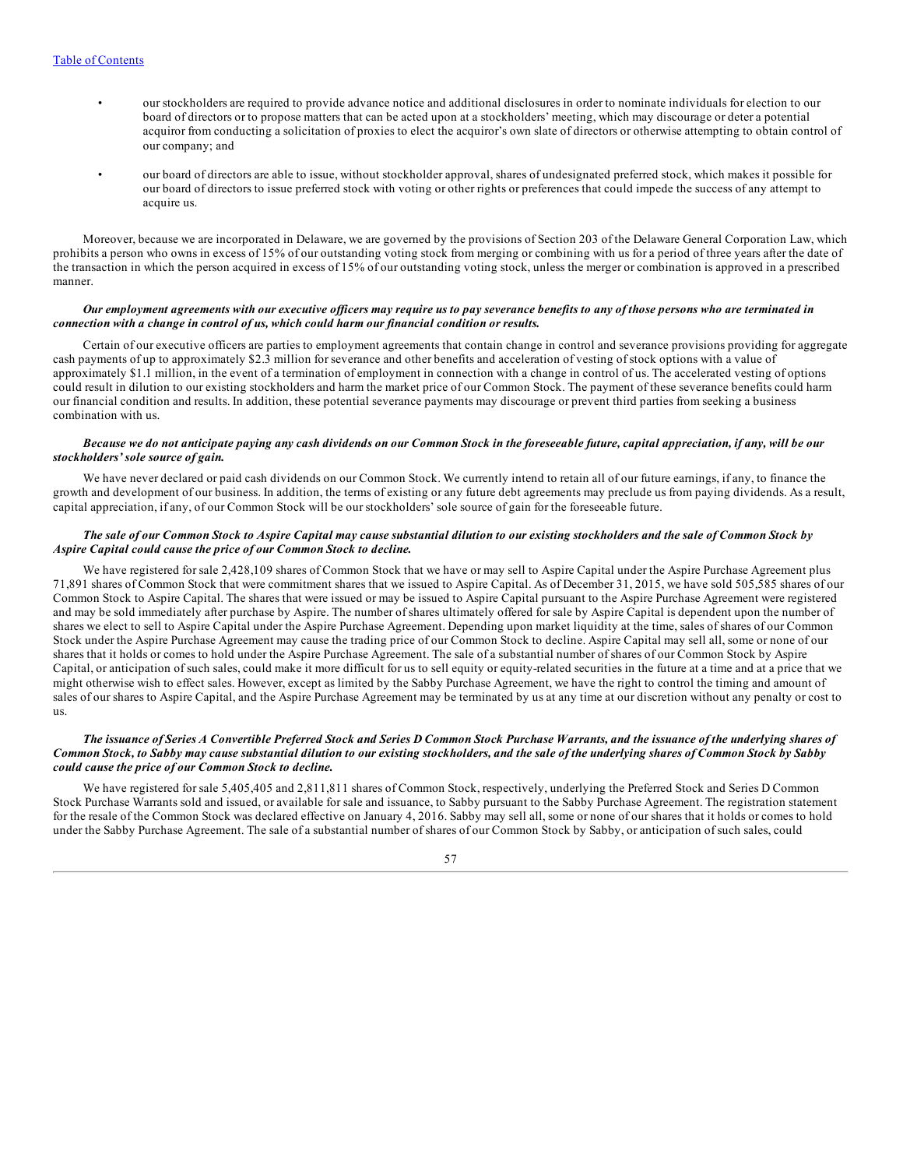- our stockholders are required to provide advance notice and additional disclosures in order to nominate individuals for election to our board of directors or to propose matters that can be acted upon at a stockholders' meeting, which may discourage or deter a potential acquiror from conducting a solicitation of proxies to elect the acquiror's own slate of directors or otherwise attempting to obtain control of our company; and
- our board of directors are able to issue, without stockholder approval, shares of undesignated preferred stock, which makes it possible for our board of directors to issue preferred stock with voting or other rights or preferences that could impede the success of any attempt to acquire us.

Moreover, because we are incorporated in Delaware, we are governed by the provisions of Section 203 of the Delaware General Corporation Law, which prohibits a person who owns in excess of 15% of our outstanding voting stock from merging or combining with us for a period of three years after the date of the transaction in which the person acquired in excess of 15% of our outstanding voting stock, unless the merger or combination is approved in a prescribed manner.

## Our employment agreements with our executive officers may require us to pay severance benefits to any of those persons who are terminated in *connection with a change in control of us, which could harm our financial condition or results.*

Certain of our executive officers are parties to employment agreements that contain change in control and severance provisions providing for aggregate cash payments of up to approximately \$2.3 million for severance and other benefits and acceleration of vesting of stock options with a value of approximately \$1.1 million, in the event of a termination of employment in connection with a change in control of us. The accelerated vesting of options could result in dilution to our existing stockholders and harm the market price of our Common Stock. The payment of these severance benefits could harm our financial condition and results. In addition, these potential severance payments may discourage or prevent third parties from seeking a business combination with us.

### Because we do not anticipate paying any cash dividends on our Common Stock in the foreseeable future, capital appreciation, if any, will be our *stockholders' sole source of gain.*

We have never declared or paid cash dividends on our Common Stock. We currently intend to retain all of our future earnings, if any, to finance the growth and development of our business. In addition, the terms of existing or any future debt agreements may preclude us from paying dividends. As a result, capital appreciation, if any, of our Common Stock will be our stockholders' sole source of gain for the foreseeable future.

## The sale of our Common Stock to Aspire Capital may cause substantial dilution to our existing stockholders and the sale of Common Stock by *Aspire Capital could cause the price of our Common Stock to decline.*

We have registered for sale 2,428,109 shares of Common Stock that we have or may sell to Aspire Capital under the Aspire Purchase Agreement plus 71,891 shares of Common Stock that were commitment shares that we issued to Aspire Capital. As of December 31, 2015, we have sold 505,585 shares of our Common Stock to Aspire Capital. The shares that were issued or may be issued to Aspire Capital pursuant to the Aspire Purchase Agreement were registered and may be sold immediately after purchase by Aspire. The number of shares ultimately offered for sale by Aspire Capital is dependent upon the number of shares we elect to sell to Aspire Capital under the Aspire Purchase Agreement. Depending upon market liquidity at the time, sales of shares of our Common Stock under the Aspire Purchase Agreement may cause the trading price of our Common Stock to decline. Aspire Capital may sell all, some or none of our shares that it holds or comes to hold under the Aspire Purchase Agreement. The sale of a substantial number of shares of our Common Stock by Aspire Capital, or anticipation of such sales, could make it more difficult for us to sell equity or equity-related securities in the future at a time and at a price that we might otherwise wish to effect sales. However, except as limited by the Sabby Purchase Agreement, we have the right to control the timing and amount of sales of our shares to Aspire Capital, and the Aspire Purchase Agreement may be terminated by us at any time at our discretion without any penalty or cost to us.

#### The issuance of Series A Convertible Preferred Stock and Series D Common Stock Purchase Warrants, and the issuance of the underlying shares of Common Stock, to Sabby may cause substantial dilution to our existing stockholders, and the sale of the underlying shares of Common Stock by Sabby *could cause the price of our Common Stock to decline.*

We have registered for sale 5,405,405 and 2,811,811 shares of Common Stock, respectively, underlying the Preferred Stock and Series D Common Stock Purchase Warrants sold and issued, or available for sale and issuance, to Sabby pursuant to the Sabby Purchase Agreement. The registration statement for the resale of the Common Stock was declared effective on January 4, 2016. Sabby may sell all, some or none of our shares that it holds or comes to hold under the Sabby Purchase Agreement. The sale of a substantial number of shares of our Common Stock by Sabby, or anticipation of such sales, could

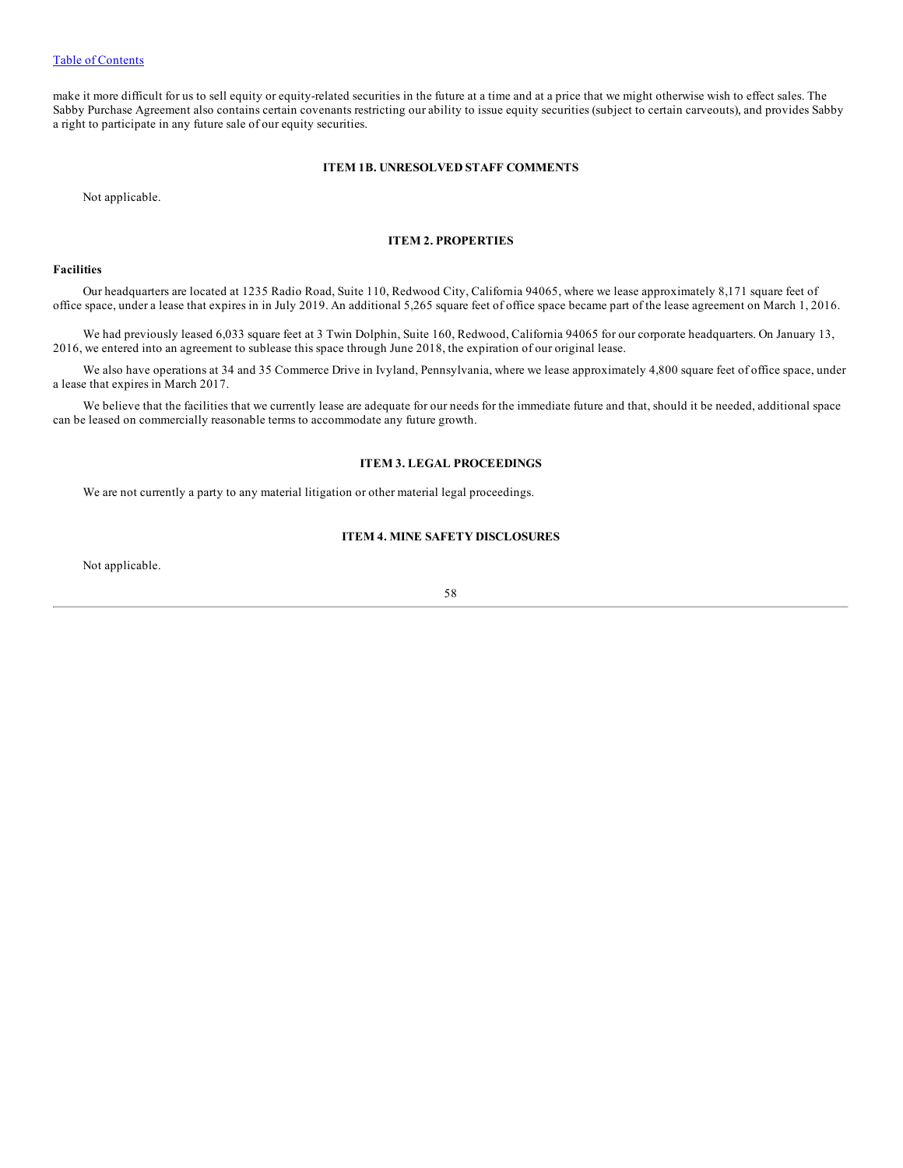make it more difficult for us to sell equity or equity-related securities in the future at a time and at a price that we might otherwise wish to effect sales. The Sabby Purchase Agreement also contains certain covenants restricting our ability to issue equity securities (subject to certain carveouts), and provides Sabby a right to participate in any future sale of our equity securities.

#### **ITEM 1B. UNRESOLVED STAFF COMMENTS**

Not applicable.

# **ITEM 2. PROPERTIES**

## **Facilities**

Our headquarters are located at 1235 Radio Road, Suite 110, Redwood City, California 94065, where we lease approximately 8,171 square feet of office space, under a lease that expires in in July 2019. An additional 5,265 square feet of office space became part of the lease agreement on March 1, 2016.

We had previously leased 6,033 square feet at 3 Twin Dolphin, Suite 160, Redwood, California 94065 for our corporate headquarters. On January 13, 2016, we entered into an agreement to sublease this space through June 2018, the expiration of our original lease.

We also have operations at 34 and 35 Commerce Drive in Ivyland, Pennsylvania, where we lease approximately 4,800 square feet of office space, under a lease that expires in March 2017.

We believe that the facilities that we currently lease are adequate for our needs for the immediate future and that, should it be needed, additional space can be leased on commercially reasonable terms to accommodate any future growth.

## **ITEM 3. LEGAL PROCEEDINGS**

We are not currently a party to any material litigation or other material legal proceedings.

## **ITEM 4. MINE SAFETY DISCLOSURES**

Not applicable.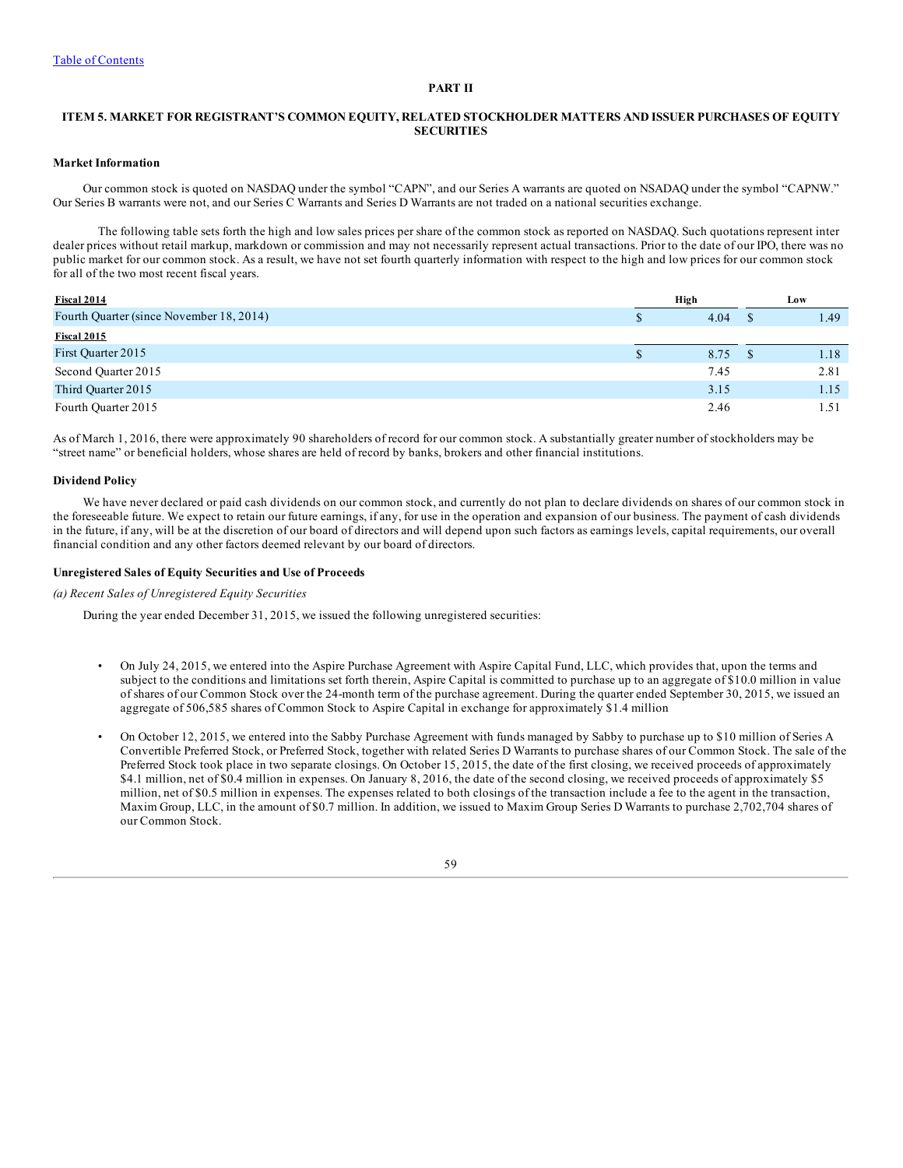### **PART II**

## **ITEM 5. MARKET FOR REGISTRANT'S COMMON EQUITY, RELATED STOCKHOLDER MATTERS AND ISSUER PURCHASES OF EQUITY SECURITIES**

## **Market Information**

Our common stock is quoted on NASDAQ under the symbol "CAPN", and our Series A warrants are quoted on NSADAQ under the symbol "CAPNW." Our Series B warrants were not, and our Series C Warrants and Series D Warrants are not traded on a national securities exchange.

The following table sets forth the high and low sales prices per share of the common stock as reported on NASDAQ. Such quotations represent inter dealer prices without retail markup, markdown or commission and may not necessarily represent actual transactions. Prior to the date of our IPO, there was no public market for our common stock. As a result, we have not set fourth quarterly information with respect to the high and low prices for our common stock for all of the two most recent fiscal years.

| Fiscal 2014                              | High | Low   |
|------------------------------------------|------|-------|
| Fourth Quarter (since November 18, 2014) | 4.04 | 1.49  |
| <b>Fiscal 2015</b>                       |      |       |
| First Quarter 2015                       | 8.75 | 1.18  |
| Second Quarter 2015                      | 7.45 | 2.81  |
| Third Quarter 2015                       | 3.15 | 1.15  |
| Fourth Quarter 2015                      | 2.46 | l .51 |

As of March 1, 2016, there were approximately 90 shareholders of record for our common stock. A substantially greater number of stockholders may be "street name" or beneficial holders, whose shares are held of record by banks, brokers and other financial institutions.

#### **Dividend Policy**

We have never declared or paid cash dividends on our common stock, and currently do not plan to declare dividends on shares of our common stock in the foreseeable future. We expect to retain our future earnings, if any, for use in the operation and expansion of our business. The payment of cash dividends in the future, if any, will be at the discretion of our board of directors and will depend upon such factors as earnings levels, capital requirements, our overall financial condition and any other factors deemed relevant by our board of directors.

#### **Unregistered Sales of Equity Securities and Use of Proceeds**

*(a) Recent Sales of Unregistered Equity Securities*

During the year ended December 31, 2015, we issued the following unregistered securities:

- On July 24, 2015, we entered into the Aspire Purchase Agreement with Aspire Capital Fund, LLC, which provides that, upon the terms and subject to the conditions and limitations set forth therein, Aspire Capital is committed to purchase up to an aggregate of \$10.0 million in value of shares of our Common Stock over the 24-month term of the purchase agreement. During the quarter ended September 30, 2015, we issued an aggregate of 506,585 shares of Common Stock to Aspire Capital in exchange for approximately \$1.4 million
- On October 12, 2015, we entered into the Sabby Purchase Agreement with funds managed by Sabby to purchase up to \$10 million of Series A Convertible Preferred Stock, or Preferred Stock, together with related Series D Warrants to purchase shares of our Common Stock. The sale of the Preferred Stock took place in two separate closings. On October 15, 2015, the date of the first closing, we received proceeds of approximately \$4.1 million, net of \$0.4 million in expenses. On January 8, 2016, the date of the second closing, we received proceeds of approximately \$5 million, net of \$0.5 million in expenses. The expenses related to both closings of the transaction include a fee to the agent in the transaction, Maxim Group, LLC, in the amount of \$0.7 million. In addition, we issued to Maxim Group Series D Warrants to purchase 2,702,704 shares of our Common Stock.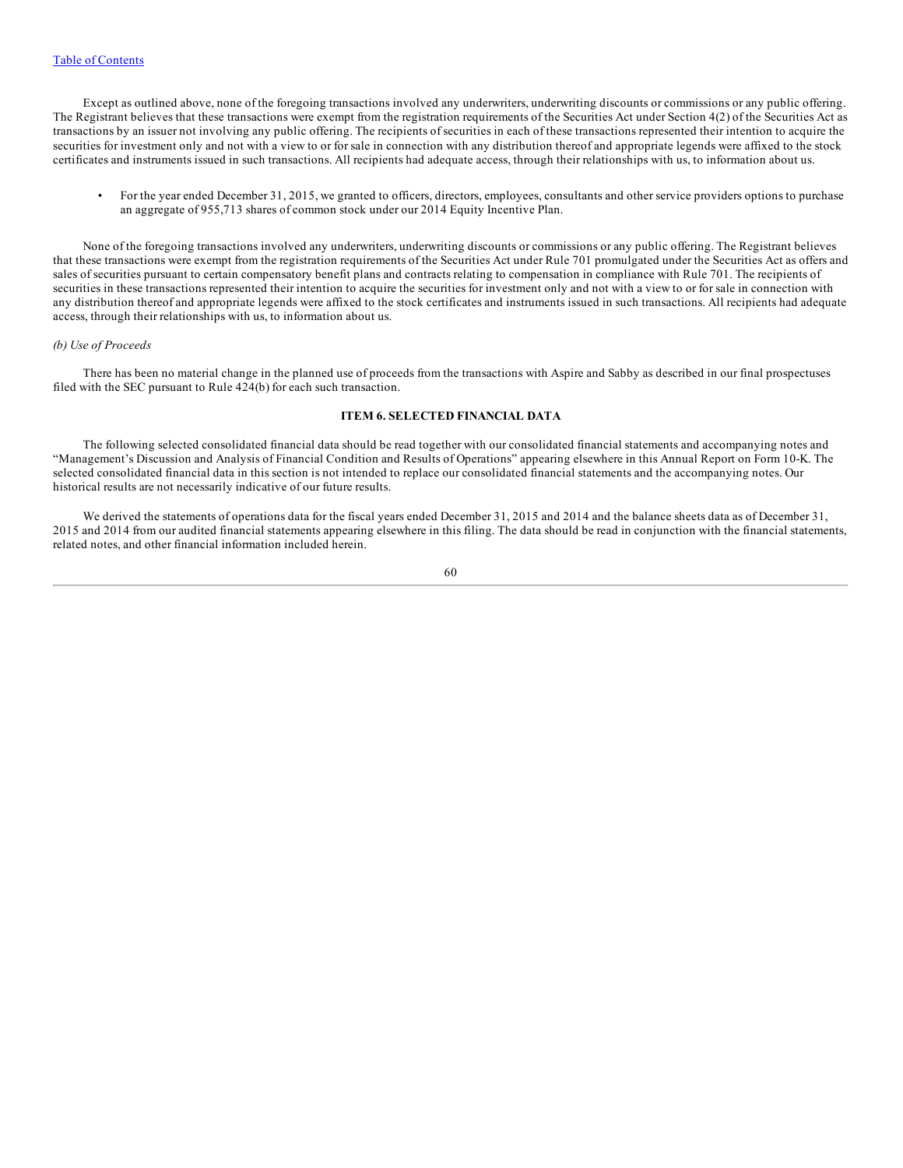Except as outlined above, none of the foregoing transactions involved any underwriters, underwriting discounts or commissions or any public offering. The Registrant believes that these transactions were exempt from the registration requirements of the Securities Act under Section 4(2) of the Securities Act as transactions by an issuer not involving any public offering. The recipients of securities in each of these transactions represented their intention to acquire the securities for investment only and not with a view to or for sale in connection with any distribution thereof and appropriate legends were affixed to the stock certificates and instruments issued in such transactions. All recipients had adequate access, through their relationships with us, to information about us.

• For the year ended December 31, 2015, we granted to officers, directors, employees, consultants and other service providers options to purchase an aggregate of 955,713 shares of common stock under our 2014 Equity Incentive Plan.

None of the foregoing transactions involved any underwriters, underwriting discounts or commissions or any public offering. The Registrant believes that these transactions were exempt from the registration requirements of the Securities Act under Rule 701 promulgated under the Securities Act as offers and sales of securities pursuant to certain compensatory benefit plans and contracts relating to compensation in compliance with Rule 701. The recipients of securities in these transactions represented their intention to acquire the securities for investment only and not with a view to or for sale in connection with any distribution thereof and appropriate legends were affixed to the stock certificates and instruments issued in such transactions. All recipients had adequate access, through their relationships with us, to information about us.

#### *(b) Use of Proceeds*

There has been no material change in the planned use of proceeds from the transactions with Aspire and Sabby as described in our final prospectuses filed with the SEC pursuant to Rule 424(b) for each such transaction.

#### **ITEM 6. SELECTED FINANCIAL DATA**

The following selected consolidated financial data should be read together with our consolidated financial statements and accompanying notes and "Management's Discussion and Analysis of Financial Condition and Results of Operations" appearing elsewhere in this Annual Report on Form 10-K. The selected consolidated financial data in this section is not intended to replace our consolidated financial statements and the accompanying notes. Our historical results are not necessarily indicative of our future results.

We derived the statements of operations data for the fiscal years ended December 31, 2015 and 2014 and the balance sheets data as of December 31, 2015 and 2014 from our audited financial statements appearing elsewhere in this filing. The data should be read in conjunction with the financial statements, related notes, and other financial information included herein.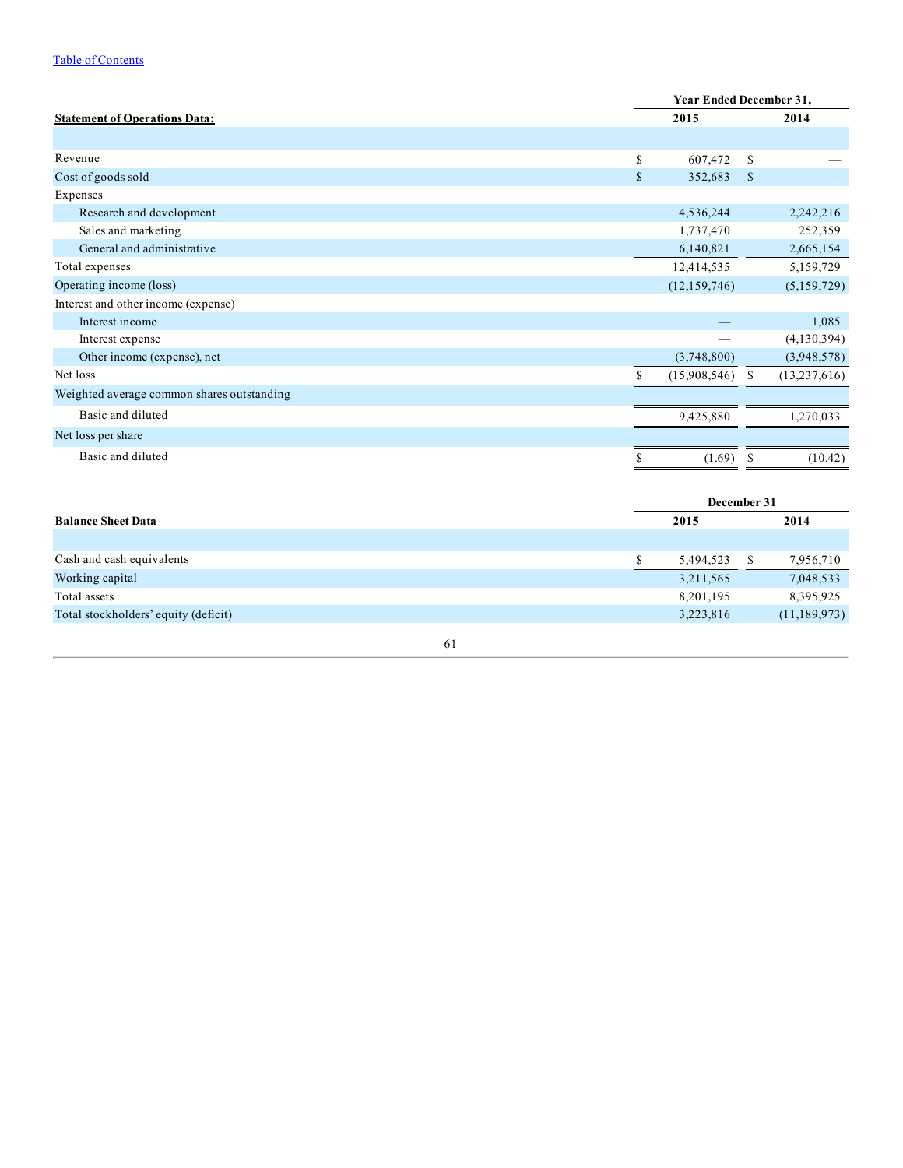# Table of [Contents](#page-0-0)

|                                            |              | Year Ended December 31, |               |                |  |  |
|--------------------------------------------|--------------|-------------------------|---------------|----------------|--|--|
| <b>Statement of Operations Data:</b>       |              | 2015                    |               | 2014           |  |  |
|                                            |              |                         |               |                |  |  |
| Revenue                                    | $\mathbb{S}$ | 607,472                 | S             |                |  |  |
| Cost of goods sold                         | \$           | 352,683                 | $\mathbb{S}$  |                |  |  |
| Expenses                                   |              |                         |               |                |  |  |
| Research and development                   |              | 4,536,244               |               | 2,242,216      |  |  |
| Sales and marketing                        |              | 1,737,470               |               | 252,359        |  |  |
| General and administrative                 |              | 6,140,821               |               | 2,665,154      |  |  |
| Total expenses                             |              | 12,414,535              |               | 5,159,729      |  |  |
| Operating income (loss)                    |              | (12, 159, 746)          |               | (5,159,729)    |  |  |
| Interest and other income (expense)        |              |                         |               |                |  |  |
| Interest income                            |              |                         |               | 1,085          |  |  |
| Interest expense                           |              |                         |               | (4,130,394)    |  |  |
| Other income (expense), net                |              | (3,748,800)             |               | (3,948,578)    |  |  |
| Net loss                                   |              | (15,908,546)            | <sup>\$</sup> | (13, 237, 616) |  |  |
| Weighted average common shares outstanding |              |                         |               |                |  |  |
| Basic and diluted                          |              | 9,425,880               |               | 1,270,033      |  |  |
| Net loss per share                         |              |                         |               |                |  |  |
| Basic and diluted                          | S.           | (1.69)                  | \$            | (10.42)        |  |  |
|                                            |              | December 31             |               |                |  |  |

| <b>Balance Sheet Data</b>            | 2015      | 2014 |                |  |  |
|--------------------------------------|-----------|------|----------------|--|--|
|                                      |           |      |                |  |  |
| Cash and cash equivalents            | 5,494,523 |      | 7,956,710      |  |  |
| Working capital                      | 3,211,565 |      | 7,048,533      |  |  |
| Total assets                         | 8,201,195 |      | 8,395,925      |  |  |
| Total stockholders' equity (deficit) | 3,223,816 |      | (11, 189, 973) |  |  |
|                                      |           |      |                |  |  |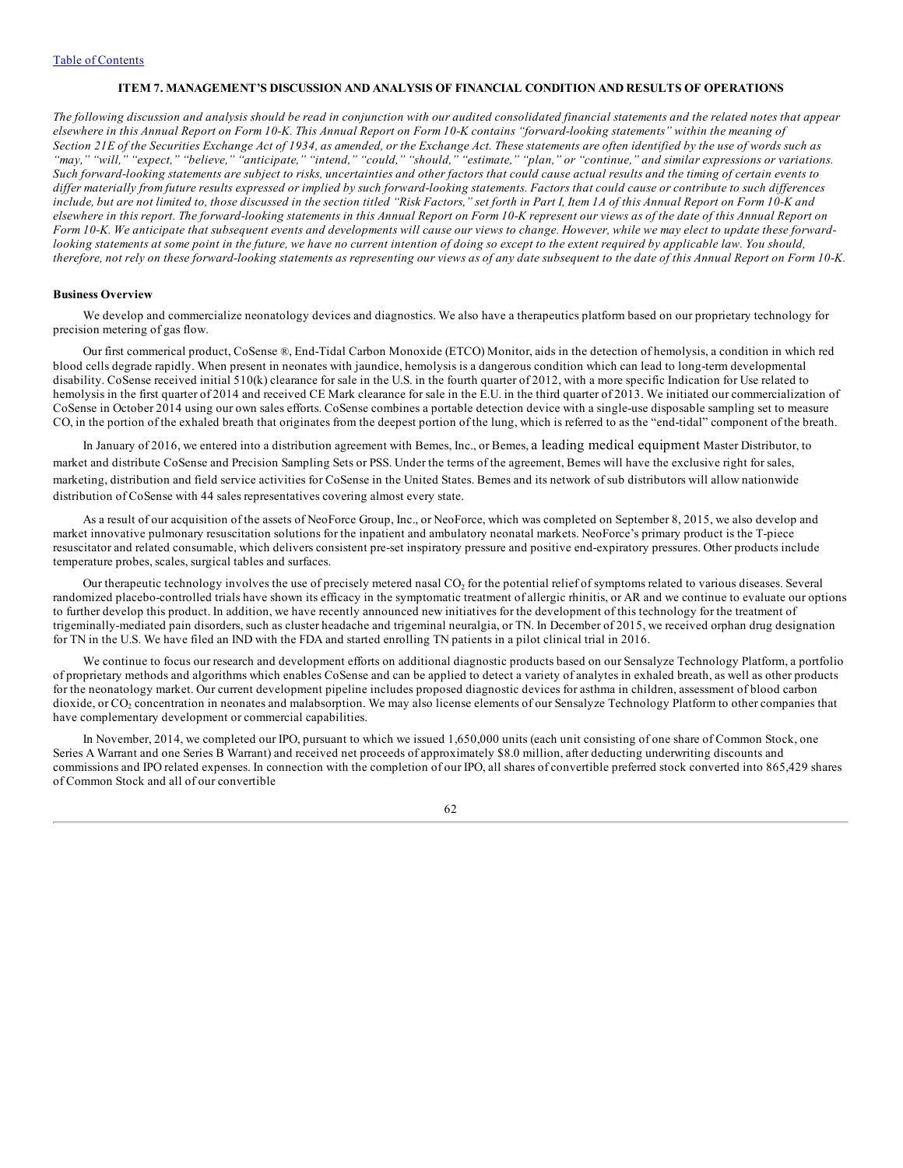#### **ITEM 7. MANAGEMENT'S DISCUSSION AND ANALYSIS OF FINANCIAL CONDITION AND RESULTS OF OPERATIONS**

The following discussion and analysis should be read in conjunction with our audited consolidated financial statements and the related notes that appear elsewhere in this Annual Report on Form 10-K. This Annual Report on Form 10-K contains "forward-looking statements" within the meaning of Section 21E of the Securities Exchange Act of 1934, as amended, or the Exchange Act. These statements are often identified by the use of words such as "may," "will," "expect," "believe," "anticipate," "intend," "could," "should," "estimate," "plan," or "continue," and similar expressions or variations. Such forward-looking statements are subject to risks, uncertainties and other factors that could cause actual results and the timing of certain events to differ materially from future results expressed or implied by such forward-looking statements. Factors that could cause or contribute to such differences include, but are not limited to, those discussed in the section titled "Risk Factors," set forth in Part I, Item 1A of this Annual Report on Form 10-K and elsewhere in this report. The forward-looking statements in this Annual Report on Form 10-K represent our views as of the date of this Annual Report on Form 10-K. We anticipate that subsequent events and developments will cause our views to change. However, while we may elect to update these forwardlooking statements at some point in the future, we have no current intention of doing so except to the extent required by applicable law. You should, therefore, not rely on these forward-looking statements as representing our views as of any date subsequent to the date of this Annual Report on Form 10-K.

#### **Business Overview**

We develop and commercialize neonatology devices and diagnostics. We also have a therapeutics platform based on our proprietary technology for precision metering of gas flow.

Our first commerical product, CoSense ®, End-Tidal Carbon Monoxide (ETCO) Monitor, aids in the detection of hemolysis, a condition in which red blood cells degrade rapidly. When present in neonates with jaundice, hemolysis is a dangerous condition which can lead to long-term developmental disability. CoSense received initial 510(k) clearance for sale in the U.S. in the fourth quarter of 2012, with a more specific Indication for Use related to hemolysis in the first quarter of 2014 and received CE Mark clearance for sale in the E.U. in the third quarter of 2013. We initiated our commercialization of CoSense in October 2014 using our own sales efforts. CoSense combines a portable detection device with a single-use disposable sampling set to measure CO, in the portion of the exhaled breath that originates from the deepest portion of the lung, which is referred to as the "end-tidal" component of the breath.

In January of 2016, we entered into a distribution agreement with Bemes, Inc., or Bemes, a leading medical equipment Master Distributor, to market and distribute CoSense and Precision Sampling Sets or PSS. Under the terms of the agreement, Bemes will have the exclusive right for sales, marketing, distribution and field service activities for CoSense in the United States. Bemes and its network of sub distributors will allow nationwide distribution of CoSense with 44 sales representatives covering almost every state.

As a result of our acquisition of the assets of NeoForce Group, Inc., or NeoForce, which was completed on September 8, 2015, we also develop and market innovative pulmonary resuscitation solutions for the inpatient and ambulatory neonatal markets. NeoForce's primary product is the T-piece resuscitator and related consumable, which delivers consistent pre-set inspiratory pressure and positive end-expiratory pressures. Other products include temperature probes, scales, surgical tables and surfaces.

Our therapeutic technology involves the use of precisely metered nasal CO<sub>2</sub> for the potential relief of symptoms related to various diseases. Several randomized placebo-controlled trials have shown its efficacy in the symptomatic treatment of allergic rhinitis, or AR and we continue to evaluate our options to further develop this product. In addition, we have recently announced new initiatives for the development of this technology for the treatment of trigeminally-mediated pain disorders, such as cluster headache and trigeminal neuralgia, or TN. In December of 2015, we received orphan drug designation for TN in the U.S. We have filed an IND with the FDA and started enrolling TN patients in a pilot clinical trial in 2016.

We continue to focus our research and development efforts on additional diagnostic products based on our Sensalyze Technology Platform, a portfolio of proprietary methods and algorithms which enables CoSense and can be applied to detect a variety of analytes in exhaled breath, as well as other products for the neonatology market. Our current development pipeline includes proposed diagnostic devices for asthma in children, assessment of blood carbon dioxide, or CO<sub>2</sub> concentration in neonates and malabsorption. We may also license elements of our Sensalyze Technology Platform to other companies that have complementary development or commercial capabilities.

In November, 2014, we completed our IPO, pursuant to which we issued 1,650,000 units (each unit consisting of one share of Common Stock, one Series A Warrant and one Series B Warrant) and received net proceeds of approximately \$8.0 million, after deducting underwriting discounts and commissions and IPO related expenses. In connection with the completion of our IPO, all shares of convertible preferred stock converted into 865,429 shares of Common Stock and all of our convertible

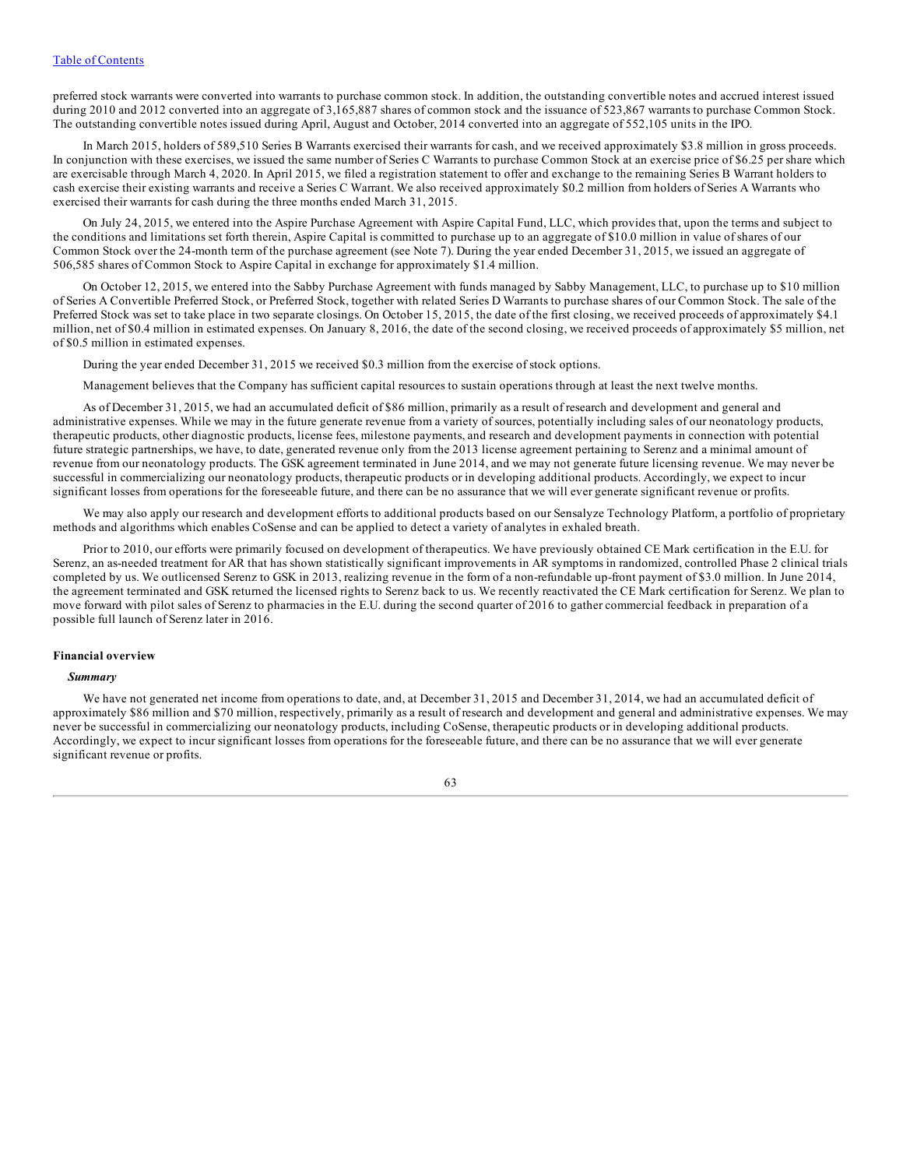preferred stock warrants were converted into warrants to purchase common stock. In addition, the outstanding convertible notes and accrued interest issued during 2010 and 2012 converted into an aggregate of 3,165,887 shares of common stock and the issuance of 523,867 warrants to purchase Common Stock. The outstanding convertible notes issued during April, August and October, 2014 converted into an aggregate of 552,105 units in the IPO.

In March 2015, holders of 589,510 Series B Warrants exercised their warrants for cash, and we received approximately \$3.8 million in gross proceeds. In conjunction with these exercises, we issued the same number of Series C Warrants to purchase Common Stock at an exercise price of \$6.25 per share which are exercisable through March 4, 2020. In April 2015, we filed a registration statement to offer and exchange to the remaining Series B Warrant holders to cash exercise their existing warrants and receive a Series C Warrant. We also received approximately \$0.2 million from holders of Series A Warrants who exercised their warrants for cash during the three months ended March 31, 2015.

On July 24, 2015, we entered into the Aspire Purchase Agreement with Aspire Capital Fund, LLC, which provides that, upon the terms and subject to the conditions and limitations set forth therein, Aspire Capital is committed to purchase up to an aggregate of \$10.0 million in value of shares of our Common Stock over the 24-month term of the purchase agreement (see Note 7). During the year ended December 31, 2015, we issued an aggregate of 506,585 shares of Common Stock to Aspire Capital in exchange for approximately \$1.4 million.

On October 12, 2015, we entered into the Sabby Purchase Agreement with funds managed by Sabby Management, LLC, to purchase up to \$10 million of Series A Convertible Preferred Stock, or Preferred Stock, together with related Series D Warrants to purchase shares of our Common Stock. The sale of the Preferred Stock was set to take place in two separate closings. On October 15, 2015, the date of the first closing, we received proceeds of approximately \$4.1 million, net of \$0.4 million in estimated expenses. On January 8, 2016, the date of the second closing, we received proceeds of approximately \$5 million, net of \$0.5 million in estimated expenses.

During the year ended December 31, 2015 we received \$0.3 million from the exercise of stock options.

Management believes that the Company has sufficient capital resources to sustain operations through at least the next twelve months.

As of December 31, 2015, we had an accumulated deficit of \$86 million, primarily as a result of research and development and general and administrative expenses. While we may in the future generate revenue from a variety of sources, potentially including sales of our neonatology products, therapeutic products, other diagnostic products, license fees, milestone payments, and research and development payments in connection with potential future strategic partnerships, we have, to date, generated revenue only from the 2013 license agreement pertaining to Serenz and a minimal amount of revenue from our neonatology products. The GSK agreement terminated in June 2014, and we may not generate future licensing revenue. We may never be successful in commercializing our neonatology products, therapeutic products or in developing additional products. Accordingly, we expect to incur significant losses from operations for the foreseeable future, and there can be no assurance that we will ever generate significant revenue or profits.

We may also apply our research and development efforts to additional products based on our Sensalyze Technology Platform, a portfolio of proprietary methods and algorithms which enables CoSense and can be applied to detect a variety of analytes in exhaled breath.

Prior to 2010, our efforts were primarily focused on development of therapeutics. We have previously obtained CE Mark certification in the E.U. for Serenz, an as-needed treatment for AR that has shown statistically significant improvements in AR symptoms in randomized, controlled Phase 2 clinical trials completed by us. We outlicensed Serenz to GSK in 2013, realizing revenue in the form of a non-refundable up-front payment of \$3.0 million. In June 2014, the agreement terminated and GSK returned the licensed rights to Serenz back to us. We recently reactivated the CE Mark certification for Serenz. We plan to move forward with pilot sales of Serenz to pharmacies in the E.U. during the second quarter of 2016 to gather commercial feedback in preparation of a possible full launch of Serenz later in 2016.

## **Financial overview**

#### *Summary*

We have not generated net income from operations to date, and, at December 31, 2015 and December 31, 2014, we had an accumulated deficit of approximately \$86 million and \$70 million, respectively, primarily as a result of research and development and general and administrative expenses. We may never be successful in commercializing our neonatology products, including CoSense, therapeutic products or in developing additional products. Accordingly, we expect to incur significant losses from operations for the foreseeable future, and there can be no assurance that we will ever generate significant revenue or profits.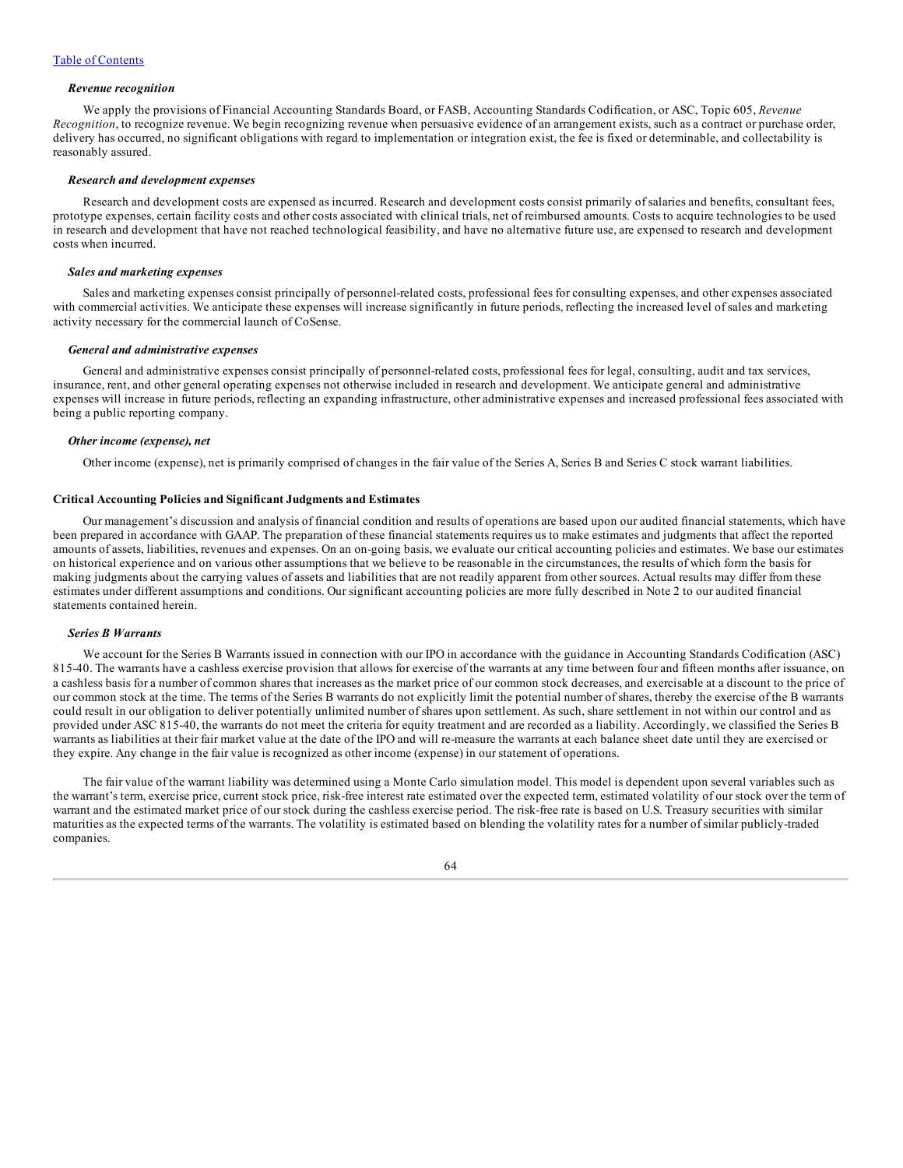#### *Revenue recognition*

We apply the provisions of Financial Accounting Standards Board, or FASB, Accounting Standards Codification, or ASC, Topic 605, *Revenue Recognition*, to recognize revenue. We begin recognizing revenue when persuasive evidence of an arrangement exists, such as a contract or purchase order, delivery has occurred, no significant obligations with regard to implementation or integration exist, the fee is fixed or determinable, and collectability is reasonably assured.

#### *Research and development expenses*

Research and development costs are expensed as incurred. Research and development costs consist primarily of salaries and benefits, consultant fees, prototype expenses, certain facility costs and other costs associated with clinical trials, net of reimbursed amounts. Costs to acquire technologies to be used in research and development that have not reached technological feasibility, and have no alternative future use, are expensed to research and development costs when incurred.

#### *Sales and marketing expenses*

Sales and marketing expenses consist principally of personnel-related costs, professional fees for consulting expenses, and other expenses associated with commercial activities. We anticipate these expenses will increase significantly in future periods, reflecting the increased level of sales and marketing activity necessary for the commercial launch of CoSense.

#### *General and administrative expenses*

General and administrative expenses consist principally of personnel-related costs, professional fees for legal, consulting, audit and tax services, insurance, rent, and other general operating expenses not otherwise included in research and development. We anticipate general and administrative expenses will increase in future periods, reflecting an expanding infrastructure, other administrative expenses and increased professional fees associated with being a public reporting company.

#### *Other income (expense), net*

Other income (expense), net is primarily comprised of changes in the fair value of the Series A, Series B and Series C stock warrant liabilities.

#### **Critical Accounting Policies and Significant Judgments and Estimates**

Our management's discussion and analysis of financial condition and results of operations are based upon our audited financial statements, which have been prepared in accordance with GAAP. The preparation of these financial statements requires us to make estimates and judgments that affect the reported amounts of assets, liabilities, revenues and expenses. On an on-going basis, we evaluate our critical accounting policies and estimates. We base our estimates on historical experience and on various other assumptions that we believe to be reasonable in the circumstances, the results of which form the basis for making judgments about the carrying values of assets and liabilities that are not readily apparent from other sources. Actual results may differ from these estimates under different assumptions and conditions. Our significant accounting policies are more fully described in Note 2 to our audited financial statements contained herein.

#### *Series B Warrants*

We account for the Series B Warrants issued in connection with our IPO in accordance with the guidance in Accounting Standards Codification (ASC) 815-40. The warrants have a cashless exercise provision that allows for exercise of the warrants at any time between four and fifteen months after issuance, on a cashless basis for a number of common shares that increases as the market price of our common stock decreases, and exercisable at a discount to the price of our common stock at the time. The terms of the Series B warrants do not explicitly limit the potential number of shares, thereby the exercise of the B warrants could result in our obligation to deliver potentially unlimited number of shares upon settlement. As such, share settlement in not within our control and as provided under ASC 815-40, the warrants do not meet the criteria for equity treatment and are recorded as a liability. Accordingly, we classified the Series B warrants as liabilities at their fair market value at the date of the IPO and will re-measure the warrants at each balance sheet date until they are exercised or they expire. Any change in the fair value is recognized as other income (expense) in our statement of operations.

The fair value of the warrant liability was determined using a Monte Carlo simulation model. This model is dependent upon several variables such as the warrant's term, exercise price, current stock price, risk-free interest rate estimated over the expected term, estimated volatility of our stock over the term of warrant and the estimated market price of our stock during the cashless exercise period. The risk-free rate is based on U.S. Treasury securities with similar maturities as the expected terms of the warrants. The volatility is estimated based on blending the volatility rates for a number of similar publicly-traded companies.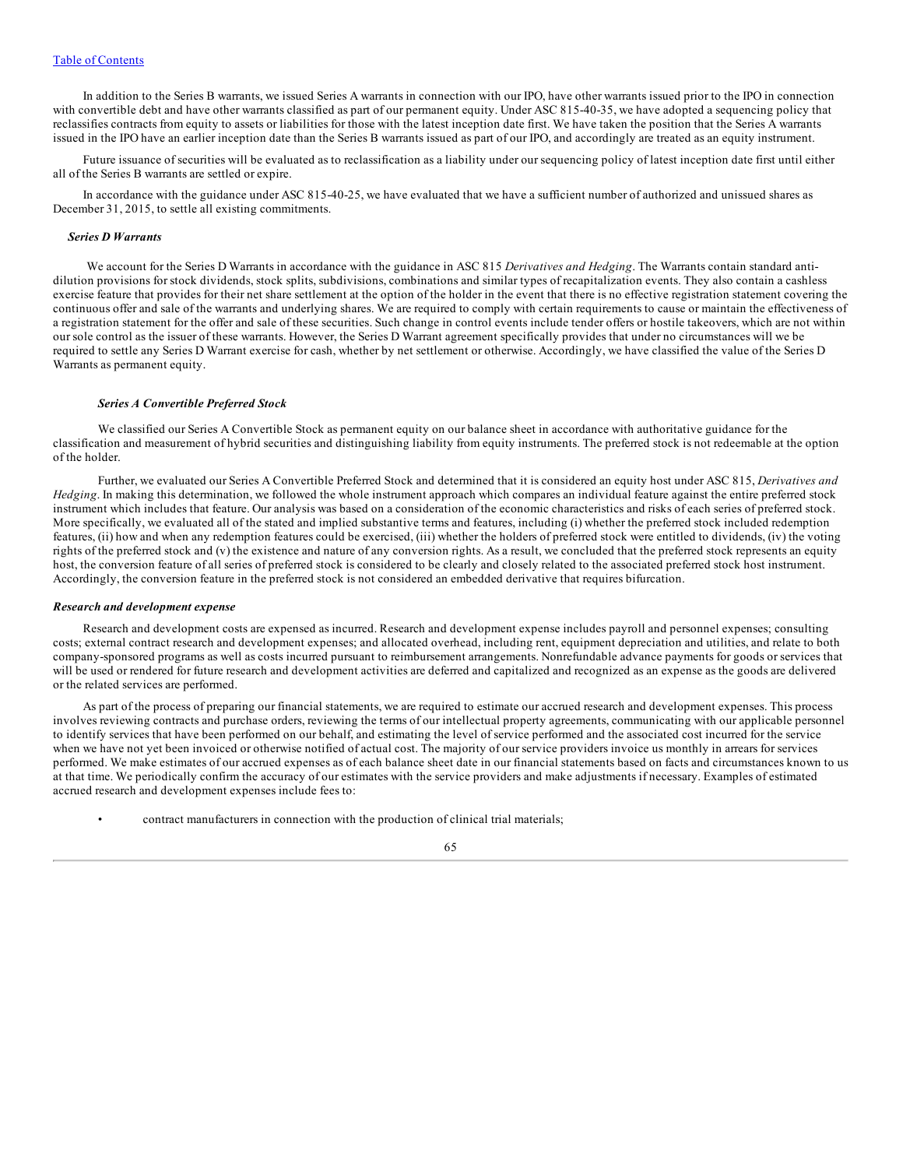In addition to the Series B warrants, we issued Series A warrants in connection with our IPO, have other warrants issued prior to the IPO in connection with convertible debt and have other warrants classified as part of our permanent equity. Under ASC 815-40-35, we have adopted a sequencing policy that reclassifies contracts from equity to assets or liabilities for those with the latest inception date first. We have taken the position that the Series A warrants issued in the IPO have an earlier inception date than the Series B warrants issued as part of our IPO, and accordingly are treated as an equity instrument.

Future issuance of securities will be evaluated as to reclassification as a liability under our sequencing policy of latest inception date first until either all of the Series B warrants are settled or expire.

In accordance with the guidance under ASC 815-40-25, we have evaluated that we have a sufficient number of authorized and unissued shares as December 31, 2015, to settle all existing commitments.

#### *Series D Warrants*

We account for the Series D Warrants in accordance with the guidance in ASC 815 *Derivatives and Hedging*. The Warrants contain standard antidilution provisions for stock dividends, stock splits, subdivisions, combinations and similar types of recapitalization events. They also contain a cashless exercise feature that provides for their net share settlement at the option of the holder in the event that there is no effective registration statement covering the continuous offer and sale of the warrants and underlying shares. We are required to comply with certain requirements to cause or maintain the effectiveness of a registration statement for the offer and sale of these securities. Such change in control events include tender offers or hostile takeovers, which are not within our sole control as the issuer of these warrants. However, the Series D Warrant agreement specifically provides that under no circumstances will we be required to settle any Series D Warrant exercise for cash, whether by net settlement or otherwise. Accordingly, we have classified the value of the Series D Warrants as permanent equity.

#### *Series A Convertible Preferred Stock*

We classified our Series A Convertible Stock as permanent equity on our balance sheet in accordance with authoritative guidance for the classification and measurement of hybrid securities and distinguishing liability from equity instruments. The preferred stock is not redeemable at the option of the holder.

Further, we evaluated our Series A Convertible Preferred Stock and determined that it is considered an equity host under ASC 815, *Derivatives and Hedging*. In making this determination, we followed the whole instrument approach which compares an individual feature against the entire preferred stock instrument which includes that feature. Our analysis was based on a consideration of the economic characteristics and risks of each series of preferred stock. More specifically, we evaluated all of the stated and implied substantive terms and features, including (i) whether the preferred stock included redemption features, (ii) how and when any redemption features could be exercised, (iii) whether the holders of preferred stock were entitled to dividends, (iv) the voting rights of the preferred stock and (v) the existence and nature of any conversion rights. As a result, we concluded that the preferred stock represents an equity host, the conversion feature of all series of preferred stock is considered to be clearly and closely related to the associated preferred stock host instrument. Accordingly, the conversion feature in the preferred stock is not considered an embedded derivative that requires bifurcation.

#### *Research and development expense*

Research and development costs are expensed as incurred. Research and development expense includes payroll and personnel expenses; consulting costs; external contract research and development expenses; and allocated overhead, including rent, equipment depreciation and utilities, and relate to both company-sponsored programs as well as costs incurred pursuant to reimbursement arrangements. Nonrefundable advance payments for goods or services that will be used or rendered for future research and development activities are deferred and capitalized and recognized as an expense as the goods are delivered or the related services are performed.

As part of the process of preparing our financial statements, we are required to estimate our accrued research and development expenses. This process involves reviewing contracts and purchase orders, reviewing the terms of our intellectual property agreements, communicating with our applicable personnel to identify services that have been performed on our behalf, and estimating the level of service performed and the associated cost incurred for the service when we have not yet been invoiced or otherwise notified of actual cost. The majority of our service providers invoice us monthly in arrears for services performed. We make estimates of our accrued expenses as of each balance sheet date in our financial statements based on facts and circumstances known to us at that time. We periodically confirm the accuracy of our estimates with the service providers and make adjustments if necessary. Examples of estimated accrued research and development expenses include fees to:

• contract manufacturers in connection with the production of clinical trial materials;

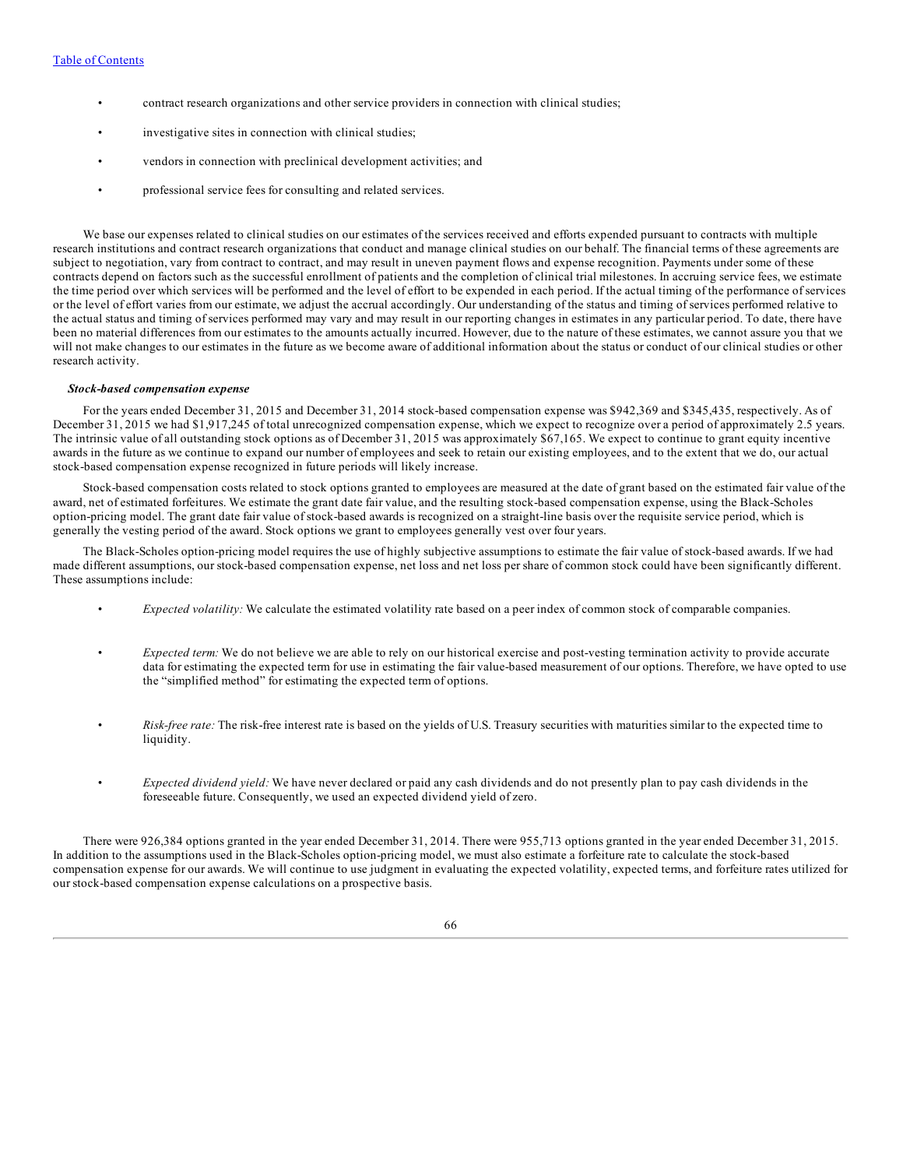- contract research organizations and other service providers in connection with clinical studies;
- investigative sites in connection with clinical studies;
- vendors in connection with preclinical development activities; and
- professional service fees for consulting and related services.

We base our expenses related to clinical studies on our estimates of the services received and efforts expended pursuant to contracts with multiple research institutions and contract research organizations that conduct and manage clinical studies on our behalf. The financial terms of these agreements are subject to negotiation, vary from contract to contract, and may result in uneven payment flows and expense recognition. Payments under some of these contracts depend on factors such as the successful enrollment of patients and the completion of clinical trial milestones. In accruing service fees, we estimate the time period over which services will be performed and the level of effort to be expended in each period. If the actual timing of the performance of services or the level of effort varies from our estimate, we adjust the accrual accordingly. Our understanding of the status and timing of services performed relative to the actual status and timing of services performed may vary and may result in our reporting changes in estimates in any particular period. To date, there have been no material differences from our estimates to the amounts actually incurred. However, due to the nature of these estimates, we cannot assure you that we will not make changes to our estimates in the future as we become aware of additional information about the status or conduct of our clinical studies or other research activity.

#### *Stock-based compensation expense*

For the years ended December 31, 2015 and December 31, 2014 stock-based compensation expense was \$942,369 and \$345,435, respectively. As of December 31, 2015 we had \$1,917,245 of total unrecognized compensation expense, which we expect to recognize over a period of approximately 2.5 years. The intrinsic value of all outstanding stock options as of December 31, 2015 was approximately \$67,165. We expect to continue to grant equity incentive awards in the future as we continue to expand our number of employees and seek to retain our existing employees, and to the extent that we do, our actual stock-based compensation expense recognized in future periods will likely increase.

Stock-based compensation costs related to stock options granted to employees are measured at the date of grant based on the estimated fair value of the award, net of estimated forfeitures. We estimate the grant date fair value, and the resulting stock-based compensation expense, using the Black-Scholes option-pricing model. The grant date fair value of stock-based awards is recognized on a straight-line basis over the requisite service period, which is generally the vesting period of the award. Stock options we grant to employees generally vest over four years.

The Black-Scholes option-pricing model requires the use of highly subjective assumptions to estimate the fair value of stock-based awards. If we had made different assumptions, our stock-based compensation expense, net loss and net loss per share of common stock could have been significantly different. These assumptions include:

- *Expected volatility:* We calculate the estimated volatility rate based on a peer index of common stock of comparable companies.
- *Expected term:* We do not believe we are able to rely on our historical exercise and post-vesting termination activity to provide accurate data for estimating the expected term for use in estimating the fair value-based measurement of our options. Therefore, we have opted to use the "simplified method" for estimating the expected term of options.
- *Risk-free rate:* The risk-free interest rate is based on the yields of U.S. Treasury securities with maturities similar to the expected time to liquidity.
- *Expected dividend yield:* We have never declared or paid any cash dividends and do not presently plan to pay cash dividends in the foreseeable future. Consequently, we used an expected dividend yield of zero.

There were 926,384 options granted in the year ended December 31, 2014. There were 955,713 options granted in the year ended December 31, 2015. In addition to the assumptions used in the Black-Scholes option-pricing model, we must also estimate a forfeiture rate to calculate the stock-based compensation expense for our awards. We will continue to use judgment in evaluating the expected volatility, expected terms, and forfeiture rates utilized for our stock-based compensation expense calculations on a prospective basis.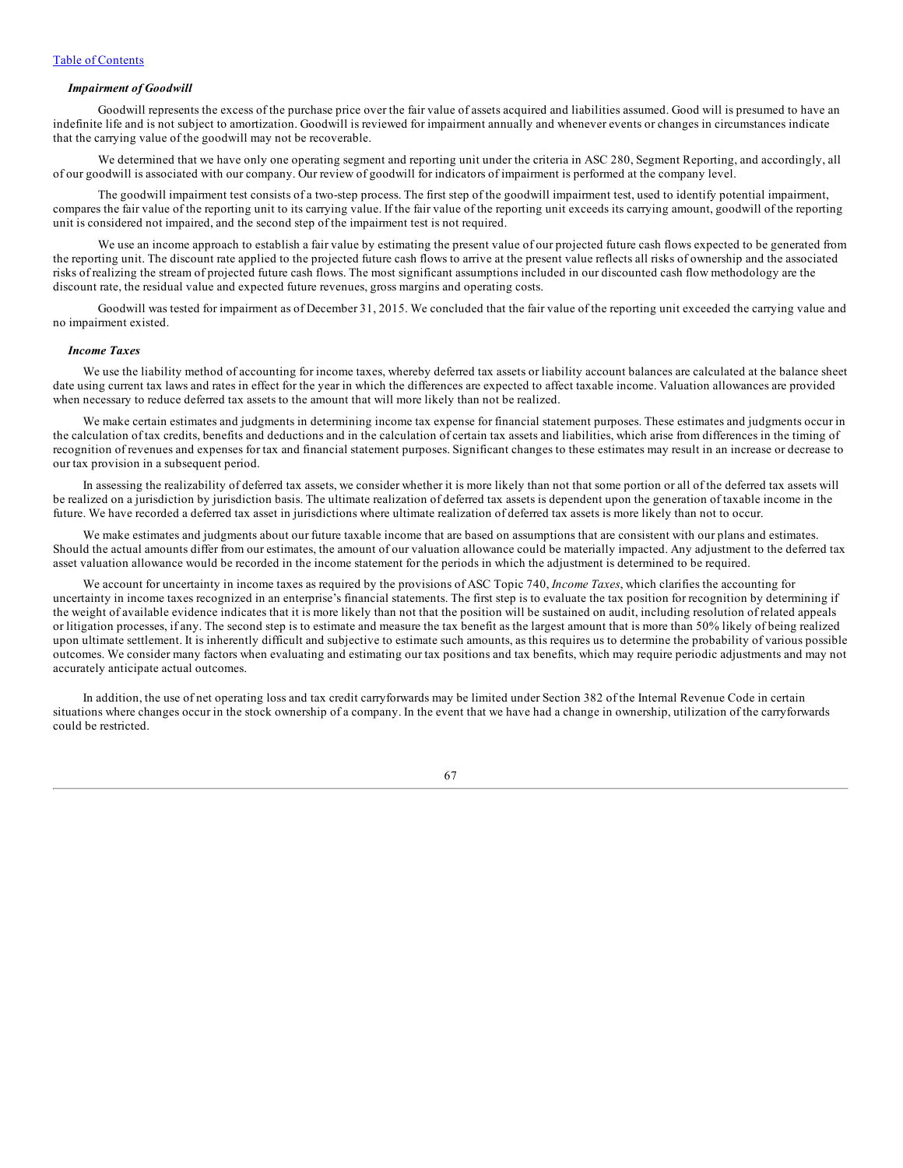#### *Impairment of Goodwill*

Goodwill represents the excess of the purchase price over the fair value of assets acquired and liabilities assumed. Good will is presumed to have an indefinite life and is not subject to amortization. Goodwill is reviewed for impairment annually and whenever events or changes in circumstances indicate that the carrying value of the goodwill may not be recoverable.

We determined that we have only one operating segment and reporting unit under the criteria in ASC 280, Segment Reporting, and accordingly, all of our goodwill is associated with our company. Our review of goodwill for indicators of impairment is performed at the company level.

The goodwill impairment test consists of a two-step process. The first step of the goodwill impairment test, used to identify potential impairment, compares the fair value of the reporting unit to its carrying value. If the fair value of the reporting unit exceeds its carrying amount, goodwill of the reporting unit is considered not impaired, and the second step of the impairment test is not required.

We use an income approach to establish a fair value by estimating the present value of our projected future cash flows expected to be generated from the reporting unit. The discount rate applied to the projected future cash flows to arrive at the present value reflects all risks of ownership and the associated risks of realizing the stream of projected future cash flows. The most significant assumptions included in our discounted cash flow methodology are the discount rate, the residual value and expected future revenues, gross margins and operating costs.

Goodwill was tested for impairment as of December 31, 2015. We concluded that the fair value of the reporting unit exceeded the carrying value and no impairment existed.

#### *Income Taxes*

We use the liability method of accounting for income taxes, whereby deferred tax assets or liability account balances are calculated at the balance sheet date using current tax laws and rates in effect for the year in which the differences are expected to affect taxable income. Valuation allowances are provided when necessary to reduce deferred tax assets to the amount that will more likely than not be realized.

We make certain estimates and judgments in determining income tax expense for financial statement purposes. These estimates and judgments occur in the calculation of tax credits, benefits and deductions and in the calculation of certain tax assets and liabilities, which arise from differences in the timing of recognition of revenues and expenses for tax and financial statement purposes. Significant changes to these estimates may result in an increase or decrease to our tax provision in a subsequent period.

In assessing the realizability of deferred tax assets, we consider whether it is more likely than not that some portion or all of the deferred tax assets will be realized on a jurisdiction by jurisdiction basis. The ultimate realization of deferred tax assets is dependent upon the generation of taxable income in the future. We have recorded a deferred tax asset in jurisdictions where ultimate realization of deferred tax assets is more likely than not to occur.

We make estimates and judgments about our future taxable income that are based on assumptions that are consistent with our plans and estimates. Should the actual amounts differ from our estimates, the amount of our valuation allowance could be materially impacted. Any adjustment to the deferred tax asset valuation allowance would be recorded in the income statement for the periods in which the adjustment is determined to be required.

We account for uncertainty in income taxes as required by the provisions of ASC Topic 740, *Income Taxes*, which clarifies the accounting for uncertainty in income taxes recognized in an enterprise's financial statements. The first step is to evaluate the tax position for recognition by determining if the weight of available evidence indicates that it is more likely than not that the position will be sustained on audit, including resolution of related appeals or litigation processes, if any. The second step is to estimate and measure the tax benefit as the largest amount that is more than 50% likely of being realized upon ultimate settlement. It is inherently difficult and subjective to estimate such amounts, as this requires us to determine the probability of various possible outcomes. We consider many factors when evaluating and estimating our tax positions and tax benefits, which may require periodic adjustments and may not accurately anticipate actual outcomes.

In addition, the use of net operating loss and tax credit carryforwards may be limited under Section 382 of the Internal Revenue Code in certain situations where changes occur in the stock ownership of a company. In the event that we have had a change in ownership, utilization of the carryforwards could be restricted.

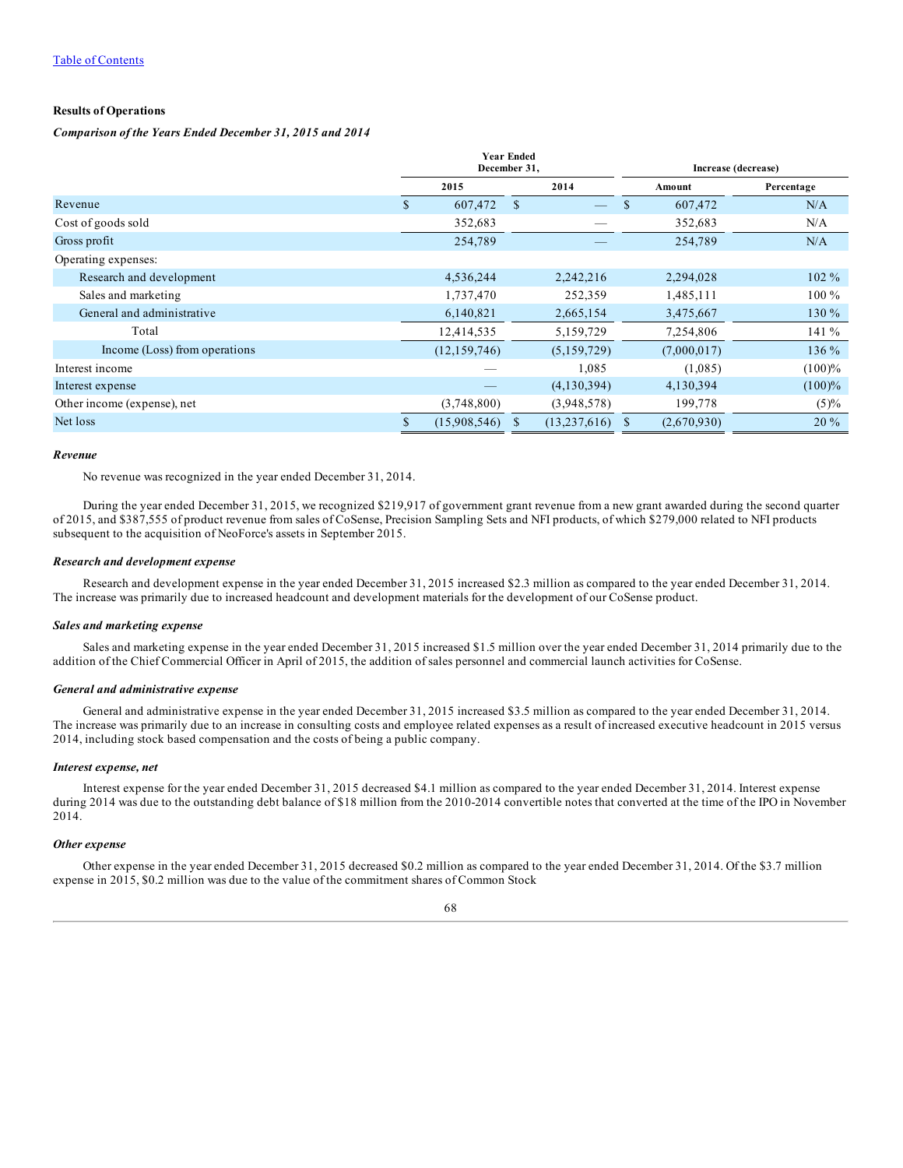### **Results of Operations**

## *Comparison of the Years Ended December 31, 2015 and 2014*

|                               | <b>Year Ended</b><br>December 31, |                |               |              |               | Increase (decrease) |           |  |  |
|-------------------------------|-----------------------------------|----------------|---------------|--------------|---------------|---------------------|-----------|--|--|
|                               | 2015<br>2014                      |                | Amount        |              | Percentage    |                     |           |  |  |
| Revenue                       | S.                                | 607,472        | <sup>\$</sup> |              | S.            | 607,472             | N/A       |  |  |
| Cost of goods sold            |                                   | 352,683        |               |              |               | 352,683             | N/A       |  |  |
| Gross profit                  |                                   | 254,789        |               |              |               | 254,789             | N/A       |  |  |
| Operating expenses:           |                                   |                |               |              |               |                     |           |  |  |
| Research and development      |                                   | 4,536,244      |               | 2,242,216    |               | 2,294,028           | 102 %     |  |  |
| Sales and marketing           |                                   | 1,737,470      |               | 252,359      |               | 1,485,111           | $100\%$   |  |  |
| General and administrative    |                                   | 6,140,821      |               | 2,665,154    |               | 3,475,667           | 130 %     |  |  |
| Total                         |                                   | 12,414,535     |               | 5,159,729    |               | 7,254,806           | 141 $%$   |  |  |
| Income (Loss) from operations |                                   | (12, 159, 746) |               | (5,159,729)  |               | (7,000,017)         | 136 %     |  |  |
| Interest income               |                                   |                |               | 1,085        |               | (1,085)             | (100)%    |  |  |
| Interest expense              |                                   |                |               | (4,130,394)  |               | 4,130,394           | $(100)\%$ |  |  |
| Other income (expense), net   |                                   | (3,748,800)    |               | (3,948,578)  |               | 199,778             | $(5)\%$   |  |  |
| Net loss                      |                                   | (15,908,546)   |               | (13,237,616) | $\mathcal{S}$ | (2,670,930)         | 20%       |  |  |

#### *Revenue*

No revenue was recognized in the year ended December 31, 2014.

During the year ended December 31, 2015, we recognized \$219,917 of government grant revenue from a new grant awarded during the second quarter of 2015, and \$387,555 of product revenue from sales of CoSense, Precision Sampling Sets and NFI products, of which \$279,000 related to NFI products subsequent to the acquisition of NeoForce's assets in September 2015.

#### *Research and development expense*

Research and development expense in the year ended December 31, 2015 increased \$2.3 million as compared to the year ended December 31, 2014. The increase was primarily due to increased headcount and development materials for the development of our CoSense product.

#### *Sales and marketing expense*

Sales and marketing expense in the year ended December 31, 2015 increased \$1.5 million over the year ended December 31, 2014 primarily due to the addition of the Chief Commercial Officer in April of 2015, the addition of sales personnel and commercial launch activities for CoSense.

#### *General and administrative expense*

General and administrative expense in the year ended December 31, 2015 increased \$3.5 million as compared to the year ended December 31, 2014. The increase was primarily due to an increase in consulting costs and employee related expenses as a result of increased executive headcount in 2015 versus 2014, including stock based compensation and the costs of being a public company.

#### *Interest expense, net*

Interest expense for the year ended December 31, 2015 decreased \$4.1 million as compared to the year ended December 31, 2014. Interest expense during 2014 was due to the outstanding debt balance of \$18 million from the 2010-2014 convertible notes that converted at the time of the IPO in November 2014.

#### *Other expense*

Other expense in the year ended December 31, 2015 decreased \$0.2 million as compared to the year ended December 31, 2014. Of the \$3.7 million expense in 2015, \$0.2 million was due to the value of the commitment shares of Common Stock

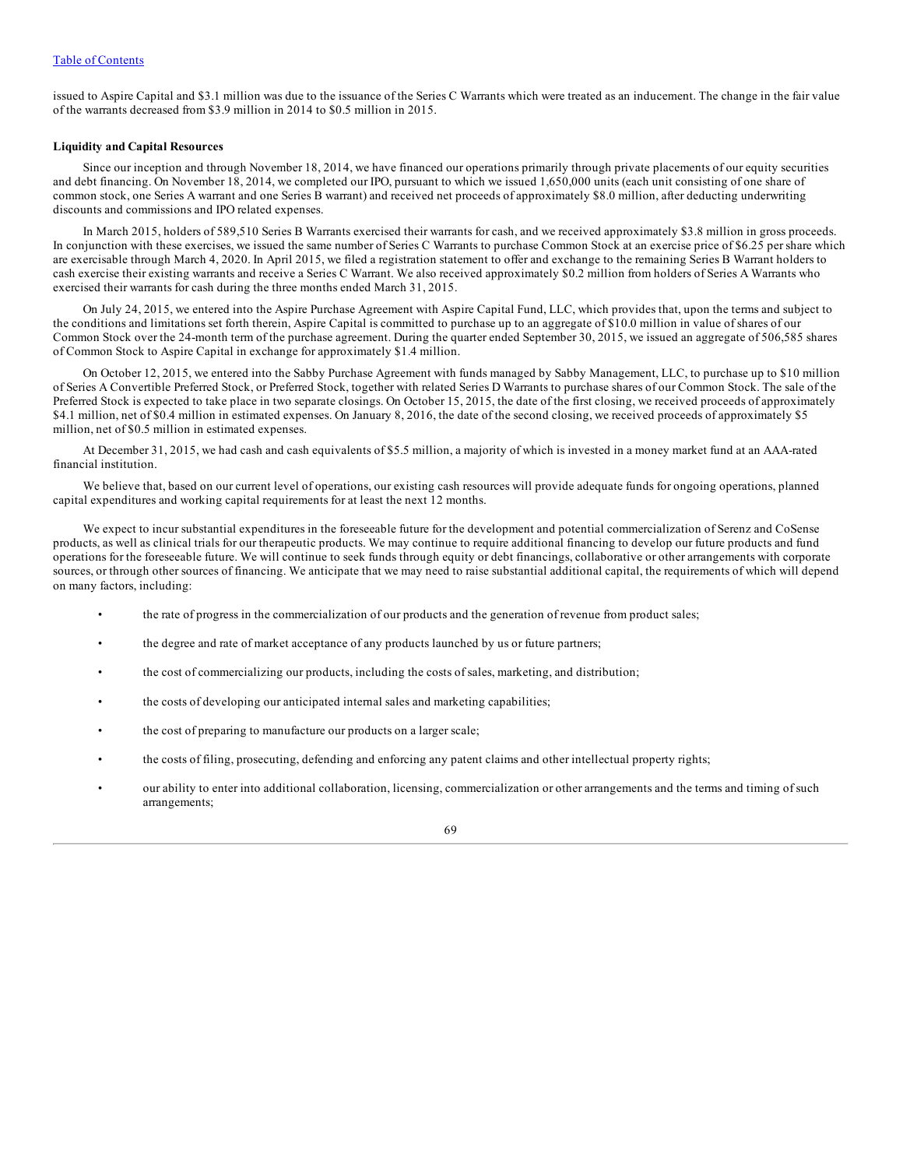issued to Aspire Capital and \$3.1 million was due to the issuance of the Series C Warrants which were treated as an inducement. The change in the fair value of the warrants decreased from \$3.9 million in 2014 to \$0.5 million in 2015.

## **Liquidity and Capital Resources**

Since our inception and through November 18, 2014, we have financed our operations primarily through private placements of our equity securities and debt financing. On November 18, 2014, we completed our IPO, pursuant to which we issued 1,650,000 units (each unit consisting of one share of common stock, one Series A warrant and one Series B warrant) and received net proceeds of approximately \$8.0 million, after deducting underwriting discounts and commissions and IPO related expenses.

In March 2015, holders of 589,510 Series B Warrants exercised their warrants for cash, and we received approximately \$3.8 million in gross proceeds. In conjunction with these exercises, we issued the same number of Series C Warrants to purchase Common Stock at an exercise price of \$6.25 per share which are exercisable through March 4, 2020. In April 2015, we filed a registration statement to offer and exchange to the remaining Series B Warrant holders to cash exercise their existing warrants and receive a Series C Warrant. We also received approximately \$0.2 million from holders of Series A Warrants who exercised their warrants for cash during the three months ended March 31, 2015.

On July 24, 2015, we entered into the Aspire Purchase Agreement with Aspire Capital Fund, LLC, which provides that, upon the terms and subject to the conditions and limitations set forth therein, Aspire Capital is committed to purchase up to an aggregate of \$10.0 million in value of shares of our Common Stock over the 24-month term of the purchase agreement. During the quarter ended September 30, 2015, we issued an aggregate of 506,585 shares of Common Stock to Aspire Capital in exchange for approximately \$1.4 million.

On October 12, 2015, we entered into the Sabby Purchase Agreement with funds managed by Sabby Management, LLC, to purchase up to \$10 million of Series A Convertible Preferred Stock, or Preferred Stock, together with related Series D Warrants to purchase shares of our Common Stock. The sale of the Preferred Stock is expected to take place in two separate closings. On October 15, 2015, the date of the first closing, we received proceeds of approximately \$4.1 million, net of \$0.4 million in estimated expenses. On January 8, 2016, the date of the second closing, we received proceeds of approximately \$5 million, net of \$0.5 million in estimated expenses.

At December 31, 2015, we had cash and cash equivalents of \$5.5 million, a majority of which is invested in a money market fund at an AAA-rated financial institution.

We believe that, based on our current level of operations, our existing cash resources will provide adequate funds for ongoing operations, planned capital expenditures and working capital requirements for at least the next 12 months.

We expect to incur substantial expenditures in the foreseeable future for the development and potential commercialization of Serenz and CoSense products, as well as clinical trials for our therapeutic products. We may continue to require additional financing to develop our future products and fund operations for the foreseeable future. We will continue to seek funds through equity or debt financings, collaborative or other arrangements with corporate sources, or through other sources of financing. We anticipate that we may need to raise substantial additional capital, the requirements of which will depend on many factors, including:

- the rate of progress in the commercialization of our products and the generation of revenue from product sales;
- the degree and rate of market acceptance of any products launched by us or future partners;
- the cost of commercializing our products, including the costs of sales, marketing, and distribution;
- the costs of developing our anticipated internal sales and marketing capabilities;
- the cost of preparing to manufacture our products on a larger scale;
- the costs of filing, prosecuting, defending and enforcing any patent claims and other intellectual property rights;
- our ability to enter into additional collaboration, licensing, commercialization or other arrangements and the terms and timing of such arrangements;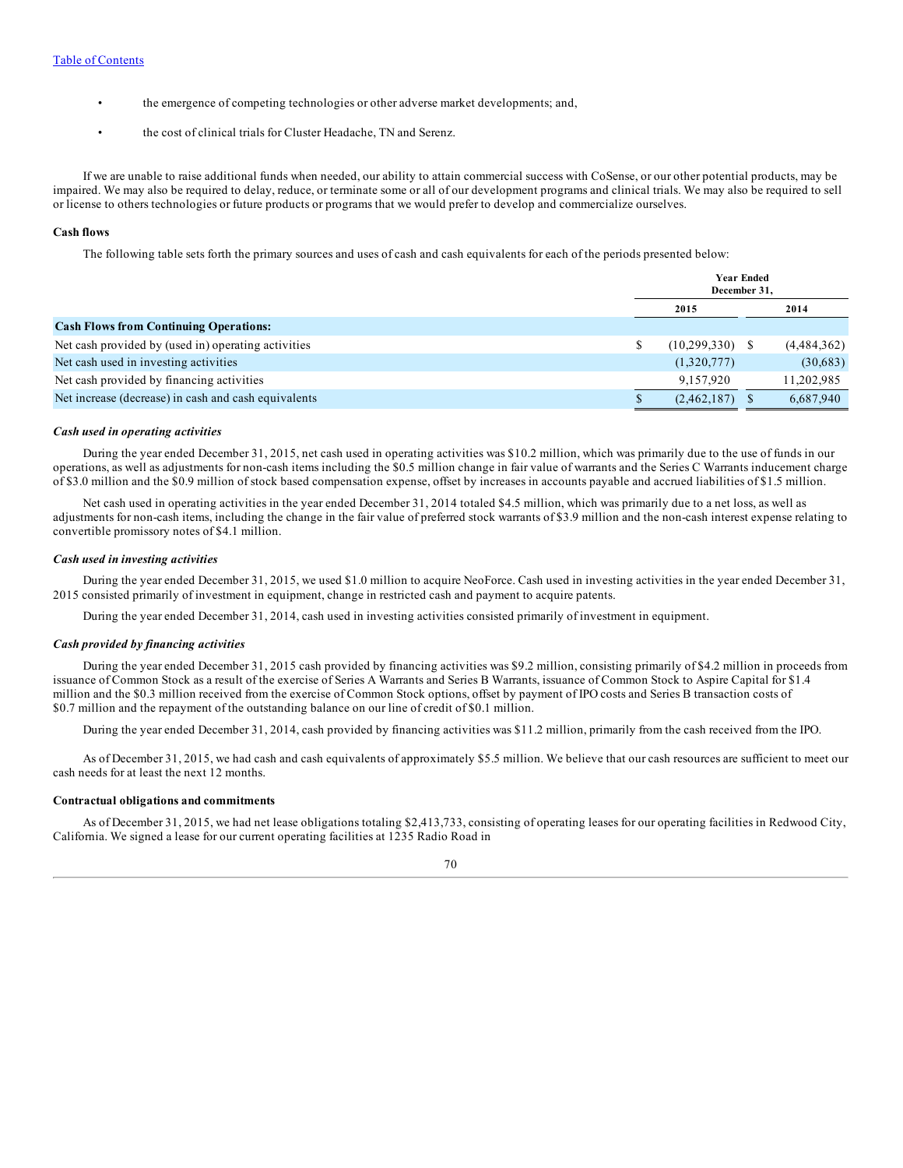- the emergence of competing technologies or other adverse market developments; and,
- the cost of clinical trials for Cluster Headache, TN and Serenz.

If we are unable to raise additional funds when needed, our ability to attain commercial success with CoSense, or our other potential products, may be impaired. We may also be required to delay, reduce, or terminate some or all of our development programs and clinical trials. We may also be required to sell or license to others technologies or future products or programs that we would prefer to develop and commercialize ourselves.

### **Cash flows**

The following table sets forth the primary sources and uses of cash and cash equivalents for each of the periods presented below:

|                                                      | <b>Year Ended</b><br>December 31, |              |  |             |
|------------------------------------------------------|-----------------------------------|--------------|--|-------------|
|                                                      |                                   | 2015         |  | 2014        |
| <b>Cash Flows from Continuing Operations:</b>        |                                   |              |  |             |
| Net cash provided by (used in) operating activities  |                                   | (10,299,330) |  | (4,484,362) |
| Net cash used in investing activities                |                                   | (1,320,777)  |  | (30,683)    |
| Net cash provided by financing activities            |                                   | 9.157.920    |  | 11,202,985  |
| Net increase (decrease) in cash and cash equivalents |                                   | (2,462,187)  |  | 6,687,940   |

#### *Cash used in operating activities*

During the year ended December 31, 2015, net cash used in operating activities was \$10.2 million, which was primarily due to the use of funds in our operations, as well as adjustments for non-cash items including the \$0.5 million change in fair value of warrants and the Series C Warrants inducement charge of \$3.0 million and the \$0.9 million of stock based compensation expense, offset by increases in accounts payable and accrued liabilities of \$1.5 million.

Net cash used in operating activities in the year ended December 31, 2014 totaled \$4.5 million, which was primarily due to a net loss, as well as adjustments for non-cash items, including the change in the fair value of preferred stock warrants of \$3.9 million and the non-cash interest expense relating to convertible promissory notes of \$4.1 million.

#### *Cash used in investing activities*

During the year ended December 31, 2015, we used \$1.0 million to acquire NeoForce. Cash used in investing activities in the year ended December 31, 2015 consisted primarily of investment in equipment, change in restricted cash and payment to acquire patents.

During the year ended December 31, 2014, cash used in investing activities consisted primarily of investment in equipment.

#### *Cash provided by financing activities*

During the year ended December 31, 2015 cash provided by financing activities was \$9.2 million, consisting primarily of \$4.2 million in proceeds from issuance of Common Stock as a result of the exercise of Series A Warrants and Series B Warrants, issuance of Common Stock to Aspire Capital for \$1.4 million and the \$0.3 million received from the exercise of Common Stock options, offset by payment of IPO costs and Series B transaction costs of \$0.7 million and the repayment of the outstanding balance on our line of credit of \$0.1 million.

During the year ended December 31, 2014, cash provided by financing activities was \$11.2 million, primarily from the cash received from the IPO.

As of December 31, 2015, we had cash and cash equivalents of approximately \$5.5 million. We believe that our cash resources are sufficient to meet our cash needs for at least the next 12 months.

### **Contractual obligations and commitments**

As of December 31, 2015, we had net lease obligations totaling \$2,413,733, consisting of operating leases for our operating facilities in Redwood City, California. We signed a lease for our current operating facilities at 1235 Radio Road in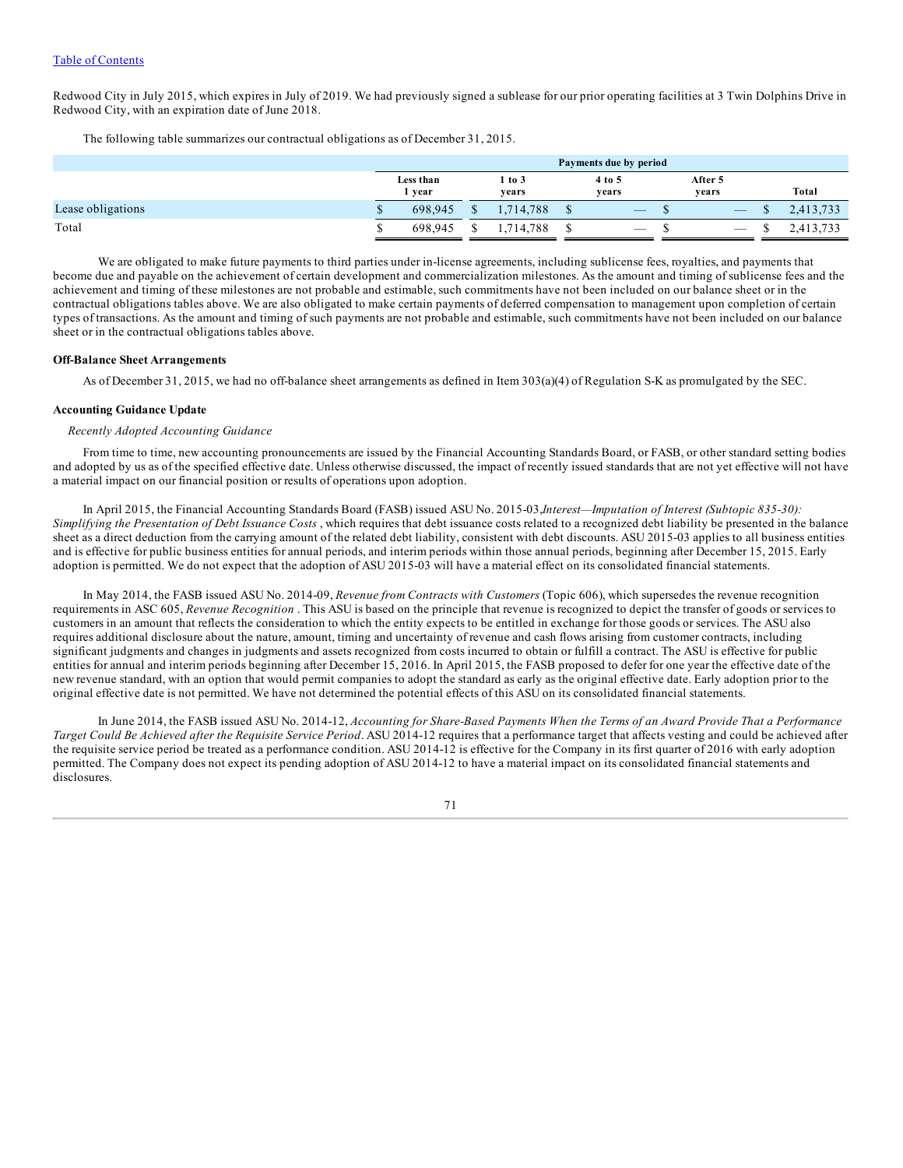Redwood City in July 2015, which expires in July of 2019. We had previously signed a sublease for our prior operating facilities at 3 Twin Dolphins Drive in Redwood City, with an expiration date of June 2018.

The following table summarizes our contractual obligations as of December 31, 2015.

|                   | Payments due by period |                   |  |                 |  |                                 |  |                  |                                 |  |           |
|-------------------|------------------------|-------------------|--|-----------------|--|---------------------------------|--|------------------|---------------------------------|--|-----------|
|                   |                        | Less than<br>vear |  | l to 3<br>vears |  | 4 to 5<br>years                 |  | After 5<br>years |                                 |  | Total     |
| Lease obligations |                        | 698,945           |  | 1.714.788       |  |                                 |  |                  | $\hspace{0.1mm}-\hspace{0.1mm}$ |  | 2,413,733 |
| Total             |                        | 698.945           |  | 1.714.788       |  | $\hspace{0.1mm}-\hspace{0.1mm}$ |  |                  | $\overbrace{\phantom{13333}}$   |  | 2,413,733 |

We are obligated to make future payments to third parties under in-license agreements, including sublicense fees, royalties, and payments that become due and payable on the achievement of certain development and commercialization milestones. As the amount and timing of sublicense fees and the achievement and timing of these milestones are not probable and estimable, such commitments have not been included on our balance sheet or in the contractual obligations tables above. We are also obligated to make certain payments of deferred compensation to management upon completion of certain types of transactions. As the amount and timing of such payments are not probable and estimable, such commitments have not been included on our balance sheet or in the contractual obligations tables above.

#### **Off-Balance Sheet Arrangements**

As of December 31, 2015, we had no off-balance sheet arrangements as defined in Item 303(a)(4) of Regulation S-K as promulgated by the SEC.

#### **Accounting Guidance Update**

### *Recently Adopted Accounting Guidance*

From time to time, new accounting pronouncements are issued by the Financial Accounting Standards Board, or FASB, or other standard setting bodies and adopted by us as of the specified effective date. Unless otherwise discussed, the impact of recently issued standards that are not yet effective will not have a material impact on our financial position or results of operations upon adoption.

In April 2015, the Financial Accounting Standards Board (FASB) issued ASU No. 2015-03,*Interest—Imputation of Interest (Subtopic 835-30): Simplifying the Presentation of Debt Issuance Costs* , which requires that debt issuance costs related to a recognized debt liability be presented in the balance sheet as a direct deduction from the carrying amount of the related debt liability, consistent with debt discounts. ASU 2015-03 applies to all business entities and is effective for public business entities for annual periods, and interim periods within those annual periods, beginning after December 15, 2015. Early adoption is permitted. We do not expect that the adoption of ASU 2015-03 will have a material effect on its consolidated financial statements.

In May 2014, the FASB issued ASU No. 2014-09, *Revenue from Contracts with Customers* (Topic 606), which supersedes the revenue recognition requirements in ASC 605, *Revenue Recognition* . This ASU is based on the principle that revenue is recognized to depict the transfer of goods or services to customers in an amount that reflects the consideration to which the entity expects to be entitled in exchange for those goods or services. The ASU also requires additional disclosure about the nature, amount, timing and uncertainty of revenue and cash flows arising from customer contracts, including significant judgments and changes in judgments and assets recognized from costs incurred to obtain or fulfill a contract. The ASU is effective for public entities for annual and interim periods beginning after December 15, 2016. In April 2015, the FASB proposed to defer for one year the effective date of the new revenue standard, with an option that would permit companies to adopt the standard as early as the original effective date. Early adoption prior to the original effective date is not permitted. We have not determined the potential effects of this ASU on its consolidated financial statements.

In June 2014, the FASB issued ASU No. 2014-12, Accounting for Share-Based Payments When the Terms of an Award Provide That a Performance *Target Could Be Achieved after the Requisite Service Period*. ASU 2014-12 requires that a performance target that affects vesting and could be achieved after the requisite service period be treated as a performance condition. ASU 2014-12 is effective for the Company in its first quarter of 2016 with early adoption permitted. The Company does not expect its pending adoption of ASU 2014-12 to have a material impact on its consolidated financial statements and disclosures.

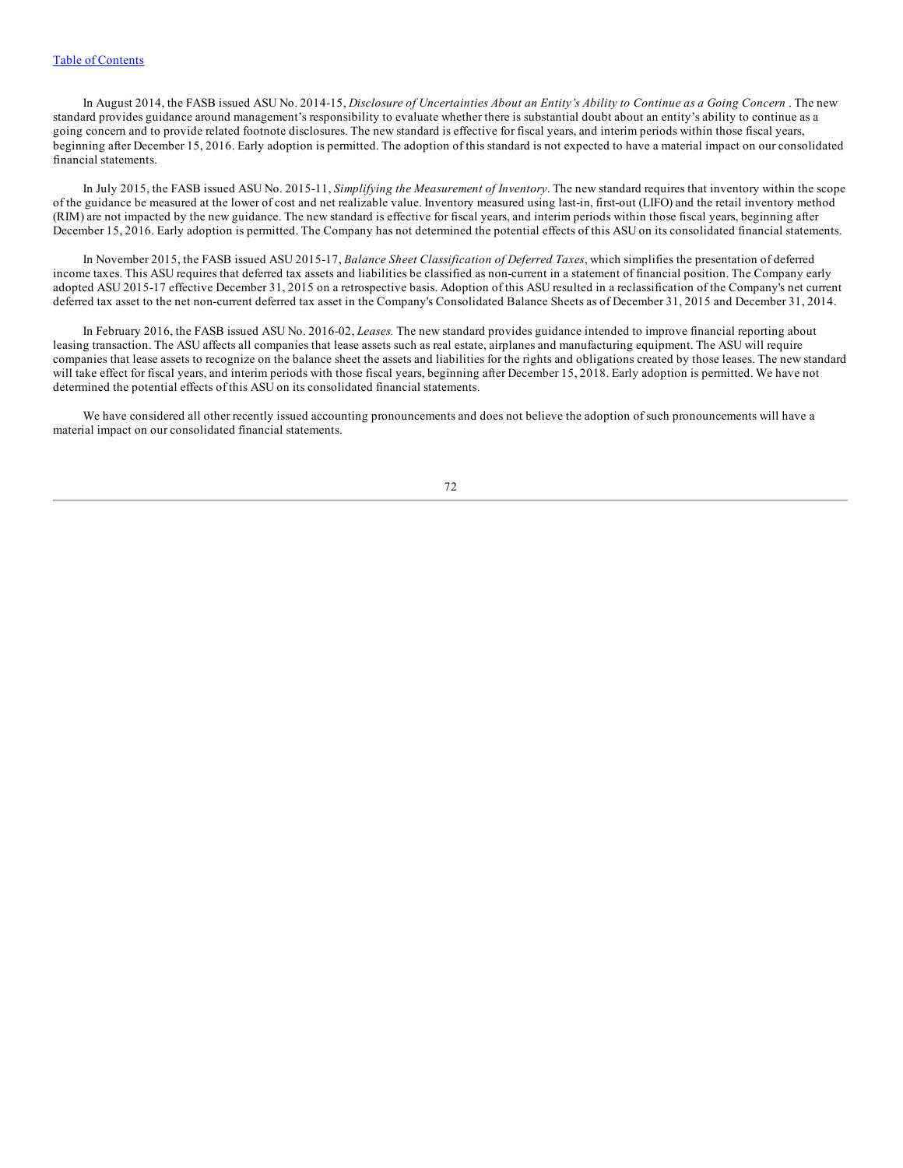In August 2014, the FASB issued ASU No. 2014-15, Disclosure of Uncertainties About an Entity's Ability to Continue as a Going Concern. The new standard provides guidance around management's responsibility to evaluate whether there is substantial doubt about an entity's ability to continue as a going concern and to provide related footnote disclosures. The new standard is effective for fiscal years, and interim periods within those fiscal years, beginning after December 15, 2016. Early adoption is permitted. The adoption of this standard is not expected to have a material impact on our consolidated financial statements.

In July 2015, the FASB issued ASU No. 2015-11, *Simplifying the Measurement of Inventory*. The new standard requires that inventory within the scope of the guidance be measured at the lower of cost and net realizable value. Inventory measured using last-in, first-out (LIFO) and the retail inventory method (RIM) are not impacted by the new guidance. The new standard is effective for fiscal years, and interim periods within those fiscal years, beginning after December 15, 2016. Early adoption is permitted. The Company has not determined the potential effects of this ASU on its consolidated financial statements.

In November 2015, the FASB issued ASU 2015-17, *Balance Sheet Classification of Deferred Taxes*, which simplifies the presentation of deferred income taxes. This ASU requires that deferred tax assets and liabilities be classified as non-current in a statement of financial position. The Company early adopted ASU 2015-17 effective December 31, 2015 on a retrospective basis. Adoption of this ASU resulted in a reclassification of the Company's net current deferred tax asset to the net non-current deferred tax asset in the Company's Consolidated Balance Sheets as of December 31, 2015 and December 31, 2014.

In February 2016, the FASB issued ASU No. 2016-02, *Leases.* The new standard provides guidance intended to improve financial reporting about leasing transaction. The ASU affects all companies that lease assets such as real estate, airplanes and manufacturing equipment. The ASU will require companies that lease assets to recognize on the balance sheet the assets and liabilities for the rights and obligations created by those leases. The new standard will take effect for fiscal years, and interim periods with those fiscal years, beginning after December 15, 2018. Early adoption is permitted. We have not determined the potential effects of this ASU on its consolidated financial statements.

We have considered all other recently issued accounting pronouncements and does not believe the adoption of such pronouncements will have a material impact on our consolidated financial statements.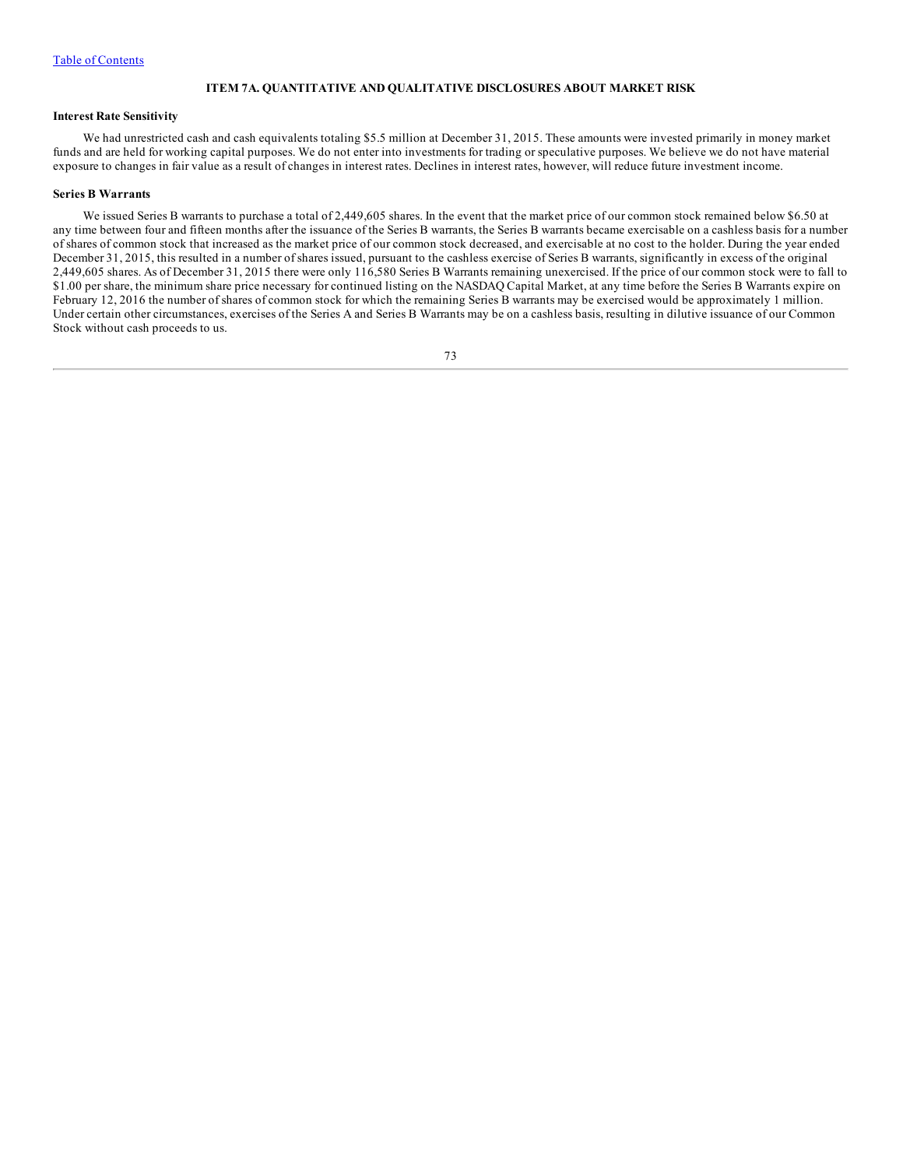## **ITEM 7A. QUANTITATIVE AND QUALITATIVE DISCLOSURES ABOUT MARKET RISK**

### **Interest Rate Sensitivity**

We had unrestricted cash and cash equivalents totaling \$5.5 million at December 31, 2015. These amounts were invested primarily in money market funds and are held for working capital purposes. We do not enter into investments for trading or speculative purposes. We believe we do not have material exposure to changes in fair value as a result of changes in interest rates. Declines in interest rates, however, will reduce future investment income.

## **Series B Warrants**

We issued Series B warrants to purchase a total of 2,449,605 shares. In the event that the market price of our common stock remained below \$6.50 at any time between four and fifteen months after the issuance of the Series B warrants, the Series B warrants became exercisable on a cashless basis for a number of shares of common stock that increased as the market price of our common stock decreased, and exercisable at no cost to the holder. During the year ended December 31, 2015, this resulted in a number of shares issued, pursuant to the cashless exercise of Series B warrants, significantly in excess of the original 2,449,605 shares. As of December 31, 2015 there were only 116,580 Series B Warrants remaining unexercised. If the price of our common stock were to fall to \$1.00 per share, the minimum share price necessary for continued listing on the NASDAQ Capital Market, at any time before the Series B Warrants expire on February 12, 2016 the number of shares of common stock for which the remaining Series B warrants may be exercised would be approximately 1 million. Under certain other circumstances, exercises of the Series A and Series B Warrants may be on a cashless basis, resulting in dilutive issuance of our Common Stock without cash proceeds to us.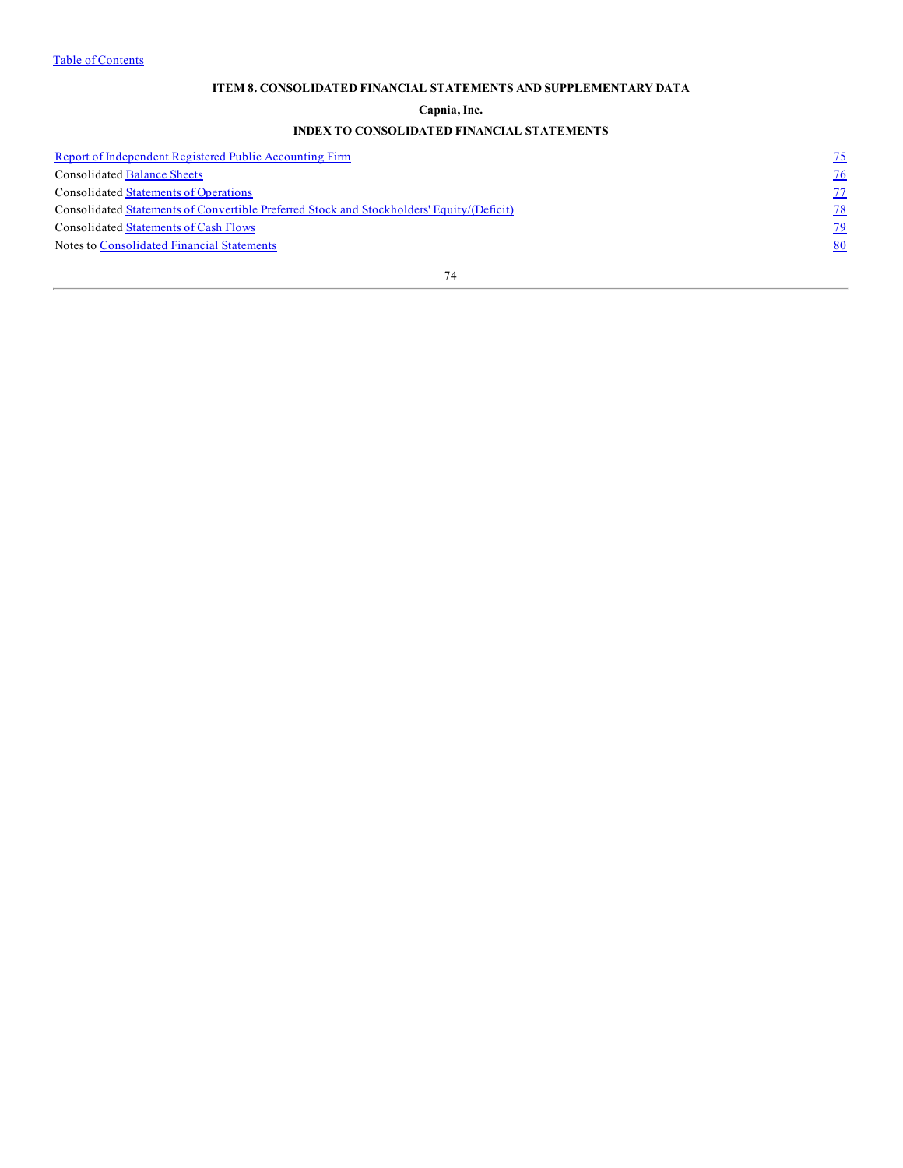# **ITEM 8. CONSOLIDATED FINANCIAL STATEMENTS AND SUPPLEMENTARY DATA**

**Capnia, Inc.**

# **INDEX TO CONSOLIDATED FINANCIAL STATEMENTS**

| Report of Independent Registered Public Accounting Firm                                   | 75 |
|-------------------------------------------------------------------------------------------|----|
| <b>Consolidated Balance Sheets</b>                                                        | 76 |
| Consolidated Statements of Operations                                                     | 77 |
| Consolidated Statements of Convertible Preferred Stock and Stockholders' Equity/(Deficit) | 78 |
| Consolidated Statements of Cash Flows                                                     | 79 |
| Notes to Consolidated Financial Statements                                                | 80 |
|                                                                                           |    |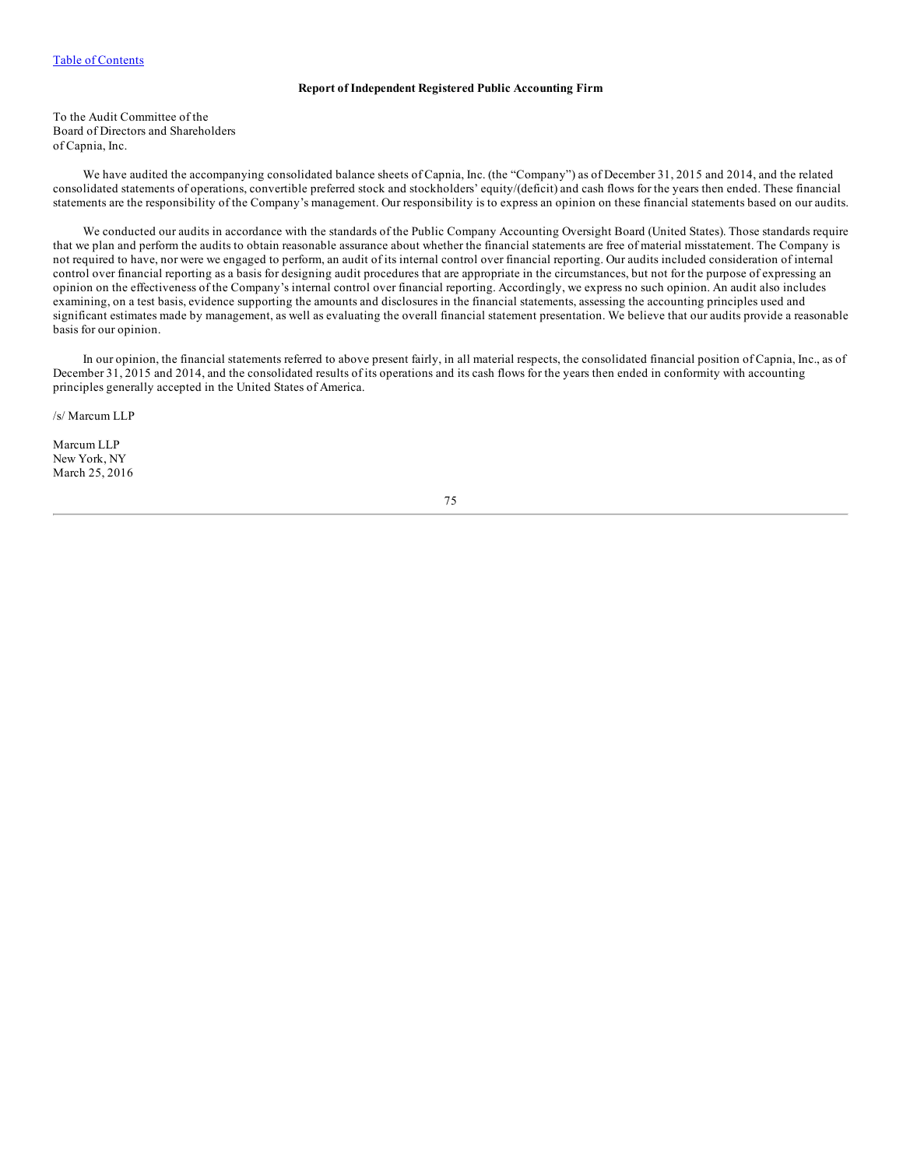## **Report of Independent Registered Public Accounting Firm**

<span id="page-77-0"></span>To the Audit Committee of the Board of Directors and Shareholders of Capnia, Inc.

We have audited the accompanying consolidated balance sheets of Capnia, Inc. (the "Company") as of December 31, 2015 and 2014, and the related consolidated statements of operations, convertible preferred stock and stockholders' equity/(deficit) and cash flows for the years then ended. These financial statements are the responsibility of the Company's management. Our responsibility is to express an opinion on these financial statements based on our audits.

We conducted our audits in accordance with the standards of the Public Company Accounting Oversight Board (United States). Those standards require that we plan and perform the audits to obtain reasonable assurance about whether the financial statements are free of material misstatement. The Company is not required to have, nor were we engaged to perform, an audit of its internal control over financial reporting. Our audits included consideration of internal control over financial reporting as a basis for designing audit procedures that are appropriate in the circumstances, but not for the purpose of expressing an opinion on the effectiveness of the Company's internal control over financial reporting. Accordingly, we express no such opinion. An audit also includes examining, on a test basis, evidence supporting the amounts and disclosures in the financial statements, assessing the accounting principles used and significant estimates made by management, as well as evaluating the overall financial statement presentation. We believe that our audits provide a reasonable basis for our opinion.

In our opinion, the financial statements referred to above present fairly, in all material respects, the consolidated financial position of Capnia, Inc., as of December 31, 2015 and 2014, and the consolidated results of its operations and its cash flows for the years then ended in conformity with accounting principles generally accepted in the United States of America.

/s/ Marcum LLP

Marcum LLP New York, NY March 25, 2016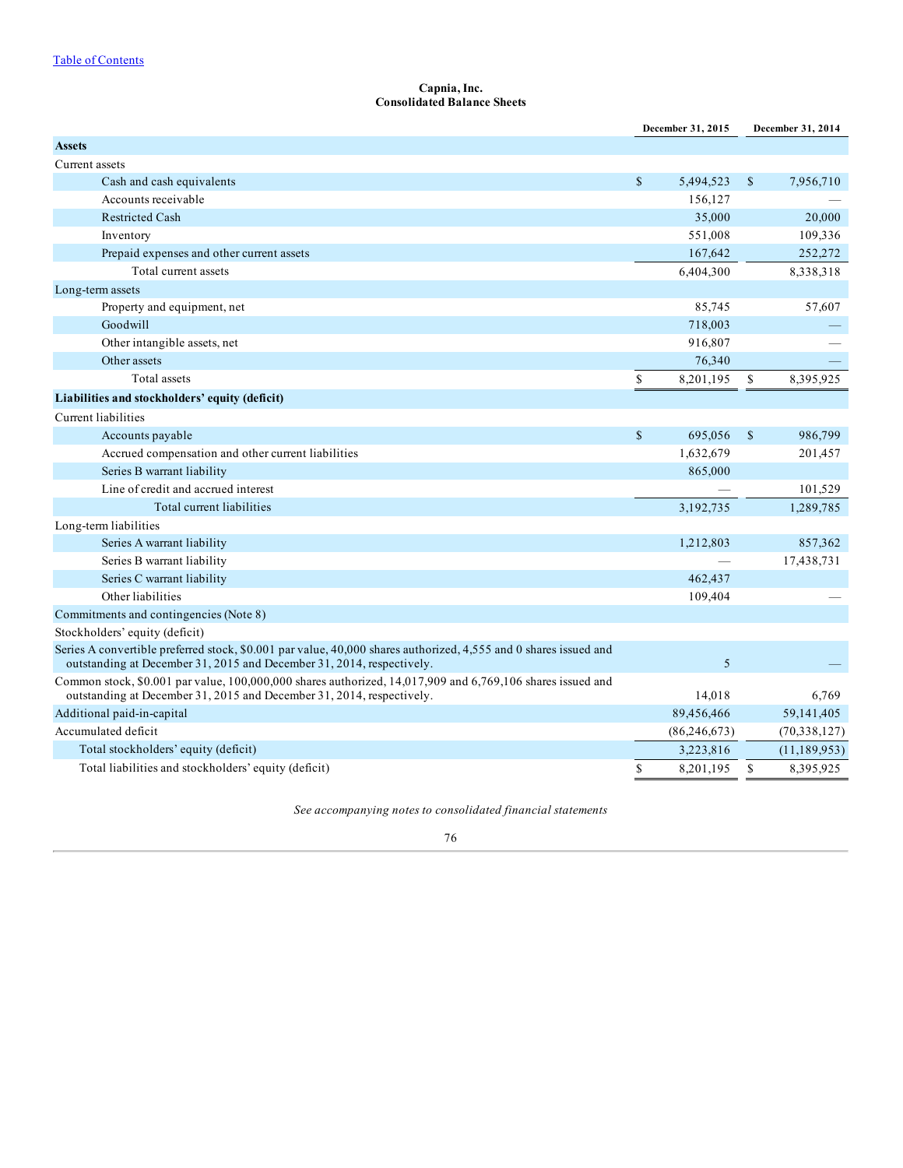# **Capnia, Inc. Consolidated Balance Sheets**

<span id="page-78-0"></span>

|                                                                                                                                                                                           |              | December 31, 2015 |              | December 31, 2014 |
|-------------------------------------------------------------------------------------------------------------------------------------------------------------------------------------------|--------------|-------------------|--------------|-------------------|
| <b>Assets</b>                                                                                                                                                                             |              |                   |              |                   |
| Current assets                                                                                                                                                                            |              |                   |              |                   |
| Cash and cash equivalents                                                                                                                                                                 | $\mathbb{S}$ | 5,494,523         | $\mathbb{S}$ | 7,956,710         |
| Accounts receivable                                                                                                                                                                       |              | 156,127           |              |                   |
| <b>Restricted Cash</b>                                                                                                                                                                    |              | 35,000            |              | 20,000            |
| Inventory                                                                                                                                                                                 |              | 551,008           |              | 109,336           |
| Prepaid expenses and other current assets                                                                                                                                                 |              | 167,642           |              | 252,272           |
| Total current assets                                                                                                                                                                      |              | 6,404,300         |              | 8,338,318         |
| Long-term assets                                                                                                                                                                          |              |                   |              |                   |
| Property and equipment, net                                                                                                                                                               |              | 85,745            |              | 57,607            |
| Goodwill                                                                                                                                                                                  |              | 718,003           |              |                   |
| Other intangible assets, net                                                                                                                                                              |              | 916,807           |              |                   |
| Other assets                                                                                                                                                                              |              | 76,340            |              |                   |
| Total assets                                                                                                                                                                              | \$           | 8,201,195         | S            | 8,395,925         |
| Liabilities and stockholders' equity (deficit)                                                                                                                                            |              |                   |              |                   |
| Current liabilities                                                                                                                                                                       |              |                   |              |                   |
| Accounts payable                                                                                                                                                                          | $\mathbb{S}$ | 695,056           | $\mathbb{S}$ | 986,799           |
| Accrued compensation and other current liabilities                                                                                                                                        |              | 1,632,679         |              | 201,457           |
| Series B warrant liability                                                                                                                                                                |              | 865,000           |              |                   |
| Line of credit and accrued interest                                                                                                                                                       |              |                   |              | 101,529           |
| Total current liabilities                                                                                                                                                                 |              | 3,192,735         |              | 1,289,785         |
| Long-term liabilities                                                                                                                                                                     |              |                   |              |                   |
| Series A warrant liability                                                                                                                                                                |              | 1,212,803         |              | 857,362           |
| Series B warrant liability                                                                                                                                                                |              |                   |              | 17,438,731        |
| Series C warrant liability                                                                                                                                                                |              | 462,437           |              |                   |
| Other liabilities                                                                                                                                                                         |              | 109,404           |              |                   |
| Commitments and contingencies (Note 8)                                                                                                                                                    |              |                   |              |                   |
| Stockholders' equity (deficit)                                                                                                                                                            |              |                   |              |                   |
| Series A convertible preferred stock, \$0.001 par value, 40,000 shares authorized, 4,555 and 0 shares issued and<br>outstanding at December 31, 2015 and December 31, 2014, respectively. |              | 5                 |              |                   |
| Common stock, \$0.001 par value, 100,000,000 shares authorized, 14,017,909 and 6,769,106 shares issued and<br>outstanding at December 31, 2015 and December 31, 2014, respectively.       |              | 14,018            |              | 6,769             |
| Additional paid-in-capital                                                                                                                                                                |              | 89,456,466        |              | 59,141,405        |
| Accumulated deficit                                                                                                                                                                       |              | (86, 246, 673)    |              | (70, 338, 127)    |
| Total stockholders' equity (deficit)                                                                                                                                                      |              | 3,223,816         |              | (11, 189, 953)    |
| Total liabilities and stockholders' equity (deficit)                                                                                                                                      | \$           | 8,201,195         | \$           | 8,395,925         |

*See accompanying notes to consolidated financial statements*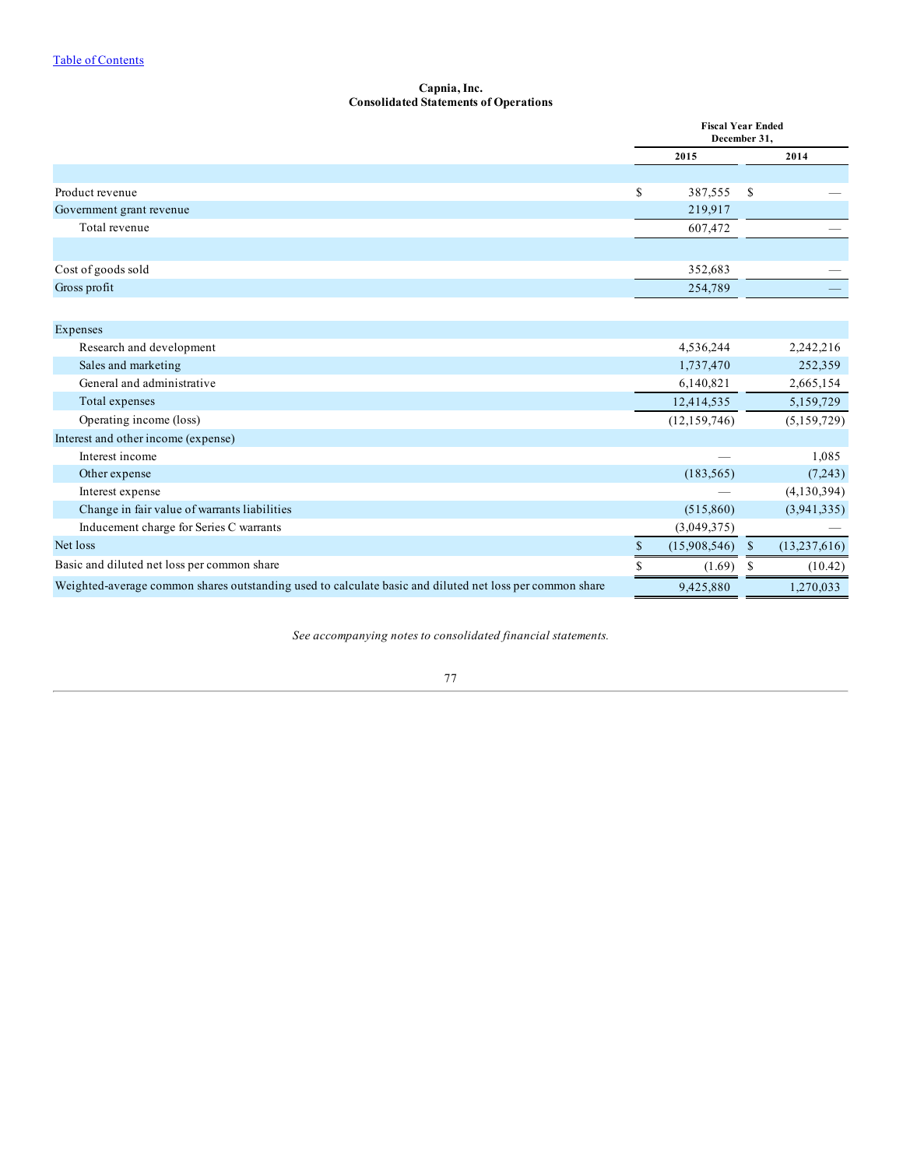# **Capnia, Inc. Consolidated Statements of Operations**

|                                                                                                          | <b>Fiscal Year Ended</b><br>December 31, |                |               |                |
|----------------------------------------------------------------------------------------------------------|------------------------------------------|----------------|---------------|----------------|
|                                                                                                          |                                          | 2015           |               | 2014           |
|                                                                                                          |                                          |                |               |                |
| Product revenue                                                                                          | \$                                       | 387,555        | S             |                |
| Government grant revenue                                                                                 |                                          | 219,917        |               |                |
| Total revenue                                                                                            |                                          | 607,472        |               |                |
|                                                                                                          |                                          |                |               |                |
| Cost of goods sold                                                                                       |                                          | 352,683        |               |                |
| Gross profit                                                                                             |                                          | 254,789        |               |                |
|                                                                                                          |                                          |                |               |                |
| Expenses                                                                                                 |                                          |                |               |                |
| Research and development                                                                                 |                                          | 4,536,244      |               | 2,242,216      |
| Sales and marketing                                                                                      |                                          | 1,737,470      |               | 252,359        |
| General and administrative                                                                               |                                          | 6,140,821      |               | 2,665,154      |
| Total expenses                                                                                           |                                          | 12,414,535     |               | 5,159,729      |
| Operating income (loss)                                                                                  |                                          | (12, 159, 746) |               | (5,159,729)    |
| Interest and other income (expense)                                                                      |                                          |                |               |                |
| Interest income                                                                                          |                                          |                |               | 1,085          |
| Other expense                                                                                            |                                          | (183, 565)     |               | (7,243)        |
| Interest expense                                                                                         |                                          |                |               | (4,130,394)    |
| Change in fair value of warrants liabilities                                                             |                                          | (515,860)      |               | (3,941,335)    |
| Inducement charge for Series C warrants                                                                  |                                          | (3,049,375)    |               |                |
| Net loss                                                                                                 | \$                                       | (15,908,546)   | $\mathcal{S}$ | (13, 237, 616) |
| Basic and diluted net loss per common share                                                              | \$.                                      | (1.69)         | -S            | (10.42)        |
| Weighted-average common shares outstanding used to calculate basic and diluted net loss per common share |                                          | 9,425,880      |               | 1,270,033      |

*See accompanying notes to consolidated financial statements.*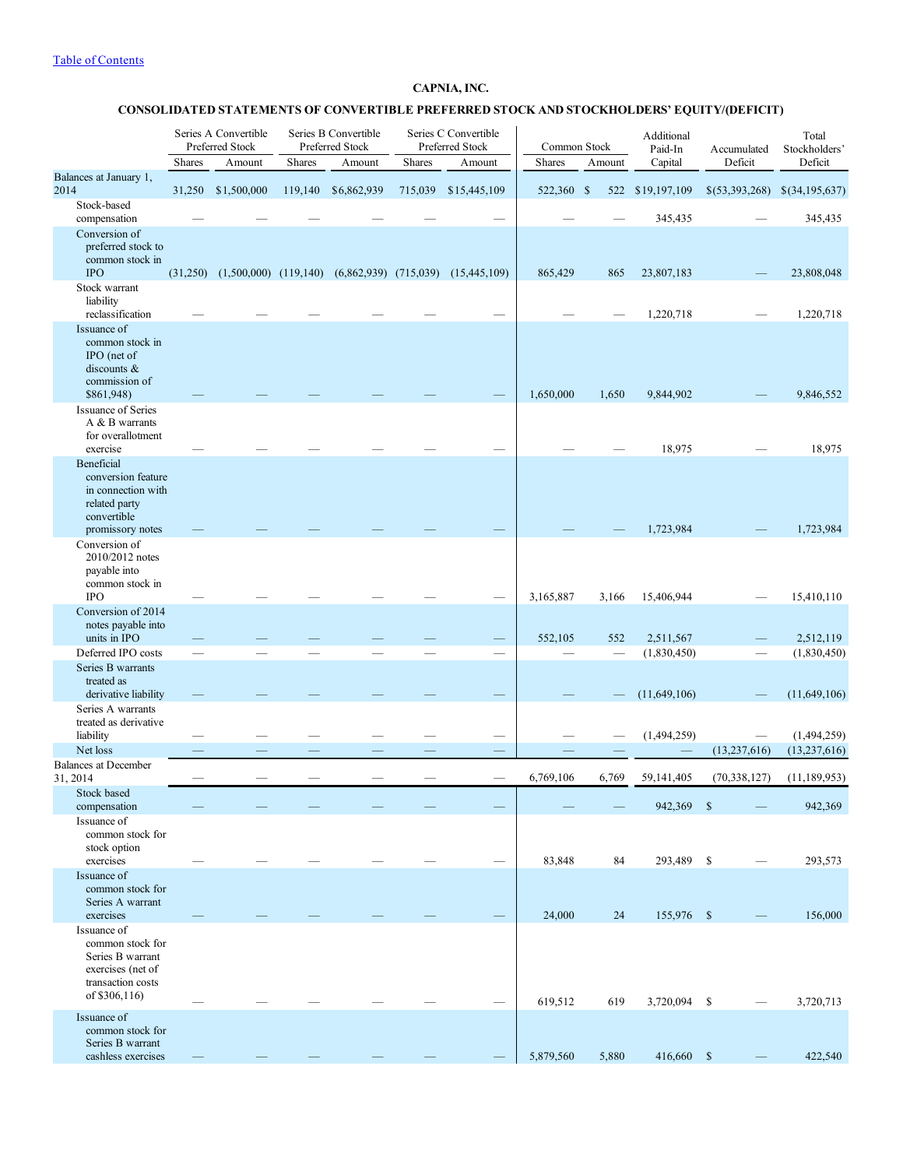# <span id="page-80-0"></span>Table of [Contents](#page-0-0)

# **CAPNIA, INC.**

# **CONSOLIDATED STATEMENTS OF CONVERTIBLE PREFERRED STOCK AND STOCKHOLDERS' EQUITY/(DEFICIT)**

|                                                                                                                   |               | Series A Convertible<br>Preferred Stock |         | Series B Convertible<br>Preferred Stock |         | Series C Convertible<br>Preferred Stock                                       | Common Stock |        | Additional<br>Paid-In | Accumulated    | Total<br>Stockholders' |
|-------------------------------------------------------------------------------------------------------------------|---------------|-----------------------------------------|---------|-----------------------------------------|---------|-------------------------------------------------------------------------------|--------------|--------|-----------------------|----------------|------------------------|
|                                                                                                                   | <b>Shares</b> | Amount                                  | Shares  | Amount                                  | Shares  | Amount                                                                        | Shares       | Amount | Capital               | Deficit        | Deficit                |
| Balances at January 1,<br>2014                                                                                    | 31,250        | \$1,500,000                             | 119,140 | \$6,862,939                             | 715,039 | \$15,445,109                                                                  | 522,360 \$   |        | 522 \$19,197,109      | \$(53,393,268) | $$$ (34,195,637)       |
| Stock-based<br>compensation                                                                                       |               |                                         |         |                                         |         |                                                                               |              |        | 345,435               |                | 345,435                |
| Conversion of                                                                                                     |               |                                         |         |                                         |         |                                                                               |              |        |                       |                |                        |
| preferred stock to<br>common stock in<br><b>IPO</b>                                                               |               |                                         |         |                                         |         | $(31,250)$ $(1,500,000)$ $(119,140)$ $(6,862,939)$ $(715,039)$ $(15,445,109)$ | 865,429      | 865    | 23,807,183            |                | 23,808,048             |
| Stock warrant<br>liability<br>reclassification                                                                    |               |                                         |         |                                         |         |                                                                               |              |        | 1,220,718             |                | 1,220,718              |
| Issuance of<br>common stock in<br>IPO (net of<br>discounts $\&$<br>commission of<br>\$861,948)                    |               |                                         |         |                                         |         |                                                                               | 1,650,000    | 1,650  | 9,844,902             |                | 9,846,552              |
| <b>Issuance of Series</b><br>A & B warrants<br>for overallotment                                                  |               |                                         |         |                                         |         |                                                                               |              |        |                       |                |                        |
| exercise                                                                                                          |               |                                         |         |                                         |         |                                                                               |              |        | 18,975                |                | 18,975                 |
| <b>Beneficial</b><br>conversion feature<br>in connection with<br>related party<br>convertible<br>promissory notes |               |                                         |         |                                         |         |                                                                               |              |        | 1,723,984             |                | 1,723,984              |
| Conversion of                                                                                                     |               |                                         |         |                                         |         |                                                                               |              |        |                       |                |                        |
| 2010/2012 notes<br>payable into<br>common stock in<br><b>IPO</b>                                                  |               |                                         |         |                                         |         |                                                                               | 3,165,887    | 3,166  | 15,406,944            |                | 15,410,110             |
| Conversion of 2014                                                                                                |               |                                         |         |                                         |         |                                                                               |              |        |                       |                |                        |
| notes payable into<br>units in IPO                                                                                |               |                                         |         |                                         |         |                                                                               | 552,105      | 552    | 2,511,567             |                | 2,512,119              |
| Deferred IPO costs                                                                                                |               |                                         |         |                                         |         |                                                                               |              |        | (1,830,450)           |                | (1,830,450)            |
| Series B warrants<br>treated as<br>derivative liability                                                           |               |                                         |         |                                         |         |                                                                               |              |        | (11,649,106)          |                | (11,649,106)           |
| Series A warrants                                                                                                 |               |                                         |         |                                         |         |                                                                               |              |        |                       |                |                        |
| treated as derivative                                                                                             |               |                                         |         |                                         |         |                                                                               |              |        |                       |                |                        |
| liability                                                                                                         |               |                                         |         |                                         |         |                                                                               |              |        | (1,494,259)           |                | (1,494,259)            |
| Net loss<br><b>Balances at December</b>                                                                           |               |                                         |         |                                         |         |                                                                               |              |        |                       | (13, 237, 616) | (13, 237, 616)         |
| 31, 2014<br>Stock based                                                                                           |               |                                         |         |                                         |         |                                                                               | 6,769,106    | 6,769  | 59,141,405            | (70, 338, 127) | (11, 189, 953)         |
| compensation                                                                                                      |               |                                         |         |                                         |         |                                                                               |              |        | 942,369 \$            |                | 942,369                |
| Issuance of<br>common stock for<br>stock option<br>exercises                                                      |               |                                         |         |                                         |         |                                                                               | 83,848       | 84     | 293,489               | <b>S</b>       | 293,573                |
| Issuance of                                                                                                       |               |                                         |         |                                         |         |                                                                               |              |        |                       |                |                        |
| common stock for<br>Series A warrant<br>exercises                                                                 |               |                                         |         |                                         |         |                                                                               | 24,000       | 24     | 155,976 \$            |                | 156,000                |
| Issuance of<br>common stock for<br>Series B warrant<br>exercises (net of<br>transaction costs<br>of \$306,116)    |               |                                         |         |                                         |         |                                                                               | 619,512      | 619    | 3,720,094 \$          |                | 3,720,713              |
| Issuance of                                                                                                       |               |                                         |         |                                         |         |                                                                               |              |        |                       |                |                        |
| common stock for<br>Series B warrant<br>cashless exercises                                                        |               |                                         |         |                                         |         |                                                                               | 5,879,560    | 5,880  | 416,660 \$            |                | 422,540                |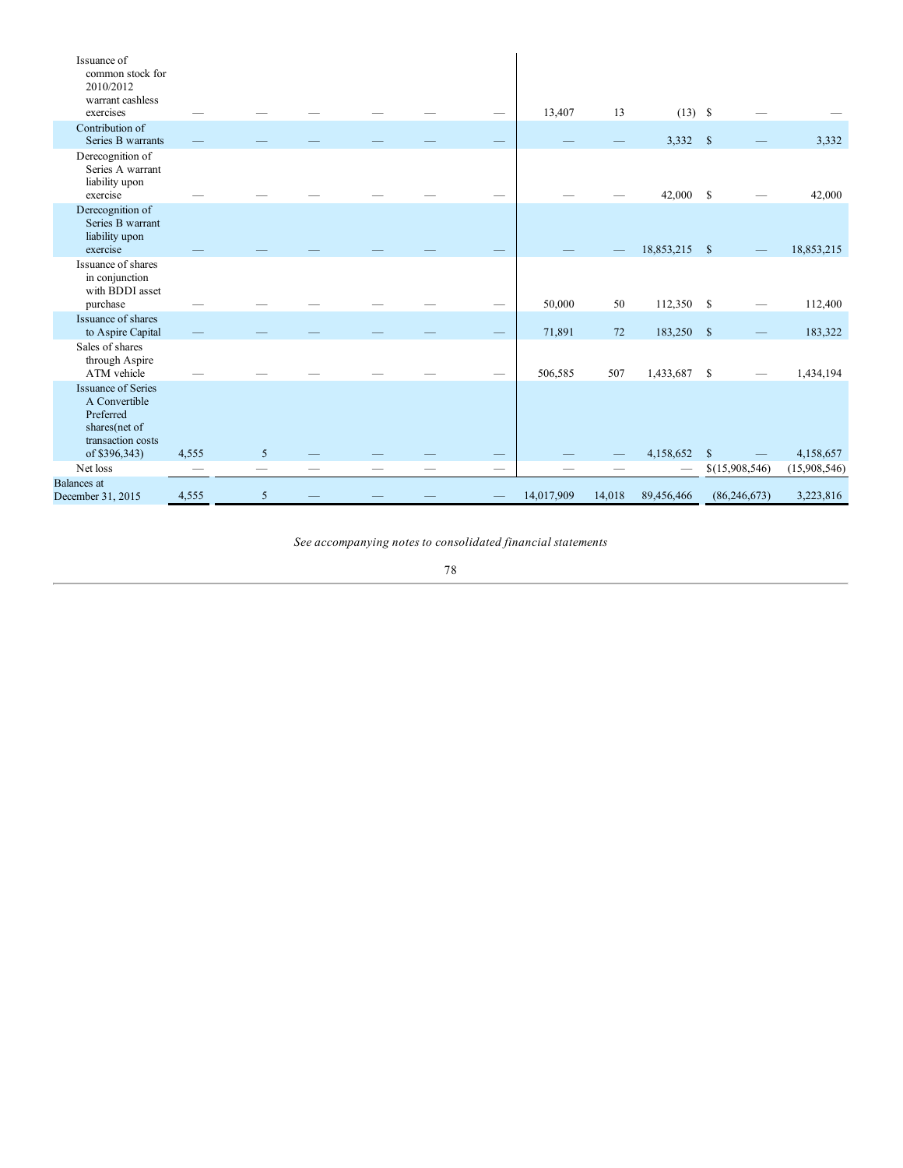| Issuance of<br>common stock for                                                               |       |   |  |  |            |        |            |                      |                           |
|-----------------------------------------------------------------------------------------------|-------|---|--|--|------------|--------|------------|----------------------|---------------------------|
| 2010/2012<br>warrant cashless<br>exercises                                                    |       |   |  |  | 13,407     | 13     | $(13)$ \$  |                      |                           |
| Contribution of<br>Series B warrants                                                          |       |   |  |  |            |        | 3,332      | $\mathcal{S}$        | 3,332                     |
| Derecognition of<br>Series A warrant<br>liability upon<br>exercise                            |       |   |  |  |            |        | 42,000     | <sup>\$</sup>        | 42,000                    |
| Derecognition of<br>Series B warrant<br>liability upon<br>exercise                            |       |   |  |  |            |        | 18,853,215 | $\mathcal{S}$        | 18,853,215                |
| Issuance of shares<br>in conjunction<br>with BDDI asset<br>purchase                           |       |   |  |  | 50,000     | 50     | 112,350    | \$                   | 112,400                   |
| Issuance of shares<br>to Aspire Capital                                                       |       |   |  |  | 71,891     | 72     | 183,250    | $\mathbb{S}$         | 183,322                   |
| Sales of shares<br>through Aspire<br>ATM vehicle                                              |       |   |  |  | 506,585    | 507    | 1,433,687  | $\mathcal{S}$        | 1,434,194                 |
| <b>Issuance of Series</b><br>A Convertible<br>Preferred<br>shares(net of<br>transaction costs |       |   |  |  |            |        |            |                      |                           |
| of \$396,343)<br>Net loss                                                                     | 4,555 | 5 |  |  |            |        | 4,158,652  | \$<br>\$(15,908,546) | 4,158,657<br>(15,908,546) |
| <b>Balances</b> at                                                                            |       |   |  |  |            |        |            |                      |                           |
| December 31, 2015                                                                             | 4,555 | 5 |  |  | 14,017,909 | 14,018 | 89,456,466 | (86, 246, 673)       | 3,223,816                 |

*See accompanying notes to consolidated financial statements*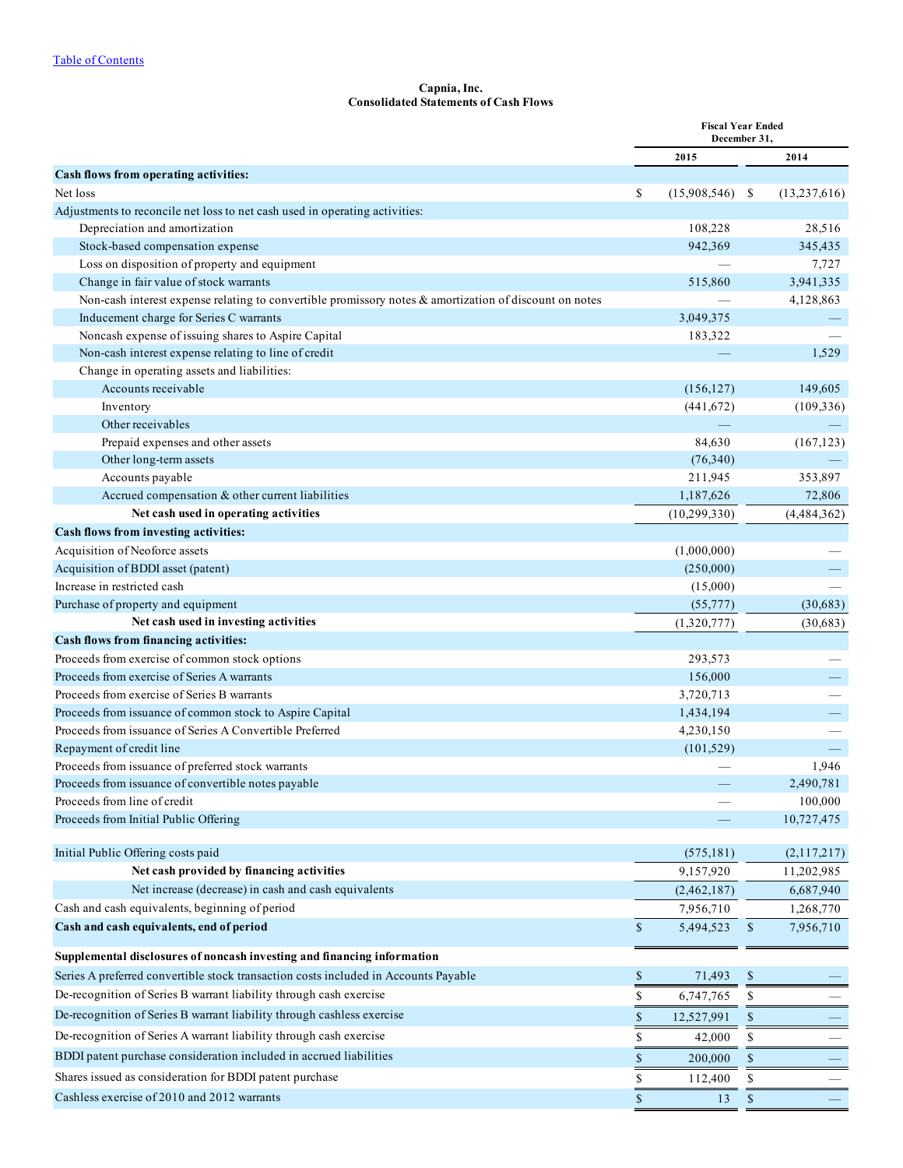# **Capnia, Inc. Consolidated Statements of Cash Flows**

<span id="page-82-0"></span>

|                                                                                                        | <b>Fiscal Year Ended</b><br>December 31, |                        |              |                |
|--------------------------------------------------------------------------------------------------------|------------------------------------------|------------------------|--------------|----------------|
|                                                                                                        |                                          | 2015                   |              | 2014           |
| Cash flows from operating activities:                                                                  |                                          |                        |              |                |
| Net loss                                                                                               | \$                                       | $(15,908,546)$ \$      |              | (13, 237, 616) |
| Adjustments to reconcile net loss to net cash used in operating activities:                            |                                          |                        |              |                |
| Depreciation and amortization                                                                          |                                          | 108,228                |              | 28,516         |
| Stock-based compensation expense                                                                       |                                          | 942,369                |              | 345,435        |
| Loss on disposition of property and equipment                                                          |                                          |                        |              | 7,727          |
| Change in fair value of stock warrants                                                                 |                                          | 515,860                |              | 3,941,335      |
| Non-cash interest expense relating to convertible promissory notes & amortization of discount on notes |                                          |                        |              | 4,128,863      |
| Inducement charge for Series C warrants                                                                |                                          | 3,049,375              |              |                |
| Noncash expense of issuing shares to Aspire Capital                                                    |                                          | 183,322                |              |                |
| Non-cash interest expense relating to line of credit                                                   |                                          |                        |              | 1,529          |
| Change in operating assets and liabilities:                                                            |                                          |                        |              |                |
| Accounts receivable                                                                                    |                                          | (156, 127)             |              | 149,605        |
| Inventory                                                                                              |                                          | (441, 672)             |              | (109, 336)     |
| Other receivables                                                                                      |                                          |                        |              |                |
| Prepaid expenses and other assets                                                                      |                                          | 84,630                 |              | (167, 123)     |
| Other long-term assets                                                                                 |                                          | (76,340)               |              |                |
| Accounts payable                                                                                       |                                          | 211,945                |              | 353,897        |
| Accrued compensation & other current liabilities                                                       |                                          | 1,187,626              |              | 72,806         |
| Net cash used in operating activities                                                                  |                                          | (10, 299, 330)         |              | (4,484,362)    |
| Cash flows from investing activities:                                                                  |                                          |                        |              |                |
| Acquisition of Neoforce assets                                                                         |                                          | (1,000,000)            |              |                |
| Acquisition of BDDI asset (patent)                                                                     |                                          | (250,000)              |              |                |
| Increase in restricted cash                                                                            |                                          | (15,000)               |              |                |
| Purchase of property and equipment                                                                     |                                          | (55,777)               |              | (30,683)       |
| Net cash used in investing activities                                                                  |                                          | (1,320,777)            |              | (30,683)       |
| Cash flows from financing activities:                                                                  |                                          |                        |              |                |
| Proceeds from exercise of common stock options<br>Proceeds from exercise of Series A warrants          |                                          | 293,573<br>156,000     |              |                |
| Proceeds from exercise of Series B warrants                                                            |                                          |                        |              |                |
| Proceeds from issuance of common stock to Aspire Capital                                               |                                          | 3,720,713<br>1,434,194 |              |                |
| Proceeds from issuance of Series A Convertible Preferred                                               |                                          | 4,230,150              |              |                |
| Repayment of credit line                                                                               |                                          | (101, 529)             |              |                |
| Proceeds from issuance of preferred stock warrants                                                     |                                          |                        |              | 1,946          |
| Proceeds from issuance of convertible notes payable                                                    |                                          |                        |              | 2,490,781      |
| Proceeds from line of credit                                                                           |                                          |                        |              | 100,000        |
| Proceeds from Initial Public Offering                                                                  |                                          |                        |              | 10,727,475     |
|                                                                                                        |                                          |                        |              |                |
| Initial Public Offering costs paid                                                                     |                                          | (575, 181)             |              | (2,117,217)    |
| Net cash provided by financing activities                                                              |                                          | 9,157,920              |              | 11,202,985     |
| Net increase (decrease) in cash and cash equivalents                                                   |                                          | (2,462,187)            |              | 6,687,940      |
| Cash and cash equivalents, beginning of period                                                         |                                          | 7,956,710              |              | 1,268,770      |
| Cash and cash equivalents, end of period                                                               | $\mathbb S$                              | 5,494,523              | $\mathbb{S}$ | 7,956,710      |
| Supplemental disclosures of noncash investing and financing information                                |                                          |                        |              |                |
| Series A preferred convertible stock transaction costs included in Accounts Payable                    | \$                                       | 71,493                 | \$           |                |
| De-recognition of Series B warrant liability through cash exercise                                     | \$                                       | 6,747,765              | \$           |                |
| De-recognition of Series B warrant liability through cashless exercise                                 | \$                                       | 12,527,991             | \$           |                |
| De-recognition of Series A warrant liability through cash exercise                                     | \$                                       |                        |              |                |
|                                                                                                        |                                          | 42,000                 | \$           |                |
| BDDI patent purchase consideration included in accrued liabilities                                     | \$                                       | 200,000                | \$           |                |
| Shares issued as consideration for BDDI patent purchase                                                | \$                                       | 112,400                | \$           |                |
| Cashless exercise of 2010 and 2012 warrants                                                            | $\$$                                     | 13                     | \$           |                |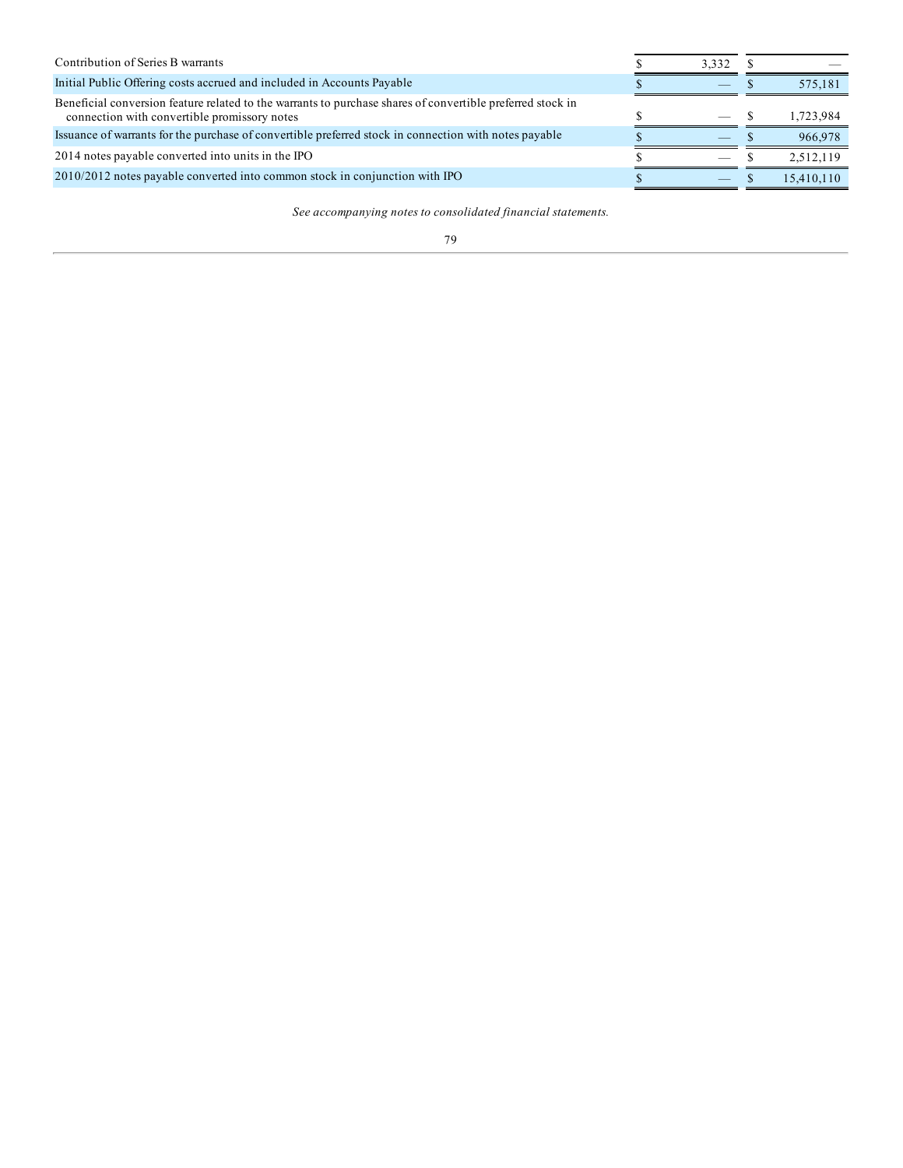| Contribution of Series B warrants                                                                                                                          | 3.332                    |            |
|------------------------------------------------------------------------------------------------------------------------------------------------------------|--------------------------|------------|
| Initial Public Offering costs accrued and included in Accounts Payable                                                                                     | $\qquad \qquad -$        | 575.181    |
| Beneficial conversion feature related to the warrants to purchase shares of convertible preferred stock in<br>connection with convertible promissory notes | $\overline{\phantom{a}}$ | 1,723,984  |
| Issuance of warrants for the purchase of convertible preferred stock in connection with notes payable                                                      |                          | 966,978    |
| 2014 notes payable converted into units in the IPO                                                                                                         | $\frac{1}{2}$            | 2,512,119  |
| 2010/2012 notes payable converted into common stock in conjunction with IPO                                                                                |                          | 15,410,110 |
|                                                                                                                                                            |                          |            |

*See accompanying notes to consolidated financial statements.*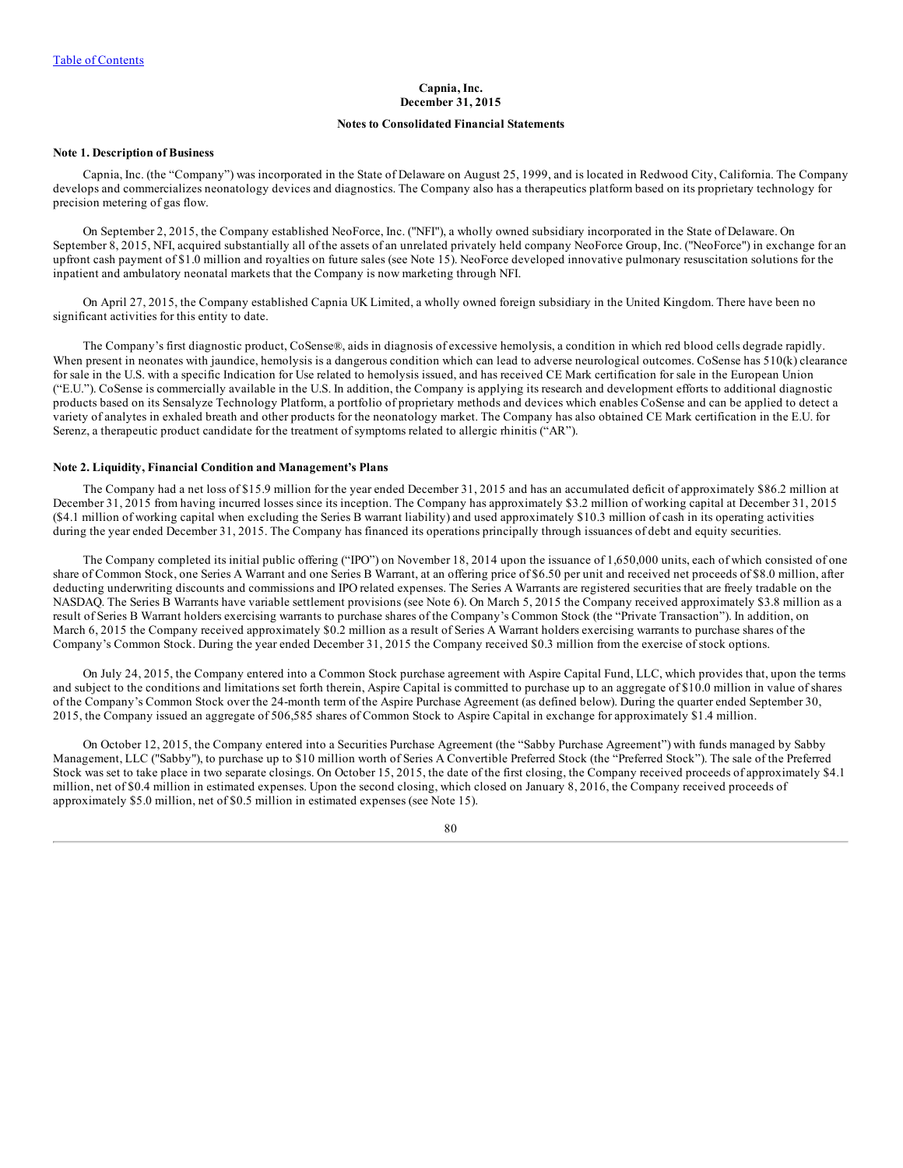# **Capnia, Inc. December 31, 2015**

# **Notes to Consolidated Financial Statements**

## <span id="page-84-0"></span>**Note 1. Description of Business**

Capnia, Inc. (the "Company") was incorporated in the State of Delaware on August 25, 1999, and is located in Redwood City, California. The Company develops and commercializes neonatology devices and diagnostics. The Company also has a therapeutics platform based on its proprietary technology for precision metering of gas flow.

On September 2, 2015, the Company established NeoForce, Inc. ("NFI"), a wholly owned subsidiary incorporated in the State of Delaware. On September 8, 2015, NFI, acquired substantially all of the assets of an unrelated privately held company NeoForce Group, Inc. ("NeoForce") in exchange for an upfront cash payment of \$1.0 million and royalties on future sales (see Note 15). NeoForce developed innovative pulmonary resuscitation solutions for the inpatient and ambulatory neonatal markets that the Company is now marketing through NFI.

On April 27, 2015, the Company established Capnia UK Limited, a wholly owned foreign subsidiary in the United Kingdom. There have been no significant activities for this entity to date.

The Company's first diagnostic product, CoSense®, aids in diagnosis of excessive hemolysis, a condition in which red blood cells degrade rapidly. When present in neonates with jaundice, hemolysis is a dangerous condition which can lead to adverse neurological outcomes. CoSense has 510(k) clearance for sale in the U.S. with a specific Indication for Use related to hemolysis issued, and has received CE Mark certification for sale in the European Union ("E.U."). CoSense is commercially available in the U.S. In addition, the Company is applying its research and development efforts to additional diagnostic products based on its Sensalyze Technology Platform, a portfolio of proprietary methods and devices which enables CoSense and can be applied to detect a variety of analytes in exhaled breath and other products for the neonatology market. The Company has also obtained CE Mark certification in the E.U. for Serenz, a therapeutic product candidate for the treatment of symptoms related to allergic rhinitis ("AR").

## **Note 2. Liquidity, Financial Condition and Management's Plans**

The Company had a net loss of \$15.9 million for the year ended December 31, 2015 and has an accumulated deficit of approximately \$86.2 million at December 31, 2015 from having incurred losses since its inception. The Company has approximately \$3.2 million of working capital at December 31, 2015 (\$4.1 million of working capital when excluding the Series B warrant liability) and used approximately \$10.3 million of cash in its operating activities during the year ended December 31, 2015. The Company has financed its operations principally through issuances of debt and equity securities.

The Company completed its initial public offering ("IPO") on November 18, 2014 upon the issuance of 1,650,000 units, each of which consisted of one share of Common Stock, one Series A Warrant and one Series B Warrant, at an offering price of \$6.50 per unit and received net proceeds of \$8.0 million, after deducting underwriting discounts and commissions and IPO related expenses. The Series A Warrants are registered securities that are freely tradable on the NASDAQ. The Series B Warrants have variable settlement provisions (see Note 6). On March 5, 2015 the Company received approximately \$3.8 million as a result of Series B Warrant holders exercising warrants to purchase shares of the Company's Common Stock (the "Private Transaction"). In addition, on March 6, 2015 the Company received approximately \$0.2 million as a result of Series A Warrant holders exercising warrants to purchase shares of the Company's Common Stock. During the year ended December 31, 2015 the Company received \$0.3 million from the exercise of stock options.

On July 24, 2015, the Company entered into a Common Stock purchase agreement with Aspire Capital Fund, LLC, which provides that, upon the terms and subject to the conditions and limitations set forth therein, Aspire Capital is committed to purchase up to an aggregate of \$10.0 million in value of shares of the Company's Common Stock over the 24-month term of the Aspire Purchase Agreement (as defined below). During the quarter ended September 30, 2015, the Company issued an aggregate of 506,585 shares of Common Stock to Aspire Capital in exchange for approximately \$1.4 million.

On October 12, 2015, the Company entered into a Securities Purchase Agreement (the "Sabby Purchase Agreement") with funds managed by Sabby Management, LLC ("Sabby"), to purchase up to \$10 million worth of Series A Convertible Preferred Stock (the "Preferred Stock"). The sale of the Preferred Stock was set to take place in two separate closings. On October 15, 2015, the date of the first closing, the Company received proceeds of approximately \$4.1 million, net of \$0.4 million in estimated expenses. Upon the second closing, which closed on January 8, 2016, the Company received proceeds of approximately \$5.0 million, net of \$0.5 million in estimated expenses (see Note 15).

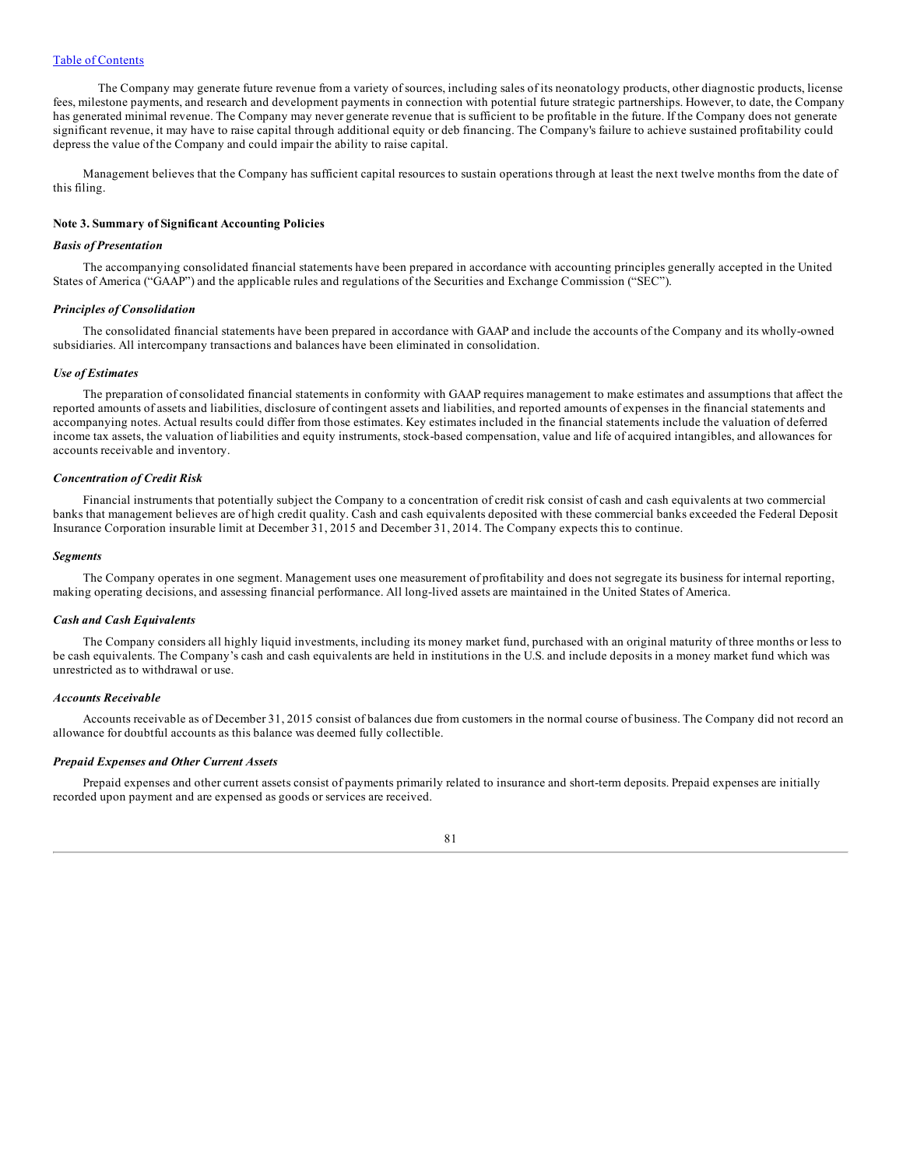The Company may generate future revenue from a variety of sources, including sales of its neonatology products, other diagnostic products, license fees, milestone payments, and research and development payments in connection with potential future strategic partnerships. However, to date, the Company has generated minimal revenue. The Company may never generate revenue that is sufficient to be profitable in the future. If the Company does not generate significant revenue, it may have to raise capital through additional equity or deb financing. The Company's failure to achieve sustained profitability could depress the value of the Company and could impair the ability to raise capital.

Management believes that the Company has sufficient capital resources to sustain operations through at least the next twelve months from the date of this filing.

#### **Note 3. Summary of Significant Accounting Policies**

#### *Basis of Presentation*

The accompanying consolidated financial statements have been prepared in accordance with accounting principles generally accepted in the United States of America ("GAAP") and the applicable rules and regulations of the Securities and Exchange Commission ("SEC").

#### *Principles of Consolidation*

The consolidated financial statements have been prepared in accordance with GAAP and include the accounts of the Company and its wholly-owned subsidiaries. All intercompany transactions and balances have been eliminated in consolidation.

#### *Use of Estimates*

The preparation of consolidated financial statements in conformity with GAAP requires management to make estimates and assumptions that affect the reported amounts of assets and liabilities, disclosure of contingent assets and liabilities, and reported amounts of expenses in the financial statements and accompanying notes. Actual results could differ from those estimates. Key estimates included in the financial statements include the valuation of deferred income tax assets, the valuation of liabilities and equity instruments, stock-based compensation, value and life of acquired intangibles, and allowances for accounts receivable and inventory.

### *Concentration of Credit Risk*

Financial instruments that potentially subject the Company to a concentration of credit risk consist of cash and cash equivalents at two commercial banks that management believes are of high credit quality. Cash and cash equivalents deposited with these commercial banks exceeded the Federal Deposit Insurance Corporation insurable limit at December 31, 2015 and December 31, 2014. The Company expects this to continue.

## *Segments*

The Company operates in one segment. Management uses one measurement of profitability and does not segregate its business for internal reporting, making operating decisions, and assessing financial performance. All long-lived assets are maintained in the United States of America.

#### *Cash and Cash Equivalents*

The Company considers all highly liquid investments, including its money market fund, purchased with an original maturity of three months or less to be cash equivalents. The Company's cash and cash equivalents are held in institutions in the U.S. and include deposits in a money market fund which was unrestricted as to withdrawal or use.

### *Accounts Receivable*

Accounts receivable as of December 31, 2015 consist of balances due from customers in the normal course of business. The Company did not record an allowance for doubtful accounts as this balance was deemed fully collectible.

#### *Prepaid Expenses and Other Current Assets*

Prepaid expenses and other current assets consist of payments primarily related to insurance and short-term deposits. Prepaid expenses are initially recorded upon payment and are expensed as goods or services are received.

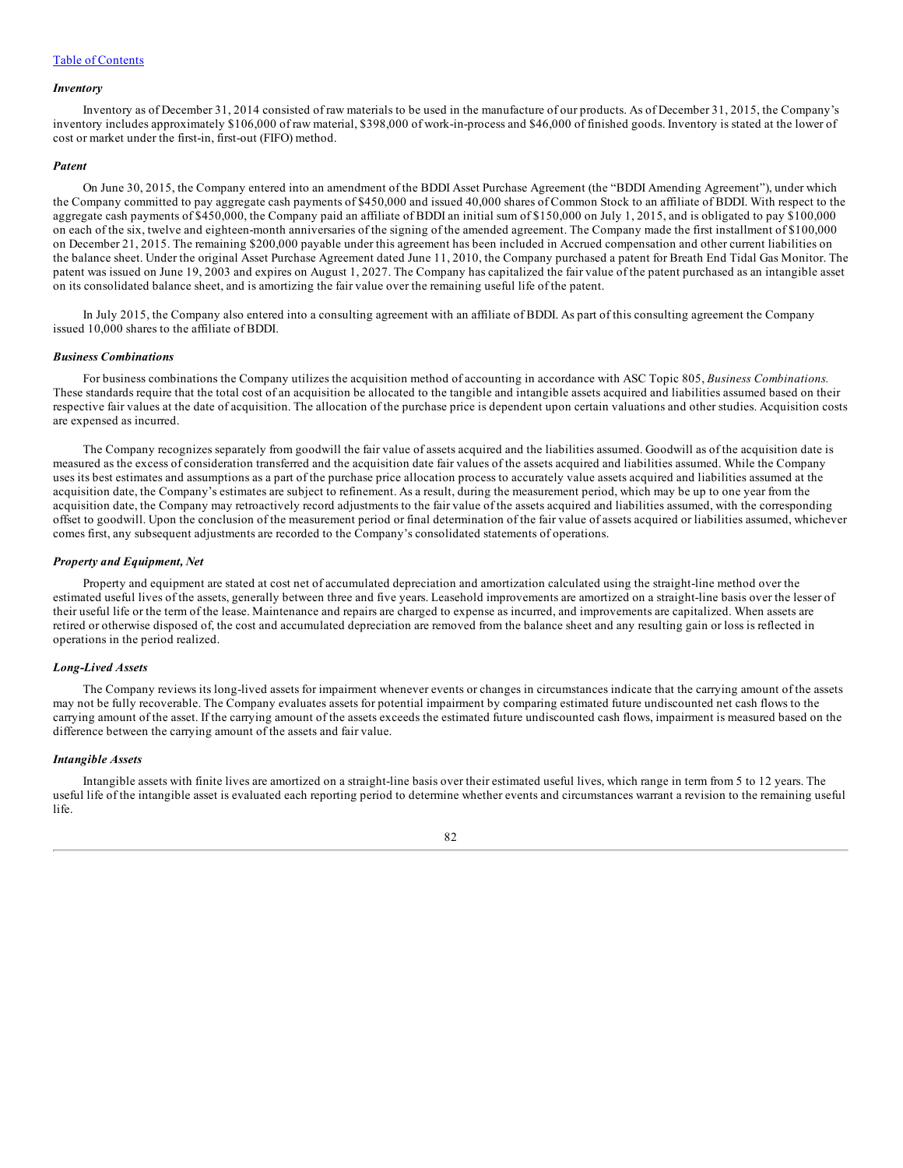#### *Inventory*

Inventory as of December 31, 2014 consisted of raw materials to be used in the manufacture of our products. As of December 31, 2015, the Company's inventory includes approximately \$106,000 of raw material, \$398,000 of work-in-process and \$46,000 of finished goods. Inventory is stated at the lower of cost or market under the first-in, first-out (FIFO) method.

#### *Patent*

On June 30, 2015, the Company entered into an amendment of the BDDI Asset Purchase Agreement (the "BDDI Amending Agreement"), under which the Company committed to pay aggregate cash payments of \$450,000 and issued 40,000 shares of Common Stock to an affiliate of BDDI. With respect to the aggregate cash payments of \$450,000, the Company paid an affiliate of BDDI an initial sum of \$150,000 on July 1, 2015, and is obligated to pay \$100,000 on each of the six, twelve and eighteen-month anniversaries of the signing of the amended agreement. The Company made the first installment of \$100,000 on December 21, 2015. The remaining \$200,000 payable under this agreement has been included in Accrued compensation and other current liabilities on the balance sheet. Under the original Asset Purchase Agreement dated June 11, 2010, the Company purchased a patent for Breath End Tidal Gas Monitor. The patent was issued on June 19, 2003 and expires on August 1, 2027. The Company has capitalized the fair value of the patent purchased as an intangible asset on its consolidated balance sheet, and is amortizing the fair value over the remaining useful life of the patent.

In July 2015, the Company also entered into a consulting agreement with an affiliate of BDDI. As part of this consulting agreement the Company issued 10,000 shares to the affiliate of BDDI.

#### *Business Combinations*

For business combinations the Company utilizes the acquisition method of accounting in accordance with ASC Topic 805, *Business Combinations.* These standards require that the total cost of an acquisition be allocated to the tangible and intangible assets acquired and liabilities assumed based on their respective fair values at the date of acquisition. The allocation of the purchase price is dependent upon certain valuations and other studies. Acquisition costs are expensed as incurred.

The Company recognizes separately from goodwill the fair value of assets acquired and the liabilities assumed. Goodwill as of the acquisition date is measured as the excess of consideration transferred and the acquisition date fair values of the assets acquired and liabilities assumed. While the Company uses its best estimates and assumptions as a part of the purchase price allocation process to accurately value assets acquired and liabilities assumed at the acquisition date, the Company's estimates are subject to refinement. As a result, during the measurement period, which may be up to one year from the acquisition date, the Company may retroactively record adjustments to the fair value of the assets acquired and liabilities assumed, with the corresponding offset to goodwill. Upon the conclusion of the measurement period or final determination of the fair value of assets acquired or liabilities assumed, whichever comes first, any subsequent adjustments are recorded to the Company's consolidated statements of operations.

#### *Property and Equipment, Net*

Property and equipment are stated at cost net of accumulated depreciation and amortization calculated using the straight-line method over the estimated useful lives of the assets, generally between three and five years. Leasehold improvements are amortized on a straight-line basis over the lesser of their useful life or the term of the lease. Maintenance and repairs are charged to expense as incurred, and improvements are capitalized. When assets are retired or otherwise disposed of, the cost and accumulated depreciation are removed from the balance sheet and any resulting gain or loss is reflected in operations in the period realized.

#### *Long-Lived Assets*

The Company reviews its long-lived assets for impairment whenever events or changes in circumstances indicate that the carrying amount of the assets may not be fully recoverable. The Company evaluates assets for potential impairment by comparing estimated future undiscounted net cash flows to the carrying amount of the asset. If the carrying amount of the assets exceeds the estimated future undiscounted cash flows, impairment is measured based on the difference between the carrying amount of the assets and fair value.

#### *Intangible Assets*

Intangible assets with finite lives are amortized on a straight-line basis over their estimated useful lives, which range in term from 5 to 12 years. The useful life of the intangible asset is evaluated each reporting period to determine whether events and circumstances warrant a revision to the remaining useful life.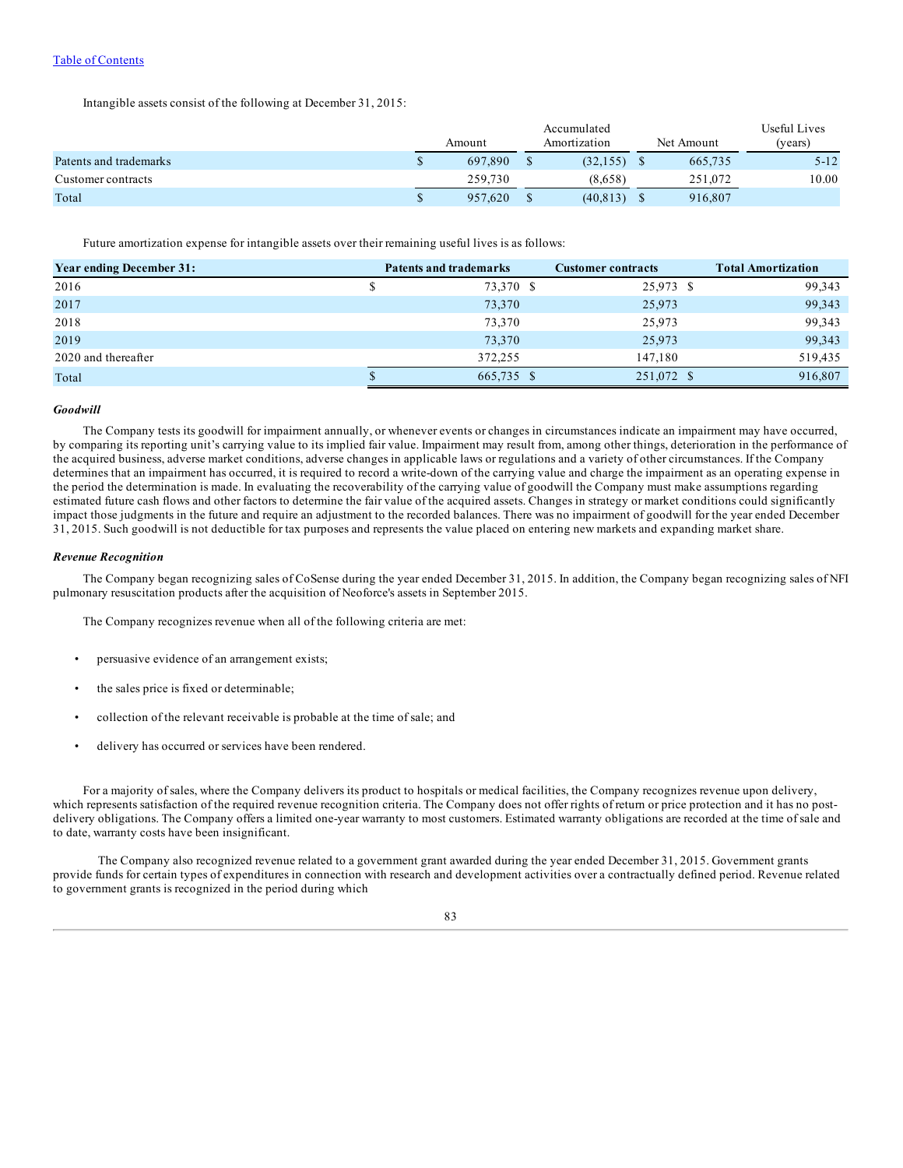## Table of [Contents](#page-0-0)

Intangible assets consist of the following at December 31, 2015:

|                        |         | Useful Lives |              |  |            |          |  |
|------------------------|---------|--------------|--------------|--|------------|----------|--|
|                        | Amount  |              | Amortization |  | Net Amount | (years)  |  |
| Patents and trademarks | 697,890 |              | (32, 155)    |  | 665.735    | $5 - 12$ |  |
| Customer contracts     | 259,730 |              | (8,658)      |  | 251.072    | 10.00    |  |
| Total                  | 957,620 |              | (40, 813)    |  | 916.807    |          |  |

Future amortization expense for intangible assets over their remaining useful lives is as follows:

| <b>Year ending December 31:</b> | Patents and trademarks | <b>Customer contracts</b> | <b>Total Amortization</b> |
|---------------------------------|------------------------|---------------------------|---------------------------|
| 2016                            | 73,370 \$              | 25,973 \$                 | 99,343                    |
| 2017                            | 73,370                 | 25,973                    | 99,343                    |
| 2018                            | 73,370                 | 25,973                    | 99,343                    |
| 2019                            | 73,370                 | 25,973                    | 99,343                    |
| 2020 and thereafter             | 372,255                | 147.180                   | 519,435                   |
| Total                           | 665,735 \$             | 251,072 \$                | 916,807                   |

#### *Goodwill*

The Company tests its goodwill for impairment annually, or whenever events or changes in circumstances indicate an impairment may have occurred, by comparing its reporting unit's carrying value to its implied fair value. Impairment may result from, among other things, deterioration in the performance of the acquired business, adverse market conditions, adverse changes in applicable laws or regulations and a variety of other circumstances. If the Company determines that an impairment has occurred, it is required to record a write-down of the carrying value and charge the impairment as an operating expense in the period the determination is made. In evaluating the recoverability of the carrying value of goodwill the Company must make assumptions regarding estimated future cash flows and other factors to determine the fair value of the acquired assets. Changes in strategy or market conditions could significantly impact those judgments in the future and require an adjustment to the recorded balances. There was no impairment of goodwill for the year ended December 31, 2015. Such goodwill is not deductible for tax purposes and represents the value placed on entering new markets and expanding market share.

## *Revenue Recognition*

The Company began recognizing sales of CoSense during the year ended December 31, 2015. In addition, the Company began recognizing sales of NFI pulmonary resuscitation products after the acquisition of Neoforce's assets in September 2015.

The Company recognizes revenue when all of the following criteria are met:

- persuasive evidence of an arrangement exists;
- the sales price is fixed or determinable;
- collection of the relevant receivable is probable at the time of sale; and
- delivery has occurred or services have been rendered.

For a majority of sales, where the Company delivers its product to hospitals or medical facilities, the Company recognizes revenue upon delivery, which represents satisfaction of the required revenue recognition criteria. The Company does not offer rights of return or price protection and it has no postdelivery obligations. The Company offers a limited one-year warranty to most customers. Estimated warranty obligations are recorded at the time of sale and to date, warranty costs have been insignificant.

The Company also recognized revenue related to a government grant awarded during the year ended December 31, 2015. Government grants provide funds for certain types of expenditures in connection with research and development activities over a contractually defined period. Revenue related to government grants is recognized in the period during which

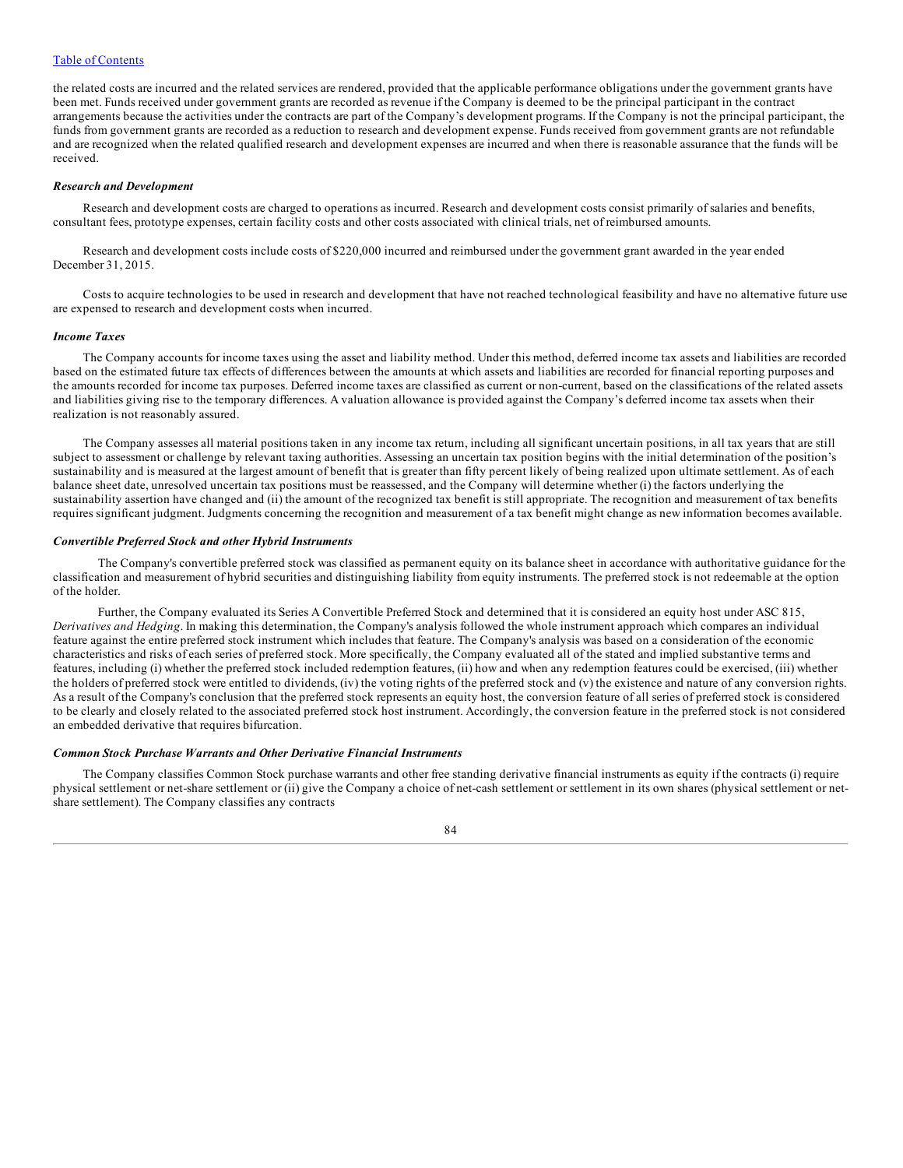## Table of [Contents](#page-0-0)

the related costs are incurred and the related services are rendered, provided that the applicable performance obligations under the government grants have been met. Funds received under government grants are recorded as revenue if the Company is deemed to be the principal participant in the contract arrangements because the activities under the contracts are part of the Company's development programs. If the Company is not the principal participant, the funds from government grants are recorded as a reduction to research and development expense. Funds received from government grants are not refundable and are recognized when the related qualified research and development expenses are incurred and when there is reasonable assurance that the funds will be received.

#### *Research and Development*

Research and development costs are charged to operations as incurred. Research and development costs consist primarily of salaries and benefits, consultant fees, prototype expenses, certain facility costs and other costs associated with clinical trials, net of reimbursed amounts.

Research and development costs include costs of \$220,000 incurred and reimbursed under the government grant awarded in the year ended December 31, 2015.

Costs to acquire technologies to be used in research and development that have not reached technological feasibility and have no alternative future use are expensed to research and development costs when incurred.

#### *Income Taxes*

The Company accounts for income taxes using the asset and liability method. Under this method, deferred income tax assets and liabilities are recorded based on the estimated future tax effects of differences between the amounts at which assets and liabilities are recorded for financial reporting purposes and the amounts recorded for income tax purposes. Deferred income taxes are classified as current or non-current, based on the classifications of the related assets and liabilities giving rise to the temporary differences. A valuation allowance is provided against the Company's deferred income tax assets when their realization is not reasonably assured.

The Company assesses all material positions taken in any income tax return, including all significant uncertain positions, in all tax years that are still subject to assessment or challenge by relevant taxing authorities. Assessing an uncertain tax position begins with the initial determination of the position's sustainability and is measured at the largest amount of benefit that is greater than fifty percent likely of being realized upon ultimate settlement. As of each balance sheet date, unresolved uncertain tax positions must be reassessed, and the Company will determine whether (i) the factors underlying the sustainability assertion have changed and (ii) the amount of the recognized tax benefit is still appropriate. The recognition and measurement of tax benefits requires significant judgment. Judgments concerning the recognition and measurement of a tax benefit might change as new information becomes available.

#### *Convertible Preferred Stock and other Hybrid Instruments*

The Company's convertible preferred stock was classified as permanent equity on its balance sheet in accordance with authoritative guidance for the classification and measurement of hybrid securities and distinguishing liability from equity instruments. The preferred stock is not redeemable at the option of the holder.

Further, the Company evaluated its Series A Convertible Preferred Stock and determined that it is considered an equity host under ASC 815, *Derivatives and Hedging*. In making this determination, the Company's analysis followed the whole instrument approach which compares an individual feature against the entire preferred stock instrument which includes that feature. The Company's analysis was based on a consideration of the economic characteristics and risks of each series of preferred stock. More specifically, the Company evaluated all of the stated and implied substantive terms and features, including (i) whether the preferred stock included redemption features, (ii) how and when any redemption features could be exercised, (iii) whether the holders of preferred stock were entitled to dividends, (iv) the voting rights of the preferred stock and (v) the existence and nature of any conversion rights. As a result of the Company's conclusion that the preferred stock represents an equity host, the conversion feature of all series of preferred stock is considered to be clearly and closely related to the associated preferred stock host instrument. Accordingly, the conversion feature in the preferred stock is not considered an embedded derivative that requires bifurcation.

# *Common Stock Purchase Warrants and Other Derivative Financial Instruments*

The Company classifies Common Stock purchase warrants and other free standing derivative financial instruments as equity if the contracts (i) require physical settlement or net-share settlement or (ii) give the Company a choice of net-cash settlement or settlement in its own shares (physical settlement or netshare settlement). The Company classifies any contracts

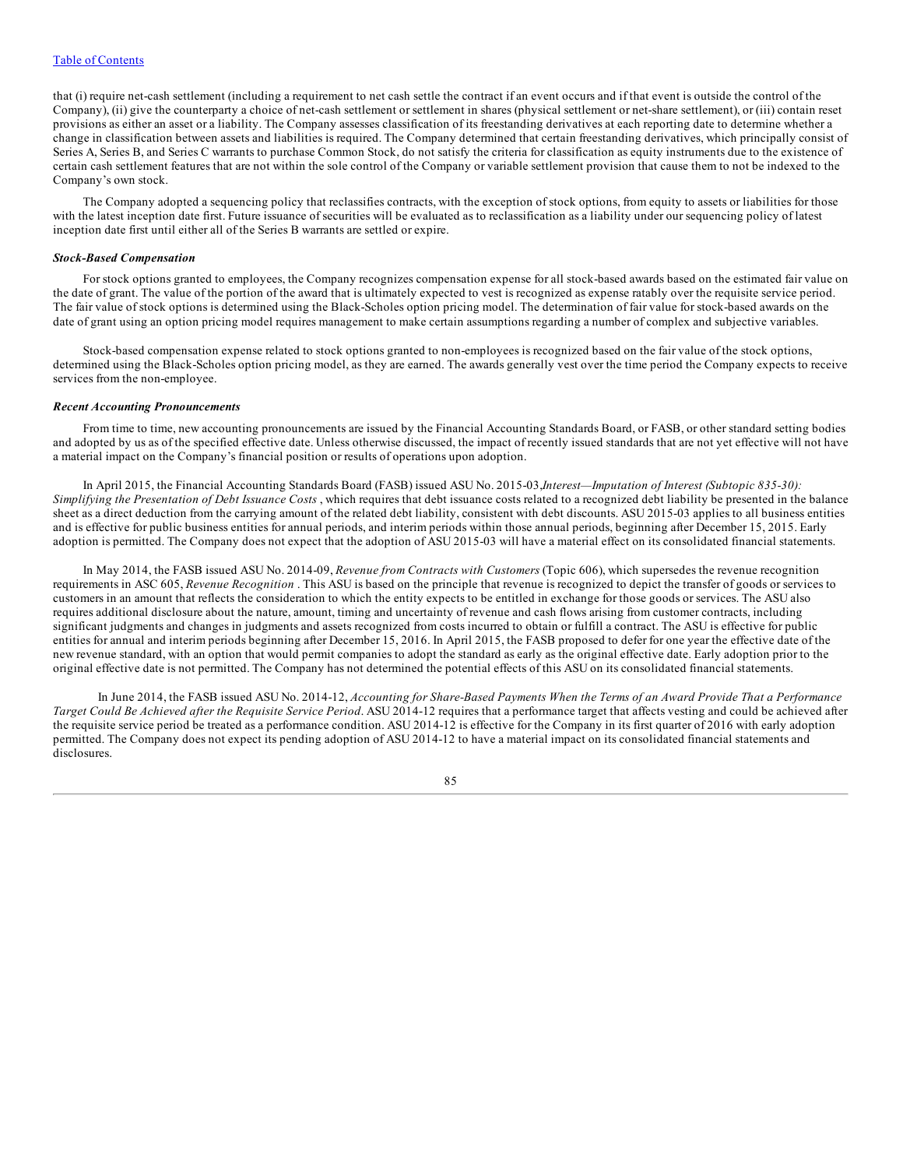that (i) require net-cash settlement (including a requirement to net cash settle the contract if an event occurs and if that event is outside the control of the Company), (ii) give the counterparty a choice of net-cash settlement or settlement in shares (physical settlement or net-share settlement), or (iii) contain reset provisions as either an asset or a liability. The Company assesses classification of its freestanding derivatives at each reporting date to determine whether a change in classification between assets and liabilities is required. The Company determined that certain freestanding derivatives, which principally consist of Series A, Series B, and Series C warrants to purchase Common Stock, do not satisfy the criteria for classification as equity instruments due to the existence of certain cash settlement features that are not within the sole control of the Company or variable settlement provision that cause them to not be indexed to the Company's own stock.

The Company adopted a sequencing policy that reclassifies contracts, with the exception of stock options, from equity to assets or liabilities for those with the latest inception date first. Future issuance of securities will be evaluated as to reclassification as a liability under our sequencing policy of latest inception date first until either all of the Series B warrants are settled or expire.

### *Stock-Based Compensation*

For stock options granted to employees, the Company recognizes compensation expense for all stock-based awards based on the estimated fair value on the date of grant. The value of the portion of the award that is ultimately expected to vest is recognized as expense ratably over the requisite service period. The fair value of stock options is determined using the Black-Scholes option pricing model. The determination of fair value for stock-based awards on the date of grant using an option pricing model requires management to make certain assumptions regarding a number of complex and subjective variables.

Stock-based compensation expense related to stock options granted to non-employees is recognized based on the fair value of the stock options, determined using the Black-Scholes option pricing model, as they are earned. The awards generally vest over the time period the Company expects to receive services from the non-employee.

#### *Recent Accounting Pronouncements*

From time to time, new accounting pronouncements are issued by the Financial Accounting Standards Board, or FASB, or other standard setting bodies and adopted by us as of the specified effective date. Unless otherwise discussed, the impact of recently issued standards that are not yet effective will not have a material impact on the Company's financial position or results of operations upon adoption.

In April 2015, the Financial Accounting Standards Board (FASB) issued ASU No. 2015-03,*Interest—Imputation of Interest (Subtopic 835-30): Simplifying the Presentation of Debt Issuance Costs* , which requires that debt issuance costs related to a recognized debt liability be presented in the balance sheet as a direct deduction from the carrying amount of the related debt liability, consistent with debt discounts. ASU 2015-03 applies to all business entities and is effective for public business entities for annual periods, and interim periods within those annual periods, beginning after December 15, 2015. Early adoption is permitted. The Company does not expect that the adoption of ASU 2015-03 will have a material effect on its consolidated financial statements.

In May 2014, the FASB issued ASU No. 2014-09, *Revenue from Contracts with Customers* (Topic 606), which supersedes the revenue recognition requirements in ASC 605, *Revenue Recognition* . This ASU is based on the principle that revenue is recognized to depict the transfer of goods or services to customers in an amount that reflects the consideration to which the entity expects to be entitled in exchange for those goods or services. The ASU also requires additional disclosure about the nature, amount, timing and uncertainty of revenue and cash flows arising from customer contracts, including significant judgments and changes in judgments and assets recognized from costs incurred to obtain or fulfill a contract. The ASU is effective for public entities for annual and interim periods beginning after December 15, 2016. In April 2015, the FASB proposed to defer for one year the effective date of the new revenue standard, with an option that would permit companies to adopt the standard as early as the original effective date. Early adoption prior to the original effective date is not permitted. The Company has not determined the potential effects of this ASU on its consolidated financial statements.

In June 2014, the FASB issued ASU No. 2014-12, Accounting for Share-Based Payments When the Terms of an Award Provide That a Performance *Target Could Be Achieved after the Requisite Service Period*. ASU 2014-12 requires that a performance target that affects vesting and could be achieved after the requisite service period be treated as a performance condition. ASU 2014-12 is effective for the Company in its first quarter of 2016 with early adoption permitted. The Company does not expect its pending adoption of ASU 2014-12 to have a material impact on its consolidated financial statements and disclosures.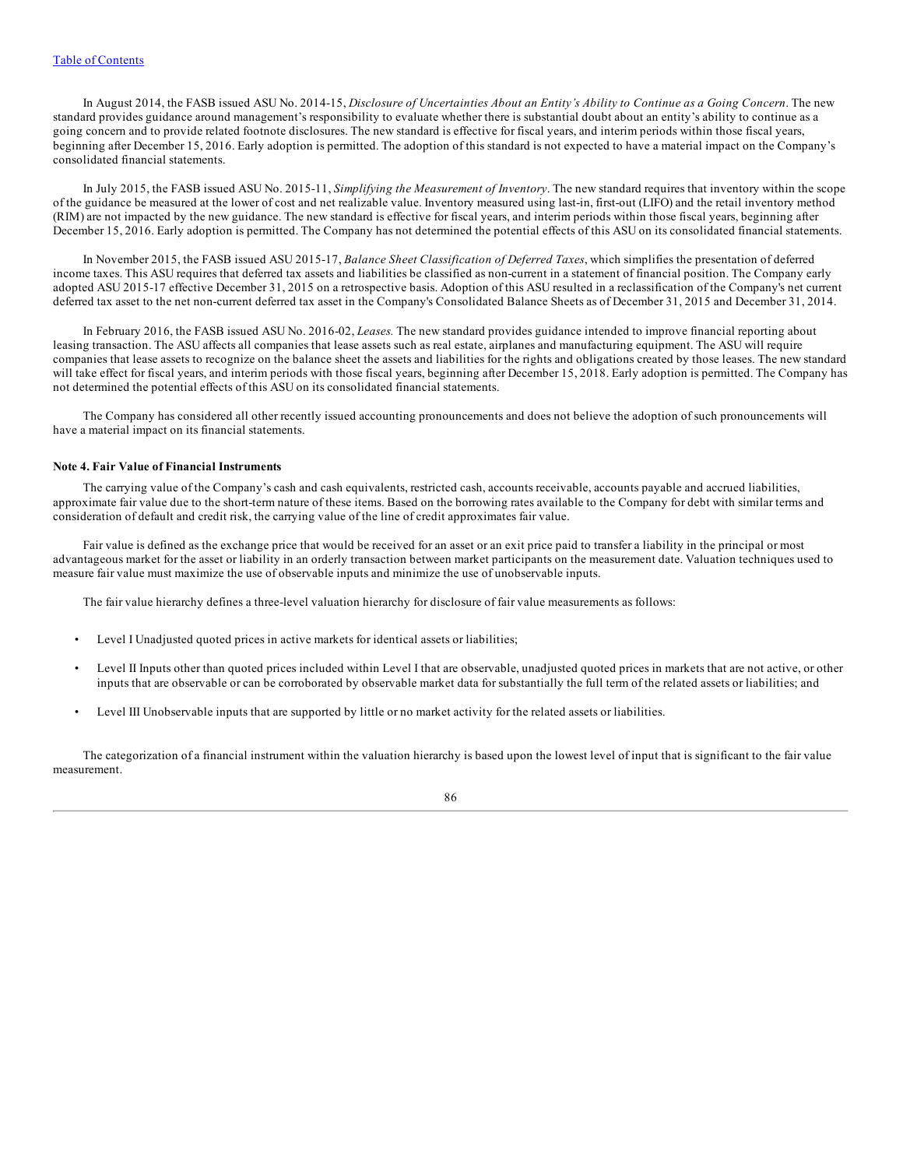In August 2014, the FASB issued ASU No. 2014-15, Disclosure of Uncertainties About an Entity's Ability to Continue as a Going Concern. The new standard provides guidance around management's responsibility to evaluate whether there is substantial doubt about an entity's ability to continue as a going concern and to provide related footnote disclosures. The new standard is effective for fiscal years, and interim periods within those fiscal years, beginning after December 15, 2016. Early adoption is permitted. The adoption of this standard is not expected to have a material impact on the Company's consolidated financial statements.

In July 2015, the FASB issued ASU No. 2015-11, *Simplifying the Measurement of Inventory*. The new standard requires that inventory within the scope of the guidance be measured at the lower of cost and net realizable value. Inventory measured using last-in, first-out (LIFO) and the retail inventory method (RIM) are not impacted by the new guidance. The new standard is effective for fiscal years, and interim periods within those fiscal years, beginning after December 15, 2016. Early adoption is permitted. The Company has not determined the potential effects of this ASU on its consolidated financial statements.

In November 2015, the FASB issued ASU 2015-17, *Balance Sheet Classification of Deferred Taxes*, which simplifies the presentation of deferred income taxes. This ASU requires that deferred tax assets and liabilities be classified as non-current in a statement of financial position. The Company early adopted ASU 2015-17 effective December 31, 2015 on a retrospective basis. Adoption of this ASU resulted in a reclassification of the Company's net current deferred tax asset to the net non-current deferred tax asset in the Company's Consolidated Balance Sheets as of December 31, 2015 and December 31, 2014.

In February 2016, the FASB issued ASU No. 2016-02, *Leases.* The new standard provides guidance intended to improve financial reporting about leasing transaction. The ASU affects all companies that lease assets such as real estate, airplanes and manufacturing equipment. The ASU will require companies that lease assets to recognize on the balance sheet the assets and liabilities for the rights and obligations created by those leases. The new standard will take effect for fiscal years, and interim periods with those fiscal years, beginning after December 15, 2018. Early adoption is permitted. The Company has not determined the potential effects of this ASU on its consolidated financial statements.

The Company has considered all other recently issued accounting pronouncements and does not believe the adoption of such pronouncements will have a material impact on its financial statements.

#### **Note 4. Fair Value of Financial Instruments**

The carrying value of the Company's cash and cash equivalents, restricted cash, accounts receivable, accounts payable and accrued liabilities, approximate fair value due to the short-term nature of these items. Based on the borrowing rates available to the Company for debt with similar terms and consideration of default and credit risk, the carrying value of the line of credit approximates fair value.

Fair value is defined as the exchange price that would be received for an asset or an exit price paid to transfer a liability in the principal or most advantageous market for the asset or liability in an orderly transaction between market participants on the measurement date. Valuation techniques used to measure fair value must maximize the use of observable inputs and minimize the use of unobservable inputs.

The fair value hierarchy defines a three-level valuation hierarchy for disclosure of fair value measurements as follows:

- Level I Unadjusted quoted prices in active markets for identical assets or liabilities;
- Level II Inputs other than quoted prices included within Level I that are observable, unadjusted quoted prices in markets that are not active, or other inputs that are observable or can be corroborated by observable market data for substantially the full term of the related assets or liabilities; and
- Level III Unobservable inputs that are supported by little or no market activity for the related assets or liabilities.

The categorization of a financial instrument within the valuation hierarchy is based upon the lowest level of input that is significant to the fair value measurement.

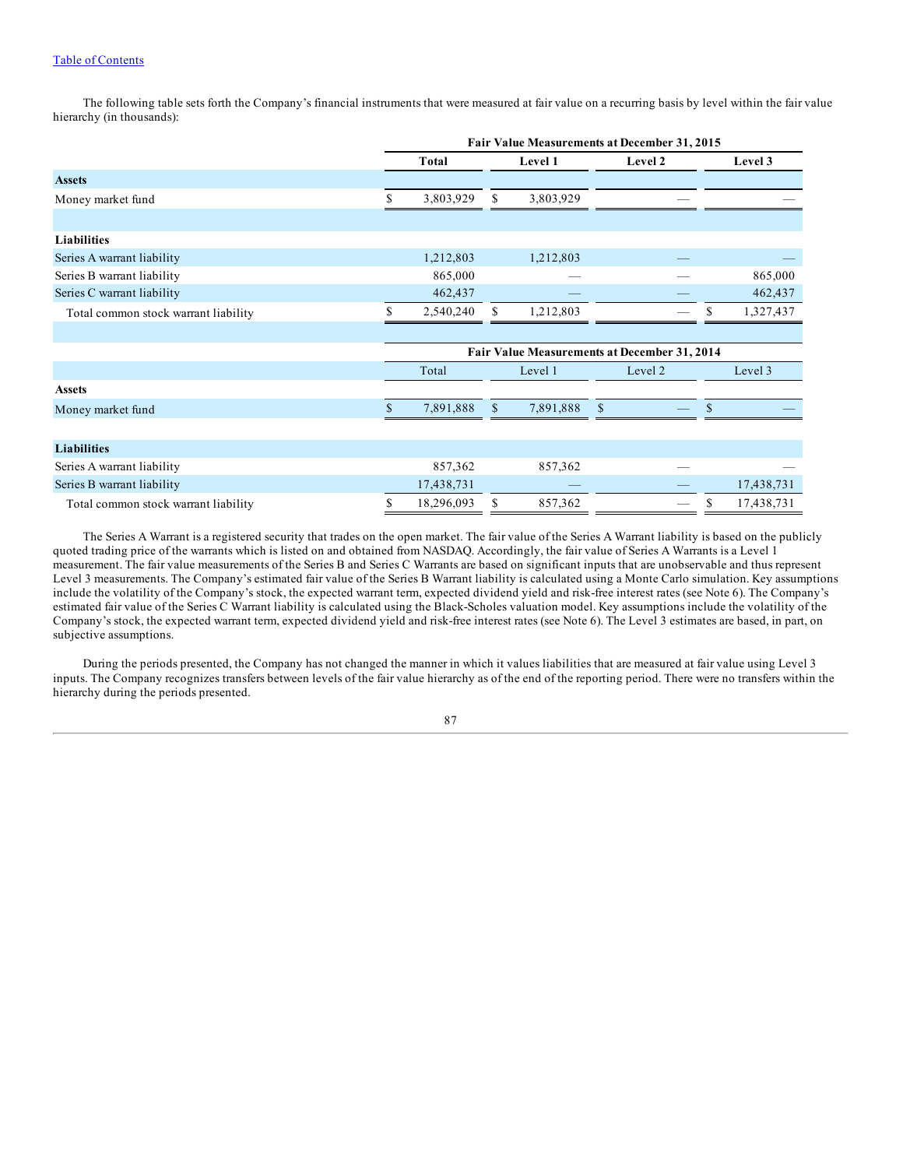The following table sets forth the Company's financial instruments that were measured at fair value on a recurring basis by level within the fair value hierarchy (in thousands):

|                                      |                                              | Fair Value Measurements at December 31, 2015 |   |           |         |  |           |  |  |  |  |
|--------------------------------------|----------------------------------------------|----------------------------------------------|---|-----------|---------|--|-----------|--|--|--|--|
|                                      |                                              | Total                                        |   | Level 1   | Level 2 |  | Level 3   |  |  |  |  |
| <b>Assets</b>                        |                                              |                                              |   |           |         |  |           |  |  |  |  |
| Money market fund                    |                                              | 3,803,929                                    | S | 3,803,929 |         |  |           |  |  |  |  |
|                                      |                                              |                                              |   |           |         |  |           |  |  |  |  |
| <b>Liabilities</b>                   |                                              |                                              |   |           |         |  |           |  |  |  |  |
| Series A warrant liability           |                                              | 1,212,803                                    |   | 1,212,803 |         |  |           |  |  |  |  |
| Series B warrant liability           |                                              | 865,000                                      |   |           |         |  | 865,000   |  |  |  |  |
| Series C warrant liability           |                                              | 462,437                                      |   |           |         |  | 462,437   |  |  |  |  |
| Total common stock warrant liability |                                              | 2,540,240                                    |   | 1.212.803 |         |  | 1,327,437 |  |  |  |  |
|                                      |                                              |                                              |   |           |         |  |           |  |  |  |  |
|                                      | Fair Value Measurements at December 31, 2014 |                                              |   |           |         |  |           |  |  |  |  |

|                                      | Fair Value Measurements at December 31, 2014 |              |           |               |                          |  |            |
|--------------------------------------|----------------------------------------------|--------------|-----------|---------------|--------------------------|--|------------|
|                                      | Total                                        |              | Level 1   |               | Level 2                  |  | Level 3    |
| <b>Assets</b>                        |                                              |              |           |               |                          |  |            |
| Money market fund                    | 7,891,888                                    | <sup>S</sup> | 7,891,888 | <sup>\$</sup> | $\overline{\phantom{a}}$ |  |            |
|                                      |                                              |              |           |               |                          |  |            |
| <b>Liabilities</b>                   |                                              |              |           |               |                          |  |            |
| Series A warrant liability           | 857,362                                      |              | 857,362   |               |                          |  |            |
| Series B warrant liability           | 17,438,731                                   |              |           |               |                          |  | 17,438,731 |
| Total common stock warrant liability | 18,296,093                                   | S            | 857,362   |               |                          |  | 17,438,731 |

The Series A Warrant is a registered security that trades on the open market. The fair value of the Series A Warrant liability is based on the publicly quoted trading price of the warrants which is listed on and obtained from NASDAQ. Accordingly, the fair value of Series A Warrants is a Level 1 measurement. The fair value measurements of the Series B and Series C Warrants are based on significant inputs that are unobservable and thus represent Level 3 measurements. The Company's estimated fair value of the Series B Warrant liability is calculated using a Monte Carlo simulation. Key assumptions include the volatility of the Company's stock, the expected warrant term, expected dividend yield and risk-free interest rates (see Note 6). The Company's estimated fair value of the Series C Warrant liability is calculated using the Black-Scholes valuation model. Key assumptions include the volatility of the Company's stock, the expected warrant term, expected dividend yield and risk-free interest rates (see Note 6). The Level 3 estimates are based, in part, on subjective assumptions.

During the periods presented, the Company has not changed the manner in which it values liabilities that are measured at fair value using Level 3 inputs. The Company recognizes transfers between levels of the fair value hierarchy as of the end of the reporting period. There were no transfers within the hierarchy during the periods presented.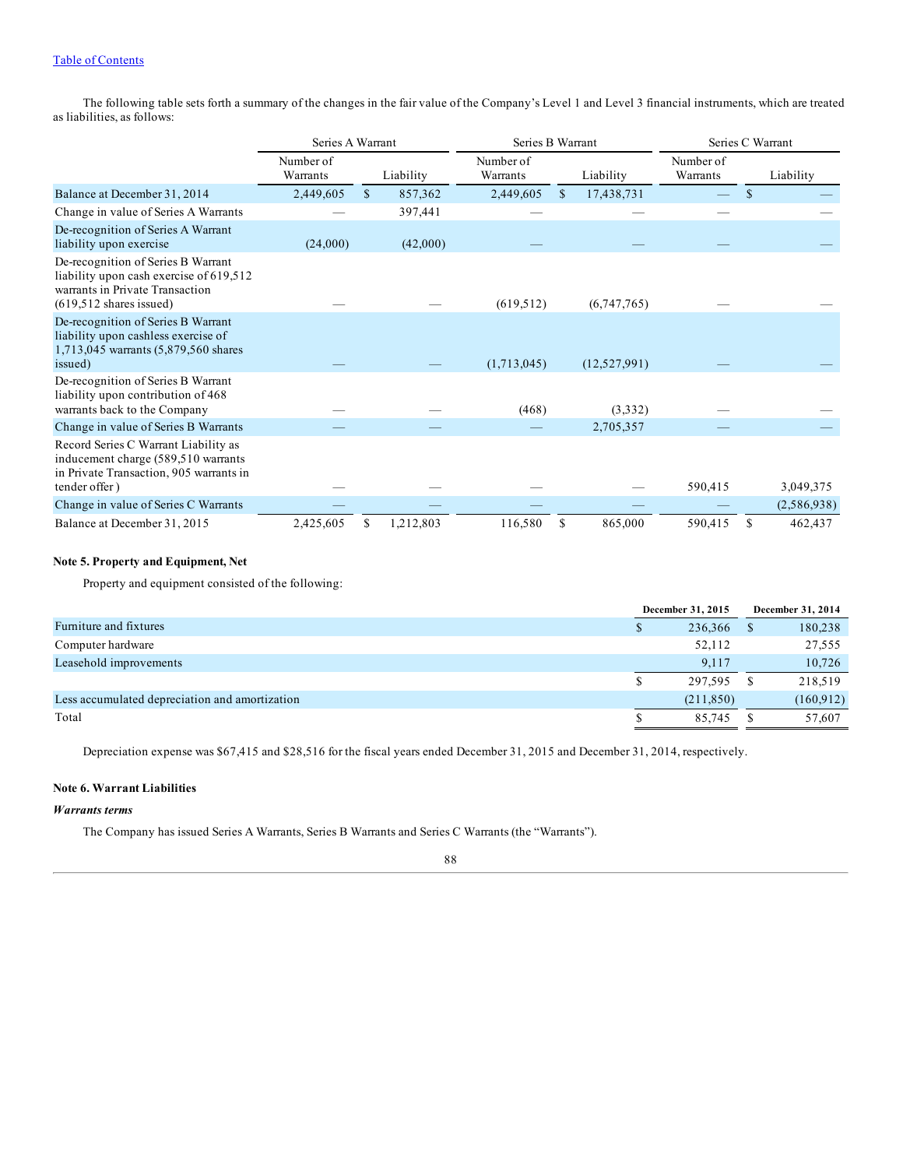The following table sets forth a summary of the changes in the fair value of the Company's Level 1 and Level 3 financial instruments, which are treated as liabilities, as follows:

|                                                                                                                                                | Series A Warrant      |               |           | Series B Warrant      |               |                | Series C Warrant      |    |             |
|------------------------------------------------------------------------------------------------------------------------------------------------|-----------------------|---------------|-----------|-----------------------|---------------|----------------|-----------------------|----|-------------|
|                                                                                                                                                | Number of<br>Warrants |               | Liability | Number of<br>Warrants |               | Liability      | Number of<br>Warrants |    | Liability   |
| Balance at December 31, 2014                                                                                                                   | 2,449,605             | <sup>\$</sup> | 857,362   | 2,449,605             | <sup>\$</sup> | 17,438,731     |                       | \$ |             |
| Change in value of Series A Warrants                                                                                                           |                       |               | 397,441   |                       |               |                |                       |    |             |
| De-recognition of Series A Warrant<br>liability upon exercise                                                                                  | (24,000)              |               | (42,000)  |                       |               |                |                       |    |             |
| De-recognition of Series B Warrant<br>liability upon cash exercise of 619,512<br>warrants in Private Transaction<br>$(619,512)$ shares issued) |                       |               |           | (619, 512)            |               | (6,747,765)    |                       |    |             |
| De-recognition of Series B Warrant<br>liability upon cashless exercise of<br>1,713,045 warrants (5,879,560 shares<br>issued)                   |                       |               |           | (1,713,045)           |               | (12, 527, 991) |                       |    |             |
| De-recognition of Series B Warrant<br>liability upon contribution of 468<br>warrants back to the Company                                       |                       |               |           | (468)                 |               | (3,332)        |                       |    |             |
| Change in value of Series B Warrants                                                                                                           |                       |               |           |                       |               | 2,705,357      |                       |    |             |
| Record Series C Warrant Liability as<br>inducement charge (589,510 warrants)<br>in Private Transaction, 905 warrants in<br>tender offer)       |                       |               |           |                       |               |                | 590,415               |    | 3,049,375   |
| Change in value of Series C Warrants                                                                                                           |                       |               |           |                       |               |                |                       |    | (2,586,938) |
| Balance at December 31, 2015                                                                                                                   | 2,425,605             | S             | 1,212,803 | 116,580               | \$            | 865,000        | 590,415               | \$ | 462,437     |

# **Note 5. Property and Equipment, Net**

Property and equipment consisted of the following:

|                                                | December 31, 2015 |   | December 31, 2014 |
|------------------------------------------------|-------------------|---|-------------------|
| Furniture and fixtures                         | 236,366           | S | 180,238           |
| Computer hardware                              | 52.112            |   | 27,555            |
| Leasehold improvements                         | 9.117             |   | 10,726            |
|                                                | 297.595           |   | 218,519           |
| Less accumulated depreciation and amortization | (211, 850)        |   | (160, 912)        |
| Total                                          | 85.745            |   | 57,607            |

Depreciation expense was \$67,415 and \$28,516 for the fiscal years ended December 31, 2015 and December 31, 2014, respectively.

# **Note 6. Warrant Liabilities**

# *Warrants terms*

The Company has issued Series A Warrants, Series B Warrants and Series C Warrants (the "Warrants").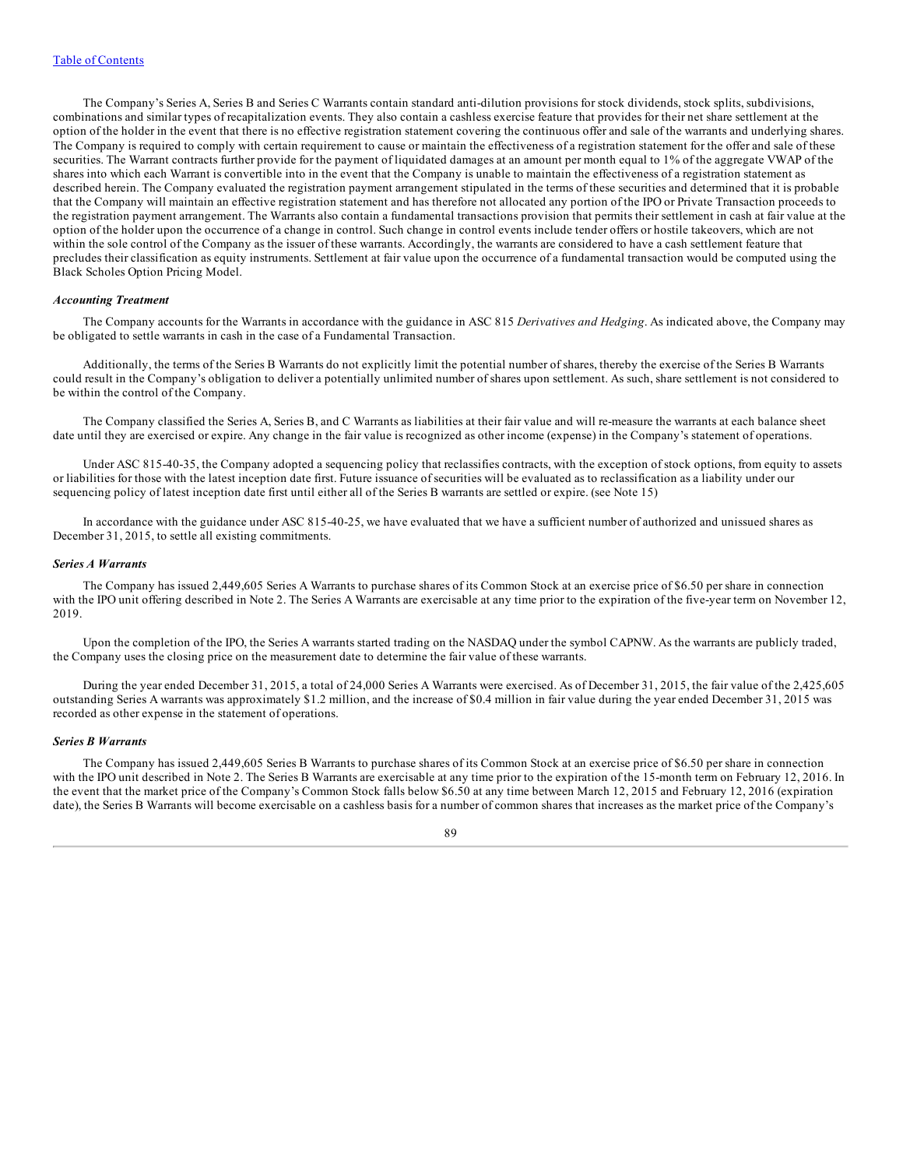The Company's Series A, Series B and Series C Warrants contain standard anti-dilution provisions for stock dividends, stock splits, subdivisions, combinations and similar types of recapitalization events. They also contain a cashless exercise feature that provides for their net share settlement at the option of the holder in the event that there is no effective registration statement covering the continuous offer and sale of the warrants and underlying shares. The Company is required to comply with certain requirement to cause or maintain the effectiveness of a registration statement for the offer and sale of these securities. The Warrant contracts further provide for the payment of liquidated damages at an amount per month equal to 1% of the aggregate VWAP of the shares into which each Warrant is convertible into in the event that the Company is unable to maintain the effectiveness of a registration statement as described herein. The Company evaluated the registration payment arrangement stipulated in the terms of these securities and determined that it is probable that the Company will maintain an effective registration statement and has therefore not allocated any portion of the IPO or Private Transaction proceeds to the registration payment arrangement. The Warrants also contain a fundamental transactions provision that permits their settlement in cash at fair value at the option of the holder upon the occurrence of a change in control. Such change in control events include tender offers or hostile takeovers, which are not within the sole control of the Company as the issuer of these warrants. Accordingly, the warrants are considered to have a cash settlement feature that precludes their classification as equity instruments. Settlement at fair value upon the occurrence of a fundamental transaction would be computed using the Black Scholes Option Pricing Model.

## *Accounting Treatment*

The Company accounts for the Warrants in accordance with the guidance in ASC 815 *Derivatives and Hedging*. As indicated above, the Company may be obligated to settle warrants in cash in the case of a Fundamental Transaction.

Additionally, the terms of the Series B Warrants do not explicitly limit the potential number of shares, thereby the exercise of the Series B Warrants could result in the Company's obligation to deliver a potentially unlimited number of shares upon settlement. As such, share settlement is not considered to be within the control of the Company.

The Company classified the Series A, Series B, and C Warrants as liabilities at their fair value and will re-measure the warrants at each balance sheet date until they are exercised or expire. Any change in the fair value is recognized as other income (expense) in the Company's statement of operations.

Under ASC 815-40-35, the Company adopted a sequencing policy that reclassifies contracts, with the exception of stock options, from equity to assets or liabilities for those with the latest inception date first. Future issuance of securities will be evaluated as to reclassification as a liability under our sequencing policy of latest inception date first until either all of the Series B warrants are settled or expire. (see Note 15)

In accordance with the guidance under ASC 815-40-25, we have evaluated that we have a sufficient number of authorized and unissued shares as December 31, 2015, to settle all existing commitments.

#### *Series A Warrants*

The Company has issued 2,449,605 Series A Warrants to purchase shares of its Common Stock at an exercise price of \$6.50 per share in connection with the IPO unit offering described in Note 2. The Series A Warrants are exercisable at any time prior to the expiration of the five-year term on November 12, 2019.

Upon the completion of the IPO, the Series A warrants started trading on the NASDAQ under the symbol CAPNW. As the warrants are publicly traded, the Company uses the closing price on the measurement date to determine the fair value of these warrants.

During the year ended December 31, 2015, a total of 24,000 Series A Warrants were exercised. As of December 31, 2015, the fair value of the 2,425,605 outstanding Series A warrants was approximately \$1.2 million, and the increase of \$0.4 million in fair value during the year ended December 31, 2015 was recorded as other expense in the statement of operations.

#### *Series B Warrants*

The Company has issued 2,449,605 Series B Warrants to purchase shares of its Common Stock at an exercise price of \$6.50 per share in connection with the IPO unit described in Note 2. The Series B Warrants are exercisable at any time prior to the expiration of the 15-month term on February 12, 2016. In the event that the market price of the Company's Common Stock falls below \$6.50 at any time between March 12, 2015 and February 12, 2016 (expiration date), the Series B Warrants will become exercisable on a cashless basis for a number of common shares that increases as the market price of the Company's

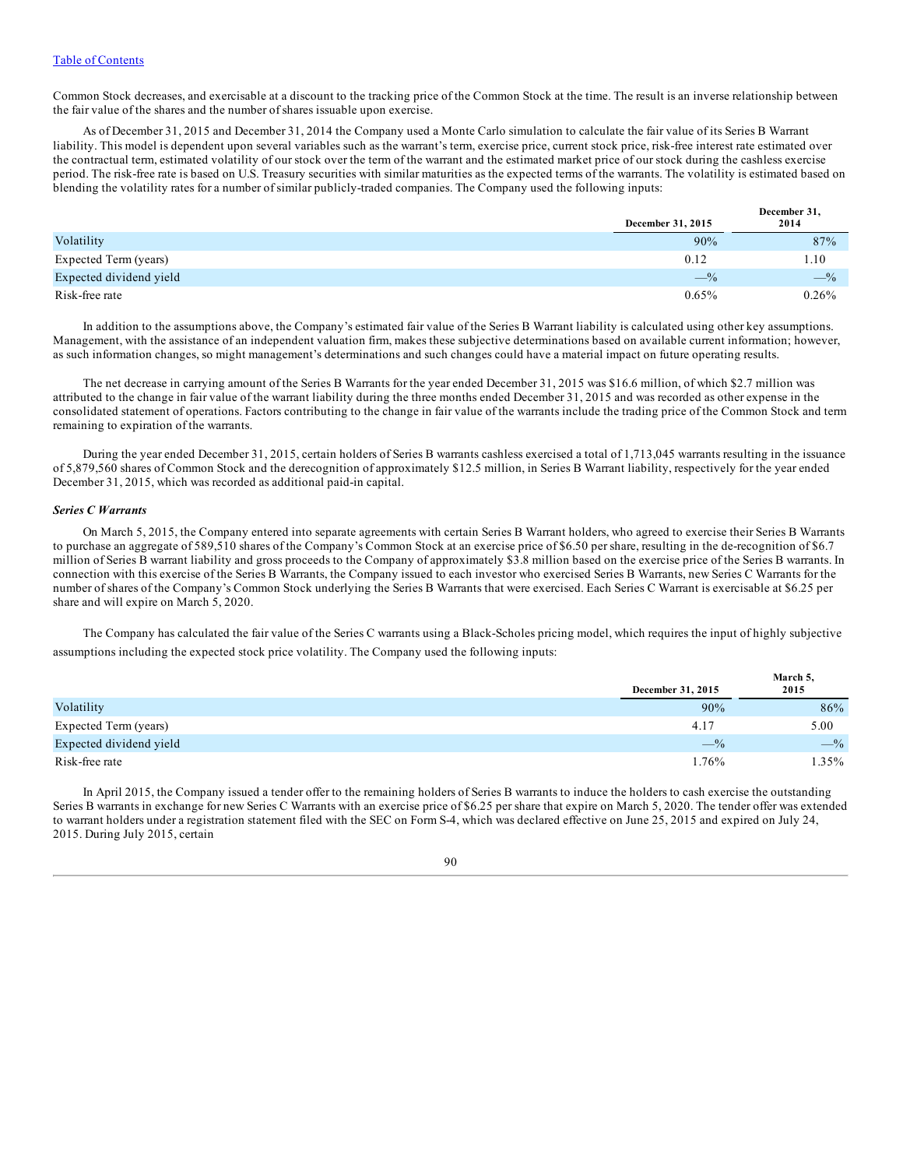Common Stock decreases, and exercisable at a discount to the tracking price of the Common Stock at the time. The result is an inverse relationship between the fair value of the shares and the number of shares issuable upon exercise.

As of December 31, 2015 and December 31, 2014 the Company used a Monte Carlo simulation to calculate the fair value of its Series B Warrant liability. This model is dependent upon several variables such as the warrant's term, exercise price, current stock price, risk-free interest rate estimated over the contractual term, estimated volatility of our stock over the term of the warrant and the estimated market price of our stock during the cashless exercise period. The risk-free rate is based on U.S. Treasury securities with similar maturities as the expected terms of the warrants. The volatility is estimated based on blending the volatility rates for a number of similar publicly-traded companies. The Company used the following inputs:

|                         | December 31, 2015 | December 31,<br>2014 |
|-------------------------|-------------------|----------------------|
| Volatility              | 90%               | 87%                  |
| Expected Term (years)   | 0.12              | 1.10                 |
| Expected dividend yield | $-$ %             | $- \frac{0}{0}$      |
| Risk-free rate          | $0.65\%$          | 0.26%                |

In addition to the assumptions above, the Company's estimated fair value of the Series B Warrant liability is calculated using other key assumptions. Management, with the assistance of an independent valuation firm, makes these subjective determinations based on available current information; however, as such information changes, so might management's determinations and such changes could have a material impact on future operating results.

The net decrease in carrying amount of the Series B Warrants for the year ended December 31, 2015 was \$16.6 million, of which \$2.7 million was attributed to the change in fair value of the warrant liability during the three months ended December 31, 2015 and was recorded as other expense in the consolidated statement of operations. Factors contributing to the change in fair value of the warrants include the trading price of the Common Stock and term remaining to expiration of the warrants.

During the year ended December 31, 2015, certain holders of Series B warrants cashless exercised a total of 1,713,045 warrants resulting in the issuance of 5,879,560 shares of Common Stock and the derecognition of approximately \$12.5 million, in Series B Warrant liability, respectively for the year ended December 31, 2015, which was recorded as additional paid-in capital.

#### *Series C Warrants*

On March 5, 2015, the Company entered into separate agreements with certain Series B Warrant holders, who agreed to exercise their Series B Warrants to purchase an aggregate of 589,510 shares of the Company's Common Stock at an exercise price of \$6.50 per share, resulting in the de-recognition of \$6.7 million of Series B warrant liability and gross proceeds to the Company of approximately \$3.8 million based on the exercise price of the Series B warrants. In connection with this exercise of the Series B Warrants, the Company issued to each investor who exercised Series B Warrants, new Series C Warrants for the number of shares of the Company's Common Stock underlying the Series B Warrants that were exercised. Each Series C Warrant is exercisable at \$6.25 per share and will expire on March 5, 2020.

The Company has calculated the fair value of the Series C warrants using a Black-Scholes pricing model, which requires the input of highly subjective assumptions including the expected stock price volatility. The Company used the following inputs:

|                         | December 31, 2015 | March 5,<br>2015 |
|-------------------------|-------------------|------------------|
| Volatility              | 90%               | 86%              |
| Expected Term (years)   | 4.17              | 5.00             |
| Expected dividend yield | $-$ %             | $-$ %            |
| Risk-free rate          | 1.76%             | $1.35\%$         |

In April 2015, the Company issued a tender offer to the remaining holders of Series B warrants to induce the holders to cash exercise the outstanding Series B warrants in exchange for new Series C Warrants with an exercise price of \$6.25 per share that expire on March 5, 2020. The tender offer was extended to warrant holders under a registration statement filed with the SEC on Form S-4, which was declared effective on June 25, 2015 and expired on July 24, 2015. During July 2015, certain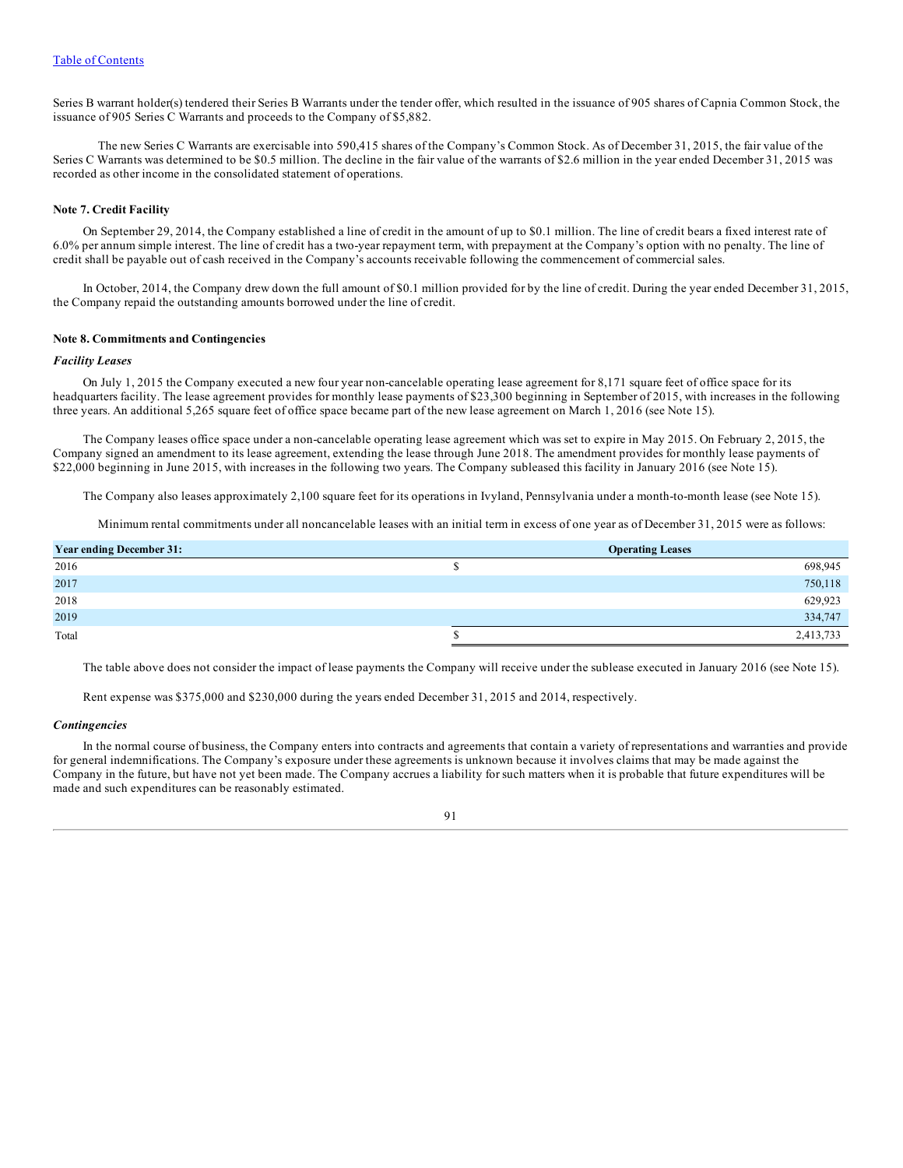Series B warrant holder(s) tendered their Series B Warrants under the tender offer, which resulted in the issuance of 905 shares of Capnia Common Stock, the issuance of 905 Series C Warrants and proceeds to the Company of \$5,882.

The new Series C Warrants are exercisable into 590,415 shares of the Company's Common Stock. As of December 31, 2015, the fair value of the Series C Warrants was determined to be \$0.5 million. The decline in the fair value of the warrants of \$2.6 million in the year ended December 31, 2015 was recorded as other income in the consolidated statement of operations.

### **Note 7. Credit Facility**

On September 29, 2014, the Company established a line of credit in the amount of up to \$0.1 million. The line of credit bears a fixed interest rate of 6.0% per annum simple interest. The line of credit has a two-year repayment term, with prepayment at the Company's option with no penalty. The line of credit shall be payable out of cash received in the Company's accounts receivable following the commencement of commercial sales.

In October, 2014, the Company drew down the full amount of \$0.1 million provided for by the line of credit. During the year ended December 31, 2015, the Company repaid the outstanding amounts borrowed under the line of credit.

## **Note 8. Commitments and Contingencies**

#### *Facility Leases*

On July 1, 2015 the Company executed a new four year non-cancelable operating lease agreement for 8,171 square feet of office space for its headquarters facility. The lease agreement provides for monthly lease payments of \$23,300 beginning in September of 2015, with increases in the following three years. An additional 5,265 square feet of office space became part of the new lease agreement on March 1, 2016 (see Note 15).

The Company leases office space under a non-cancelable operating lease agreement which was set to expire in May 2015. On February 2, 2015, the Company signed an amendment to its lease agreement, extending the lease through June 2018. The amendment provides for monthly lease payments of \$22,000 beginning in June 2015, with increases in the following two years. The Company subleased this facility in January 2016 (see Note 15).

The Company also leases approximately 2,100 square feet for its operations in Ivyland, Pennsylvania under a month-to-month lease (see Note 15).

Minimum rental commitments under all noncancelable leases with an initial term in excess of one year as of December 31, 2015 were as follows:

| <b>Year ending December 31:</b> | <b>Operating Leases</b> |
|---------------------------------|-------------------------|
| 2016                            | 698,945                 |
| 2017                            | 750,118                 |
| 2018                            | 629,923                 |
| 2019                            | 334,747                 |
| Total                           | 2,413,733               |
|                                 |                         |

The table above does not consider the impact of lease payments the Company will receive under the sublease executed in January 2016 (see Note 15).

Rent expense was \$375,000 and \$230,000 during the years ended December 31, 2015 and 2014, respectively.

## *Contingencies*

In the normal course of business, the Company enters into contracts and agreements that contain a variety of representations and warranties and provide for general indemnifications. The Company's exposure under these agreements is unknown because it involves claims that may be made against the Company in the future, but have not yet been made. The Company accrues a liability for such matters when it is probable that future expenditures will be made and such expenditures can be reasonably estimated.

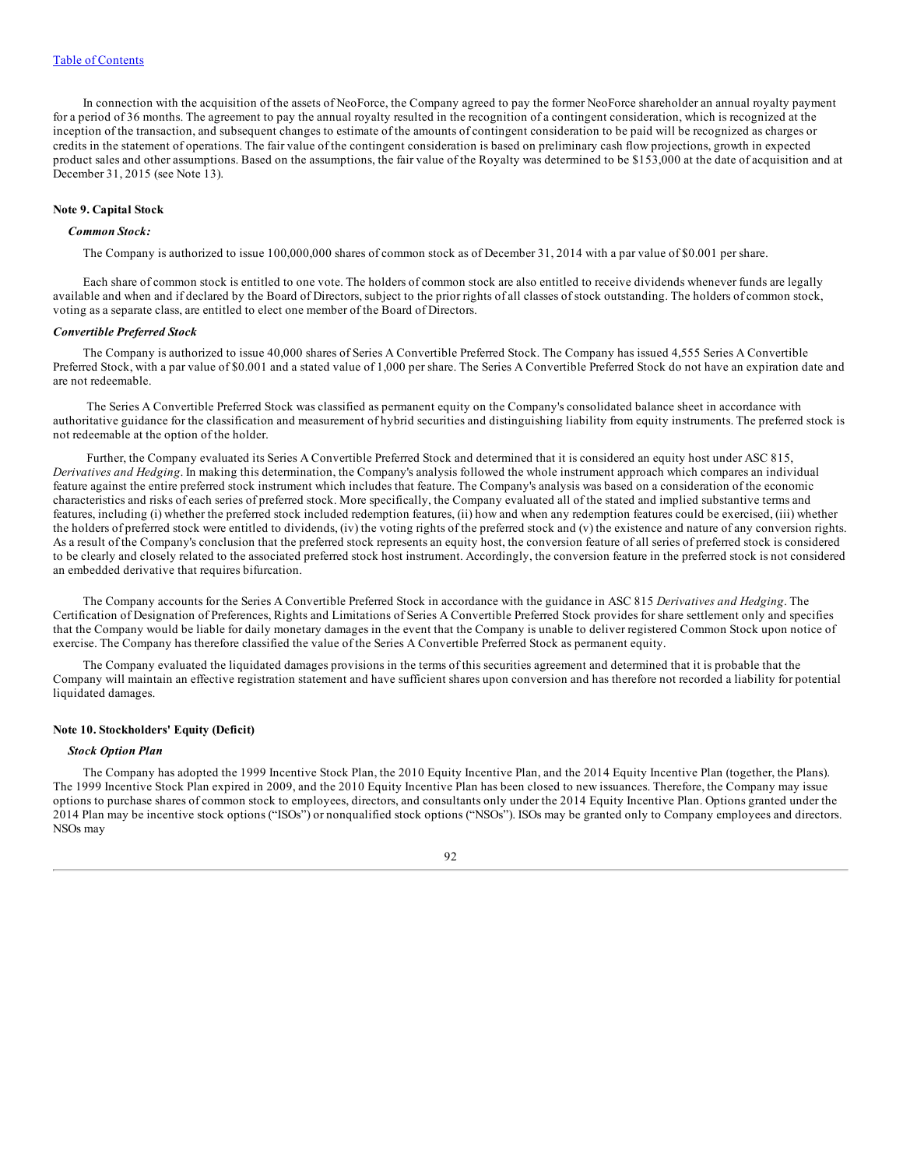In connection with the acquisition of the assets of NeoForce, the Company agreed to pay the former NeoForce shareholder an annual royalty payment for a period of 36 months. The agreement to pay the annual royalty resulted in the recognition of a contingent consideration, which is recognized at the inception of the transaction, and subsequent changes to estimate of the amounts of contingent consideration to be paid will be recognized as charges or credits in the statement of operations. The fair value of the contingent consideration is based on preliminary cash flow projections, growth in expected product sales and other assumptions. Based on the assumptions, the fair value of the Royalty was determined to be \$153,000 at the date of acquisition and at December 31, 2015 (see Note 13).

#### **Note 9. Capital Stock**

#### *Common Stock:*

The Company is authorized to issue 100,000,000 shares of common stock as of December 31, 2014 with a par value of \$0.001 per share.

Each share of common stock is entitled to one vote. The holders of common stock are also entitled to receive dividends whenever funds are legally available and when and if declared by the Board of Directors, subject to the prior rights of all classes of stock outstanding. The holders of common stock, voting as a separate class, are entitled to elect one member of the Board of Directors.

#### *Convertible Preferred Stock*

The Company is authorized to issue 40,000 shares of Series A Convertible Preferred Stock. The Company has issued 4,555 Series A Convertible Preferred Stock, with a par value of \$0.001 and a stated value of 1,000 per share. The Series A Convertible Preferred Stock do not have an expiration date and are not redeemable.

The Series A Convertible Preferred Stock was classified as permanent equity on the Company's consolidated balance sheet in accordance with authoritative guidance for the classification and measurement of hybrid securities and distinguishing liability from equity instruments. The preferred stock is not redeemable at the option of the holder.

Further, the Company evaluated its Series A Convertible Preferred Stock and determined that it is considered an equity host under ASC 815, *Derivatives and Hedging*. In making this determination, the Company's analysis followed the whole instrument approach which compares an individual feature against the entire preferred stock instrument which includes that feature. The Company's analysis was based on a consideration of the economic characteristics and risks of each series of preferred stock. More specifically, the Company evaluated all of the stated and implied substantive terms and features, including (i) whether the preferred stock included redemption features, (ii) how and when any redemption features could be exercised, (iii) whether the holders of preferred stock were entitled to dividends, (iv) the voting rights of the preferred stock and (v) the existence and nature of any conversion rights. As a result of the Company's conclusion that the preferred stock represents an equity host, the conversion feature of all series of preferred stock is considered to be clearly and closely related to the associated preferred stock host instrument. Accordingly, the conversion feature in the preferred stock is not considered an embedded derivative that requires bifurcation.

The Company accounts for the Series A Convertible Preferred Stock in accordance with the guidance in ASC 815 *Derivatives and Hedging*. The Certification of Designation of Preferences, Rights and Limitations of Series A Convertible Preferred Stock provides for share settlement only and specifies that the Company would be liable for daily monetary damages in the event that the Company is unable to deliver registered Common Stock upon notice of exercise. The Company has therefore classified the value of the Series A Convertible Preferred Stock as permanent equity.

The Company evaluated the liquidated damages provisions in the terms of this securities agreement and determined that it is probable that the Company will maintain an effective registration statement and have sufficient shares upon conversion and has therefore not recorded a liability for potential liquidated damages.

### **Note 10. Stockholders' Equity (Deficit)**

## *Stock Option Plan*

The Company has adopted the 1999 Incentive Stock Plan, the 2010 Equity Incentive Plan, and the 2014 Equity Incentive Plan (together, the Plans). The 1999 Incentive Stock Plan expired in 2009, and the 2010 Equity Incentive Plan has been closed to new issuances. Therefore, the Company may issue options to purchase shares of common stock to employees, directors, and consultants only under the 2014 Equity Incentive Plan. Options granted under the 2014 Plan may be incentive stock options ("ISOs") or nonqualified stock options ("NSOs"). ISOs may be granted only to Company employees and directors. NSOs may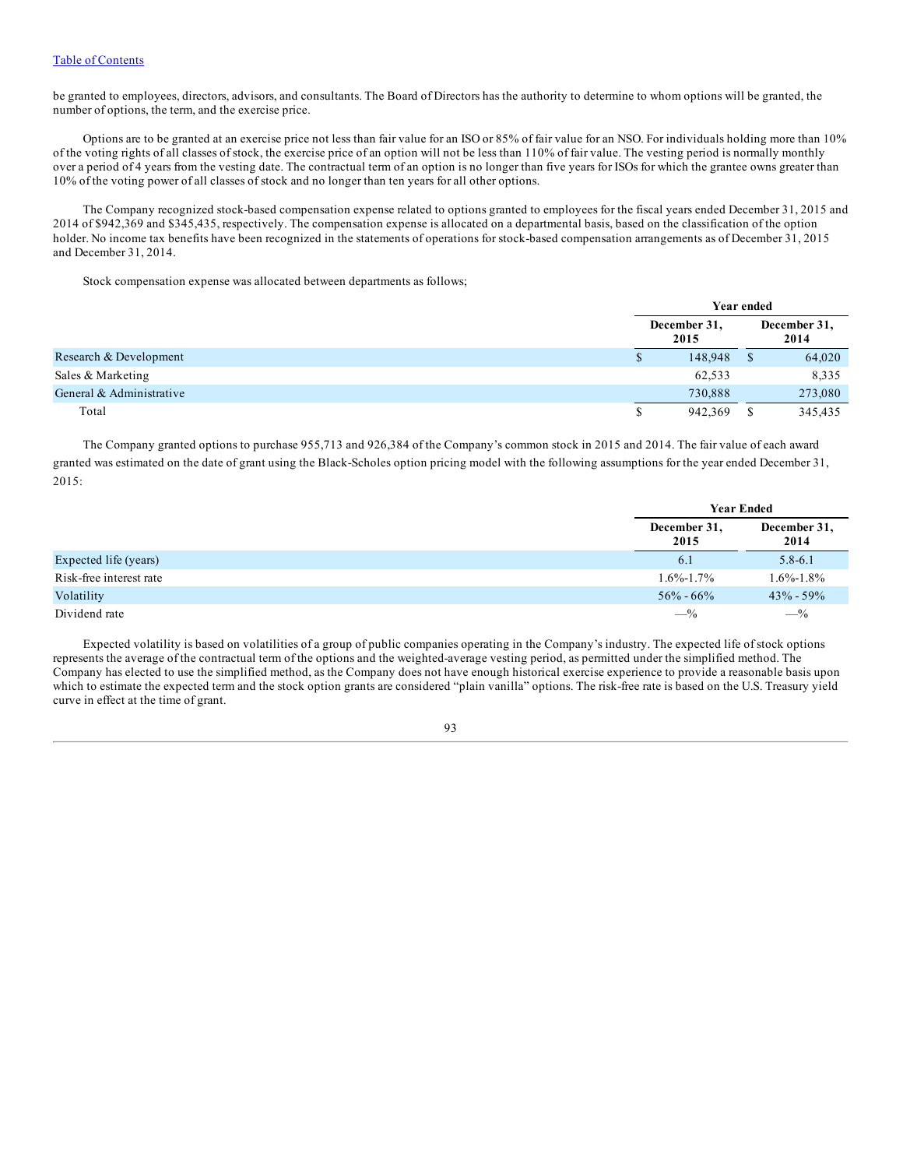be granted to employees, directors, advisors, and consultants. The Board of Directors has the authority to determine to whom options will be granted, the number of options, the term, and the exercise price.

Options are to be granted at an exercise price not less than fair value for an ISO or 85% of fair value for an NSO. For individuals holding more than 10% of the voting rights of all classes of stock, the exercise price of an option will not be less than 110% of fair value. The vesting period is normally monthly over a period of 4 years from the vesting date. The contractual term of an option is no longer than five years for ISOs for which the grantee owns greater than 10% of the voting power of all classes of stock and no longer than ten years for all other options.

The Company recognized stock-based compensation expense related to options granted to employees for the fiscal years ended December 31, 2015 and 2014 of \$942,369 and \$345,435, respectively. The compensation expense is allocated on a departmental basis, based on the classification of the option holder. No income tax benefits have been recognized in the statements of operations for stock-based compensation arrangements as of December 31, 2015 and December 31, 2014.

Stock compensation expense was allocated between departments as follows;

|                          |                      | Year ended |                      |  |  |
|--------------------------|----------------------|------------|----------------------|--|--|
|                          | December 31,<br>2015 |            | December 31,<br>2014 |  |  |
| Research & Development   | 148,948              | S          | 64,020               |  |  |
| Sales & Marketing        | 62,533               |            | 8.335                |  |  |
| General & Administrative | 730,888              |            | 273,080              |  |  |
| Total                    | 942,369              |            | 345,435              |  |  |

The Company granted options to purchase 955,713 and 926,384 of the Company's common stock in 2015 and 2014. The fair value of each award granted was estimated on the date of grant using the Black-Scholes option pricing model with the following assumptions for the year ended December 31, 2015:

|                         |                      | <b>Year Ended</b>    |
|-------------------------|----------------------|----------------------|
|                         | December 31,<br>2015 | December 31,<br>2014 |
| Expected life (years)   | 6.1                  | $5.8 - 6.1$          |
| Risk-free interest rate | $1.6\% - 1.7\%$      | $1.6\% - 1.8\%$      |
| Volatility              | $56\% - 66\%$        | $43\% - 59\%$        |
| Dividend rate           | $-$ %                | $-$ %                |

Expected volatility is based on volatilities of a group of public companies operating in the Company's industry. The expected life of stock options represents the average of the contractual term of the options and the weighted-average vesting period, as permitted under the simplified method. The Company has elected to use the simplified method, as the Company does not have enough historical exercise experience to provide a reasonable basis upon which to estimate the expected term and the stock option grants are considered "plain vanilla" options. The risk-free rate is based on the U.S. Treasury yield curve in effect at the time of grant.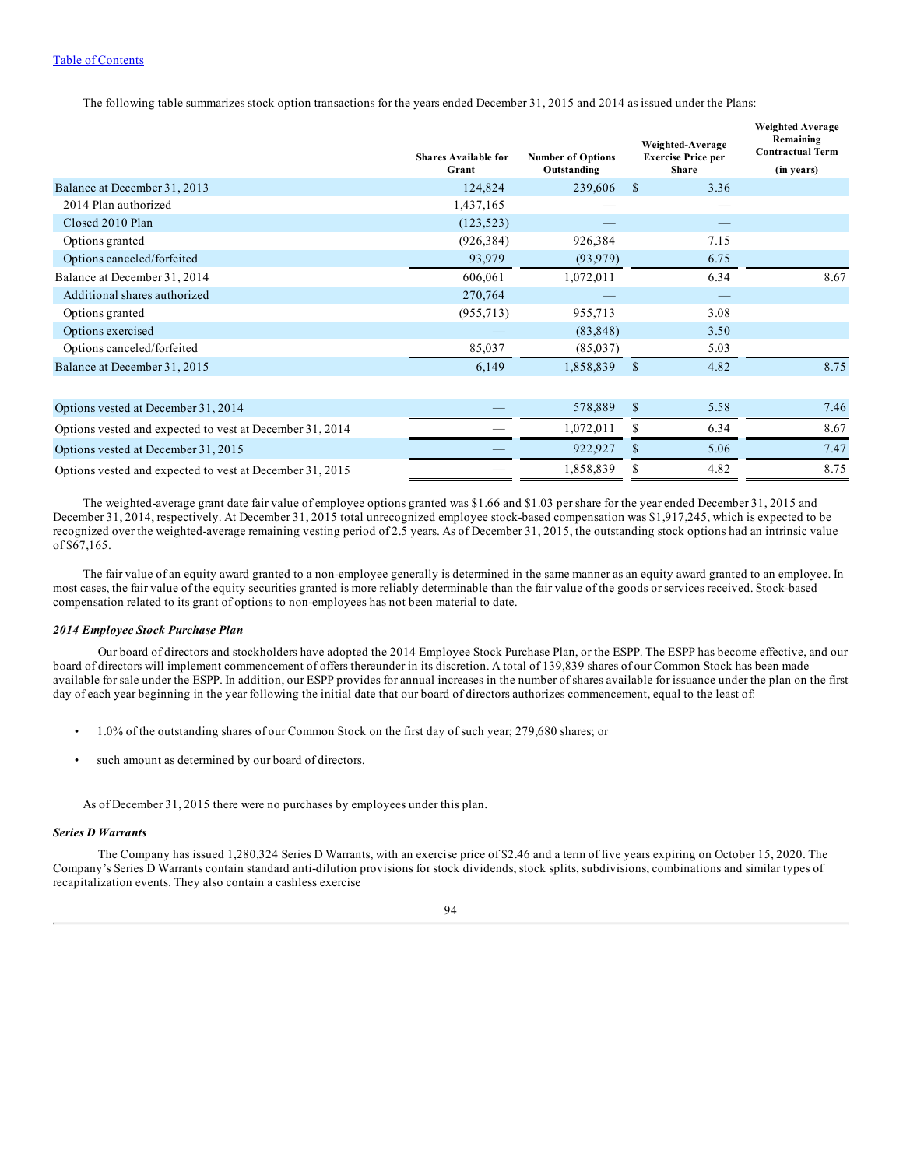The following table summarizes stock option transactions for the years ended December 31, 2015 and 2014 as issued under the Plans:

|                                                          | <b>Shares Available for</b><br>Grant | <b>Number of Options</b><br>Outstanding |               | Weighted-Average<br><b>Exercise Price per</b><br><b>Share</b> | <b>Weighted Average</b><br>Remaining<br><b>Contractual Term</b><br>(in years) |
|----------------------------------------------------------|--------------------------------------|-----------------------------------------|---------------|---------------------------------------------------------------|-------------------------------------------------------------------------------|
| Balance at December 31, 2013                             | 124,824                              | 239,606                                 | -S            | 3.36                                                          |                                                                               |
| 2014 Plan authorized                                     | 1,437,165                            |                                         |               |                                                               |                                                                               |
| Closed 2010 Plan                                         | (123, 523)                           |                                         |               |                                                               |                                                                               |
| Options granted                                          | (926, 384)                           | 926,384                                 |               | 7.15                                                          |                                                                               |
| Options canceled/forfeited                               | 93,979                               | (93, 979)                               |               | 6.75                                                          |                                                                               |
| Balance at December 31, 2014                             | 606,061                              | 1,072,011                               |               | 6.34                                                          | 8.67                                                                          |
| Additional shares authorized                             | 270,764                              |                                         |               |                                                               |                                                                               |
| Options granted                                          | (955,713)                            | 955,713                                 |               | 3.08                                                          |                                                                               |
| Options exercised                                        |                                      | (83, 848)                               |               | 3.50                                                          |                                                                               |
| Options canceled/forfeited                               | 85,037                               | (85,037)                                |               | 5.03                                                          |                                                                               |
| Balance at December 31, 2015                             | 6,149                                | 1,858,839                               | $\mathcal{S}$ | 4.82                                                          | 8.75                                                                          |
| Options vested at December 31, 2014                      |                                      | 578,889                                 |               | 5.58                                                          | 7.46                                                                          |
| Options vested and expected to vest at December 31, 2014 |                                      | 1,072,011                               | S             | 6.34                                                          | 8.67                                                                          |
| Options vested at December 31, 2015                      |                                      | 922,927                                 | \$.           | 5.06                                                          | 7.47                                                                          |
| Options vested and expected to vest at December 31, 2015 |                                      | 1,858,839                               |               | 4.82                                                          | 8.75                                                                          |

The weighted-average grant date fair value of employee options granted was \$1.66 and \$1.03 per share for the year ended December 31, 2015 and December 31, 2014, respectively. At December 31, 2015 total unrecognized employee stock-based compensation was \$1,917,245, which is expected to be recognized over the weighted-average remaining vesting period of 2.5 years. As of December 31, 2015, the outstanding stock options had an intrinsic value of \$67,165.

The fair value of an equity award granted to a non-employee generally is determined in the same manner as an equity award granted to an employee. In most cases, the fair value of the equity securities granted is more reliably determinable than the fair value of the goods or services received. Stock-based compensation related to its grant of options to non-employees has not been material to date.

## *2014 Employee Stock Purchase Plan*

Our board of directors and stockholders have adopted the 2014 Employee Stock Purchase Plan, or the ESPP. The ESPP has become effective, and our board of directors will implement commencement of offers thereunder in its discretion. A total of 139,839 shares of our Common Stock has been made available for sale under the ESPP. In addition, our ESPP provides for annual increases in the number of shares available for issuance under the plan on the first day of each year beginning in the year following the initial date that our board of directors authorizes commencement, equal to the least of:

- 1.0% of the outstanding shares of our Common Stock on the first day of such year; 279,680 shares; or
- such amount as determined by our board of directors.

As of December 31, 2015 there were no purchases by employees under this plan.

#### *Series D Warrants*

The Company has issued 1,280,324 Series D Warrants, with an exercise price of \$2.46 and a term of five years expiring on October 15, 2020. The Company's Series D Warrants contain standard anti-dilution provisions for stock dividends, stock splits, subdivisions, combinations and similar types of recapitalization events. They also contain a cashless exercise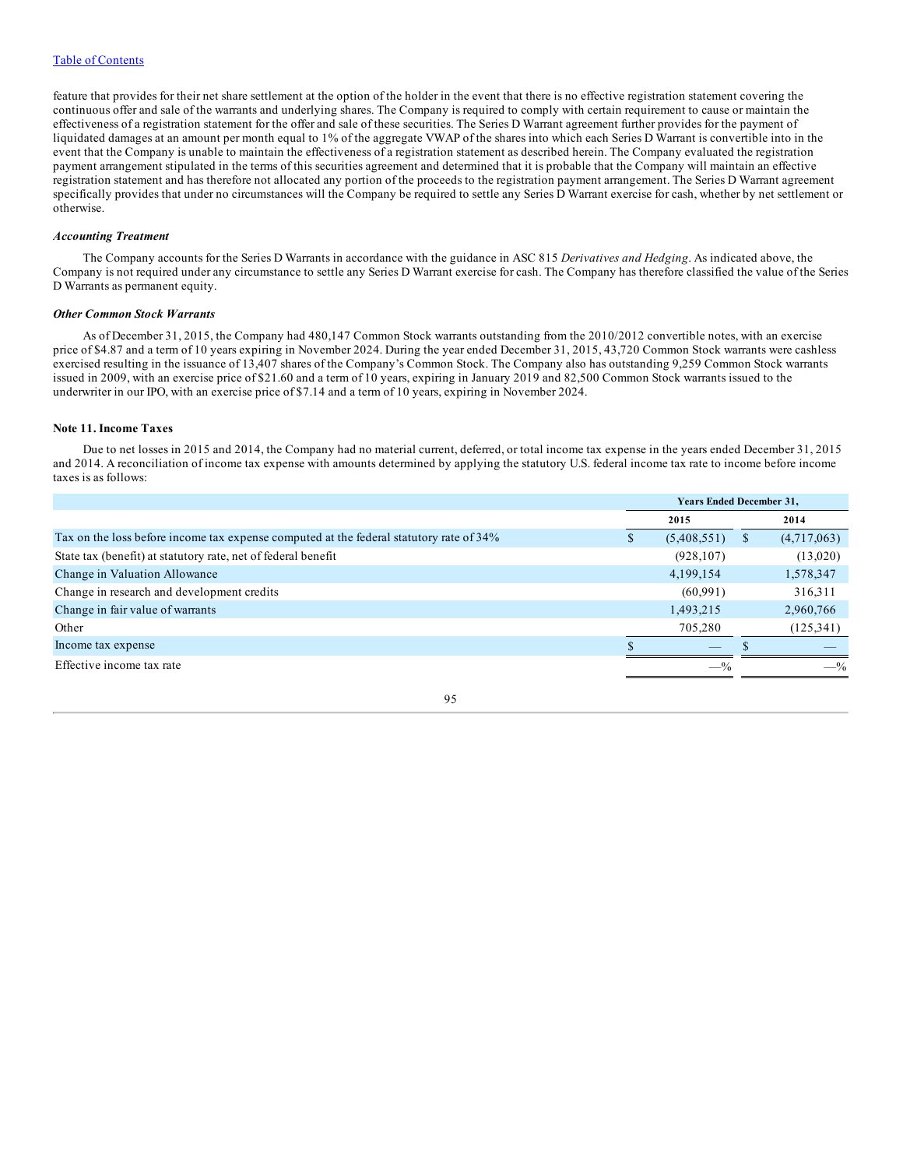feature that provides for their net share settlement at the option of the holder in the event that there is no effective registration statement covering the continuous offer and sale of the warrants and underlying shares. The Company is required to comply with certain requirement to cause or maintain the effectiveness of a registration statement for the offer and sale of these securities. The Series D Warrant agreement further provides for the payment of liquidated damages at an amount per month equal to 1% of the aggregate VWAP of the shares into which each Series D Warrant is convertible into in the event that the Company is unable to maintain the effectiveness of a registration statement as described herein. The Company evaluated the registration payment arrangement stipulated in the terms of this securities agreement and determined that it is probable that the Company will maintain an effective registration statement and has therefore not allocated any portion of the proceeds to the registration payment arrangement. The Series D Warrant agreement specifically provides that under no circumstances will the Company be required to settle any Series D Warrant exercise for cash, whether by net settlement or otherwise.

### *Accounting Treatment*

The Company accounts for the Series D Warrants in accordance with the guidance in ASC 815 *Derivatives and Hedging*. As indicated above, the Company is not required under any circumstance to settle any Series D Warrant exercise for cash. The Company has therefore classified the value of the Series D Warrants as permanent equity.

### *Other Common Stock Warrants*

As of December 31, 2015, the Company had 480,147 Common Stock warrants outstanding from the 2010/2012 convertible notes, with an exercise price of \$4.87 and a term of 10 years expiring in November 2024. During the year ended December 31, 2015, 43,720 Common Stock warrants were cashless exercised resulting in the issuance of 13,407 shares of the Company's Common Stock. The Company also has outstanding 9,259 Common Stock warrants issued in 2009, with an exercise price of \$21.60 and a term of 10 years, expiring in January 2019 and 82,500 Common Stock warrants issued to the underwriter in our IPO, with an exercise price of \$7.14 and a term of 10 years, expiring in November 2024.

#### **Note 11. Income Taxes**

Due to net losses in 2015 and 2014, the Company had no material current, deferred, or total income tax expense in the years ended December 31, 2015 and 2014. A reconciliation of income tax expense with amounts determined by applying the statutory U.S. federal income tax rate to income before income taxes is as follows:

|                                                                                         | <b>Years Ended December 31,</b> |             |  |             |
|-----------------------------------------------------------------------------------------|---------------------------------|-------------|--|-------------|
|                                                                                         |                                 | 2015        |  | 2014        |
| Tax on the loss before income tax expense computed at the federal statutory rate of 34% |                                 | (5,408,551) |  | (4,717,063) |
| State tax (benefit) at statutory rate, net of federal benefit                           |                                 | (928, 107)  |  | (13,020)    |
| Change in Valuation Allowance                                                           |                                 | 4,199,154   |  | 1,578,347   |
| Change in research and development credits                                              |                                 | (60, 991)   |  | 316,311     |
| Change in fair value of warrants                                                        |                                 | 1,493,215   |  | 2,960,766   |
| Other                                                                                   |                                 | 705.280     |  | (125, 341)  |
| Income tax expense                                                                      |                                 |             |  |             |
| Effective income tax rate                                                               |                                 | $-$ %       |  | $-$ %       |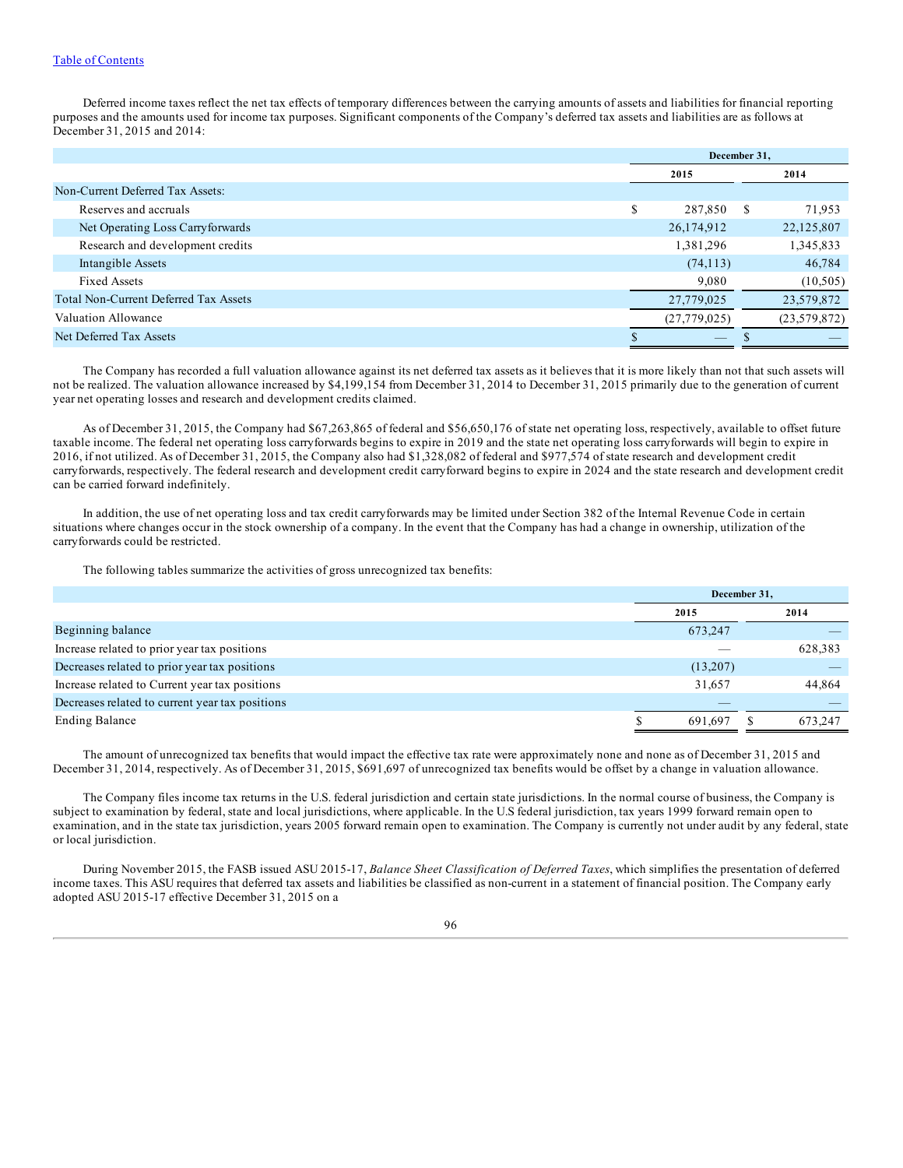## Table of [Contents](#page-0-0)

Deferred income taxes reflect the net tax effects of temporary differences between the carrying amounts of assets and liabilities for financial reporting purposes and the amounts used for income tax purposes. Significant components of the Company's deferred tax assets and liabilities are as follows at December 31, 2015 and 2014:

|                                              | December 31,             |                |  |
|----------------------------------------------|--------------------------|----------------|--|
|                                              | 2015                     | 2014           |  |
| Non-Current Deferred Tax Assets:             |                          |                |  |
| Reserves and accruals                        | \$<br>287,850            | 71,953<br>S    |  |
| Net Operating Loss Carry forwards            | 26,174,912               | 22,125,807     |  |
| Research and development credits             | 1,381,296                | 1,345,833      |  |
| Intangible Assets                            | (74, 113)                | 46,784         |  |
| <b>Fixed Assets</b>                          | 9,080                    | (10,505)       |  |
| <b>Total Non-Current Deferred Tax Assets</b> | 27,779,025               | 23,579,872     |  |
| Valuation Allowance                          | (27,779,025)             | (23, 579, 872) |  |
| Net Deferred Tax Assets                      | $\overline{\phantom{m}}$ | - 79           |  |

The Company has recorded a full valuation allowance against its net deferred tax assets as it believes that it is more likely than not that such assets will not be realized. The valuation allowance increased by \$4,199,154 from December 31, 2014 to December 31, 2015 primarily due to the generation of current year net operating losses and research and development credits claimed.

As of December 31, 2015, the Company had \$67,263,865 of federal and \$56,650,176 of state net operating loss, respectively, available to offset future taxable income. The federal net operating loss carryforwards begins to expire in 2019 and the state net operating loss carryforwards will begin to expire in 2016, if not utilized. As of December 31, 2015, the Company also had \$1,328,082 of federal and \$977,574 of state research and development credit carryforwards, respectively. The federal research and development credit carryforward begins to expire in 2024 and the state research and development credit can be carried forward indefinitely.

In addition, the use of net operating loss and tax credit carryforwards may be limited under Section 382 of the Internal Revenue Code in certain situations where changes occur in the stock ownership of a company. In the event that the Company has had a change in ownership, utilization of the carryforwards could be restricted.

The following tables summarize the activities of gross unrecognized tax benefits:

|                                                 |          | December 31, |         |
|-------------------------------------------------|----------|--------------|---------|
|                                                 | 2015     |              | 2014    |
| Beginning balance                               | 673,247  |              |         |
| Increase related to prior year tax positions    |          |              | 628,383 |
| Decreases related to prior year tax positions   | (13,207) |              |         |
| Increase related to Current year tax positions  | 31.657   |              | 44,864  |
| Decreases related to current year tax positions |          |              |         |
| <b>Ending Balance</b>                           | 691.697  |              | 673.247 |
|                                                 |          |              |         |

The amount of unrecognized tax benefits that would impact the effective tax rate were approximately none and none as of December 31, 2015 and December 31, 2014, respectively. As of December 31, 2015, \$691,697 of unrecognized tax benefits would be offset by a change in valuation allowance.

The Company files income tax returns in the U.S. federal jurisdiction and certain state jurisdictions. In the normal course of business, the Company is subject to examination by federal, state and local jurisdictions, where applicable. In the U.S federal jurisdiction, tax years 1999 forward remain open to examination, and in the state tax jurisdiction, years 2005 forward remain open to examination. The Company is currently not under audit by any federal, state or local jurisdiction.

During November 2015, the FASB issued ASU 2015-17, *Balance Sheet Classification of Deferred Taxes*, which simplifies the presentation of deferred income taxes. This ASU requires that deferred tax assets and liabilities be classified as non-current in a statement of financial position. The Company early adopted ASU 2015-17 effective December 31, 2015 on a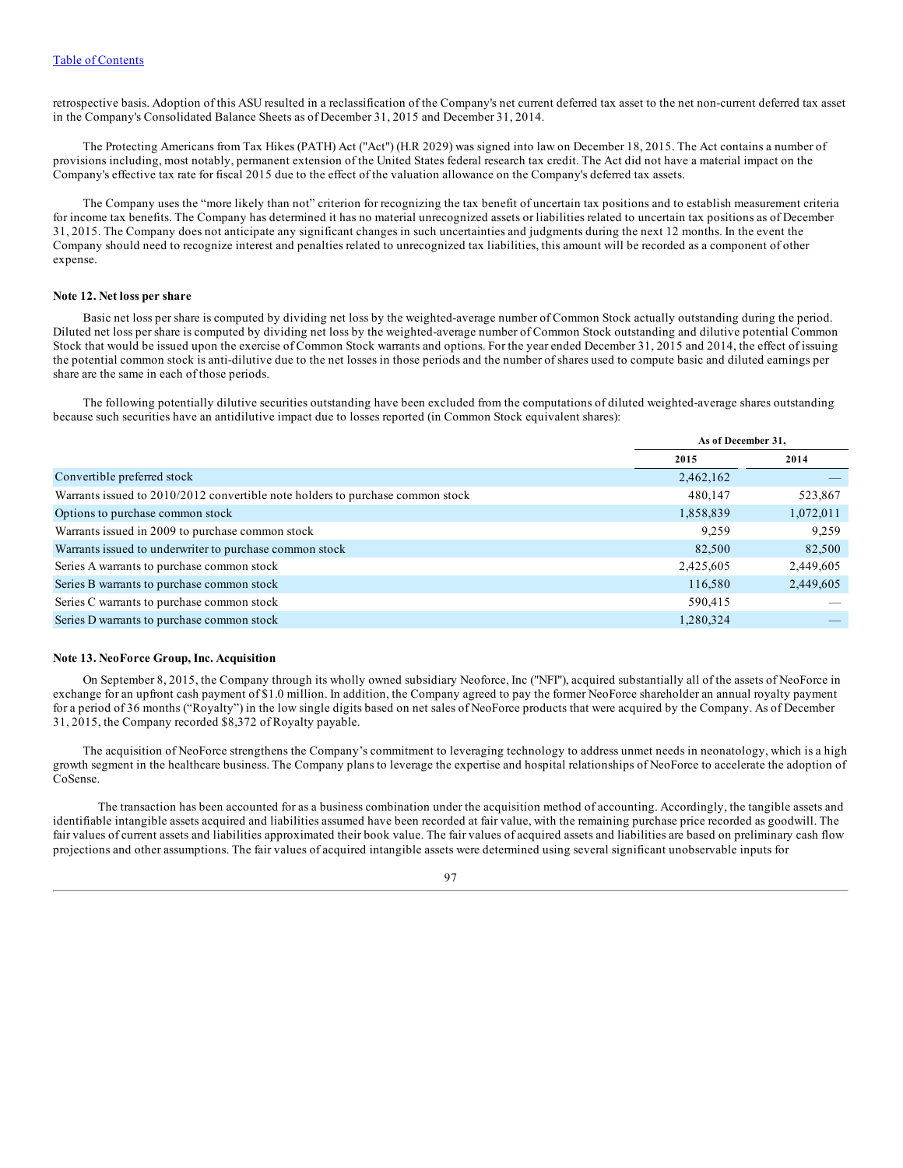retrospective basis. Adoption of this ASU resulted in a reclassification of the Company's net current deferred tax asset to the net non-current deferred tax asset in the Company's Consolidated Balance Sheets as of December 31, 2015 and December 31, 2014.

The Protecting Americans from Tax Hikes (PATH) Act ("Act") (H.R 2029) was signed into law on December 18, 2015. The Act contains a number of provisions including, most notably, permanent extension of the United States federal research tax credit. The Act did not have a material impact on the Company's effective tax rate for fiscal 2015 due to the effect of the valuation allowance on the Company's deferred tax assets.

The Company uses the "more likely than not" criterion for recognizing the tax benefit of uncertain tax positions and to establish measurement criteria for income tax benefits. The Company has determined it has no material unrecognized assets or liabilities related to uncertain tax positions as of December 31, 2015. The Company does not anticipate any significant changes in such uncertainties and judgments during the next 12 months. In the event the Company should need to recognize interest and penalties related to unrecognized tax liabilities, this amount will be recorded as a component of other expense.

#### **Note 12. Net loss per share**

Basic net loss per share is computed by dividing net loss by the weighted-average number of Common Stock actually outstanding during the period. Diluted net loss per share is computed by dividing net loss by the weighted-average number of Common Stock outstanding and dilutive potential Common Stock that would be issued upon the exercise of Common Stock warrants and options. For the year ended December 31, 2015 and 2014, the effect of issuing the potential common stock is anti-dilutive due to the net losses in those periods and the number of shares used to compute basic and diluted earnings per share are the same in each of those periods.

The following potentially dilutive securities outstanding have been excluded from the computations of diluted weighted-average shares outstanding because such securities have an antidilutive impact due to losses reported (in Common Stock equivalent shares):

|                                                                                |           | As of December 31, |  |
|--------------------------------------------------------------------------------|-----------|--------------------|--|
|                                                                                | 2015      | 2014               |  |
| Convertible preferred stock                                                    | 2,462,162 |                    |  |
| Warrants issued to 2010/2012 convertible note holders to purchase common stock | 480,147   | 523,867            |  |
| Options to purchase common stock                                               | 1,858,839 | 1,072,011          |  |
| Warrants issued in 2009 to purchase common stock                               | 9.259     | 9,259              |  |
| Warrants issued to underwriter to purchase common stock                        | 82,500    | 82,500             |  |
| Series A warrants to purchase common stock                                     | 2,425,605 | 2,449,605          |  |
| Series B warrants to purchase common stock                                     | 116,580   | 2,449,605          |  |
| Series C warrants to purchase common stock                                     | 590,415   |                    |  |
| Series D warrants to purchase common stock                                     | 1,280,324 |                    |  |
|                                                                                |           |                    |  |

### **Note 13. NeoForce Group, Inc. Acquisition**

On September 8, 2015, the Company through its wholly owned subsidiary Neoforce, Inc ("NFI"), acquired substantially all of the assets of NeoForce in exchange for an upfront cash payment of \$1.0 million. In addition, the Company agreed to pay the former NeoForce shareholder an annual royalty payment for a period of 36 months ("Royalty") in the low single digits based on net sales of NeoForce products that were acquired by the Company. As of December 31, 2015, the Company recorded \$8,372 of Royalty payable.

The acquisition of NeoForce strengthens the Company's commitment to leveraging technology to address unmet needs in neonatology, which is a high growth segment in the healthcare business. The Company plans to leverage the expertise and hospital relationships of NeoForce to accelerate the adoption of CoSense.

The transaction has been accounted for as a business combination under the acquisition method of accounting. Accordingly, the tangible assets and identifiable intangible assets acquired and liabilities assumed have been recorded at fair value, with the remaining purchase price recorded as goodwill. The fair values of current assets and liabilities approximated their book value. The fair values of acquired assets and liabilities are based on preliminary cash flow projections and other assumptions. The fair values of acquired intangible assets were determined using several significant unobservable inputs for

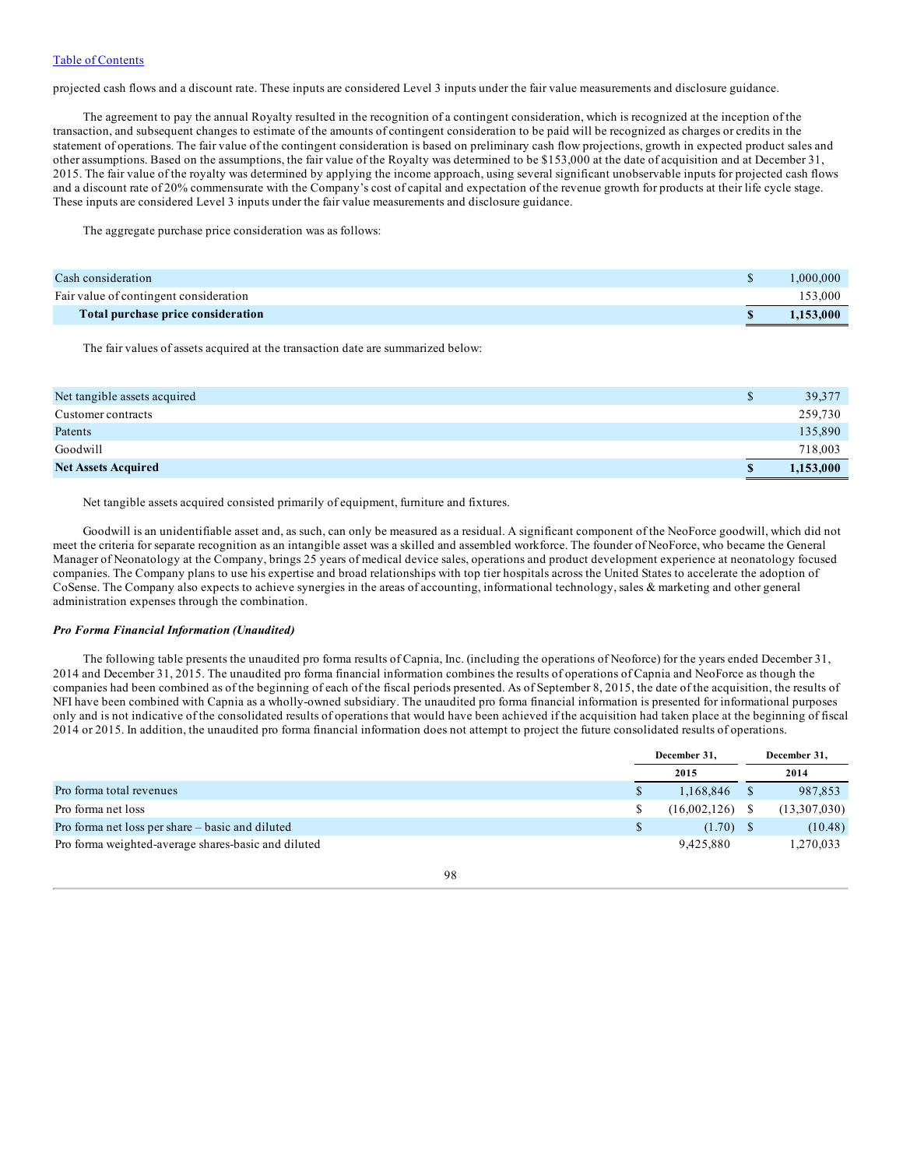## Table of [Contents](#page-0-0)

projected cash flows and a discount rate. These inputs are considered Level 3 inputs under the fair value measurements and disclosure guidance.

The agreement to pay the annual Royalty resulted in the recognition of a contingent consideration, which is recognized at the inception of the transaction, and subsequent changes to estimate of the amounts of contingent consideration to be paid will be recognized as charges or credits in the statement of operations. The fair value of the contingent consideration is based on preliminary cash flow projections, growth in expected product sales and other assumptions. Based on the assumptions, the fair value of the Royalty was determined to be \$153,000 at the date of acquisition and at December 31, 2015. The fair value of the royalty was determined by applying the income approach, using several significant unobservable inputs for projected cash flows and a discount rate of 20% commensurate with the Company's cost of capital and expectation of the revenue growth for products at their life cycle stage. These inputs are considered Level 3 inputs under the fair value measurements and disclosure guidance.

The aggregate purchase price consideration was as follows:

| Cash consideration                     | 000.000.1 |
|----------------------------------------|-----------|
| Fair value of contingent consideration | 153,000   |
| Total purchase price consideration     | 1.153.000 |

The fair values of assets acquired at the transaction date are summarized below:

| Net tangible assets acquired | S | 39,377    |
|------------------------------|---|-----------|
| Customer contracts           |   | 259,730   |
| Patents                      |   | 135,890   |
| Goodwill                     |   | 718,003   |
| <b>Net Assets Acquired</b>   |   | 1,153,000 |

Net tangible assets acquired consisted primarily of equipment, furniture and fixtures.

Goodwill is an unidentifiable asset and, as such, can only be measured as a residual. A significant component of the NeoForce goodwill, which did not meet the criteria for separate recognition as an intangible asset was a skilled and assembled workforce. The founder of NeoForce, who became the General Manager of Neonatology at the Company, brings 25 years of medical device sales, operations and product development experience at neonatology focused companies. The Company plans to use his expertise and broad relationships with top tier hospitals across the United States to accelerate the adoption of CoSense. The Company also expects to achieve synergies in the areas of accounting, informational technology, sales & marketing and other general administration expenses through the combination.

# *Pro Forma Financial Information (Unaudited)*

The following table presents the unaudited pro forma results of Capnia, Inc. (including the operations of Neoforce) for the years ended December 31, 2014 and December 31, 2015. The unaudited pro forma financial information combines the results of operations of Capnia and NeoForce as though the companies had been combined as of the beginning of each of the fiscal periods presented. As of September 8, 2015, the date of the acquisition, the results of NFI have been combined with Capnia as a wholly-owned subsidiary. The unaudited pro forma financial information is presented for informational purposes only and is not indicative of the consolidated results of operations that would have been achieved if the acquisition had taken place at the beginning of fiscal 2014 or 2015. In addition, the unaudited pro forma financial information does not attempt to project the future consolidated results of operations.

|                                                     | December 31. |              | December 31, |              |
|-----------------------------------------------------|--------------|--------------|--------------|--------------|
|                                                     |              | 2015         |              | 2014         |
| Pro forma total revenues                            |              | 1.168.846    |              | 987,853      |
| Pro forma net loss                                  |              | (16,002,126) | - \$         | (13,307,030) |
| Pro forma net loss per share – basic and diluted    |              | $(1.70)$ \$  |              | (10.48)      |
| Pro forma weighted-average shares-basic and diluted |              | 9.425.880    |              | 1,270,033    |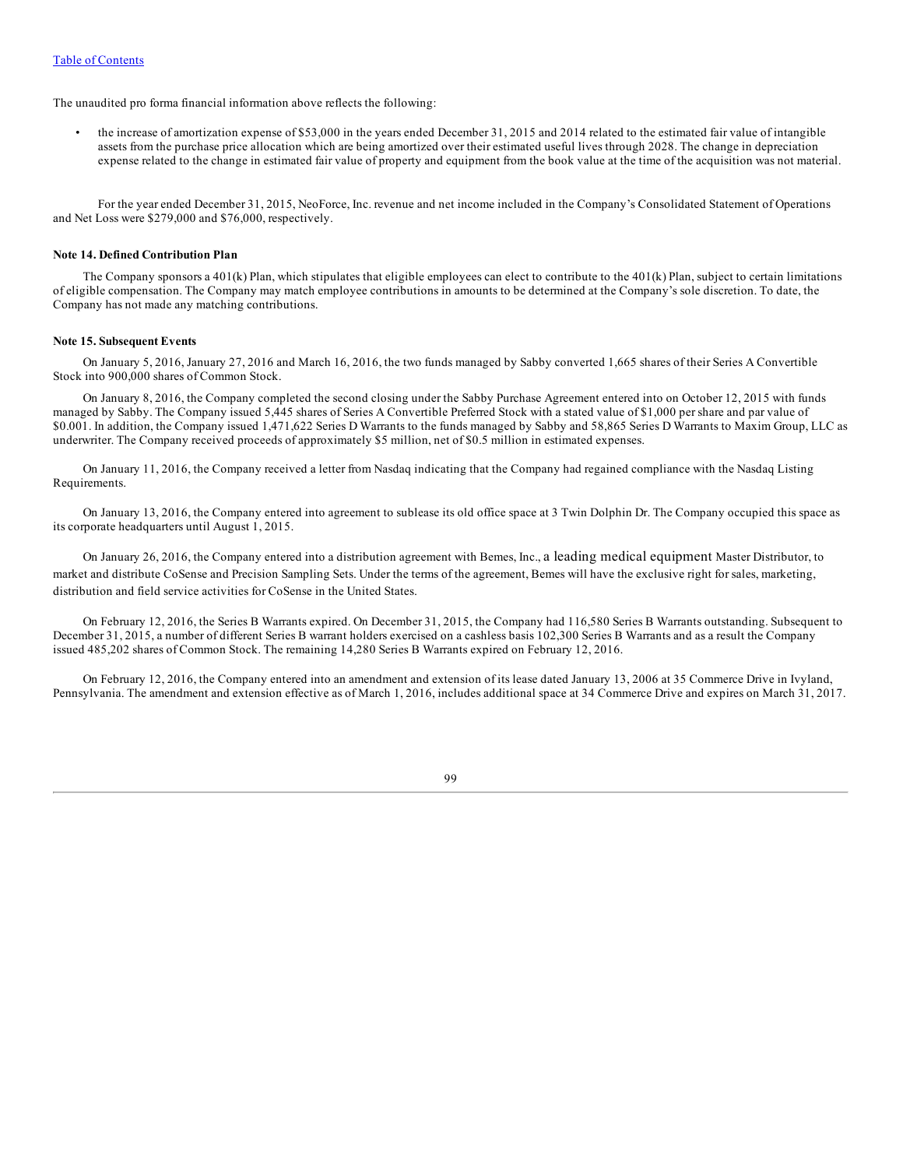The unaudited pro forma financial information above reflects the following:

• the increase of amortization expense of \$53,000 in the years ended December 31, 2015 and 2014 related to the estimated fair value of intangible assets from the purchase price allocation which are being amortized over their estimated useful lives through 2028. The change in depreciation expense related to the change in estimated fair value of property and equipment from the book value at the time of the acquisition was not material.

For the year ended December 31, 2015, NeoForce, Inc. revenue and net income included in the Company's Consolidated Statement of Operations and Net Loss were \$279,000 and \$76,000, respectively.

#### **Note 14. Defined Contribution Plan**

The Company sponsors a  $401(k)$  Plan, which stipulates that eligible employees can elect to contribute to the  $401(k)$  Plan, subject to certain limitations of eligible compensation. The Company may match employee contributions in amounts to be determined at the Company's sole discretion. To date, the Company has not made any matching contributions.

## **Note 15. Subsequent Events**

On January 5, 2016, January 27, 2016 and March 16, 2016, the two funds managed by Sabby converted 1,665 shares of their Series A Convertible Stock into 900,000 shares of Common Stock.

On January 8, 2016, the Company completed the second closing under the Sabby Purchase Agreement entered into on October 12, 2015 with funds managed by Sabby. The Company issued 5,445 shares of Series A Convertible Preferred Stock with a stated value of \$1,000 per share and par value of \$0.001. In addition, the Company issued 1,471,622 Series D Warrants to the funds managed by Sabby and 58,865 Series D Warrants to Maxim Group, LLC as underwriter. The Company received proceeds of approximately \$5 million, net of \$0.5 million in estimated expenses.

On January 11, 2016, the Company received a letter from Nasdaq indicating that the Company had regained compliance with the Nasdaq Listing Requirements.

On January 13, 2016, the Company entered into agreement to sublease its old office space at 3 Twin Dolphin Dr. The Company occupied this space as its corporate headquarters until August 1, 2015.

On January 26, 2016, the Company entered into a distribution agreement with Bemes, Inc., a leading medical equipment Master Distributor, to market and distribute CoSense and Precision Sampling Sets. Under the terms of the agreement, Bemes will have the exclusive right for sales, marketing, distribution and field service activities for CoSense in the United States.

On February 12, 2016, the Series B Warrants expired. On December 31, 2015, the Company had 116,580 Series B Warrants outstanding. Subsequent to December 31, 2015, a number of different Series B warrant holders exercised on a cashless basis 102,300 Series B Warrants and as a result the Company issued 485,202 shares of Common Stock. The remaining 14,280 Series B Warrants expired on February 12, 2016.

On February 12, 2016, the Company entered into an amendment and extension of its lease dated January 13, 2006 at 35 Commerce Drive in Ivyland, Pennsylvania. The amendment and extension effective as of March 1, 2016, includes additional space at 34 Commerce Drive and expires on March 31, 2017.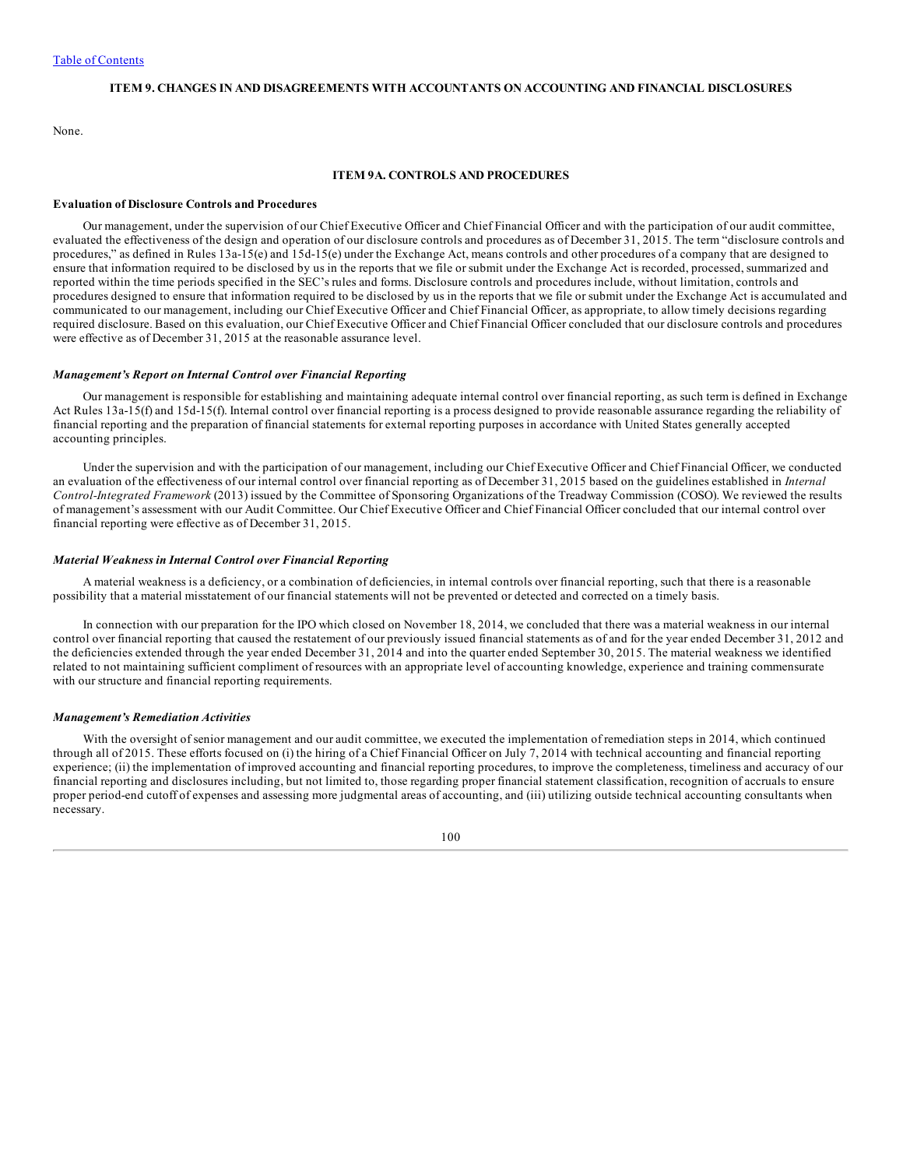## **ITEM 9. CHANGES IN AND DISAGREEMENTS WITH ACCOUNTANTS ON ACCOUNTING AND FINANCIAL DISCLOSURES**

None.

## **ITEM 9A. CONTROLS AND PROCEDURES**

# **Evaluation of Disclosure Controls and Procedures**

Our management, under the supervision of our Chief Executive Officer and Chief Financial Officer and with the participation of our audit committee, evaluated the effectiveness of the design and operation of our disclosure controls and procedures as of December 31, 2015. The term "disclosure controls and procedures," as defined in Rules 13a-15(e) and 15d-15(e) under the Exchange Act, means controls and other procedures of a company that are designed to ensure that information required to be disclosed by us in the reports that we file or submit under the Exchange Act is recorded, processed, summarized and reported within the time periods specified in the SEC's rules and forms. Disclosure controls and procedures include, without limitation, controls and procedures designed to ensure that information required to be disclosed by us in the reports that we file or submit under the Exchange Act is accumulated and communicated to our management, including our Chief Executive Officer and Chief Financial Officer, as appropriate, to allow timely decisions regarding required disclosure. Based on this evaluation, our Chief Executive Officer and Chief Financial Officer concluded that our disclosure controls and procedures were effective as of December 31, 2015 at the reasonable assurance level.

### *Management's Report on Internal Control over Financial Reporting*

Our management is responsible for establishing and maintaining adequate internal control over financial reporting, as such term is defined in Exchange Act Rules 13a-15(f) and 15d-15(f). Internal control over financial reporting is a process designed to provide reasonable assurance regarding the reliability of financial reporting and the preparation of financial statements for external reporting purposes in accordance with United States generally accepted accounting principles.

Under the supervision and with the participation of our management, including our Chief Executive Officer and Chief Financial Officer, we conducted an evaluation of the effectiveness of our internal control over financial reporting as of December 31, 2015 based on the guidelines established in *Internal Control-Integrated Framework* (2013) issued by the Committee of Sponsoring Organizations of the Treadway Commission (COSO). We reviewed the results of management's assessment with our Audit Committee. Our Chief Executive Officer and Chief Financial Officer concluded that our internal control over financial reporting were effective as of December 31, 2015.

#### *Material Weakness in Internal Control over Financial Reporting*

A material weakness is a deficiency, or a combination of deficiencies, in internal controls over financial reporting, such that there is a reasonable possibility that a material misstatement of our financial statements will not be prevented or detected and corrected on a timely basis.

In connection with our preparation for the IPO which closed on November 18, 2014, we concluded that there was a material weakness in our internal control over financial reporting that caused the restatement of our previously issued financial statements as of and for the year ended December 31, 2012 and the deficiencies extended through the year ended December 31, 2014 and into the quarter ended September 30, 2015. The material weakness we identified related to not maintaining sufficient compliment of resources with an appropriate level of accounting knowledge, experience and training commensurate with our structure and financial reporting requirements.

#### *Management's Remediation Activities*

With the oversight of senior management and our audit committee, we executed the implementation of remediation steps in 2014, which continued through all of 2015. These efforts focused on (i) the hiring of a Chief Financial Officer on July 7, 2014 with technical accounting and financial reporting experience; (ii) the implementation of improved accounting and financial reporting procedures, to improve the completeness, timeliness and accuracy of our financial reporting and disclosures including, but not limited to, those regarding proper financial statement classification, recognition of accruals to ensure proper period-end cutoff of expenses and assessing more judgmental areas of accounting, and (iii) utilizing outside technical accounting consultants when necessary.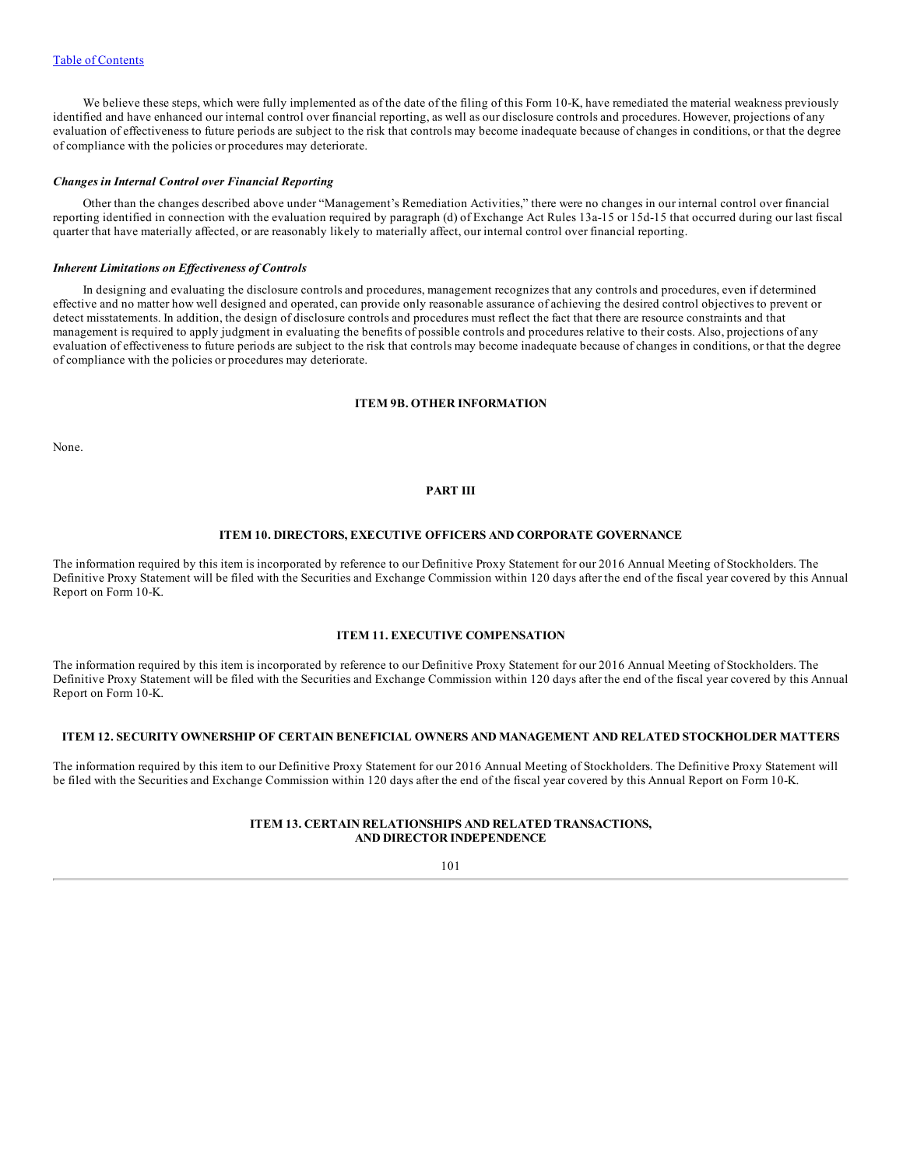We believe these steps, which were fully implemented as of the date of the filing of this Form 10-K, have remediated the material weakness previously identified and have enhanced our internal control over financial reporting, as well as our disclosure controls and procedures. However, projections of any evaluation of effectiveness to future periods are subject to the risk that controls may become inadequate because of changes in conditions, or that the degree of compliance with the policies or procedures may deteriorate.

#### *Changes in Internal Control over Financial Reporting*

Other than the changes described above under "Management's Remediation Activities," there were no changes in our internal control over financial reporting identified in connection with the evaluation required by paragraph (d) of Exchange Act Rules 13a-15 or 15d-15 that occurred during our last fiscal quarter that have materially affected, or are reasonably likely to materially affect, our internal control over financial reporting.

### *Inherent Limitations on Ef ectiveness of Controls*

In designing and evaluating the disclosure controls and procedures, management recognizes that any controls and procedures, even if determined effective and no matter how well designed and operated, can provide only reasonable assurance of achieving the desired control objectives to prevent or detect misstatements. In addition, the design of disclosure controls and procedures must reflect the fact that there are resource constraints and that management is required to apply judgment in evaluating the benefits of possible controls and procedures relative to their costs. Also, projections of any evaluation of effectiveness to future periods are subject to the risk that controls may become inadequate because of changes in conditions, or that the degree of compliance with the policies or procedures may deteriorate.

# **ITEM 9B. OTHER INFORMATION**

None.

#### **PART III**

# **ITEM 10. DIRECTORS, EXECUTIVE OFFICERS AND CORPORATE GOVERNANCE**

The information required by this item is incorporated by reference to our Definitive Proxy Statement for our 2016 Annual Meeting of Stockholders. The Definitive Proxy Statement will be filed with the Securities and Exchange Commission within 120 days after the end of the fiscal year covered by this Annual Report on Form 10-K.

## **ITEM 11. EXECUTIVE COMPENSATION**

The information required by this item is incorporated by reference to our Definitive Proxy Statement for our 2016 Annual Meeting of Stockholders. The Definitive Proxy Statement will be filed with the Securities and Exchange Commission within 120 days after the end of the fiscal year covered by this Annual Report on Form 10-K.

# **ITEM 12. SECURITY OWNERSHIP OF CERTAIN BENEFICIAL OWNERS AND MANAGEMENT AND RELATED STOCKHOLDER MATTERS**

The information required by this item to our Definitive Proxy Statement for our 2016 Annual Meeting of Stockholders. The Definitive Proxy Statement will be filed with the Securities and Exchange Commission within 120 days after the end of the fiscal year covered by this Annual Report on Form 10-K.

## **ITEM 13. CERTAIN RELATIONSHIPS AND RELATED TRANSACTIONS, AND DIRECTOR INDEPENDENCE**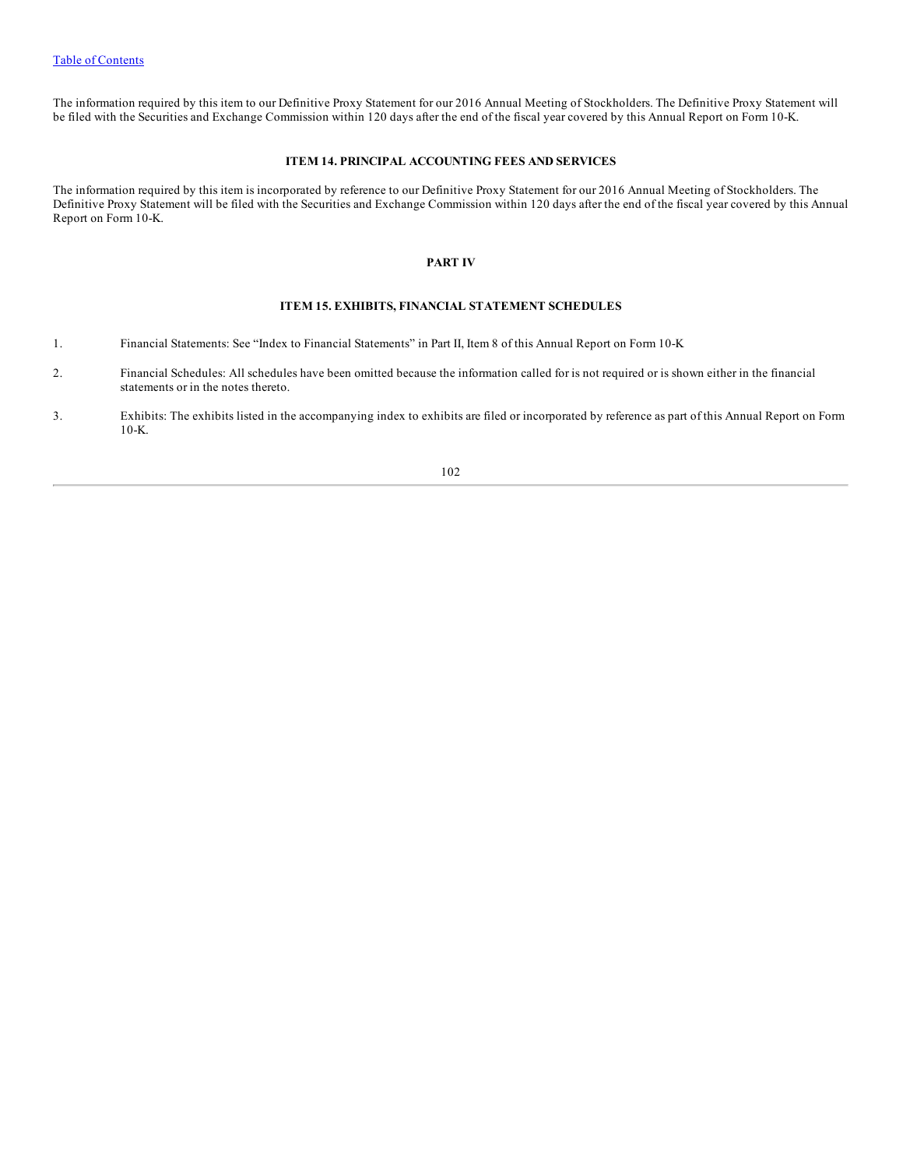The information required by this item to our Definitive Proxy Statement for our 2016 Annual Meeting of Stockholders. The Definitive Proxy Statement will be filed with the Securities and Exchange Commission within 120 days after the end of the fiscal year covered by this Annual Report on Form 10-K.

# **ITEM 14. PRINCIPAL ACCOUNTING FEES AND SERVICES**

The information required by this item is incorporated by reference to our Definitive Proxy Statement for our 2016 Annual Meeting of Stockholders. The Definitive Proxy Statement will be filed with the Securities and Exchange Commission within 120 days after the end of the fiscal year covered by this Annual Report on Form 10-K.

# **PART IV**

## **ITEM 15. EXHIBITS, FINANCIAL STATEMENT SCHEDULES**

- 1. Financial Statements: See "Index to Financial Statements" in Part II, Item 8 of this Annual Report on Form 10-K
- 2. Financial Schedules: All schedules have been omitted because the information called for is not required or is shown either in the financial statements or in the notes thereto.
- 3. Exhibits: The exhibits listed in the accompanying index to exhibits are filed or incorporated by reference as part of this Annual Report on Form 10-K.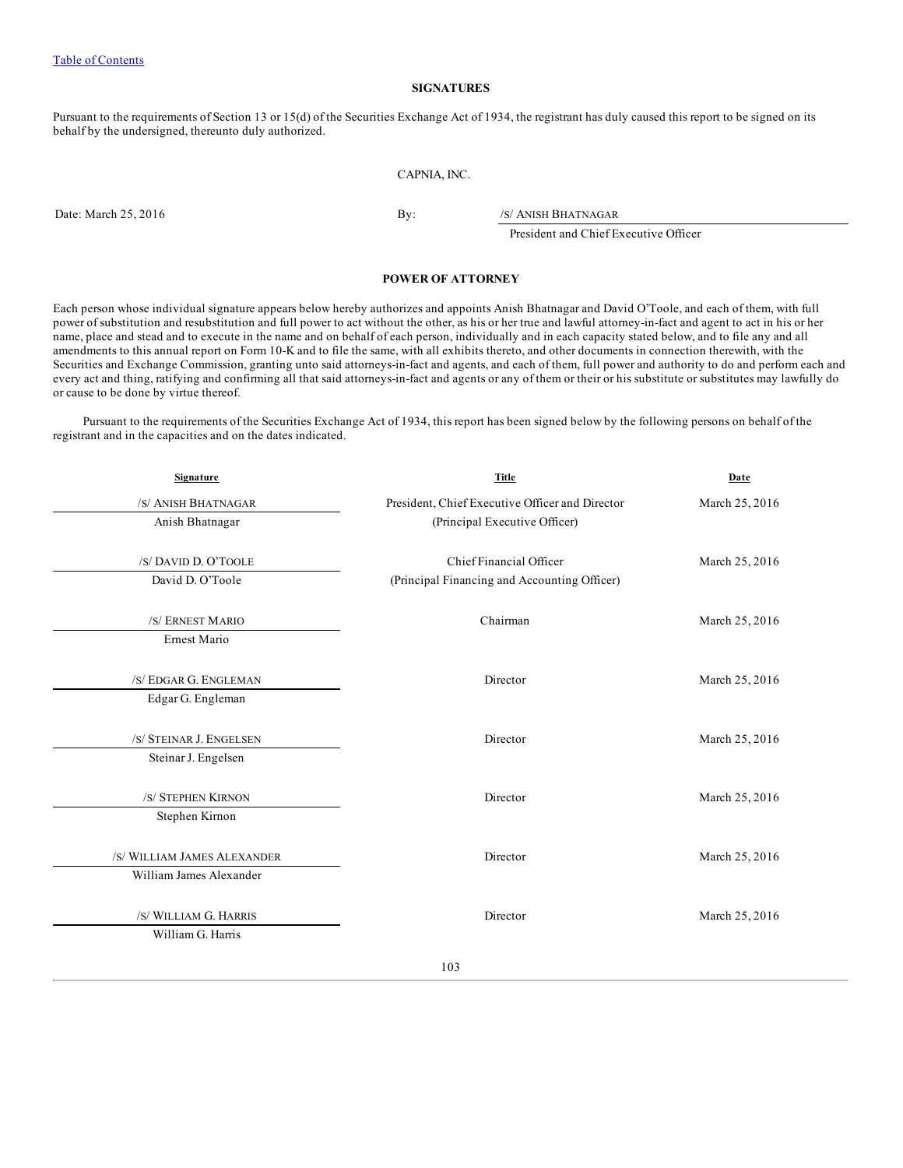# **SIGNATURES**

Pursuant to the requirements of Section 13 or 15(d) of the Securities Exchange Act of 1934, the registrant has duly caused this report to be signed on its behalf by the undersigned, thereunto duly authorized.

CAPNIA, INC. Date: March 25, 2016 By: /S/ ANISH BHATNAGAR President and Chief Executive Officer

# **POWER OF ATTORNEY**

Each person whose individual signature appears below hereby authorizes and appoints Anish Bhatnagar and David O'Toole, and each of them, with full power of substitution and resubstitution and full power to act without the other, as his or her true and lawful attorney-in-fact and agent to act in his or her name, place and stead and to execute in the name and on behalf of each person, individually and in each capacity stated below, and to file any and all amendments to this annual report on Form 10-K and to file the same, with all exhibits thereto, and other documents in connection therewith, with the Securities and Exchange Commission, granting unto said attorneys-in-fact and agents, and each of them, full power and authority to do and perform each and every act and thing, ratifying and confirming all that said attorneys-in-fact and agents or any of them or their or his substitute or substitutes may lawfully do or cause to be done by virtue thereof.

Pursuant to the requirements of the Securities Exchange Act of 1934, this report has been signed below by the following persons on behalf of the registrant and in the capacities and on the dates indicated.

| <b>Signature</b>            | <b>Title</b>                                    | Date           |
|-----------------------------|-------------------------------------------------|----------------|
| /S/ ANISH BHATNAGAR         | President, Chief Executive Officer and Director | March 25, 2016 |
| Anish Bhatnagar             | (Principal Executive Officer)                   |                |
|                             |                                                 |                |
| /S/DAVID D. O'TOOLE         | Chief Financial Officer                         | March 25, 2016 |
| David D. O'Toole            | (Principal Financing and Accounting Officer)    |                |
| /S/ ERNEST MARIO            | Chairman                                        | March 25, 2016 |
| Ernest Mario                |                                                 |                |
| /S/ EDGAR G. ENGLEMAN       | Director                                        | March 25, 2016 |
| Edgar G. Engleman           |                                                 |                |
|                             |                                                 |                |
| /S/ STEINAR J. ENGELSEN     | Director                                        | March 25, 2016 |
| Steinar J. Engelsen         |                                                 |                |
| /S/ STEPHEN KIRNON          | Director                                        | March 25, 2016 |
| Stephen Kirnon              |                                                 |                |
|                             |                                                 |                |
| /S/ WILLIAM JAMES ALEXANDER | Director                                        | March 25, 2016 |
| William James Alexander     |                                                 |                |
|                             |                                                 |                |
| /S/ WILLIAM G. HARRIS       | Director                                        | March 25, 2016 |
| William G. Harris           |                                                 |                |
|                             | 103                                             |                |
|                             |                                                 |                |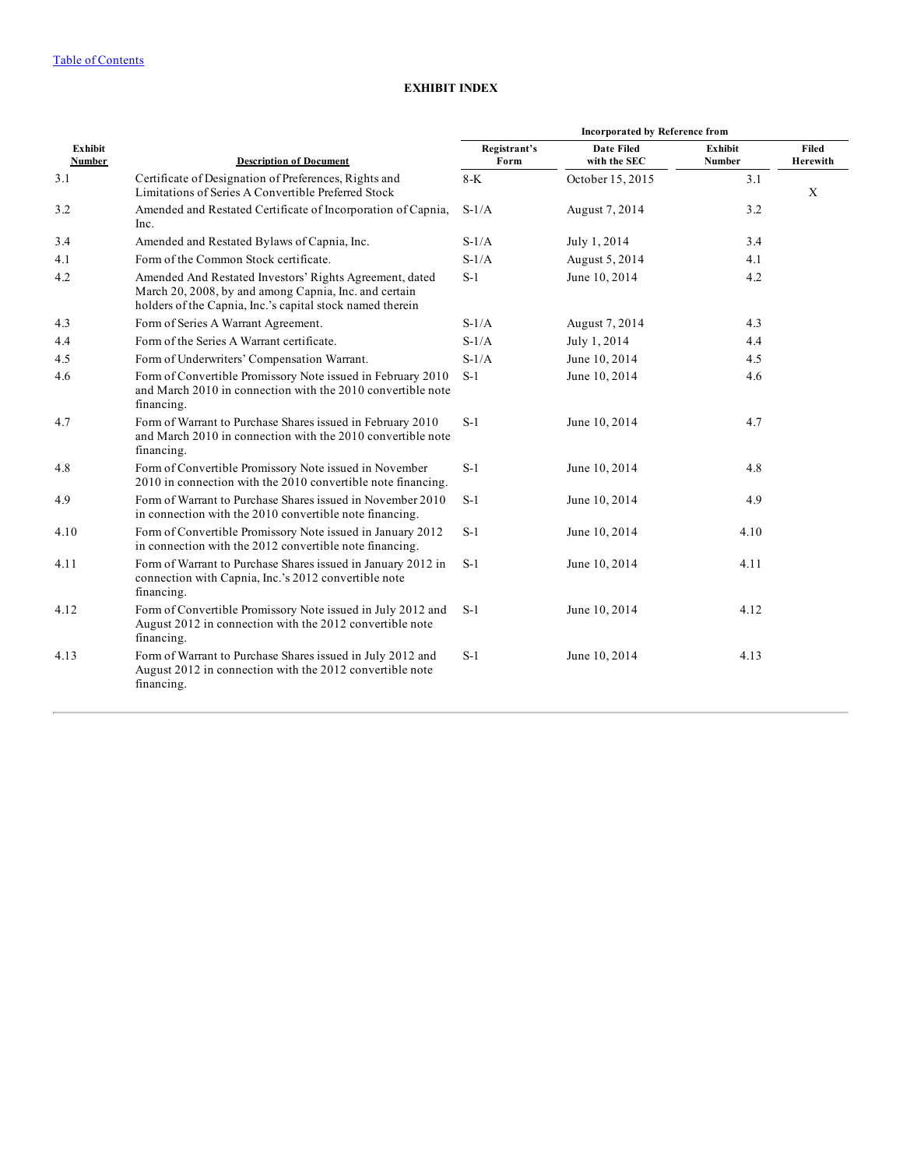## **EXHIBIT INDEX**

| Exhibit<br>Number | <b>Description of Document</b>                                                                                                                                                | <b>Incorporated by Reference from</b> |                                   |                                 |                   |
|-------------------|-------------------------------------------------------------------------------------------------------------------------------------------------------------------------------|---------------------------------------|-----------------------------------|---------------------------------|-------------------|
|                   |                                                                                                                                                                               | Registrant's<br>Form                  | <b>Date Filed</b><br>with the SEC | <b>Exhibit</b><br><b>Number</b> | Filed<br>Herewith |
| 3.1               | Certificate of Designation of Preferences, Rights and<br>Limitations of Series A Convertible Preferred Stock                                                                  | $8-K$                                 | October 15, 2015                  | 3.1                             | $\mathbf X$       |
| 3.2               | Amended and Restated Certificate of Incorporation of Capnia,<br>Inc.                                                                                                          | $S-1/A$                               | August 7, 2014                    | 3.2                             |                   |
| 3.4               | Amended and Restated Bylaws of Capnia, Inc.                                                                                                                                   | $S-1/A$                               | July 1, 2014                      | 3.4                             |                   |
| 4.1               | Form of the Common Stock certificate.                                                                                                                                         | $S-1/A$                               | August 5, 2014                    | 4.1                             |                   |
| 4.2               | Amended And Restated Investors' Rights Agreement, dated<br>March 20, 2008, by and among Capnia, Inc. and certain<br>holders of the Capnia, Inc.'s capital stock named therein | $S-1$                                 | June 10, 2014                     | 4.2                             |                   |
| 4.3               | Form of Series A Warrant Agreement.                                                                                                                                           | $S-1/A$                               | August 7, 2014                    | 4.3                             |                   |
| 4.4               | Form of the Series A Warrant certificate.                                                                                                                                     | $S-1/A$                               | July 1, 2014                      | 4.4                             |                   |
| 4.5               | Form of Underwriters' Compensation Warrant.                                                                                                                                   | $S-1/A$                               | June 10, 2014                     | 4.5                             |                   |
| 4.6               | Form of Convertible Promissory Note issued in February 2010<br>and March 2010 in connection with the 2010 convertible note<br>financing.                                      | $S-1$                                 | June 10, 2014                     | 4.6                             |                   |
| 4.7               | Form of Warrant to Purchase Shares issued in February 2010<br>and March 2010 in connection with the 2010 convertible note<br>financing.                                       | $S-1$                                 | June 10, 2014                     | 4.7                             |                   |
| 4.8               | Form of Convertible Promissory Note issued in November<br>2010 in connection with the 2010 convertible note financing.                                                        | $S-1$                                 | June 10, 2014                     | 4.8                             |                   |
| 4.9               | Form of Warrant to Purchase Shares issued in November 2010<br>in connection with the 2010 convertible note financing.                                                         | $S-1$                                 | June 10, 2014                     | 4.9                             |                   |
| 4.10              | Form of Convertible Promissory Note issued in January 2012<br>in connection with the 2012 convertible note financing.                                                         | $S-1$                                 | June 10, 2014                     | 4.10                            |                   |
| 4.11              | Form of Warrant to Purchase Shares issued in January 2012 in<br>connection with Capnia, Inc.'s 2012 convertible note<br>financing.                                            | $S-1$                                 | June 10, 2014                     | 4.11                            |                   |
| 4.12              | Form of Convertible Promissory Note issued in July 2012 and<br>August 2012 in connection with the 2012 convertible note<br>financing.                                         | $S-1$                                 | June 10, 2014                     | 4.12                            |                   |
| 4.13              | Form of Warrant to Purchase Shares issued in July 2012 and<br>August 2012 in connection with the 2012 convertible note<br>financing.                                          | $S-1$                                 | June 10, 2014                     | 4.13                            |                   |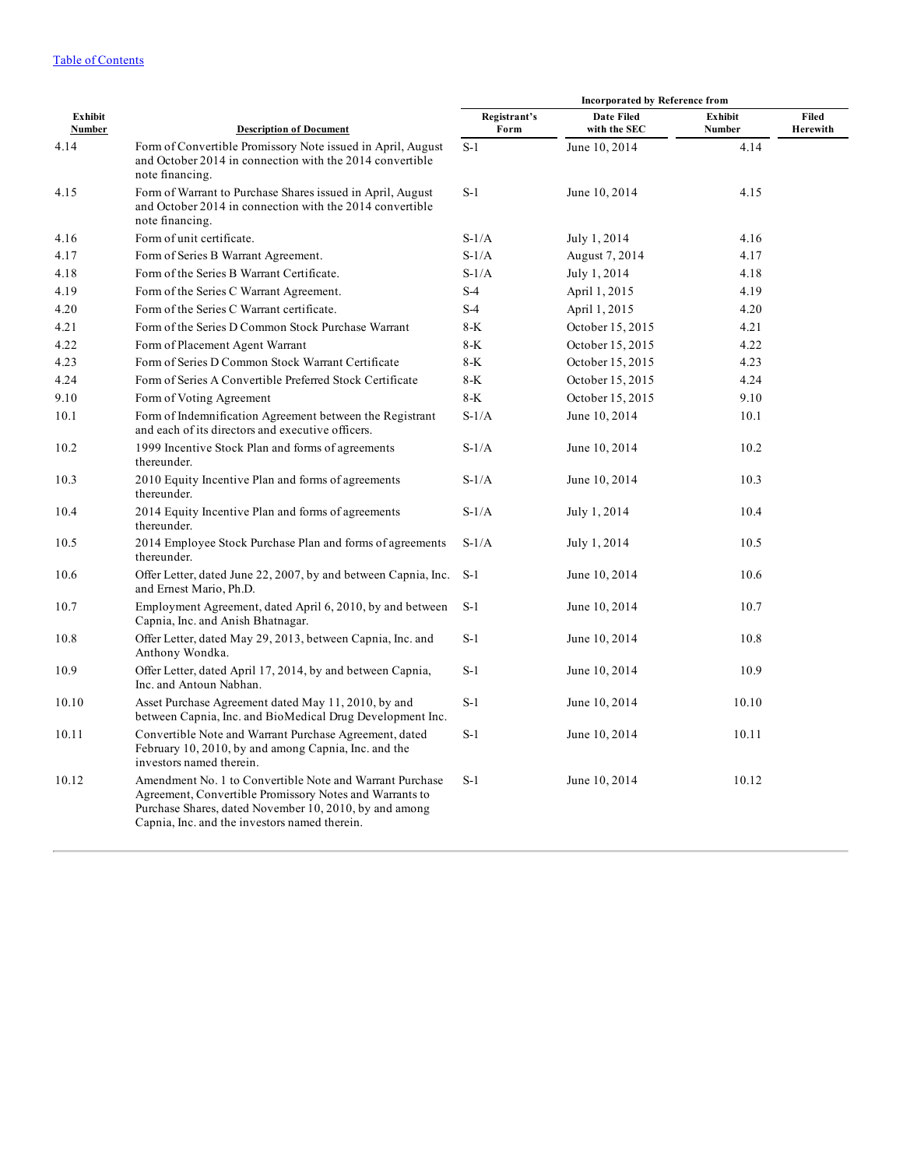|                          | <b>Description of Document</b>                                                                                                                                                                                                 | <b>Incorporated by Reference from</b> |                                   |                          |                          |
|--------------------------|--------------------------------------------------------------------------------------------------------------------------------------------------------------------------------------------------------------------------------|---------------------------------------|-----------------------------------|--------------------------|--------------------------|
| Exhibit<br><b>Number</b> |                                                                                                                                                                                                                                | Registrant's<br>Form                  | <b>Date Filed</b><br>with the SEC | <b>Exhibit</b><br>Number | <b>Filed</b><br>Herewith |
| 4.14                     | Form of Convertible Promissory Note issued in April, August<br>and October 2014 in connection with the 2014 convertible<br>note financing.                                                                                     | $S-1$                                 | June 10, 2014                     | 4.14                     |                          |
| 4.15                     | Form of Warrant to Purchase Shares issued in April, August<br>and October 2014 in connection with the 2014 convertible<br>note financing.                                                                                      | $S-1$                                 | June 10, 2014                     | 4.15                     |                          |
| 4.16                     | Form of unit certificate.                                                                                                                                                                                                      | $S-1/A$                               | July 1, 2014                      | 4.16                     |                          |
| 4.17                     | Form of Series B Warrant Agreement.                                                                                                                                                                                            | $S-1/A$                               | August 7, 2014                    | 4.17                     |                          |
| 4.18                     | Form of the Series B Warrant Certificate.                                                                                                                                                                                      | $S-1/A$                               | July 1, 2014                      | 4.18                     |                          |
| 4.19                     | Form of the Series C Warrant Agreement.                                                                                                                                                                                        | $S-4$                                 | April 1, 2015                     | 4.19                     |                          |
| 4.20                     | Form of the Series C Warrant certificate.                                                                                                                                                                                      | $S-4$                                 | April 1, 2015                     | 4.20                     |                          |
| 4.21                     | Form of the Series D Common Stock Purchase Warrant                                                                                                                                                                             | $8-K$                                 | October 15, 2015                  | 4.21                     |                          |
| 4.22                     | Form of Placement Agent Warrant                                                                                                                                                                                                | $8-K$                                 | October 15, 2015                  | 4.22                     |                          |
| 4.23                     | Form of Series D Common Stock Warrant Certificate                                                                                                                                                                              | $8-K$                                 | October 15, 2015                  | 4.23                     |                          |
| 4.24                     | Form of Series A Convertible Preferred Stock Certificate                                                                                                                                                                       | $8-K$                                 | October 15, 2015                  | 4.24                     |                          |
| 9.10                     | Form of Voting Agreement                                                                                                                                                                                                       | $8-K$                                 | October 15, 2015                  | 9.10                     |                          |
| 10.1                     | Form of Indemnification Agreement between the Registrant<br>and each of its directors and executive officers.                                                                                                                  | $S-1/A$                               | June 10, 2014                     | 10.1                     |                          |
| 10.2                     | 1999 Incentive Stock Plan and forms of agreements<br>thereunder.                                                                                                                                                               | $S-1/A$                               | June 10, 2014                     | 10.2                     |                          |
| 10.3                     | 2010 Equity Incentive Plan and forms of agreements<br>thereunder.                                                                                                                                                              | $S-1/A$                               | June 10, 2014                     | 10.3                     |                          |
| 10.4                     | 2014 Equity Incentive Plan and forms of agreements<br>thereunder.                                                                                                                                                              | $S-1/A$                               | July 1, 2014                      | 10.4                     |                          |
| 10.5                     | 2014 Employee Stock Purchase Plan and forms of agreements<br>thereunder.                                                                                                                                                       | $S-1/A$                               | July 1, 2014                      | 10.5                     |                          |
| 10.6                     | Offer Letter, dated June 22, 2007, by and between Capnia, Inc.<br>and Ernest Mario, Ph.D.                                                                                                                                      | $S-1$                                 | June 10, 2014                     | 10.6                     |                          |
| 10.7                     | Employment Agreement, dated April 6, 2010, by and between<br>Capnia, Inc. and Anish Bhatnagar.                                                                                                                                 | $S-1$                                 | June 10, 2014                     | 10.7                     |                          |
| 10.8                     | Offer Letter, dated May 29, 2013, between Capnia, Inc. and<br>Anthony Wondka.                                                                                                                                                  | $S-1$                                 | June 10, 2014                     | 10.8                     |                          |
| 10.9                     | Offer Letter, dated April 17, 2014, by and between Capnia,<br>Inc. and Antoun Nabhan.                                                                                                                                          | $S-1$                                 | June 10, 2014                     | 10.9                     |                          |
| 10.10                    | Asset Purchase Agreement dated May 11, 2010, by and<br>between Capnia, Inc. and BioMedical Drug Development Inc.                                                                                                               | $S-1$                                 | June 10, 2014                     | 10.10                    |                          |
| 10.11                    | Convertible Note and Warrant Purchase Agreement, dated<br>February 10, 2010, by and among Capnia, Inc. and the<br>investors named therein.                                                                                     | $S-1$                                 | June 10, 2014                     | 10.11                    |                          |
| 10.12                    | Amendment No. 1 to Convertible Note and Warrant Purchase<br>Agreement, Convertible Promissory Notes and Warrants to<br>Purchase Shares, dated November 10, 2010, by and among<br>Capnia, Inc. and the investors named therein. | $S-1$                                 | June 10, 2014                     | 10.12                    |                          |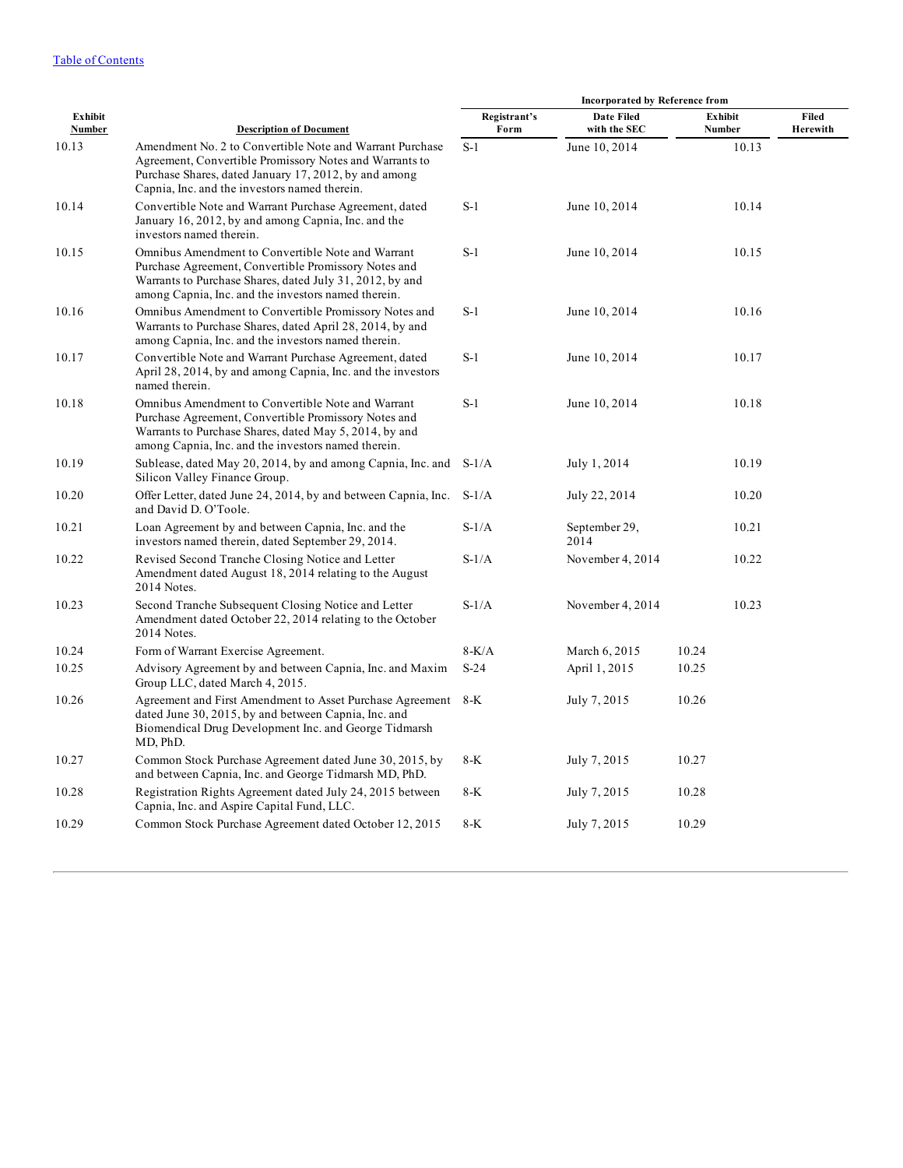|                          | <b>Description of Document</b>                                                                                                                                                                                                | <b>Incorporated by Reference from</b> |                                   |                                 |                   |  |
|--------------------------|-------------------------------------------------------------------------------------------------------------------------------------------------------------------------------------------------------------------------------|---------------------------------------|-----------------------------------|---------------------------------|-------------------|--|
| Exhibit<br><b>Number</b> |                                                                                                                                                                                                                               | Registrant's<br>Form                  | <b>Date Filed</b><br>with the SEC | <b>Exhibit</b><br><b>Number</b> | Filed<br>Herewith |  |
| 10.13                    | Amendment No. 2 to Convertible Note and Warrant Purchase<br>Agreement, Convertible Promissory Notes and Warrants to<br>Purchase Shares, dated January 17, 2012, by and among<br>Capnia, Inc. and the investors named therein. | $S-1$                                 | June 10, 2014                     | 10.13                           |                   |  |
| 10.14                    | Convertible Note and Warrant Purchase Agreement, dated<br>January 16, 2012, by and among Capnia, Inc. and the<br>investors named therein.                                                                                     | $S-1$                                 | June 10, 2014                     | 10.14                           |                   |  |
| 10.15                    | Omnibus Amendment to Convertible Note and Warrant<br>Purchase Agreement, Convertible Promissory Notes and<br>Warrants to Purchase Shares, dated July 31, 2012, by and<br>among Capnia, Inc. and the investors named therein.  | $S-1$                                 | June 10, 2014                     | 10.15                           |                   |  |
| 10.16                    | Omnibus Amendment to Convertible Promissory Notes and<br>Warrants to Purchase Shares, dated April 28, 2014, by and<br>among Capnia, Inc. and the investors named therein.                                                     | $S-1$                                 | June 10, 2014                     | 10.16                           |                   |  |
| 10.17                    | Convertible Note and Warrant Purchase Agreement, dated<br>April 28, 2014, by and among Capnia, Inc. and the investors<br>named therein.                                                                                       | $S-1$                                 | June 10, 2014                     | 10.17                           |                   |  |
| 10.18                    | Omnibus Amendment to Convertible Note and Warrant<br>Purchase Agreement, Convertible Promissory Notes and<br>Warrants to Purchase Shares, dated May 5, 2014, by and<br>among Capnia, Inc. and the investors named therein.    | $S-1$                                 | June 10, 2014                     | 10.18                           |                   |  |
| 10.19                    | Sublease, dated May 20, 2014, by and among Capnia, Inc. and S-1/A<br>Silicon Valley Finance Group.                                                                                                                            |                                       | July 1, 2014                      | 10.19                           |                   |  |
| 10.20                    | Offer Letter, dated June 24, 2014, by and between Capnia, Inc.<br>and David D. O'Toole.                                                                                                                                       | $S-1/A$                               | July 22, 2014                     | 10.20                           |                   |  |
| 10.21                    | Loan Agreement by and between Capnia, Inc. and the<br>investors named therein, dated September 29, 2014.                                                                                                                      | $S-1/A$                               | September 29,<br>2014             | 10.21                           |                   |  |
| 10.22                    | Revised Second Tranche Closing Notice and Letter<br>Amendment dated August 18, 2014 relating to the August<br>2014 Notes.                                                                                                     | $S-1/A$                               | November 4, 2014                  | 10.22                           |                   |  |
| 10.23                    | Second Tranche Subsequent Closing Notice and Letter<br>Amendment dated October 22, 2014 relating to the October<br>2014 Notes.                                                                                                | $S-1/A$                               | November 4, 2014                  | 10.23                           |                   |  |
| 10.24                    | Form of Warrant Exercise Agreement.                                                                                                                                                                                           | $8-K/A$                               | March 6, 2015                     | 10.24                           |                   |  |
| 10.25                    | Advisory Agreement by and between Capnia, Inc. and Maxim<br>Group LLC, dated March 4, 2015.                                                                                                                                   | $S-24$                                | April 1, 2015                     | 10.25                           |                   |  |
| 10.26                    | Agreement and First Amendment to Asset Purchase Agreement 8-K<br>dated June 30, 2015, by and between Capnia, Inc. and<br>Biomendical Drug Development Inc. and George Tidmarsh<br>MD, PhD.                                    |                                       | July 7, 2015                      | 10.26                           |                   |  |
| 10.27                    | Common Stock Purchase Agreement dated June 30, 2015, by<br>and between Capnia, Inc. and George Tidmarsh MD, PhD.                                                                                                              | 8-K                                   | July 7, 2015                      | 10.27                           |                   |  |
| 10.28                    | Registration Rights Agreement dated July 24, 2015 between<br>Capnia, Inc. and Aspire Capital Fund, LLC.                                                                                                                       | 8-K                                   | July 7, 2015                      | 10.28                           |                   |  |
| 10.29                    | Common Stock Purchase Agreement dated October 12, 2015                                                                                                                                                                        | 8-K                                   | July 7, 2015                      | 10.29                           |                   |  |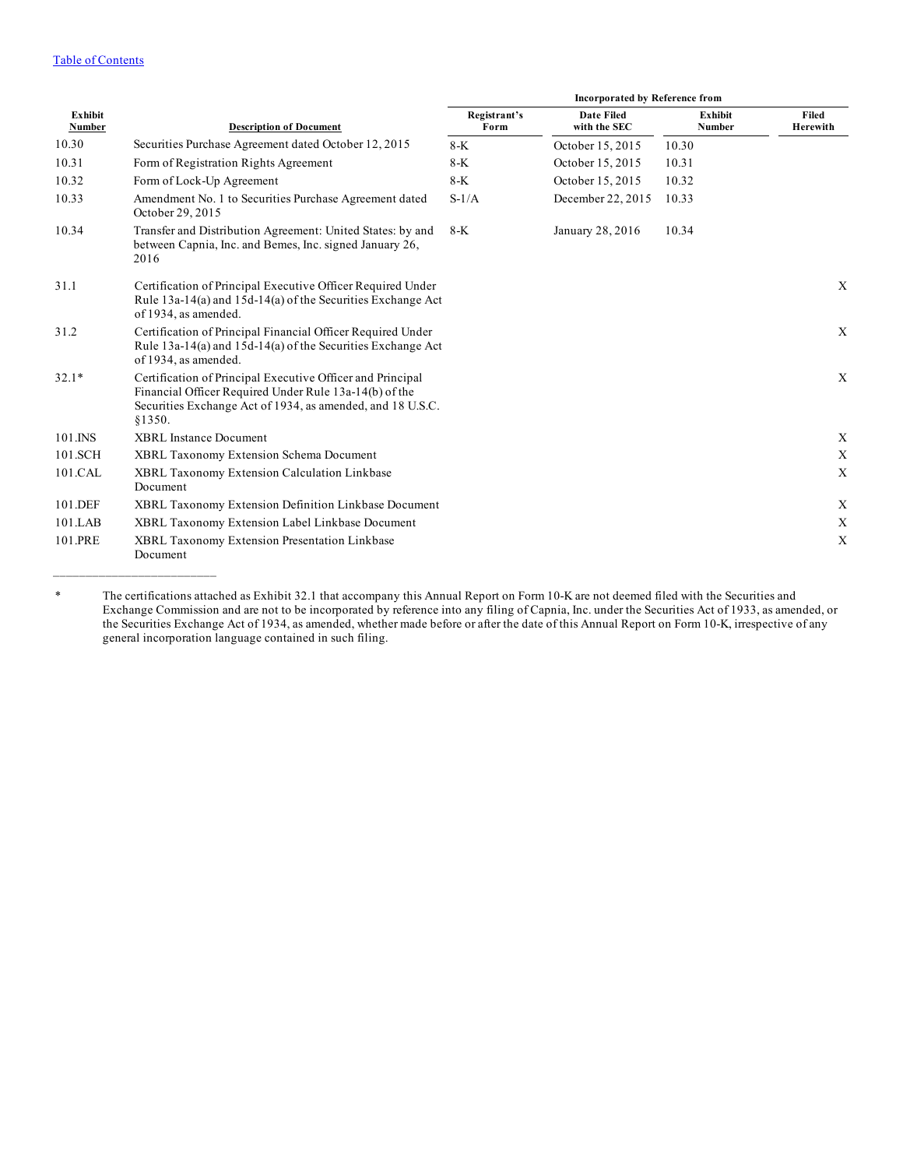$\mathcal{L}_\text{max}$  , where  $\mathcal{L}_\text{max}$  and  $\mathcal{L}_\text{max}$ 

|                   | <b>Description of Document</b>                                                                                                                                                               | <b>Incorporated by Reference from</b> |                                   |                          |                           |  |
|-------------------|----------------------------------------------------------------------------------------------------------------------------------------------------------------------------------------------|---------------------------------------|-----------------------------------|--------------------------|---------------------------|--|
| Exhibit<br>Number |                                                                                                                                                                                              | Registrant's<br>Form                  | <b>Date Filed</b><br>with the SEC | Exhibit<br><b>Number</b> | Filed<br>Herewith         |  |
| 10.30             | Securities Purchase Agreement dated October 12, 2015                                                                                                                                         | $8-K$                                 | October 15, 2015                  | 10.30                    |                           |  |
| 10.31             | Form of Registration Rights Agreement                                                                                                                                                        | $8-K$                                 | October 15, 2015                  | 10.31                    |                           |  |
| 10.32             | Form of Lock-Up Agreement                                                                                                                                                                    | $8-K$                                 | October 15, 2015                  | 10.32                    |                           |  |
| 10.33             | Amendment No. 1 to Securities Purchase Agreement dated<br>October 29, 2015                                                                                                                   | $S-1/A$                               | December 22, 2015                 | 10.33                    |                           |  |
| 10.34             | Transfer and Distribution Agreement: United States: by and<br>between Capnia, Inc. and Bemes, Inc. signed January 26,<br>2016                                                                | $8-K$                                 | January 28, 2016                  | 10.34                    |                           |  |
| 31.1              | Certification of Principal Executive Officer Required Under<br>Rule 13a-14(a) and 15d-14(a) of the Securities Exchange Act<br>of 1934, as amended.                                           |                                       |                                   |                          | $\boldsymbol{\mathrm{X}}$ |  |
| 31.2              | Certification of Principal Financial Officer Required Under<br>Rule $13a-14(a)$ and $15d-14(a)$ of the Securities Exchange Act<br>of 1934, as amended.                                       |                                       |                                   |                          | $\boldsymbol{\mathrm{X}}$ |  |
| $32.1*$           | Certification of Principal Executive Officer and Principal<br>Financial Officer Required Under Rule 13a-14(b) of the<br>Securities Exchange Act of 1934, as amended, and 18 U.S.C.<br>§1350. |                                       |                                   |                          | X                         |  |
| 101.INS           | <b>XBRL</b> Instance Document                                                                                                                                                                |                                       |                                   |                          | X                         |  |
| 101.SCH           | XBRL Taxonomy Extension Schema Document                                                                                                                                                      |                                       |                                   |                          | X                         |  |
| 101.CAL           | XBRL Taxonomy Extension Calculation Linkbase<br>Document                                                                                                                                     |                                       |                                   |                          | X                         |  |
| 101.DEF           | XBRL Taxonomy Extension Definition Linkbase Document                                                                                                                                         |                                       |                                   |                          | $\boldsymbol{\mathrm{X}}$ |  |
| 101.LAB           | XBRL Taxonomy Extension Label Linkbase Document                                                                                                                                              |                                       |                                   |                          | X                         |  |
| 101.PRE           | XBRL Taxonomy Extension Presentation Linkbase<br>Document                                                                                                                                    |                                       |                                   |                          | X                         |  |

<sup>\*</sup> The certifications attached as Exhibit 32.1 that accompany this Annual Report on Form 10-K are not deemed filed with the Securities and Exchange Commission and are not to be incorporated by reference into any filing of Capnia, Inc. under the Securities Act of 1933, as amended, or the Securities Exchange Act of 1934, as amended, whether made before or after the date of this Annual Report on Form 10-K, irrespective of any general incorporation language contained in such filing.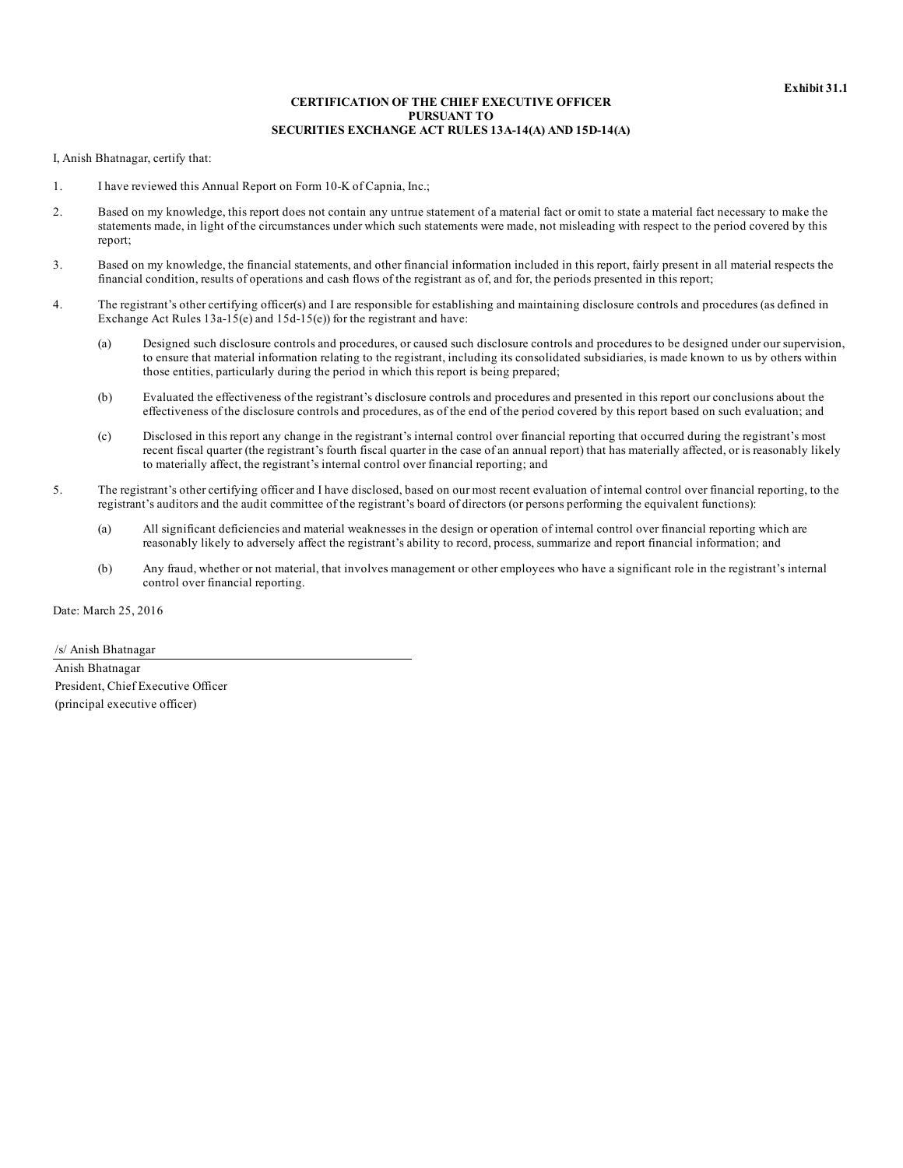## **CERTIFICATION OF THE CHIEF EXECUTIVE OFFICER PURSUANT TO SECURITIES EXCHANGE ACT RULES 13A-14(A) AND 15D-14(A)**

I, Anish Bhatnagar, certify that:

- 1. I have reviewed this Annual Report on Form 10-K of Capnia, Inc.;
- 2. Based on my knowledge, this report does not contain any untrue statement of a material fact or omit to state a material fact necessary to make the statements made, in light of the circumstances under which such statements were made, not misleading with respect to the period covered by this report;
- 3. Based on my knowledge, the financial statements, and other financial information included in this report, fairly present in all material respects the financial condition, results of operations and cash flows of the registrant as of, and for, the periods presented in this report;
- 4. The registrant's other certifying officer(s) and I are responsible for establishing and maintaining disclosure controls and procedures (as defined in Exchange Act Rules 13a-15(e) and 15d-15(e)) for the registrant and have:
	- (a) Designed such disclosure controls and procedures, or caused such disclosure controls and procedures to be designed under our supervision, to ensure that material information relating to the registrant, including its consolidated subsidiaries, is made known to us by others within those entities, particularly during the period in which this report is being prepared;
	- (b) Evaluated the effectiveness of the registrant's disclosure controls and procedures and presented in this report our conclusions about the effectiveness of the disclosure controls and procedures, as of the end of the period covered by this report based on such evaluation; and
	- (c) Disclosed in this report any change in the registrant's internal control over financial reporting that occurred during the registrant's most recent fiscal quarter (the registrant's fourth fiscal quarter in the case of an annual report) that has materially affected, or is reasonably likely to materially affect, the registrant's internal control over financial reporting; and
- 5. The registrant's other certifying officer and I have disclosed, based on our most recent evaluation of internal control over financial reporting, to the registrant's auditors and the audit committee of the registrant's board of directors (or persons performing the equivalent functions):
	- (a) All significant deficiencies and material weaknesses in the design or operation of internal control over financial reporting which are reasonably likely to adversely affect the registrant's ability to record, process, summarize and report financial information; and
	- (b) Any fraud, whether or not material, that involves management or other employees who have a significant role in the registrant's internal control over financial reporting.

Date: March 25, 2016

/s/ Anish Bhatnagar

Anish Bhatnagar President, Chief Executive Officer (principal executive officer)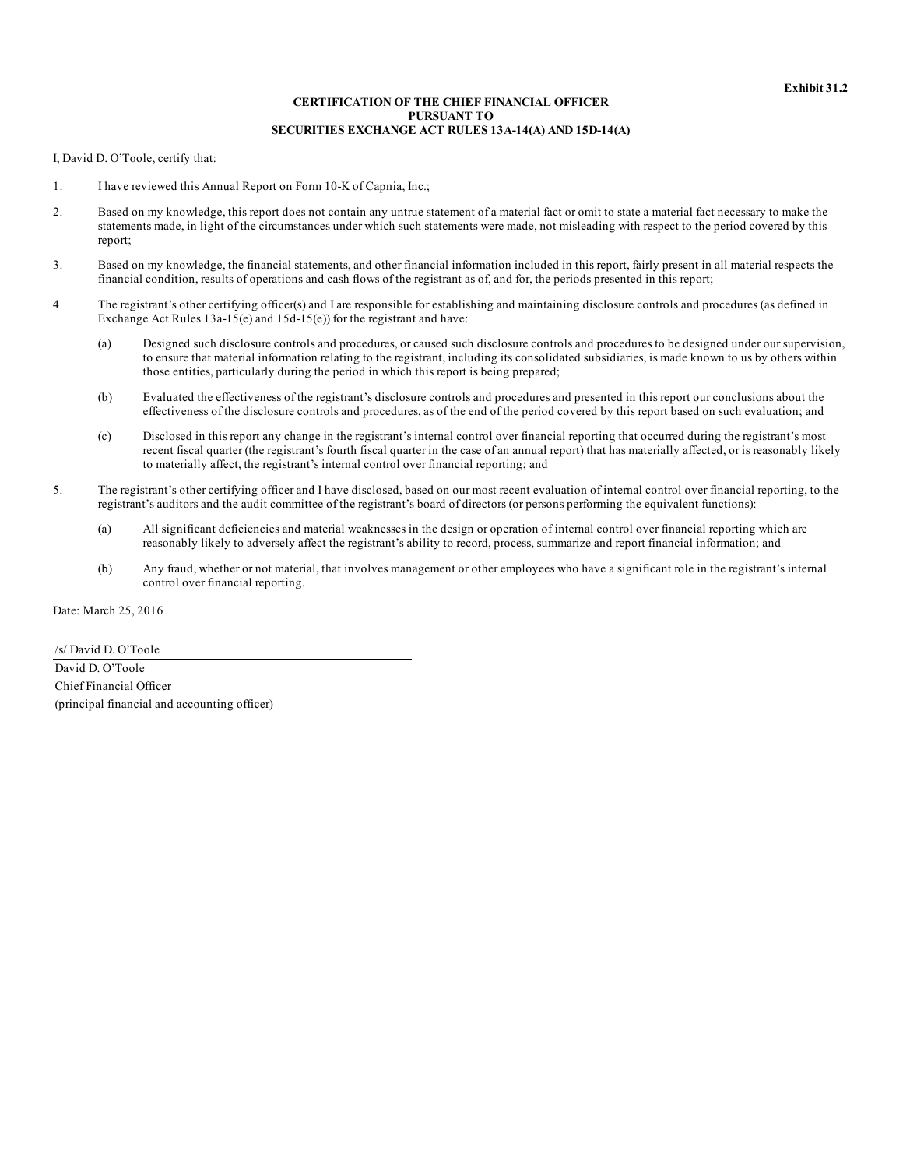## **CERTIFICATION OF THE CHIEF FINANCIAL OFFICER PURSUANT TO SECURITIES EXCHANGE ACT RULES 13A-14(A) AND 15D-14(A)**

I, David D. O'Toole, certify that:

- 1. I have reviewed this Annual Report on Form 10-K of Capnia, Inc.;
- 2. Based on my knowledge, this report does not contain any untrue statement of a material fact or omit to state a material fact necessary to make the statements made, in light of the circumstances under which such statements were made, not misleading with respect to the period covered by this report;
- 3. Based on my knowledge, the financial statements, and other financial information included in this report, fairly present in all material respects the financial condition, results of operations and cash flows of the registrant as of, and for, the periods presented in this report;
- 4. The registrant's other certifying officer(s) and I are responsible for establishing and maintaining disclosure controls and procedures (as defined in Exchange Act Rules 13a-15(e) and 15d-15(e)) for the registrant and have:
	- (a) Designed such disclosure controls and procedures, or caused such disclosure controls and procedures to be designed under our supervision, to ensure that material information relating to the registrant, including its consolidated subsidiaries, is made known to us by others within those entities, particularly during the period in which this report is being prepared;
	- (b) Evaluated the effectiveness of the registrant's disclosure controls and procedures and presented in this report our conclusions about the effectiveness of the disclosure controls and procedures, as of the end of the period covered by this report based on such evaluation; and
	- (c) Disclosed in this report any change in the registrant's internal control over financial reporting that occurred during the registrant's most recent fiscal quarter (the registrant's fourth fiscal quarter in the case of an annual report) that has materially affected, or is reasonably likely to materially affect, the registrant's internal control over financial reporting; and
- 5. The registrant's other certifying officer and I have disclosed, based on our most recent evaluation of internal control over financial reporting, to the registrant's auditors and the audit committee of the registrant's board of directors (or persons performing the equivalent functions):
	- (a) All significant deficiencies and material weaknesses in the design or operation of internal control over financial reporting which are reasonably likely to adversely affect the registrant's ability to record, process, summarize and report financial information; and
	- (b) Any fraud, whether or not material, that involves management or other employees who have a significant role in the registrant's internal control over financial reporting.

Date: March 25, 2016

/s/ David D. O'Toole

David D. O'Toole Chief Financial Officer (principal financial and accounting officer)